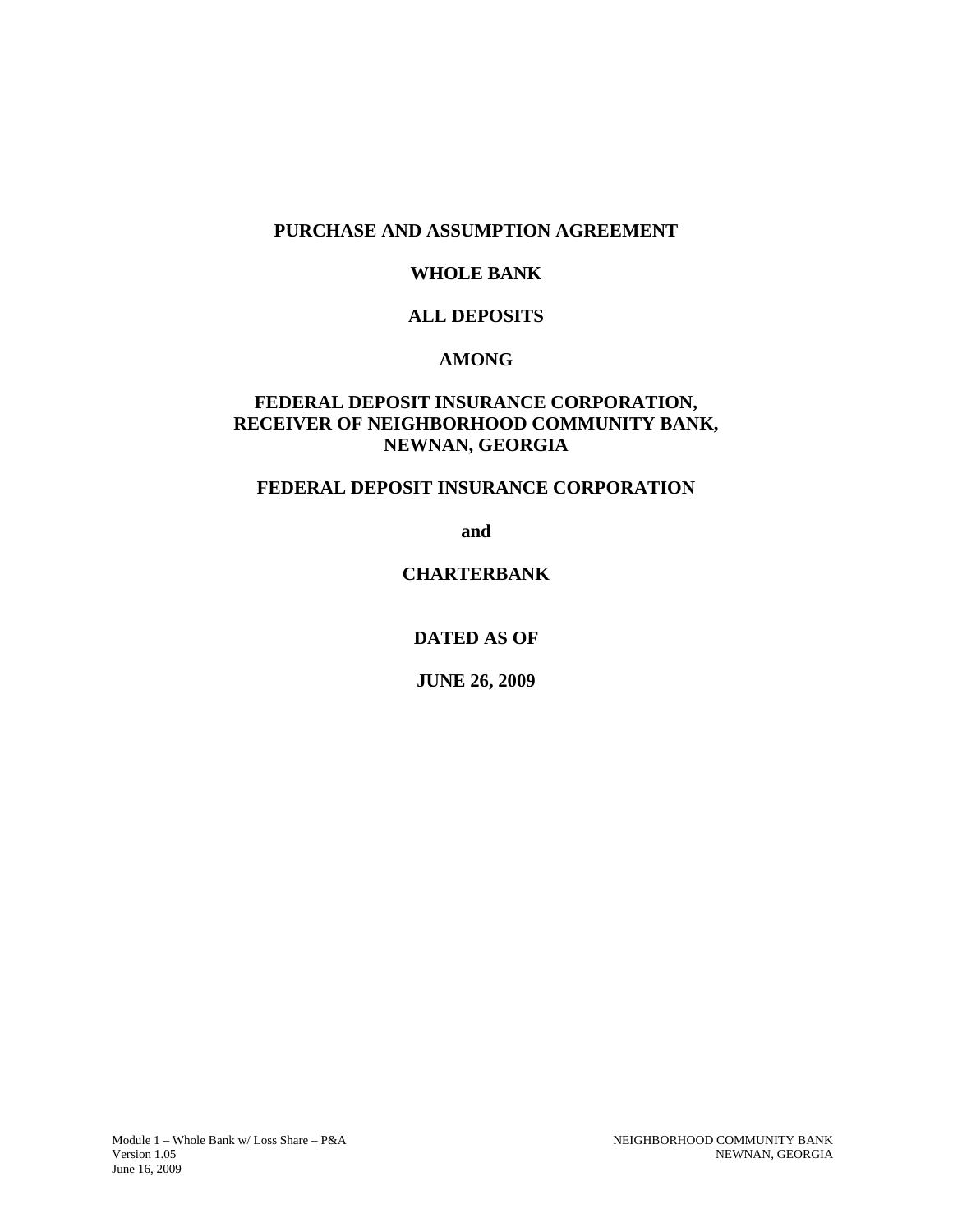### **PURCHASE AND ASSUMPTION AGREEMENT**

### **WHOLE BANK**

### **ALL DEPOSITS**

### **AMONG**

### **FEDERAL DEPOSIT INSURANCE CORPORATION, RECEIVER OF NEIGHBORHOOD COMMUNITY BANK, NEWNAN, GEORGIA**

#### **FEDERAL DEPOSIT INSURANCE CORPORATION**

**and** 

### **CHARTERBANK**

**DATED AS OF**

**JUNE 26, 2009**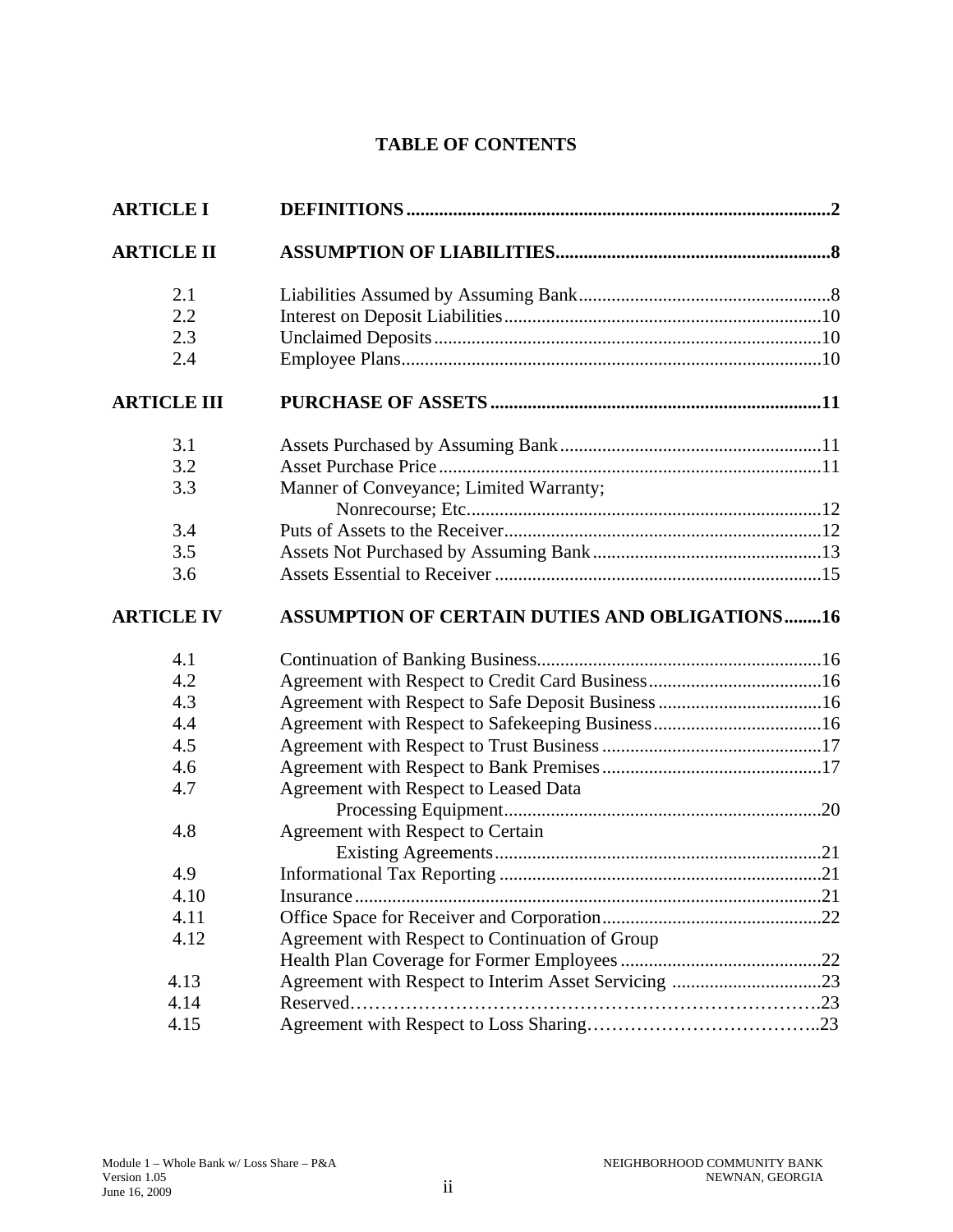## **TABLE OF CONTENTS**

| <b>ARTICLE I</b>   |                                                       |  |
|--------------------|-------------------------------------------------------|--|
| <b>ARTICLE II</b>  |                                                       |  |
| 2.1                |                                                       |  |
| 2.2                |                                                       |  |
| 2.3                |                                                       |  |
| 2.4                |                                                       |  |
| <b>ARTICLE III</b> |                                                       |  |
| 3.1                |                                                       |  |
| 3.2                |                                                       |  |
| 3.3                | Manner of Conveyance; Limited Warranty;               |  |
|                    |                                                       |  |
| 3.4                |                                                       |  |
| 3.5                |                                                       |  |
| 3.6                |                                                       |  |
| <b>ARTICLE IV</b>  | <b>ASSUMPTION OF CERTAIN DUTIES AND OBLIGATIONS16</b> |  |
| 4.1                |                                                       |  |
| 4.2                |                                                       |  |
| 4.3                |                                                       |  |
| 4.4                |                                                       |  |
| 4.5                |                                                       |  |
| 4.6                |                                                       |  |
| 4.7                | Agreement with Respect to Leased Data                 |  |
|                    |                                                       |  |
| 4.8                | Agreement with Respect to Certain                     |  |
|                    |                                                       |  |
| 4.9                |                                                       |  |
| 4.10               |                                                       |  |
| 4.11               |                                                       |  |
| 4.12               | Agreement with Respect to Continuation of Group       |  |
|                    |                                                       |  |
| 4.13               | Agreement with Respect to Interim Asset Servicing 23  |  |
| 4.14               |                                                       |  |
| 4.15               |                                                       |  |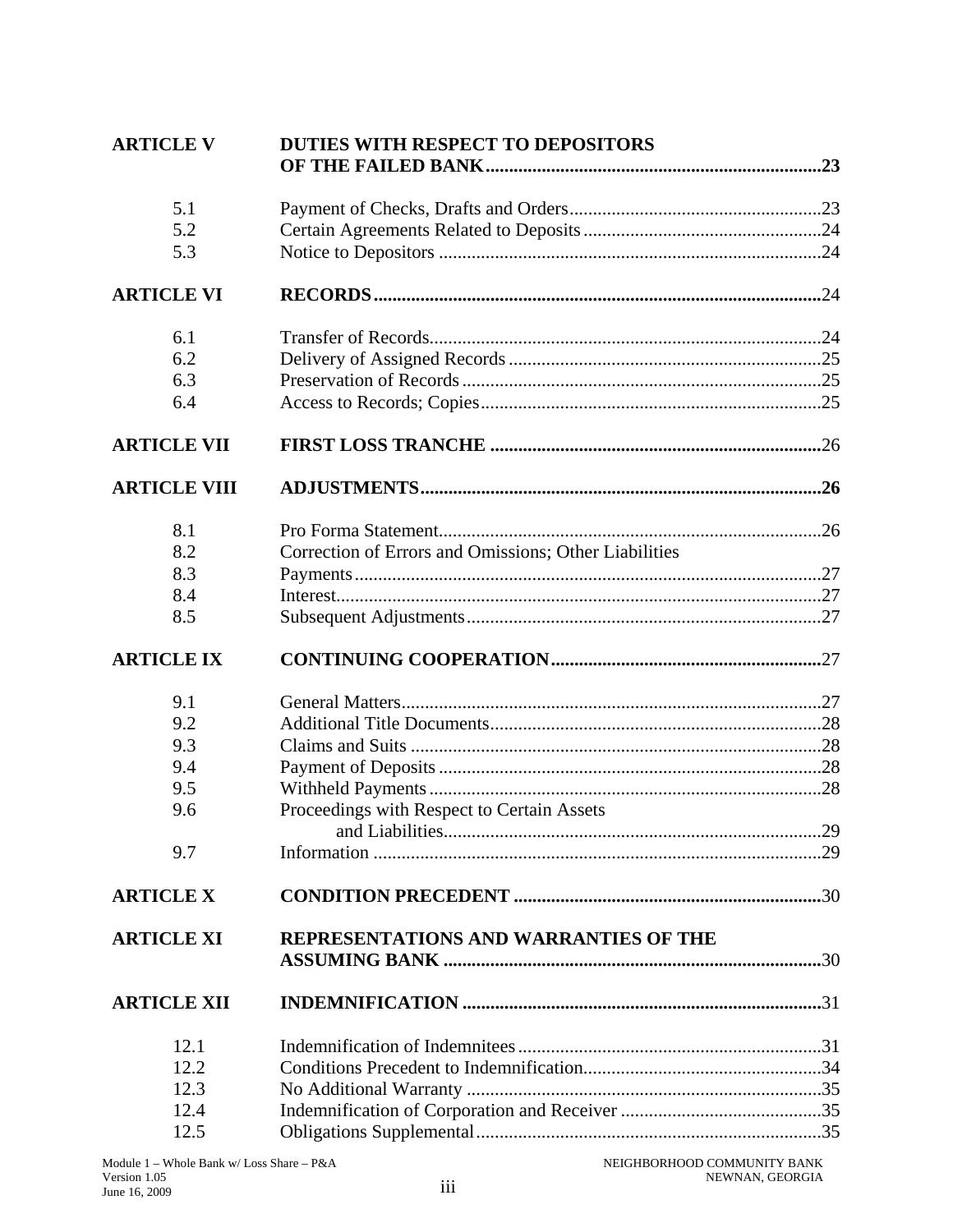| <b>ARTICLE V</b>    | DUTIES WITH RESPECT TO DEPOSITORS                     |  |
|---------------------|-------------------------------------------------------|--|
|                     |                                                       |  |
| 5.1                 |                                                       |  |
| 5.2                 |                                                       |  |
| 5.3                 |                                                       |  |
| <b>ARTICLE VI</b>   |                                                       |  |
| 6.1                 |                                                       |  |
| 6.2                 |                                                       |  |
| 6.3                 |                                                       |  |
| 6.4                 |                                                       |  |
| <b>ARTICLE VII</b>  |                                                       |  |
| <b>ARTICLE VIII</b> |                                                       |  |
| 8.1                 |                                                       |  |
| 8.2                 | Correction of Errors and Omissions; Other Liabilities |  |
| 8.3                 |                                                       |  |
| 8.4                 |                                                       |  |
| 8.5                 |                                                       |  |
| <b>ARTICLE IX</b>   |                                                       |  |
| 9.1                 |                                                       |  |
| 9.2                 |                                                       |  |
| 9.3                 |                                                       |  |
| 9.4                 |                                                       |  |
| 9.5                 |                                                       |  |
| 9.6                 | Proceedings with Respect to Certain Assets            |  |
|                     |                                                       |  |
| 9.7                 |                                                       |  |
| <b>ARTICLE X</b>    |                                                       |  |
| <b>ARTICLE XI</b>   | <b>REPRESENTATIONS AND WARRANTIES OF THE</b>          |  |
| <b>ARTICLE XII</b>  |                                                       |  |
| 12.1                |                                                       |  |
| 12.2                |                                                       |  |
| 12.3                |                                                       |  |
| 12.4                |                                                       |  |
| 12.5                |                                                       |  |
|                     |                                                       |  |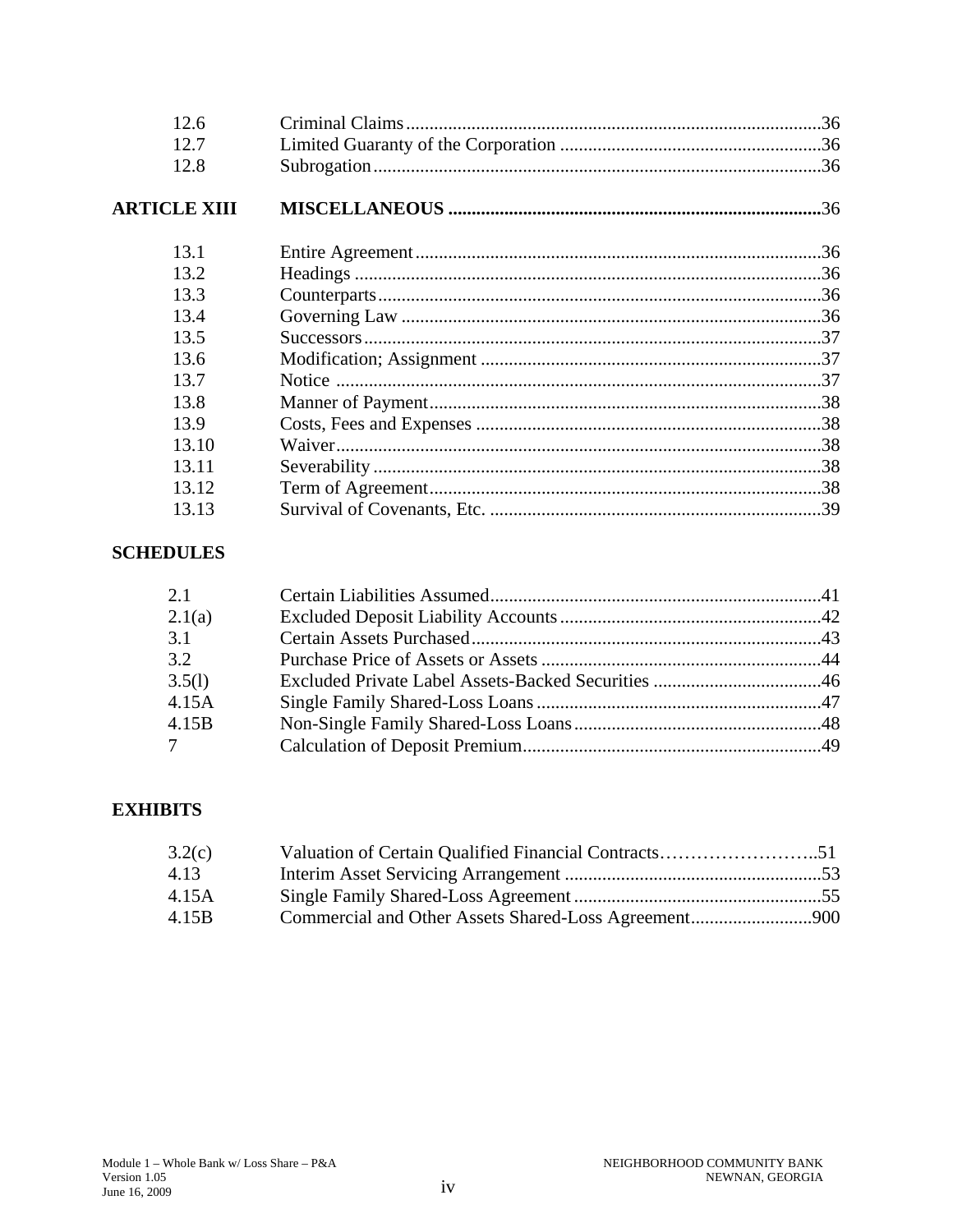| 12.6                |  |
|---------------------|--|
| 12.7                |  |
| 12.8                |  |
| <b>ARTICLE XIII</b> |  |
| 13.1                |  |
| 13.2                |  |
| 13.3                |  |
| 13.4                |  |
| 13.5                |  |
| 13.6                |  |
| 13.7                |  |
| 13.8                |  |
| 13.9                |  |
| 13.10               |  |
| 13.11               |  |
| 13.12               |  |
| 13.13               |  |

## **SCHEDULES**

| 2.1    |  |
|--------|--|
| 2.1(a) |  |
| 3.1    |  |
| 3.2    |  |
| 3.5(l) |  |
| 4.15A  |  |
| 4.15B  |  |
| 7      |  |

# **EXHIBITS**

| 3.2(c) |                                                      |  |
|--------|------------------------------------------------------|--|
| 4.13   |                                                      |  |
| 4.15A  |                                                      |  |
| 4.15B  | Commercial and Other Assets Shared-Loss Agreement900 |  |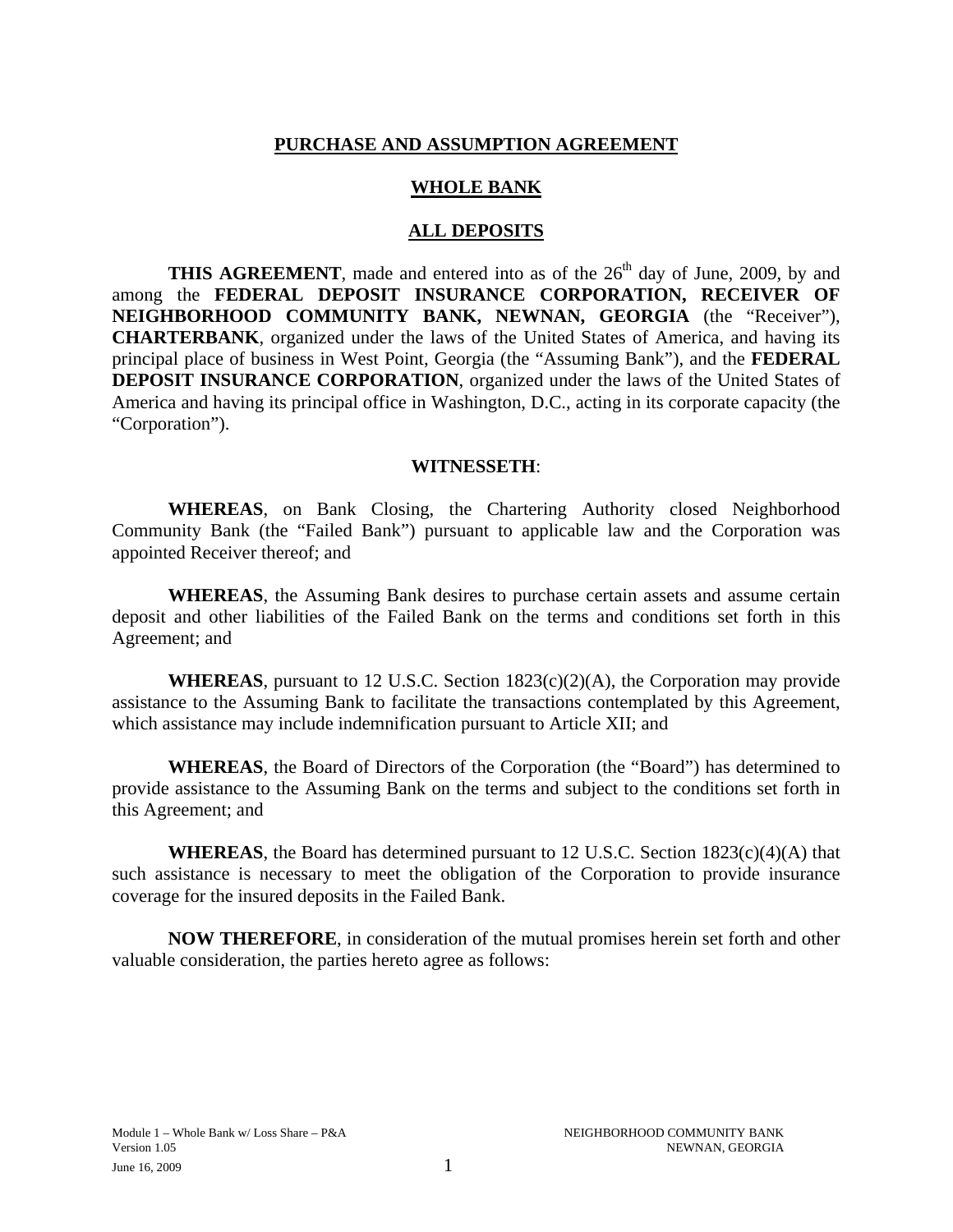#### **PURCHASE AND ASSUMPTION AGREEMENT**

### **WHOLE BANK**

#### **ALL DEPOSITS**

**THIS AGREEMENT**, made and entered into as of the  $26<sup>th</sup>$  day of June, 2009, by and among the **FEDERAL DEPOSIT INSURANCE CORPORATION, RECEIVER OF NEIGHBORHOOD COMMUNITY BANK, NEWNAN, GEORGIA** (the "Receiver"), **CHARTERBANK**, organized under the laws of the United States of America, and having its principal place of business in West Point, Georgia (the "Assuming Bank"), and the **FEDERAL DEPOSIT INSURANCE CORPORATION**, organized under the laws of the United States of America and having its principal office in Washington, D.C., acting in its corporate capacity (the "Corporation").

#### **WITNESSETH**:

**WHEREAS**, on Bank Closing, the Chartering Authority closed Neighborhood Community Bank (the "Failed Bank") pursuant to applicable law and the Corporation was appointed Receiver thereof; and

**WHEREAS**, the Assuming Bank desires to purchase certain assets and assume certain deposit and other liabilities of the Failed Bank on the terms and conditions set forth in this Agreement; and

**WHEREAS**, pursuant to 12 U.S.C. Section 1823(c)(2)(A), the Corporation may provide assistance to the Assuming Bank to facilitate the transactions contemplated by this Agreement, which assistance may include indemnification pursuant to Article XII; and

**WHEREAS**, the Board of Directors of the Corporation (the "Board") has determined to provide assistance to the Assuming Bank on the terms and subject to the conditions set forth in this Agreement; and

**WHEREAS**, the Board has determined pursuant to 12 U.S.C. Section 1823(c)(4)(A) that such assistance is necessary to meet the obligation of the Corporation to provide insurance coverage for the insured deposits in the Failed Bank.

 **NOW THEREFORE**, in consideration of the mutual promises herein set forth and other valuable consideration, the parties hereto agree as follows: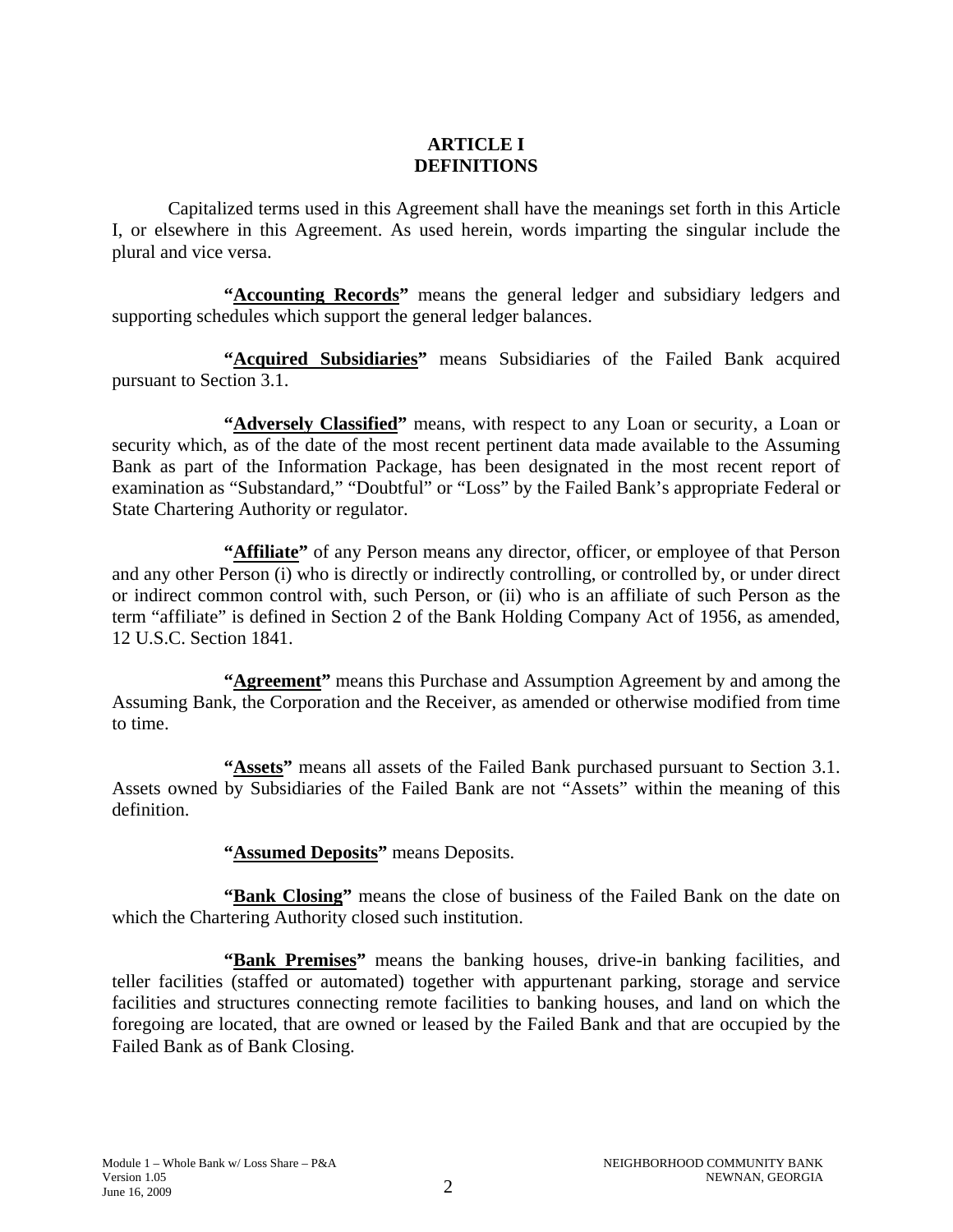### **ARTICLE I DEFINITIONS**

<span id="page-5-1"></span><span id="page-5-0"></span>Capitalized terms used in this Agreement shall have the meanings set forth in this Article I, or elsewhere in this Agreement. As used herein, words imparting the singular include the plural and vice versa.

**"Accounting Records"** means the general ledger and subsidiary ledgers and supporting schedules which support the general ledger balances.

**"Acquired Subsidiaries"** means Subsidiaries of the Failed Bank acquired pursuant to Section 3.1.

**"Adversely Classified"** means, with respect to any Loan or security, a Loan or security which, as of the date of the most recent pertinent data made available to the Assuming Bank as part of the Information Package, has been designated in the most recent report of examination as "Substandard," "Doubtful" or "Loss" by the Failed Bank's appropriate Federal or State Chartering Authority or regulator.

**"Affiliate"** of any Person means any director, officer, or employee of that Person and any other Person (i) who is directly or indirectly controlling, or controlled by, or under direct or indirect common control with, such Person, or (ii) who is an affiliate of such Person as the term "affiliate" is defined in Section 2 of the Bank Holding Company Act of 1956, as amended, 12 U.S.C. Section 1841.

**"Agreement"** means this Purchase and Assumption Agreement by and among the Assuming Bank, the Corporation and the Receiver, as amended or otherwise modified from time to time.

**"Assets"** means all assets of the Failed Bank purchased pursuant to Section 3.1. Assets owned by Subsidiaries of the Failed Bank are not "Assets" within the meaning of this definition.

**"Assumed Deposits"** means Deposits.

**"Bank Closing"** means the close of business of the Failed Bank on the date on which the Chartering Authority closed such institution.

**"Bank Premises"** means the banking houses, drive-in banking facilities, and teller facilities (staffed or automated) together with appurtenant parking, storage and service facilities and structures connecting remote facilities to banking houses, and land on which the foregoing are located, that are owned or leased by the Failed Bank and that are occupied by the Failed Bank as of Bank Closing.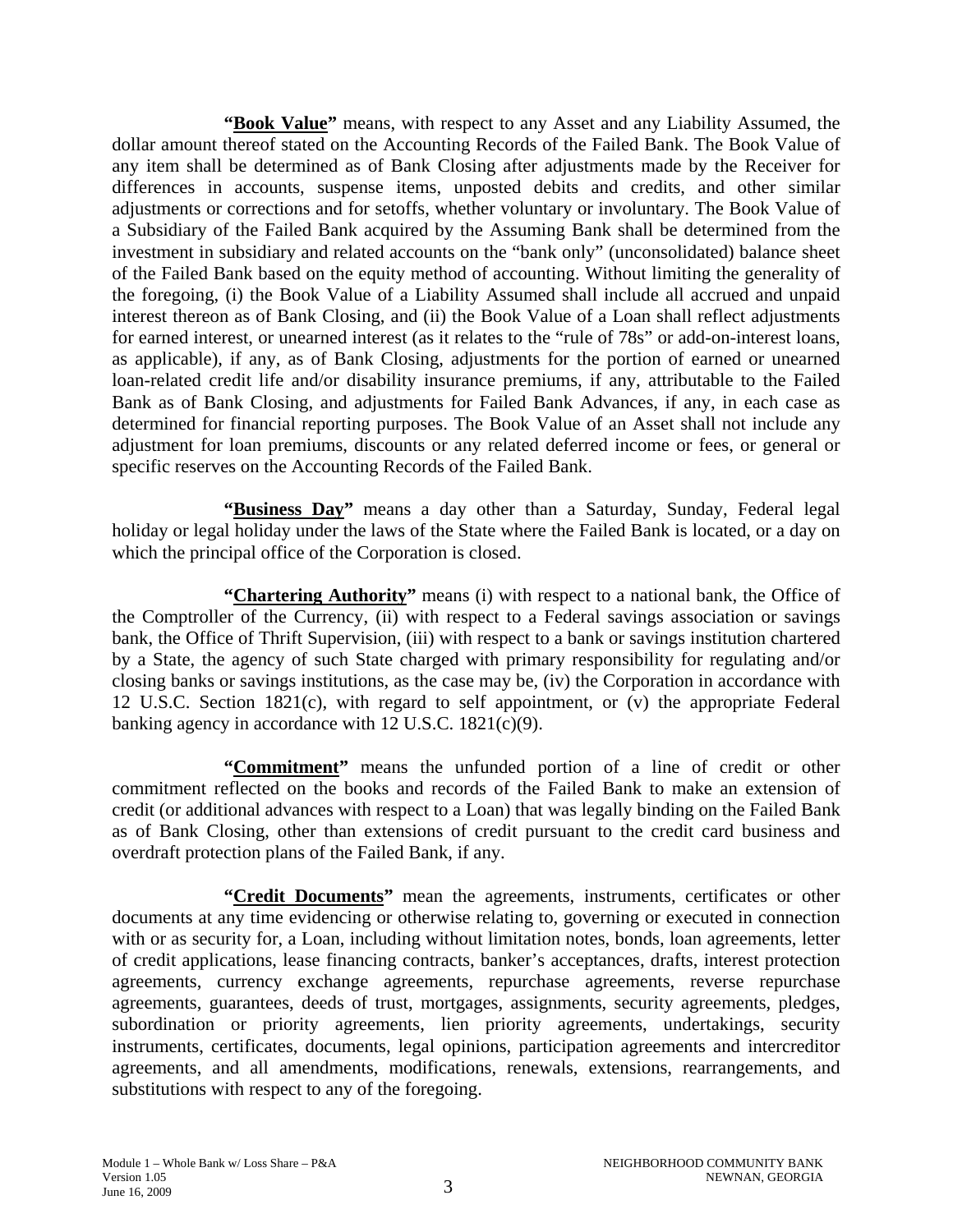<span id="page-6-0"></span> **"Book Value"** means, with respect to any Asset and any Liability Assumed, the dollar amount thereof stated on the Accounting Records of the Failed Bank. The Book Value of any item shall be determined as of Bank Closing after adjustments made by the Receiver for differences in accounts, suspense items, unposted debits and credits, and other similar adjustments or corrections and for setoffs, whether voluntary or involuntary. The Book Value of a Subsidiary of the Failed Bank acquired by the Assuming Bank shall be determined from the investment in subsidiary and related accounts on the "bank only" (unconsolidated) balance sheet of the Failed Bank based on the equity method of accounting. Without limiting the generality of the foregoing, (i) the Book Value of a Liability Assumed shall include all accrued and unpaid interest thereon as of Bank Closing, and (ii) the Book Value of a Loan shall reflect adjustments for earned interest, or unearned interest (as it relates to the "rule of 78s" or add-on-interest loans, as applicable), if any, as of Bank Closing, adjustments for the portion of earned or unearned loan-related credit life and/or disability insurance premiums, if any, attributable to the Failed Bank as of Bank Closing, and adjustments for Failed Bank Advances, if any, in each case as determined for financial reporting purposes. The Book Value of an Asset shall not include any adjustment for loan premiums, discounts or any related deferred income or fees, or general or specific reserves on the Accounting Records of the Failed Bank.

"Business Day" means a day other than a Saturday, Sunday, Federal legal holiday or legal holiday under the laws of the State where the Failed Bank is located, or a day on which the principal office of the Corporation is closed.

**"Chartering Authority"** means (i) with respect to a national bank, the Office of the Comptroller of the Currency, (ii) with respect to a Federal savings association or savings bank, the Office of Thrift Supervision, (iii) with respect to a bank or savings institution chartered by a State, the agency of such State charged with primary responsibility for regulating and/or closing banks or savings institutions, as the case may be, (iv) the Corporation in accordance with 12 U.S.C. Section 1821(c), with regard to self appointment, or (v) the appropriate Federal banking agency in accordance with 12 U.S.C. 1821(c)(9).

**"Commitment"** means the unfunded portion of a line of credit or other commitment reflected on the books and records of the Failed Bank to make an extension of credit (or additional advances with respect to a Loan) that was legally binding on the Failed Bank as of Bank Closing, other than extensions of credit pursuant to the credit card business and overdraft protection plans of the Failed Bank, if any.

**"Credit Documents"** mean the agreements, instruments, certificates or other documents at any time evidencing or otherwise relating to, governing or executed in connection with or as security for, a Loan, including without limitation notes, bonds, loan agreements, letter of credit applications, lease financing contracts, banker's acceptances, drafts, interest protection agreements, currency exchange agreements, repurchase agreements, reverse repurchase agreements, guarantees, deeds of trust, mortgages, assignments, security agreements, pledges, subordination or priority agreements, lien priority agreements, undertakings, security instruments, certificates, documents, legal opinions, participation agreements and intercreditor agreements, and all amendments, modifications, renewals, extensions, rearrangements, and substitutions with respect to any of the foregoing.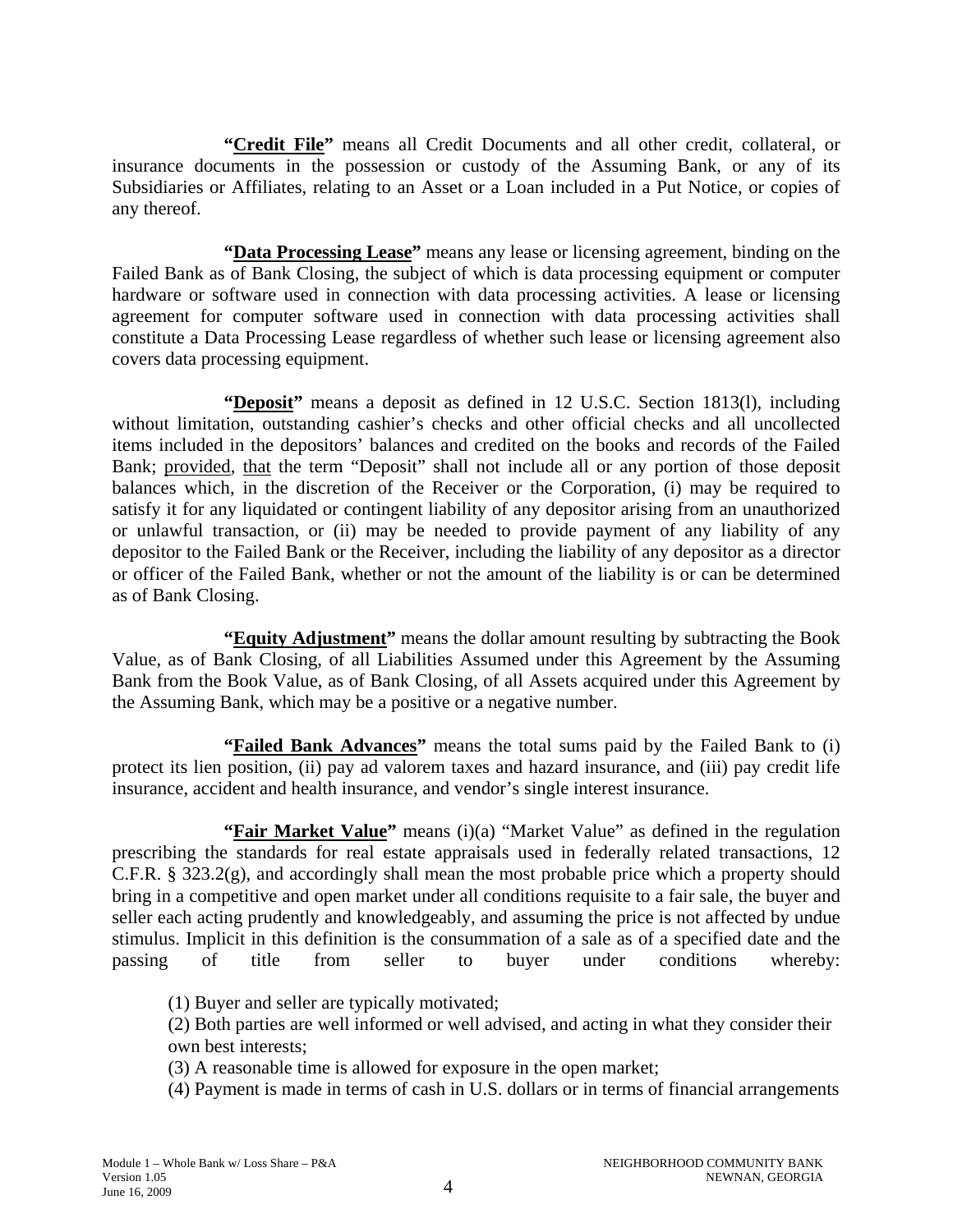**"Credit File"** means all Credit Documents and all other credit, collateral, or insurance documents in the possession or custody of the Assuming Bank, or any of its Subsidiaries or Affiliates, relating to an Asset or a Loan included in a Put Notice, or copies of any thereof.

**"Data Processing Lease"** means any lease or licensing agreement, binding on the Failed Bank as of Bank Closing, the subject of which is data processing equipment or computer hardware or software used in connection with data processing activities. A lease or licensing agreement for computer software used in connection with data processing activities shall constitute a Data Processing Lease regardless of whether such lease or licensing agreement also covers data processing equipment.

**"Deposit"** means a deposit as defined in 12 U.S.C. Section 1813(l), including without limitation, outstanding cashier's checks and other official checks and all uncollected items included in the depositors' balances and credited on the books and records of the Failed Bank; provided, that the term "Deposit" shall not include all or any portion of those deposit balances which, in the discretion of the Receiver or the Corporation, (i) may be required to satisfy it for any liquidated or contingent liability of any depositor arising from an unauthorized or unlawful transaction, or (ii) may be needed to provide payment of any liability of any depositor to the Failed Bank or the Receiver, including the liability of any depositor as a director or officer of the Failed Bank, whether or not the amount of the liability is or can be determined as of Bank Closing.

**"Equity Adjustment"** means the dollar amount resulting by subtracting the Book Value, as of Bank Closing, of all Liabilities Assumed under this Agreement by the Assuming Bank from the Book Value, as of Bank Closing, of all Assets acquired under this Agreement by the Assuming Bank, which may be a positive or a negative number.

**"Failed Bank Advances"** means the total sums paid by the Failed Bank to (i) protect its lien position, (ii) pay ad valorem taxes and hazard insurance, and (iii) pay credit life insurance, accident and health insurance, and vendor's single interest insurance.

**"Fair Market Value"** means (i)(a) "Market Value" as defined in the regulation prescribing the standards for real estate appraisals used in federally related transactions, 12 C.F.R. § 323.2(g), and accordingly shall mean the most probable price which a property should bring in a competitive and open market under all conditions requisite to a fair sale, the buyer and seller each acting prudently and knowledgeably, and assuming the price is not affected by undue stimulus. Implicit in this definition is the consummation of a sale as of a specified date and the passing of title from seller to buyer under conditions whereby:

- (1) Buyer and seller are typically motivated;
- (2) Both parties are well informed or well advised, and acting in what they consider their own best interests;
- (3) A reasonable time is allowed for exposure in the open market;
- (4) Payment is made in terms of cash in U.S. dollars or in terms of financial arrangements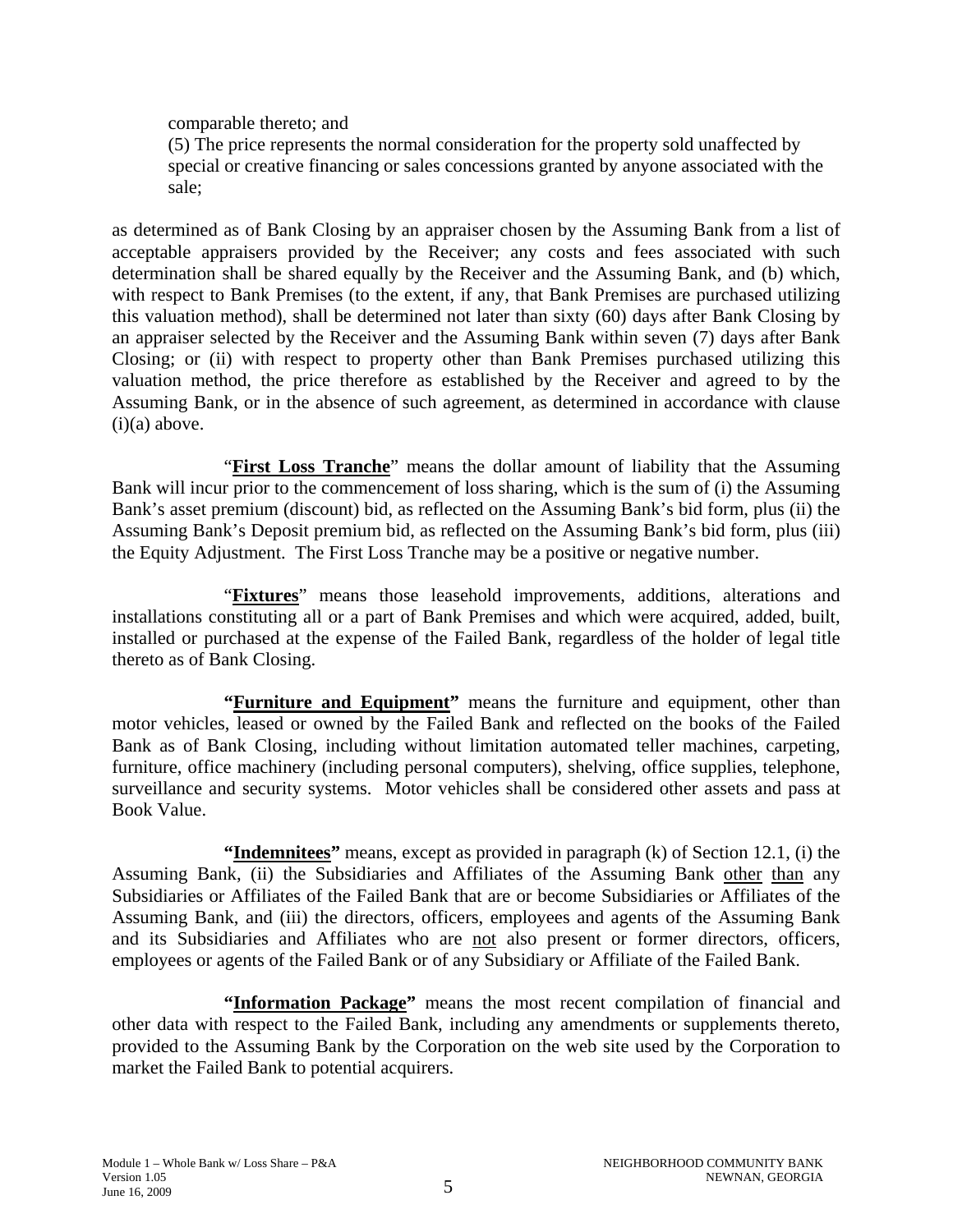comparable thereto; and

(5) The price represents the normal consideration for the property sold unaffected by special or creative financing or sales concessions granted by anyone associated with the sale;

as determined as of Bank Closing by an appraiser chosen by the Assuming Bank from a list of acceptable appraisers provided by the Receiver; any costs and fees associated with such determination shall be shared equally by the Receiver and the Assuming Bank, and (b) which, with respect to Bank Premises (to the extent, if any, that Bank Premises are purchased utilizing this valuation method), shall be determined not later than sixty (60) days after Bank Closing by an appraiser selected by the Receiver and the Assuming Bank within seven (7) days after Bank Closing; or (ii) with respect to property other than Bank Premises purchased utilizing this valuation method, the price therefore as established by the Receiver and agreed to by the Assuming Bank, or in the absence of such agreement, as determined in accordance with clause  $(i)(a)$  above.

"**First Loss Tranche**" means the dollar amount of liability that the Assuming Bank will incur prior to the commencement of loss sharing, which is the sum of (i) the Assuming Bank's asset premium (discount) bid, as reflected on the Assuming Bank's bid form, plus (ii) the Assuming Bank's Deposit premium bid, as reflected on the Assuming Bank's bid form, plus (iii) the Equity Adjustment. The First Loss Tranche may be a positive or negative number.

"**Fixtures**" means those leasehold improvements, additions, alterations and installations constituting all or a part of Bank Premises and which were acquired, added, built, installed or purchased at the expense of the Failed Bank, regardless of the holder of legal title thereto as of Bank Closing.

**"Furniture and Equipment"** means the furniture and equipment, other than motor vehicles, leased or owned by the Failed Bank and reflected on the books of the Failed Bank as of Bank Closing, including without limitation automated teller machines, carpeting, furniture, office machinery (including personal computers), shelving, office supplies, telephone, surveillance and security systems. Motor vehicles shall be considered other assets and pass at Book Value.

**"Indemnitees"** means, except as provided in paragraph (k) of Section 12.1, (i) the Assuming Bank, (ii) the Subsidiaries and Affiliates of the Assuming Bank other than any Subsidiaries or Affiliates of the Failed Bank that are or become Subsidiaries or Affiliates of the Assuming Bank, and (iii) the directors, officers, employees and agents of the Assuming Bank and its Subsidiaries and Affiliates who are not also present or former directors, officers, employees or agents of the Failed Bank or of any Subsidiary or Affiliate of the Failed Bank.

**"Information Package"** means the most recent compilation of financial and other data with respect to the Failed Bank, including any amendments or supplements thereto, provided to the Assuming Bank by the Corporation on the web site used by the Corporation to market the Failed Bank to potential acquirers.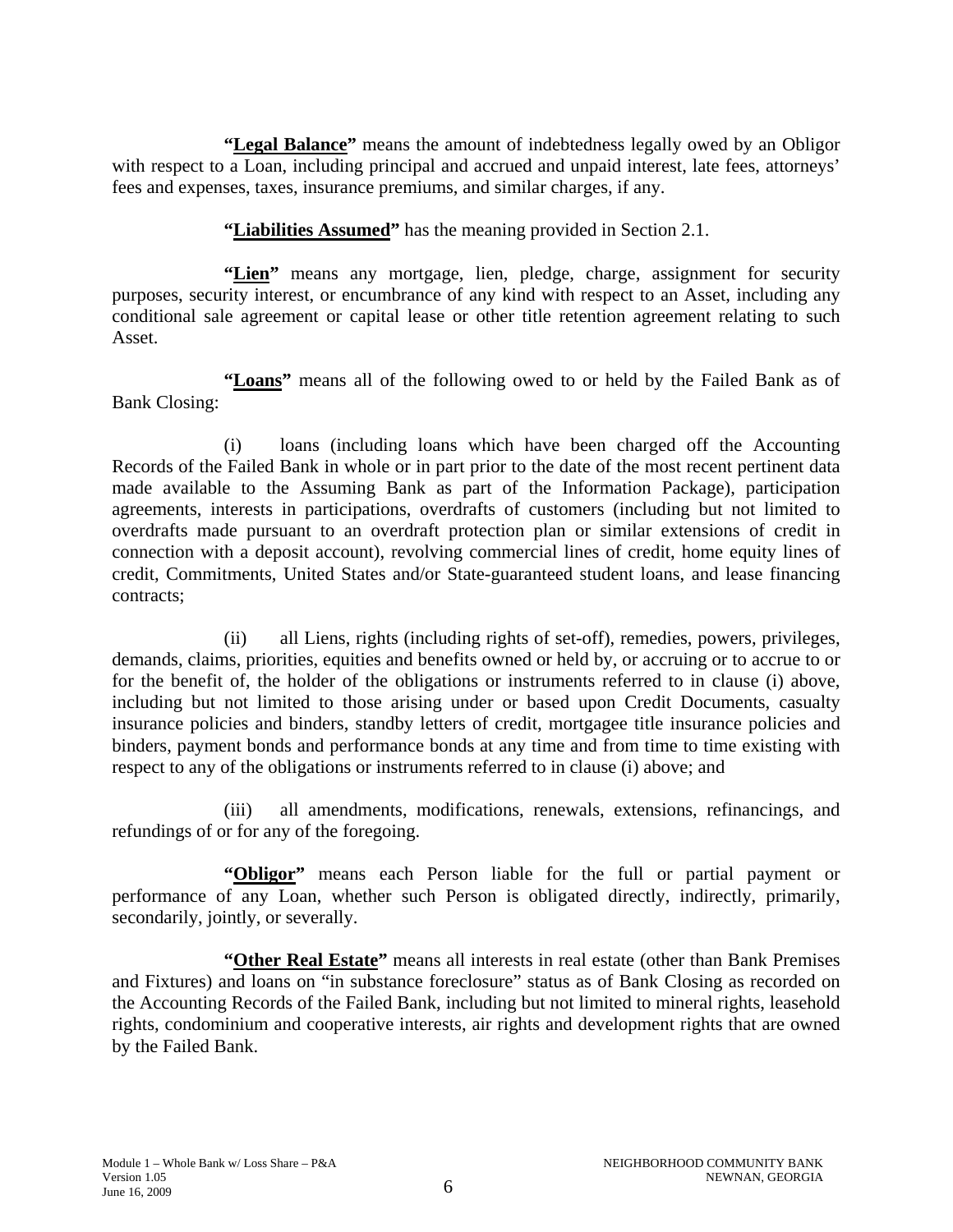**"Legal Balance"** means the amount of indebtedness legally owed by an Obligor with respect to a Loan, including principal and accrued and unpaid interest, late fees, attorneys' fees and expenses, taxes, insurance premiums, and similar charges, if any.

**"Liabilities Assumed"** has the meaning provided in Section 2.1.

"Lien" means any mortgage, lien, pledge, charge, assignment for security purposes, security interest, or encumbrance of any kind with respect to an Asset, including any conditional sale agreement or capital lease or other title retention agreement relating to such Asset.

**"Loans"** means all of the following owed to or held by the Failed Bank as of Bank Closing:

(i) loans (including loans which have been charged off the Accounting Records of the Failed Bank in whole or in part prior to the date of the most recent pertinent data made available to the Assuming Bank as part of the Information Package), participation agreements, interests in participations, overdrafts of customers (including but not limited to overdrafts made pursuant to an overdraft protection plan or similar extensions of credit in connection with a deposit account), revolving commercial lines of credit, home equity lines of credit, Commitments, United States and/or State-guaranteed student loans, and lease financing contracts;

(ii) all Liens, rights (including rights of set-off), remedies, powers, privileges, demands, claims, priorities, equities and benefits owned or held by, or accruing or to accrue to or for the benefit of, the holder of the obligations or instruments referred to in clause (i) above, including but not limited to those arising under or based upon Credit Documents, casualty insurance policies and binders, standby letters of credit, mortgagee title insurance policies and binders, payment bonds and performance bonds at any time and from time to time existing with respect to any of the obligations or instruments referred to in clause (i) above; and

(iii) all amendments, modifications, renewals, extensions, refinancings, and refundings of or for any of the foregoing.

**"Obligor"** means each Person liable for the full or partial payment or performance of any Loan, whether such Person is obligated directly, indirectly, primarily, secondarily, jointly, or severally.

**"Other Real Estate"** means all interests in real estate (other than Bank Premises and Fixtures) and loans on "in substance foreclosure" status as of Bank Closing as recorded on the Accounting Records of the Failed Bank, including but not limited to mineral rights, leasehold rights, condominium and cooperative interests, air rights and development rights that are owned by the Failed Bank.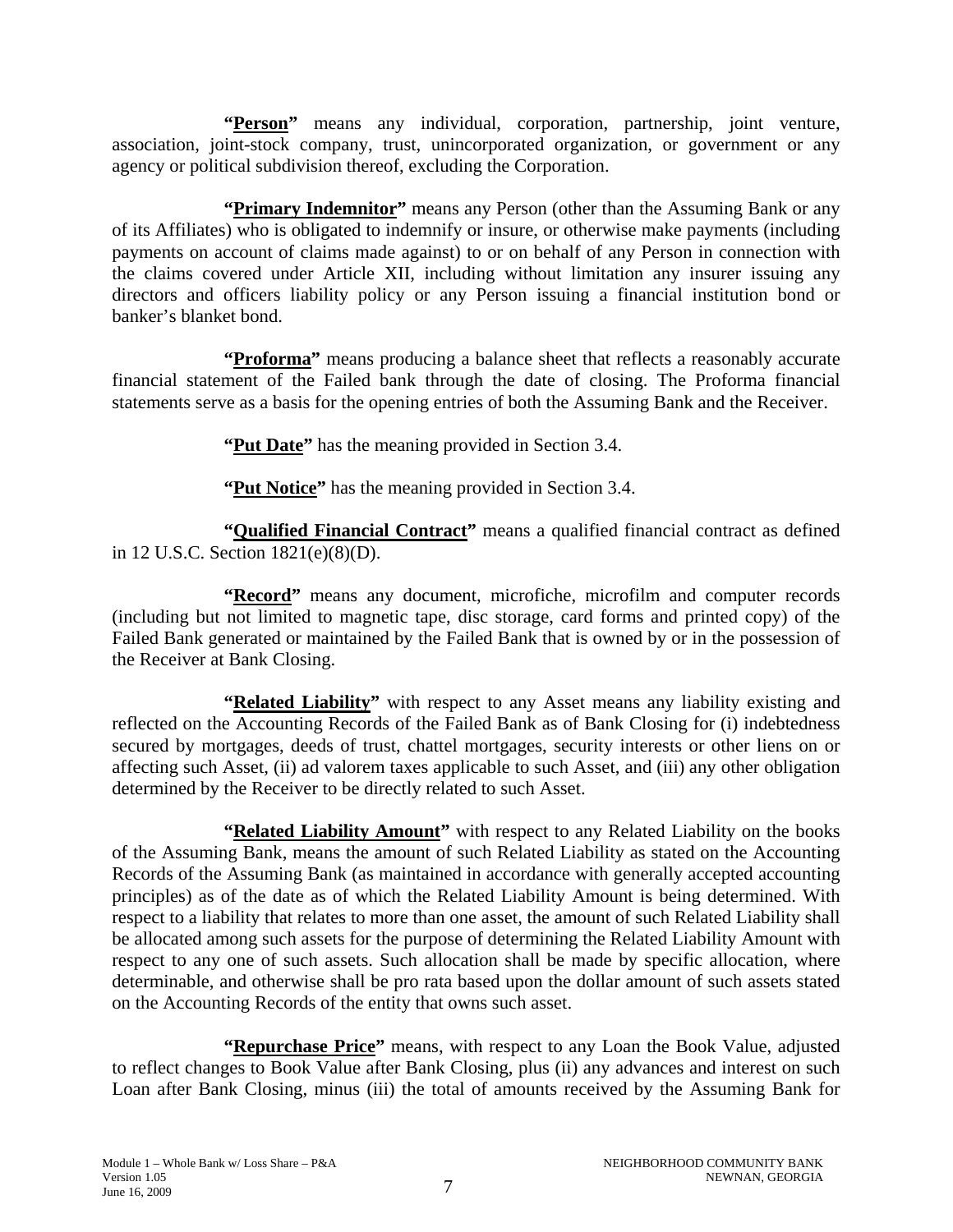"Person" means any individual, corporation, partnership, joint venture, association, joint-stock company, trust, unincorporated organization, or government or any agency or political subdivision thereof, excluding the Corporation.

**"Primary Indemnitor"** means any Person (other than the Assuming Bank or any of its Affiliates) who is obligated to indemnify or insure, or otherwise make payments (including payments on account of claims made against) to or on behalf of any Person in connection with the claims covered under Article XII, including without limitation any insurer issuing any directors and officers liability policy or any Person issuing a financial institution bond or banker's blanket bond.

"**Proforma**" means producing a balance sheet that reflects a reasonably accurate financial statement of the Failed bank through the date of closing. The Proforma financial statements serve as a basis for the opening entries of both the Assuming Bank and the Receiver.

**"Put Date"** has the meaning provided in Section 3.4.

**"Put Notice"** has the meaning provided in Section 3.4.

**"Qualified Financial Contract"** means a qualified financial contract as defined in 12 U.S.C. Section 1821(e)(8)(D).

**"Record"** means any document, microfiche, microfilm and computer records (including but not limited to magnetic tape, disc storage, card forms and printed copy) of the Failed Bank generated or maintained by the Failed Bank that is owned by or in the possession of the Receiver at Bank Closing.

**"Related Liability"** with respect to any Asset means any liability existing and reflected on the Accounting Records of the Failed Bank as of Bank Closing for (i) indebtedness secured by mortgages, deeds of trust, chattel mortgages, security interests or other liens on or affecting such Asset, (ii) ad valorem taxes applicable to such Asset, and (iii) any other obligation determined by the Receiver to be directly related to such Asset.

**"Related Liability Amount"** with respect to any Related Liability on the books of the Assuming Bank, means the amount of such Related Liability as stated on the Accounting Records of the Assuming Bank (as maintained in accordance with generally accepted accounting principles) as of the date as of which the Related Liability Amount is being determined. With respect to a liability that relates to more than one asset, the amount of such Related Liability shall be allocated among such assets for the purpose of determining the Related Liability Amount with respect to any one of such assets. Such allocation shall be made by specific allocation, where determinable, and otherwise shall be pro rata based upon the dollar amount of such assets stated on the Accounting Records of the entity that owns such asset.

 **"Repurchase Price"** means, with respect to any Loan the Book Value, adjusted to reflect changes to Book Value after Bank Closing, plus (ii) any advances and interest on such Loan after Bank Closing, minus (iii) the total of amounts received by the Assuming Bank for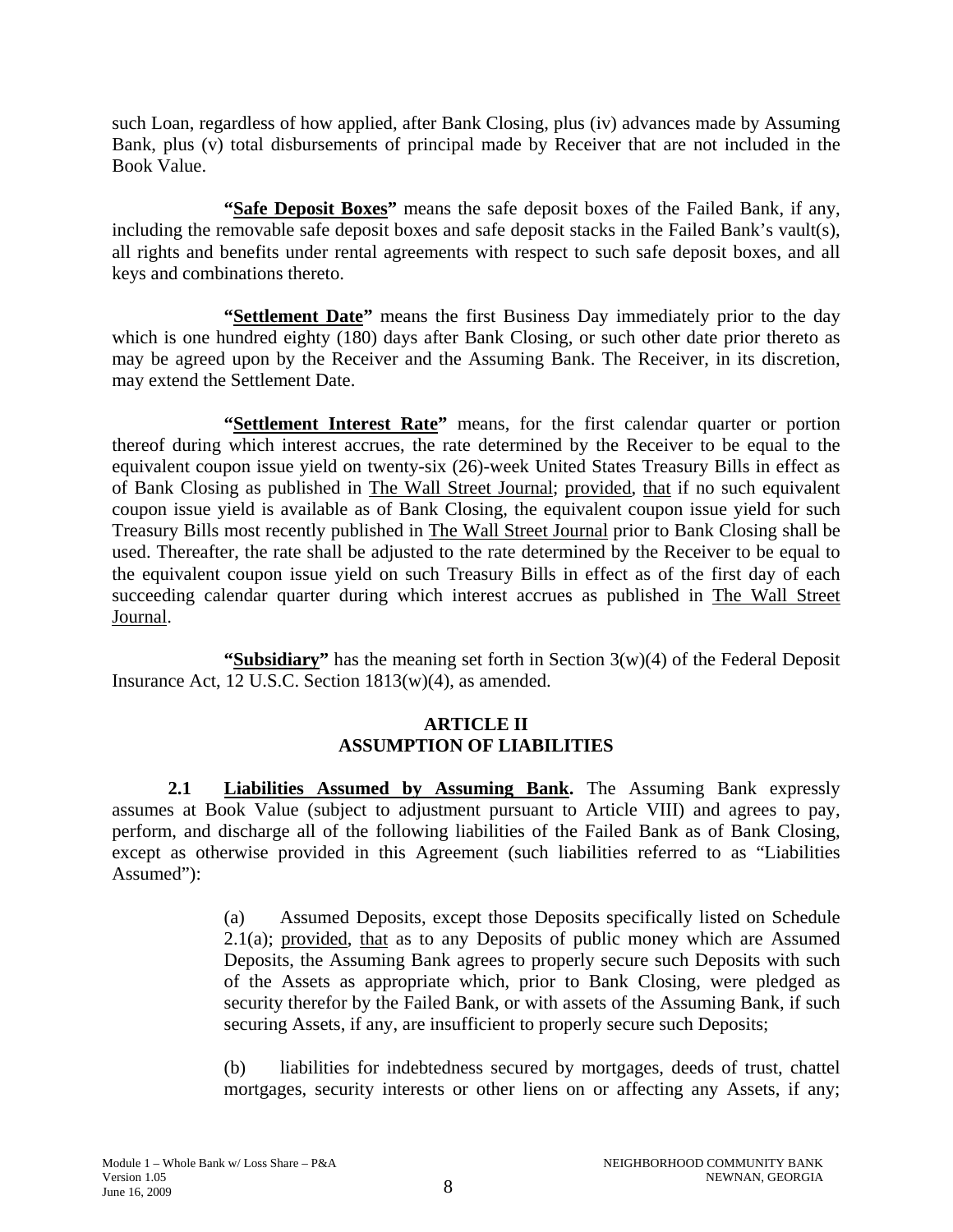such Loan, regardless of how applied, after Bank Closing, plus (iv) advances made by Assuming Bank, plus (v) total disbursements of principal made by Receiver that are not included in the Book Value.

**"Safe Deposit Boxes"** means the safe deposit boxes of the Failed Bank, if any, including the removable safe deposit boxes and safe deposit stacks in the Failed Bank's vault(s), all rights and benefits under rental agreements with respect to such safe deposit boxes, and all keys and combinations thereto.

**"Settlement Date"** means the first Business Day immediately prior to the day which is one hundred eighty (180) days after Bank Closing, or such other date prior thereto as may be agreed upon by the Receiver and the Assuming Bank. The Receiver, in its discretion, may extend the Settlement Date.

**"Settlement Interest Rate"** means, for the first calendar quarter or portion thereof during which interest accrues, the rate determined by the Receiver to be equal to the equivalent coupon issue yield on twenty-six (26)-week United States Treasury Bills in effect as of Bank Closing as published in The Wall Street Journal; provided, that if no such equivalent coupon issue yield is available as of Bank Closing, the equivalent coupon issue yield for such Treasury Bills most recently published in The Wall Street Journal prior to Bank Closing shall be used. Thereafter, the rate shall be adjusted to the rate determined by the Receiver to be equal to the equivalent coupon issue yield on such Treasury Bills in effect as of the first day of each succeeding calendar quarter during which interest accrues as published in The Wall Street Journal.

**"Subsidiary"** has the meaning set forth in Section 3(w)(4) of the Federal Deposit Insurance Act, 12 U.S.C. Section 1813(w)(4), as amended.

### **ARTICLE II ASSUMPTION OF LIABILITIES**

<span id="page-11-1"></span><span id="page-11-0"></span> **2.1 Liabilities Assumed by Assuming Bank.** The Assuming Bank expressly assumes at Book Value (subject to adjustment pursuant to Article VIII) and agrees to pay, perform, and discharge all of the following liabilities of the Failed Bank as of Bank Closing, except as otherwise provided in this Agreement (such liabilities referred to as "Liabilities Assumed"):

> (a) Assumed Deposits, except those Deposits specifically listed on Schedule 2.1(a); provided, that as to any Deposits of public money which are Assumed Deposits, the Assuming Bank agrees to properly secure such Deposits with such of the Assets as appropriate which, prior to Bank Closing, were pledged as security therefor by the Failed Bank, or with assets of the Assuming Bank, if such securing Assets, if any, are insufficient to properly secure such Deposits;

> (b) liabilities for indebtedness secured by mortgages, deeds of trust, chattel mortgages, security interests or other liens on or affecting any Assets, if any;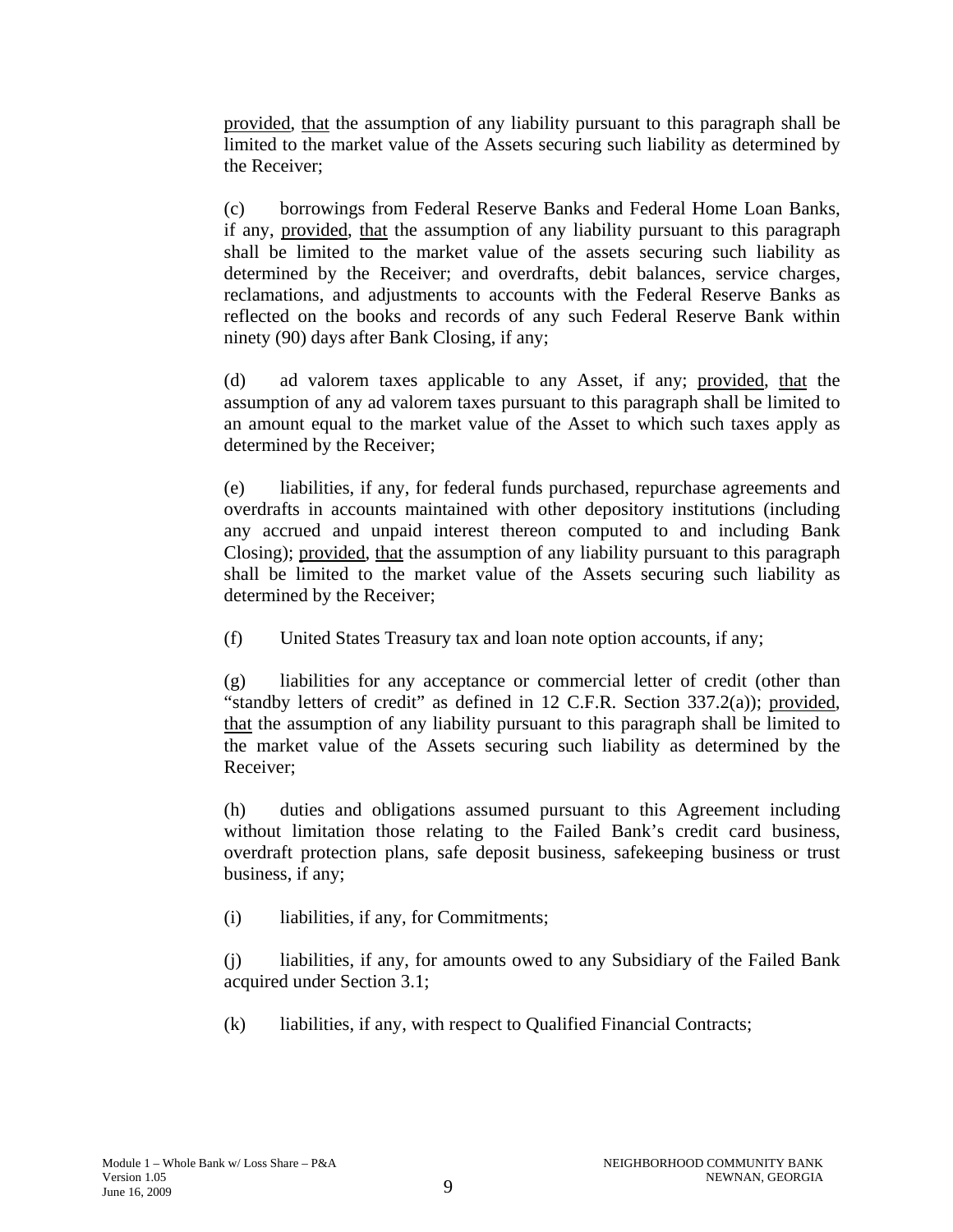provided, that the assumption of any liability pursuant to this paragraph shall be limited to the market value of the Assets securing such liability as determined by the Receiver;

(c) borrowings from Federal Reserve Banks and Federal Home Loan Banks, if any, provided, that the assumption of any liability pursuant to this paragraph shall be limited to the market value of the assets securing such liability as determined by the Receiver; and overdrafts, debit balances, service charges, reclamations, and adjustments to accounts with the Federal Reserve Banks as reflected on the books and records of any such Federal Reserve Bank within ninety (90) days after Bank Closing, if any;

(d) ad valorem taxes applicable to any Asset, if any; provided, that the assumption of any ad valorem taxes pursuant to this paragraph shall be limited to an amount equal to the market value of the Asset to which such taxes apply as determined by the Receiver;

(e) liabilities, if any, for federal funds purchased, repurchase agreements and overdrafts in accounts maintained with other depository institutions (including any accrued and unpaid interest thereon computed to and including Bank Closing); provided, that the assumption of any liability pursuant to this paragraph shall be limited to the market value of the Assets securing such liability as determined by the Receiver;

(f) United States Treasury tax and loan note option accounts, if any;

(g) liabilities for any acceptance or commercial letter of credit (other than "standby letters of credit" as defined in 12 C.F.R. Section 337.2(a)); provided, that the assumption of any liability pursuant to this paragraph shall be limited to the market value of the Assets securing such liability as determined by the Receiver;

(h) duties and obligations assumed pursuant to this Agreement including without limitation those relating to the Failed Bank's credit card business, overdraft protection plans, safe deposit business, safekeeping business or trust business, if any;

(i) liabilities, if any, for Commitments;

(j) liabilities, if any, for amounts owed to any Subsidiary of the Failed Bank acquired under Section 3.1;

(k) liabilities, if any, with respect to Qualified Financial Contracts;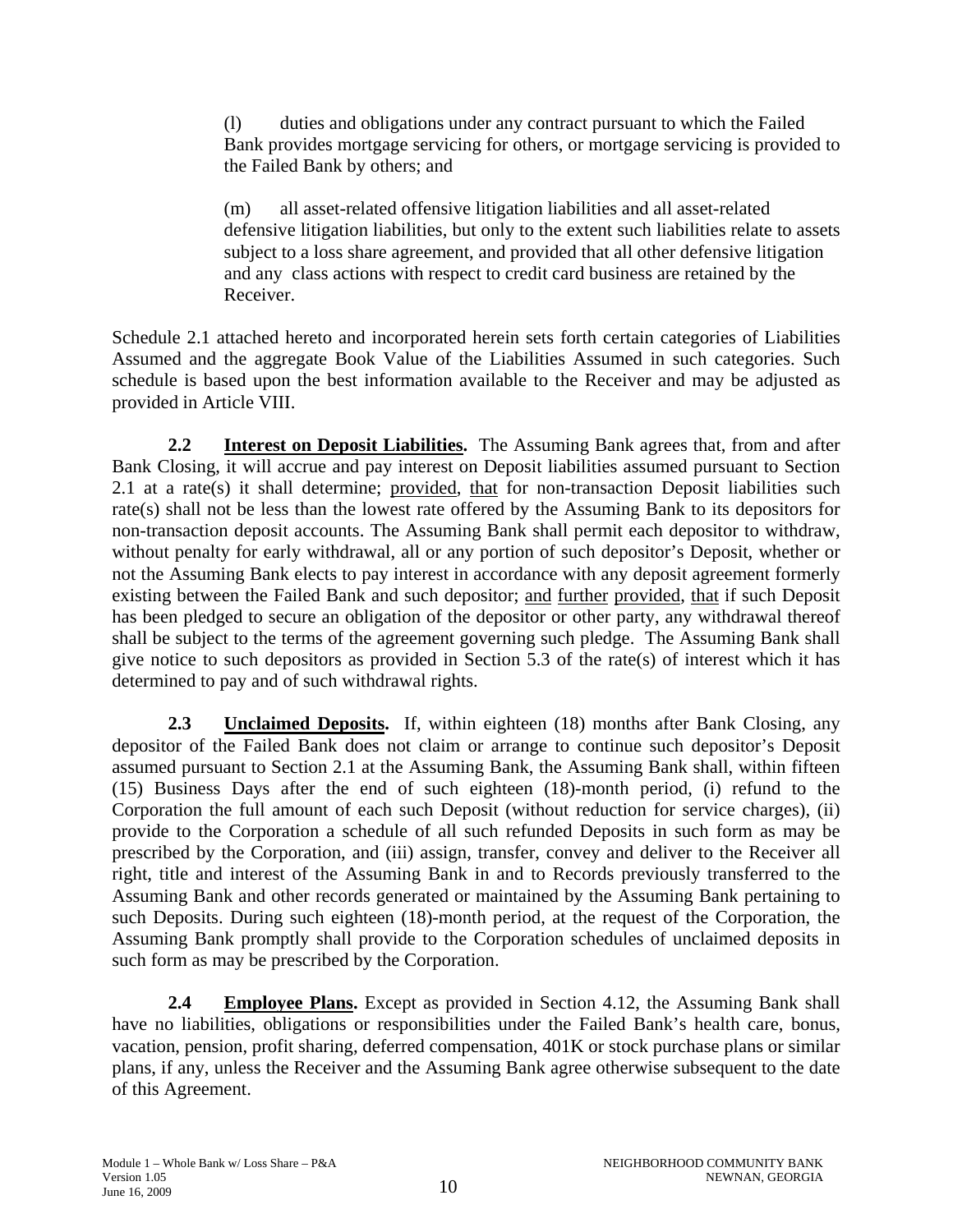(l) duties and obligations under any contract pursuant to which the Failed Bank provides mortgage servicing for others, or mortgage servicing is provided to the Failed Bank by others; and

(m) all asset-related offensive litigation liabilities and all asset-related defensive litigation liabilities, but only to the extent such liabilities relate to assets subject to a loss share agreement, and provided that all other defensive litigation and any class actions with respect to credit card business are retained by the Receiver.

Schedule 2.1 attached hereto and incorporated herein sets forth certain categories of Liabilities Assumed and the aggregate Book Value of the Liabilities Assumed in such categories. Such schedule is based upon the best information available to the Receiver and may be adjusted as provided in Article VIII.

<span id="page-13-0"></span>**2.2 Interest on Deposit Liabilities.** The Assuming Bank agrees that, from and after Bank Closing, it will accrue and pay interest on Deposit liabilities assumed pursuant to Section 2.1 at a rate(s) it shall determine; provided, that for non-transaction Deposit liabilities such rate(s) shall not be less than the lowest rate offered by the Assuming Bank to its depositors for non-transaction deposit accounts. The Assuming Bank shall permit each depositor to withdraw, without penalty for early withdrawal, all or any portion of such depositor's Deposit, whether or not the Assuming Bank elects to pay interest in accordance with any deposit agreement formerly existing between the Failed Bank and such depositor; and further provided, that if such Deposit has been pledged to secure an obligation of the depositor or other party, any withdrawal thereof shall be subject to the terms of the agreement governing such pledge. The Assuming Bank shall give notice to such depositors as provided in Section 5.3 of the rate(s) of interest which it has determined to pay and of such withdrawal rights.

<span id="page-13-1"></span>**2.3 Unclaimed Deposits.** If, within eighteen (18) months after Bank Closing, any depositor of the Failed Bank does not claim or arrange to continue such depositor's Deposit assumed pursuant to Section 2.1 at the Assuming Bank, the Assuming Bank shall, within fifteen (15) Business Days after the end of such eighteen (18)-month period, (i) refund to the Corporation the full amount of each such Deposit (without reduction for service charges), (ii) provide to the Corporation a schedule of all such refunded Deposits in such form as may be prescribed by the Corporation, and (iii) assign, transfer, convey and deliver to the Receiver all right, title and interest of the Assuming Bank in and to Records previously transferred to the Assuming Bank and other records generated or maintained by the Assuming Bank pertaining to such Deposits. During such eighteen (18)-month period, at the request of the Corporation, the Assuming Bank promptly shall provide to the Corporation schedules of unclaimed deposits in such form as may be prescribed by the Corporation.

<span id="page-13-2"></span>**2.4 Employee Plans.** Except as provided in Section 4.12, the Assuming Bank shall have no liabilities, obligations or responsibilities under the Failed Bank's health care, bonus, vacation, pension, profit sharing, deferred compensation, 401K or stock purchase plans or similar plans, if any, unless the Receiver and the Assuming Bank agree otherwise subsequent to the date of this Agreement.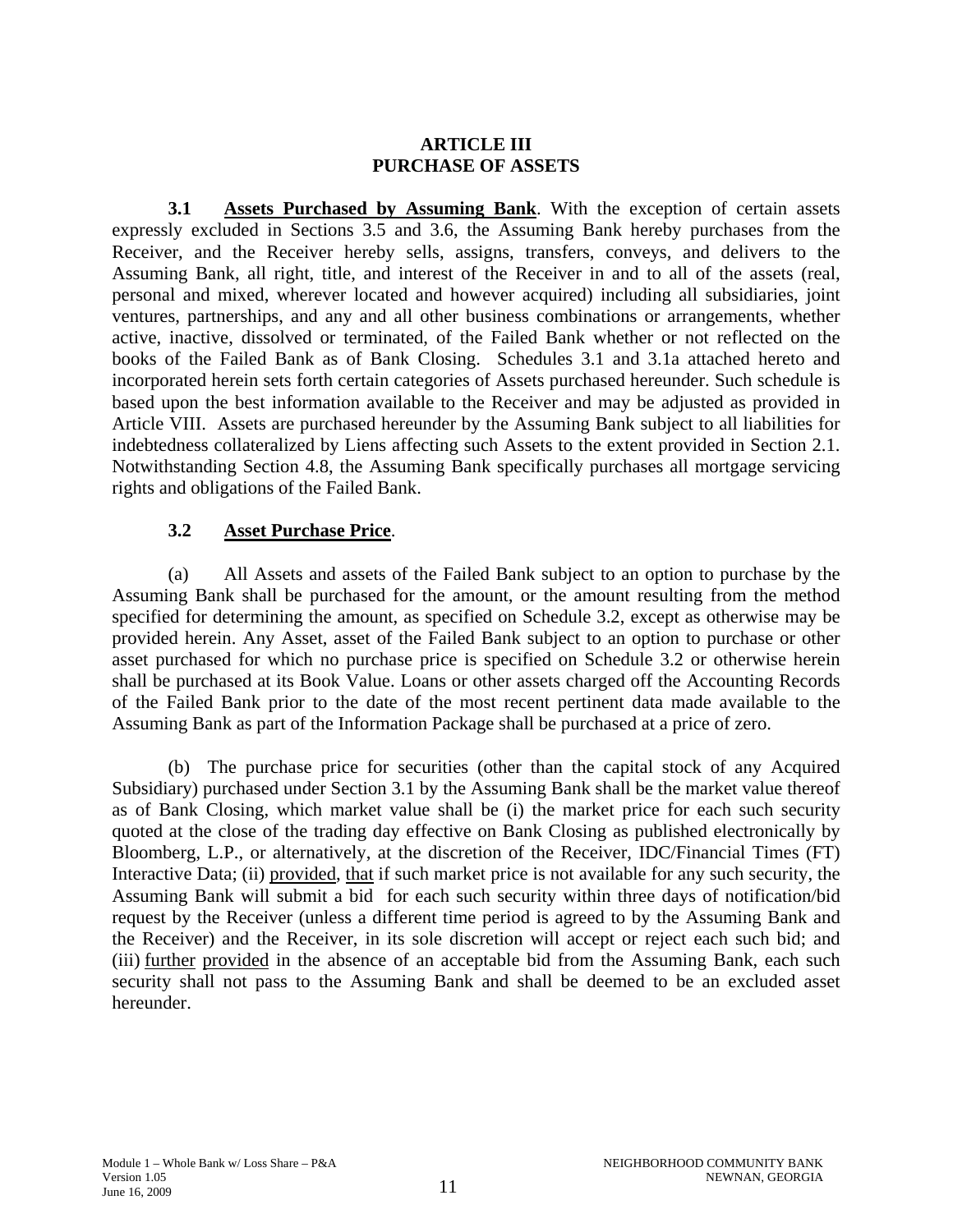### **ARTICLE III PURCHASE OF ASSETS**

<span id="page-14-1"></span><span id="page-14-0"></span> **3.1 Assets Purchased by Assuming Bank**. With the exception of certain assets expressly excluded in Sections 3.5 and 3.6, the Assuming Bank hereby purchases from the Receiver, and the Receiver hereby sells, assigns, transfers, conveys, and delivers to the Assuming Bank, all right, title, and interest of the Receiver in and to all of the assets (real, personal and mixed, wherever located and however acquired) including all subsidiaries, joint ventures, partnerships, and any and all other business combinations or arrangements, whether active, inactive, dissolved or terminated, of the Failed Bank whether or not reflected on the books of the Failed Bank as of Bank Closing. Schedules 3.1 and 3.1a attached hereto and incorporated herein sets forth certain categories of Assets purchased hereunder. Such schedule is based upon the best information available to the Receiver and may be adjusted as provided in Article VIII. Assets are purchased hereunder by the Assuming Bank subject to all liabilities for indebtedness collateralized by Liens affecting such Assets to the extent provided in Section 2.1. Notwithstanding Section 4.8, the Assuming Bank specifically purchases all mortgage servicing rights and obligations of the Failed Bank.

### **3.2 Asset Purchase Price**.

<span id="page-14-2"></span>(a) All Assets and assets of the Failed Bank subject to an option to purchase by the Assuming Bank shall be purchased for the amount, or the amount resulting from the method specified for determining the amount, as specified on Schedule 3.2, except as otherwise may be provided herein. Any Asset, asset of the Failed Bank subject to an option to purchase or other asset purchased for which no purchase price is specified on Schedule 3.2 or otherwise herein shall be purchased at its Book Value. Loans or other assets charged off the Accounting Records of the Failed Bank prior to the date of the most recent pertinent data made available to the Assuming Bank as part of the Information Package shall be purchased at a price of zero.

(b) The purchase price for securities (other than the capital stock of any Acquired Subsidiary) purchased under Section 3.1 by the Assuming Bank shall be the market value thereof as of Bank Closing, which market value shall be (i) the market price for each such security quoted at the close of the trading day effective on Bank Closing as published electronically by Bloomberg, L.P., or alternatively, at the discretion of the Receiver, IDC/Financial Times (FT) Interactive Data; (ii) provided, that if such market price is not available for any such security, the Assuming Bank will submit a bid for each such security within three days of notification/bid request by the Receiver (unless a different time period is agreed to by the Assuming Bank and the Receiver) and the Receiver, in its sole discretion will accept or reject each such bid; and (iii) further provided in the absence of an acceptable bid from the Assuming Bank, each such security shall not pass to the Assuming Bank and shall be deemed to be an excluded asset hereunder.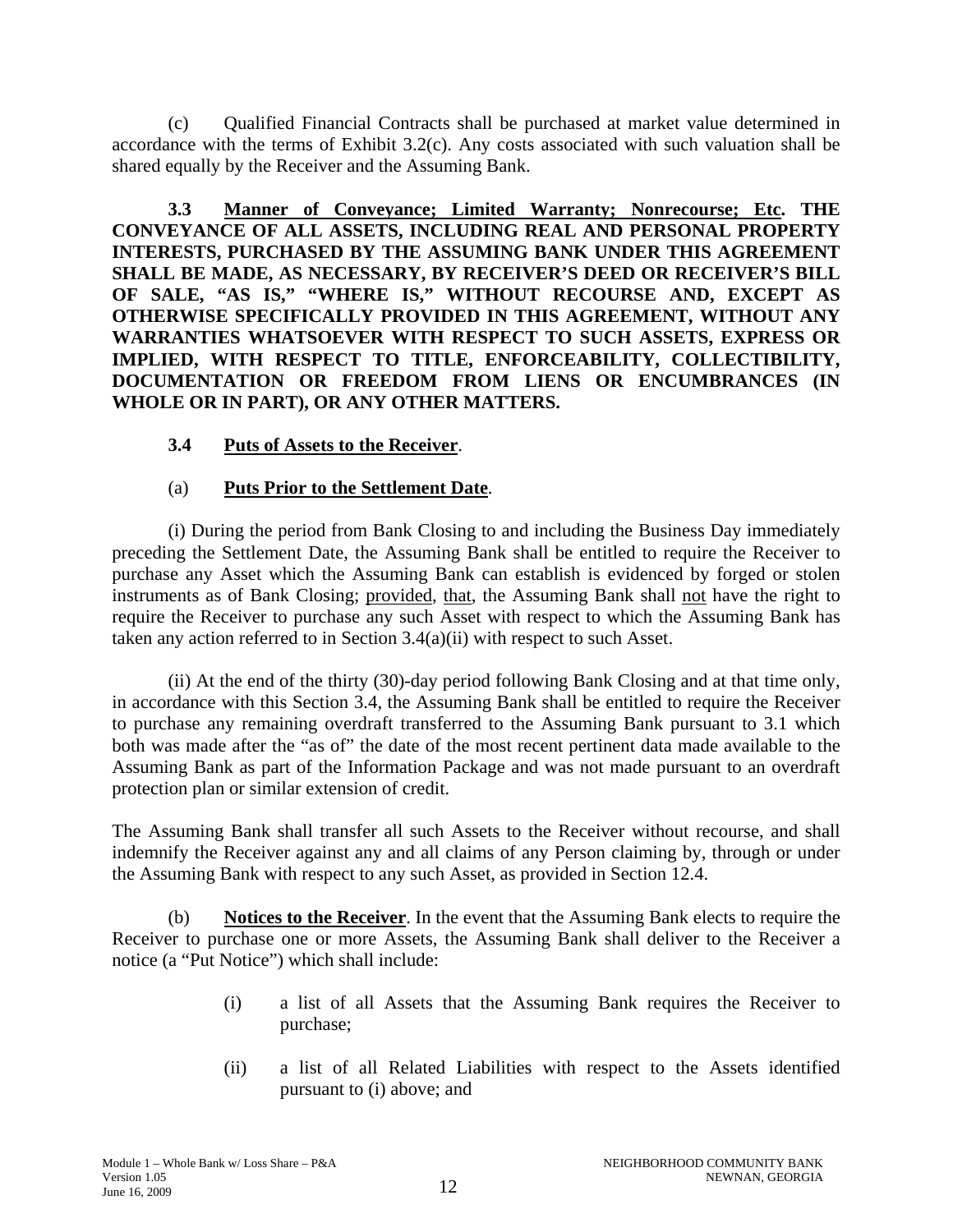(c) Qualified Financial Contracts shall be purchased at market value determined in accordance with the terms of Exhibit 3.2(c). Any costs associated with such valuation shall be shared equally by the Receiver and the Assuming Bank.

<span id="page-15-0"></span>**3.3 Manner of Conveyance; Limited Warranty; Nonrecourse; Etc. THE CONVEYANCE OF ALL ASSETS, INCLUDING REAL AND PERSONAL PROPERTY INTERESTS, PURCHASED BY THE ASSUMING BANK UNDER THIS AGREEMENT SHALL BE MADE, AS NECESSARY, BY RECEIVER'S DEED OR RECEIVER'S BILL OF SALE, "AS IS," "WHERE IS," WITHOUT RECOURSE AND, EXCEPT AS OTHERWISE SPECIFICALLY PROVIDED IN THIS AGREEMENT, WITHOUT ANY WARRANTIES WHATSOEVER WITH RESPECT TO SUCH ASSETS, EXPRESS OR IMPLIED, WITH RESPECT TO TITLE, ENFORCEABILITY, COLLECTIBILITY, DOCUMENTATION OR FREEDOM FROM LIENS OR ENCUMBRANCES (IN WHOLE OR IN PART), OR ANY OTHER MATTERS.** 

### **3.4 Puts of Assets to the Receiver**.

### (a) **Puts Prior to the Settlement Date**.

<span id="page-15-1"></span>(i) During the period from Bank Closing to and including the Business Day immediately preceding the Settlement Date, the Assuming Bank shall be entitled to require the Receiver to purchase any Asset which the Assuming Bank can establish is evidenced by forged or stolen instruments as of Bank Closing; provided, that, the Assuming Bank shall not have the right to require the Receiver to purchase any such Asset with respect to which the Assuming Bank has taken any action referred to in Section 3.4(a)(ii) with respect to such Asset.

(ii) At the end of the thirty (30)-day period following Bank Closing and at that time only, in accordance with this Section 3.4, the Assuming Bank shall be entitled to require the Receiver to purchase any remaining overdraft transferred to the Assuming Bank pursuant to 3.1 which both was made after the "as of" the date of the most recent pertinent data made available to the Assuming Bank as part of the Information Package and was not made pursuant to an overdraft protection plan or similar extension of credit.

The Assuming Bank shall transfer all such Assets to the Receiver without recourse, and shall indemnify the Receiver against any and all claims of any Person claiming by, through or under the Assuming Bank with respect to any such Asset, as provided in Section 12.4.

(b) **Notices to the Receiver**. In the event that the Assuming Bank elects to require the Receiver to purchase one or more Assets, the Assuming Bank shall deliver to the Receiver a notice (a "Put Notice") which shall include:

- (i) a list of all Assets that the Assuming Bank requires the Receiver to purchase;
- (ii) a list of all Related Liabilities with respect to the Assets identified pursuant to (i) above; and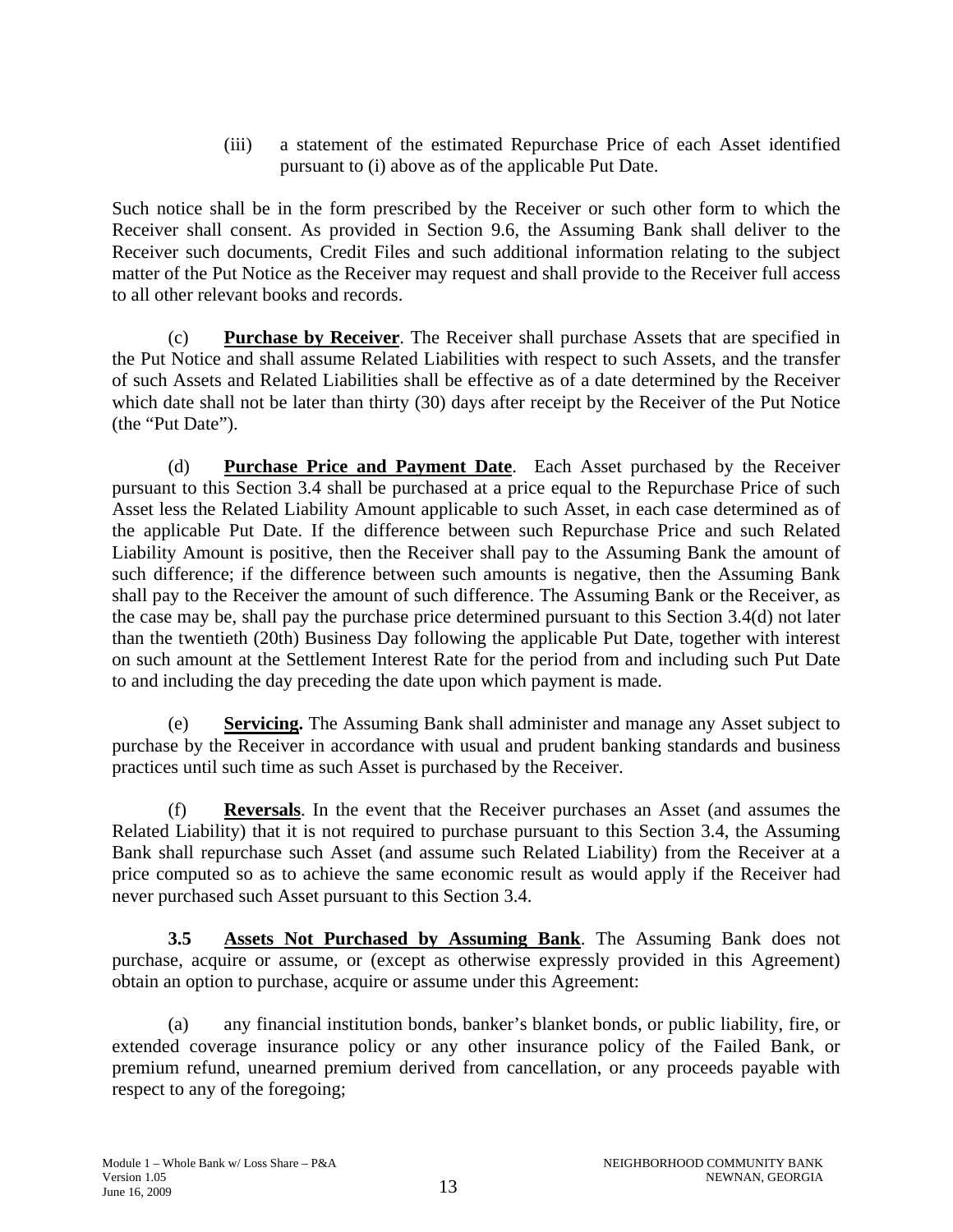(iii) a statement of the estimated Repurchase Price of each Asset identified pursuant to (i) above as of the applicable Put Date.

Such notice shall be in the form prescribed by the Receiver or such other form to which the Receiver shall consent. As provided in Section 9.6, the Assuming Bank shall deliver to the Receiver such documents, Credit Files and such additional information relating to the subject matter of the Put Notice as the Receiver may request and shall provide to the Receiver full access to all other relevant books and records.

(c) **Purchase by Receiver**. The Receiver shall purchase Assets that are specified in the Put Notice and shall assume Related Liabilities with respect to such Assets, and the transfer of such Assets and Related Liabilities shall be effective as of a date determined by the Receiver which date shall not be later than thirty (30) days after receipt by the Receiver of the Put Notice (the "Put Date").

(d) **Purchase Price and Payment Date**. Each Asset purchased by the Receiver pursuant to this Section 3.4 shall be purchased at a price equal to the Repurchase Price of such Asset less the Related Liability Amount applicable to such Asset, in each case determined as of the applicable Put Date. If the difference between such Repurchase Price and such Related Liability Amount is positive, then the Receiver shall pay to the Assuming Bank the amount of such difference; if the difference between such amounts is negative, then the Assuming Bank shall pay to the Receiver the amount of such difference. The Assuming Bank or the Receiver, as the case may be, shall pay the purchase price determined pursuant to this Section 3.4(d) not later than the twentieth (20th) Business Day following the applicable Put Date, together with interest on such amount at the Settlement Interest Rate for the period from and including such Put Date to and including the day preceding the date upon which payment is made.

(e) **Servicing.** The Assuming Bank shall administer and manage any Asset subject to purchase by the Receiver in accordance with usual and prudent banking standards and business practices until such time as such Asset is purchased by the Receiver.

(f) **Reversals**. In the event that the Receiver purchases an Asset (and assumes the Related Liability) that it is not required to purchase pursuant to this Section 3.4, the Assuming Bank shall repurchase such Asset (and assume such Related Liability) from the Receiver at a price computed so as to achieve the same economic result as would apply if the Receiver had never purchased such Asset pursuant to this Section 3.4.

<span id="page-16-0"></span>**3.5 Assets Not Purchased by Assuming Bank**. The Assuming Bank does not purchase, acquire or assume, or (except as otherwise expressly provided in this Agreement) obtain an option to purchase, acquire or assume under this Agreement:

(a) any financial institution bonds, banker's blanket bonds, or public liability, fire, or extended coverage insurance policy or any other insurance policy of the Failed Bank, or premium refund, unearned premium derived from cancellation, or any proceeds payable with respect to any of the foregoing;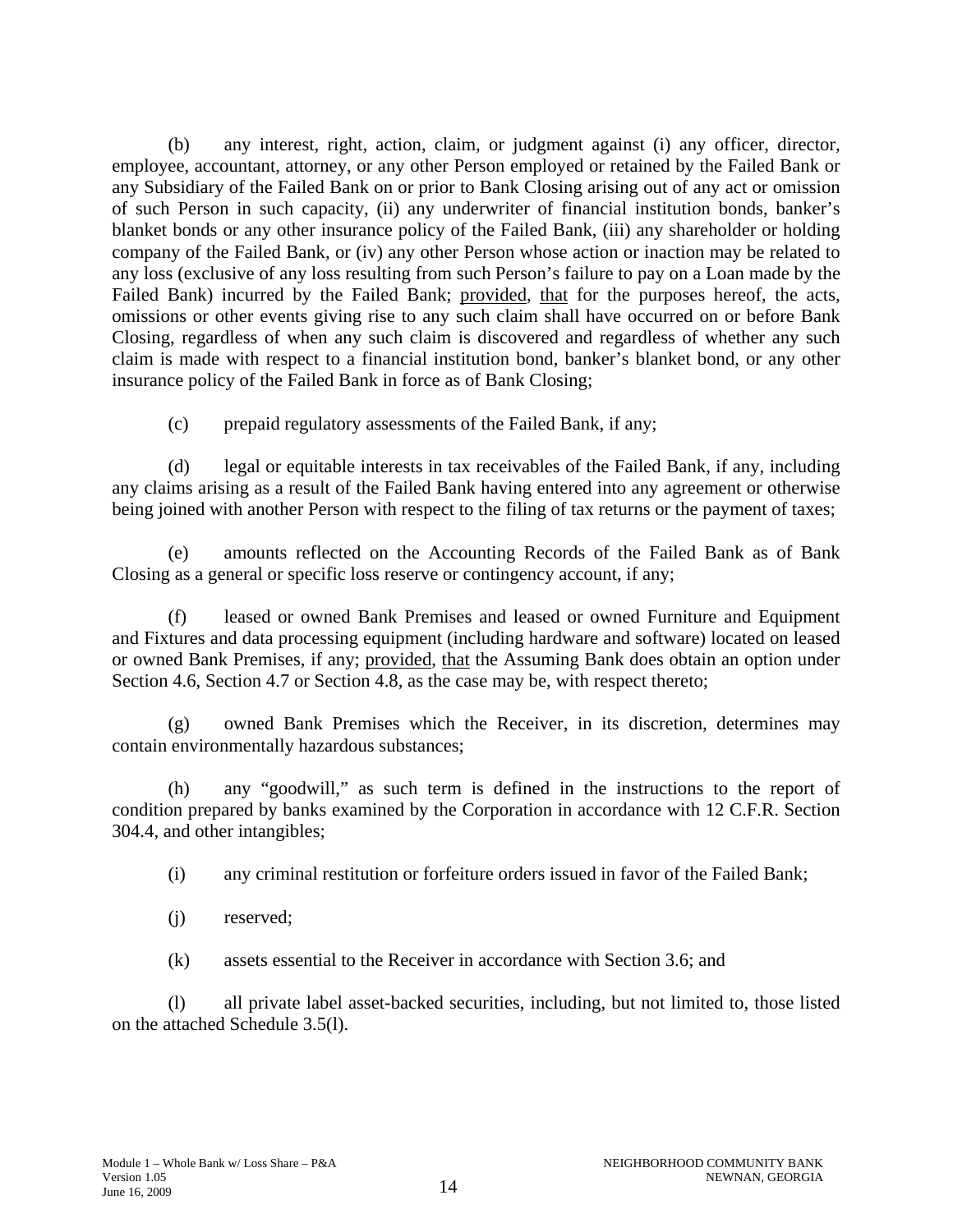(b) any interest, right, action, claim, or judgment against (i) any officer, director, employee, accountant, attorney, or any other Person employed or retained by the Failed Bank or any Subsidiary of the Failed Bank on or prior to Bank Closing arising out of any act or omission of such Person in such capacity, (ii) any underwriter of financial institution bonds, banker's blanket bonds or any other insurance policy of the Failed Bank, (iii) any shareholder or holding company of the Failed Bank, or (iv) any other Person whose action or inaction may be related to any loss (exclusive of any loss resulting from such Person's failure to pay on a Loan made by the Failed Bank) incurred by the Failed Bank; provided, that for the purposes hereof, the acts, omissions or other events giving rise to any such claim shall have occurred on or before Bank Closing, regardless of when any such claim is discovered and regardless of whether any such claim is made with respect to a financial institution bond, banker's blanket bond, or any other insurance policy of the Failed Bank in force as of Bank Closing;

(c) prepaid regulatory assessments of the Failed Bank, if any;

(d) legal or equitable interests in tax receivables of the Failed Bank, if any, including any claims arising as a result of the Failed Bank having entered into any agreement or otherwise being joined with another Person with respect to the filing of tax returns or the payment of taxes;

(e) amounts reflected on the Accounting Records of the Failed Bank as of Bank Closing as a general or specific loss reserve or contingency account, if any;

(f) leased or owned Bank Premises and leased or owned Furniture and Equipment and Fixtures and data processing equipment (including hardware and software) located on leased or owned Bank Premises, if any; provided, that the Assuming Bank does obtain an option under Section 4.6, Section 4.7 or Section 4.8, as the case may be, with respect thereto;

(g) owned Bank Premises which the Receiver, in its discretion, determines may contain environmentally hazardous substances;

(h) any "goodwill," as such term is defined in the instructions to the report of condition prepared by banks examined by the Corporation in accordance with 12 C.F.R. Section 304.4, and other intangibles;

(i) any criminal restitution or forfeiture orders issued in favor of the Failed Bank;

(j) reserved;

(k) assets essential to the Receiver in accordance with Section 3.6; and

(l) all private label asset-backed securities, including, but not limited to, those listed on the attached Schedule 3.5(l).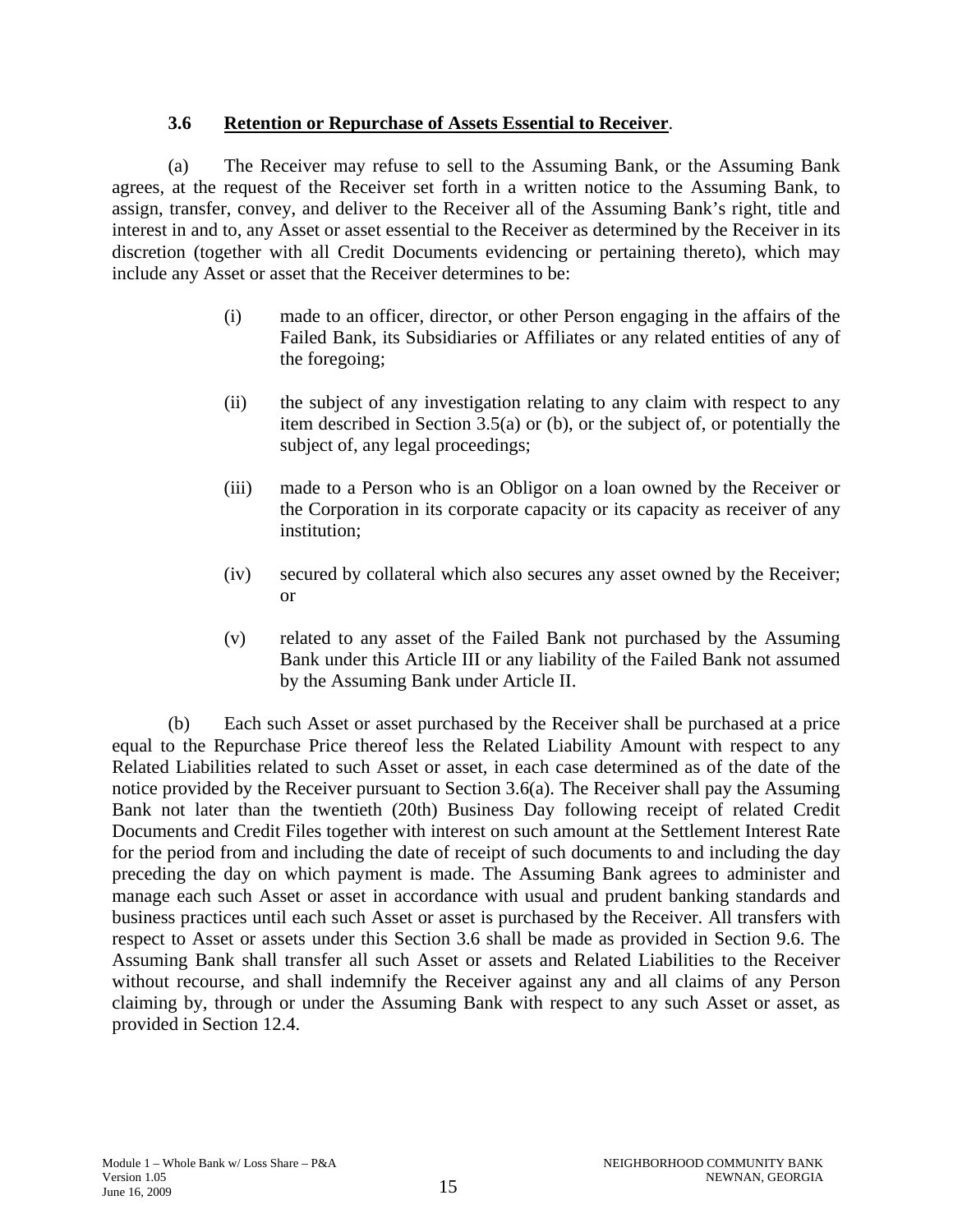### **3.6 Retention or Repurchase of Assets Essential to Receiver**.

<span id="page-18-0"></span>(a) The Receiver may refuse to sell to the Assuming Bank, or the Assuming Bank agrees, at the request of the Receiver set forth in a written notice to the Assuming Bank, to assign, transfer, convey, and deliver to the Receiver all of the Assuming Bank's right, title and interest in and to, any Asset or asset essential to the Receiver as determined by the Receiver in its discretion (together with all Credit Documents evidencing or pertaining thereto), which may include any Asset or asset that the Receiver determines to be:

- (i) made to an officer, director, or other Person engaging in the affairs of the Failed Bank, its Subsidiaries or Affiliates or any related entities of any of the foregoing;
- (ii) the subject of any investigation relating to any claim with respect to any item described in Section 3.5(a) or (b), or the subject of, or potentially the subject of, any legal proceedings;
- (iii) made to a Person who is an Obligor on a loan owned by the Receiver or the Corporation in its corporate capacity or its capacity as receiver of any institution;
- (iv) secured by collateral which also secures any asset owned by the Receiver; or
- (v) related to any asset of the Failed Bank not purchased by the Assuming Bank under this Article III or any liability of the Failed Bank not assumed by the Assuming Bank under Article II.

(b) Each such Asset or asset purchased by the Receiver shall be purchased at a price equal to the Repurchase Price thereof less the Related Liability Amount with respect to any Related Liabilities related to such Asset or asset, in each case determined as of the date of the notice provided by the Receiver pursuant to Section 3.6(a). The Receiver shall pay the Assuming Bank not later than the twentieth (20th) Business Day following receipt of related Credit Documents and Credit Files together with interest on such amount at the Settlement Interest Rate for the period from and including the date of receipt of such documents to and including the day preceding the day on which payment is made. The Assuming Bank agrees to administer and manage each such Asset or asset in accordance with usual and prudent banking standards and business practices until each such Asset or asset is purchased by the Receiver. All transfers with respect to Asset or assets under this Section 3.6 shall be made as provided in Section 9.6. The Assuming Bank shall transfer all such Asset or assets and Related Liabilities to the Receiver without recourse, and shall indemnify the Receiver against any and all claims of any Person claiming by, through or under the Assuming Bank with respect to any such Asset or asset, as provided in Section 12.4.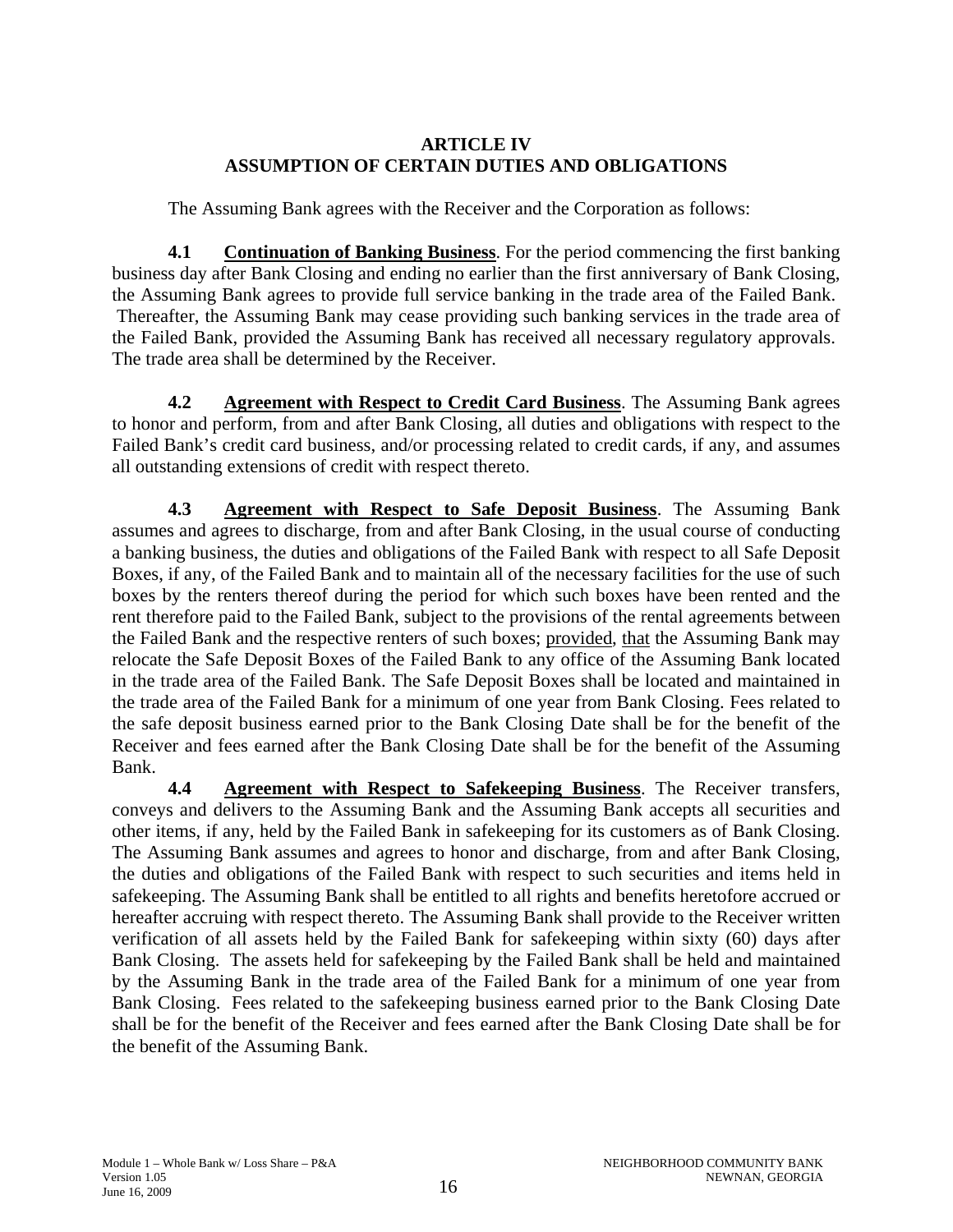### **ARTICLE IV ASSUMPTION OF CERTAIN DUTIES AND OBLIGATIONS**

The Assuming Bank agrees with the Receiver and the Corporation as follows:

<span id="page-19-1"></span><span id="page-19-0"></span>**4.1 Continuation of Banking Business**. For the period commencing the first banking business day after Bank Closing and ending no earlier than the first anniversary of Bank Closing, the Assuming Bank agrees to provide full service banking in the trade area of the Failed Bank. Thereafter, the Assuming Bank may cease providing such banking services in the trade area of the Failed Bank, provided the Assuming Bank has received all necessary regulatory approvals. The trade area shall be determined by the Receiver.

<span id="page-19-2"></span>**4.2 Agreement with Respect to Credit Card Business**. The Assuming Bank agrees to honor and perform, from and after Bank Closing, all duties and obligations with respect to the Failed Bank's credit card business, and/or processing related to credit cards, if any, and assumes all outstanding extensions of credit with respect thereto.

**4.3 Agreement with Respect to Safe Deposit Business**. The Assuming Bank assumes and agrees to discharge, from and after Bank Closing, in the usual course of conducting a banking business, the duties and obligations of the Failed Bank with respect to all Safe Deposit Boxes, if any, of the Failed Bank and to maintain all of the necessary facilities for the use of such boxes by the renters thereof during the period for which such boxes have been rented and the rent therefore paid to the Failed Bank, subject to the provisions of the rental agreements between the Failed Bank and the respective renters of such boxes; provided, that the Assuming Bank may relocate the Safe Deposit Boxes of the Failed Bank to any office of the Assuming Bank located in the trade area of the Failed Bank. The Safe Deposit Boxes shall be located and maintained in the trade area of the Failed Bank for a minimum of one year from Bank Closing. Fees related to the safe deposit business earned prior to the Bank Closing Date shall be for the benefit of the Receiver and fees earned after the Bank Closing Date shall be for the benefit of the Assuming Bank.

<span id="page-19-3"></span>**4.4 Agreement with Respect to Safekeeping Business**. The Receiver transfers, conveys and delivers to the Assuming Bank and the Assuming Bank accepts all securities and other items, if any, held by the Failed Bank in safekeeping for its customers as of Bank Closing. The Assuming Bank assumes and agrees to honor and discharge, from and after Bank Closing, the duties and obligations of the Failed Bank with respect to such securities and items held in safekeeping. The Assuming Bank shall be entitled to all rights and benefits heretofore accrued or hereafter accruing with respect thereto. The Assuming Bank shall provide to the Receiver written verification of all assets held by the Failed Bank for safekeeping within sixty (60) days after Bank Closing. The assets held for safekeeping by the Failed Bank shall be held and maintained by the Assuming Bank in the trade area of the Failed Bank for a minimum of one year from Bank Closing. Fees related to the safekeeping business earned prior to the Bank Closing Date shall be for the benefit of the Receiver and fees earned after the Bank Closing Date shall be for the benefit of the Assuming Bank.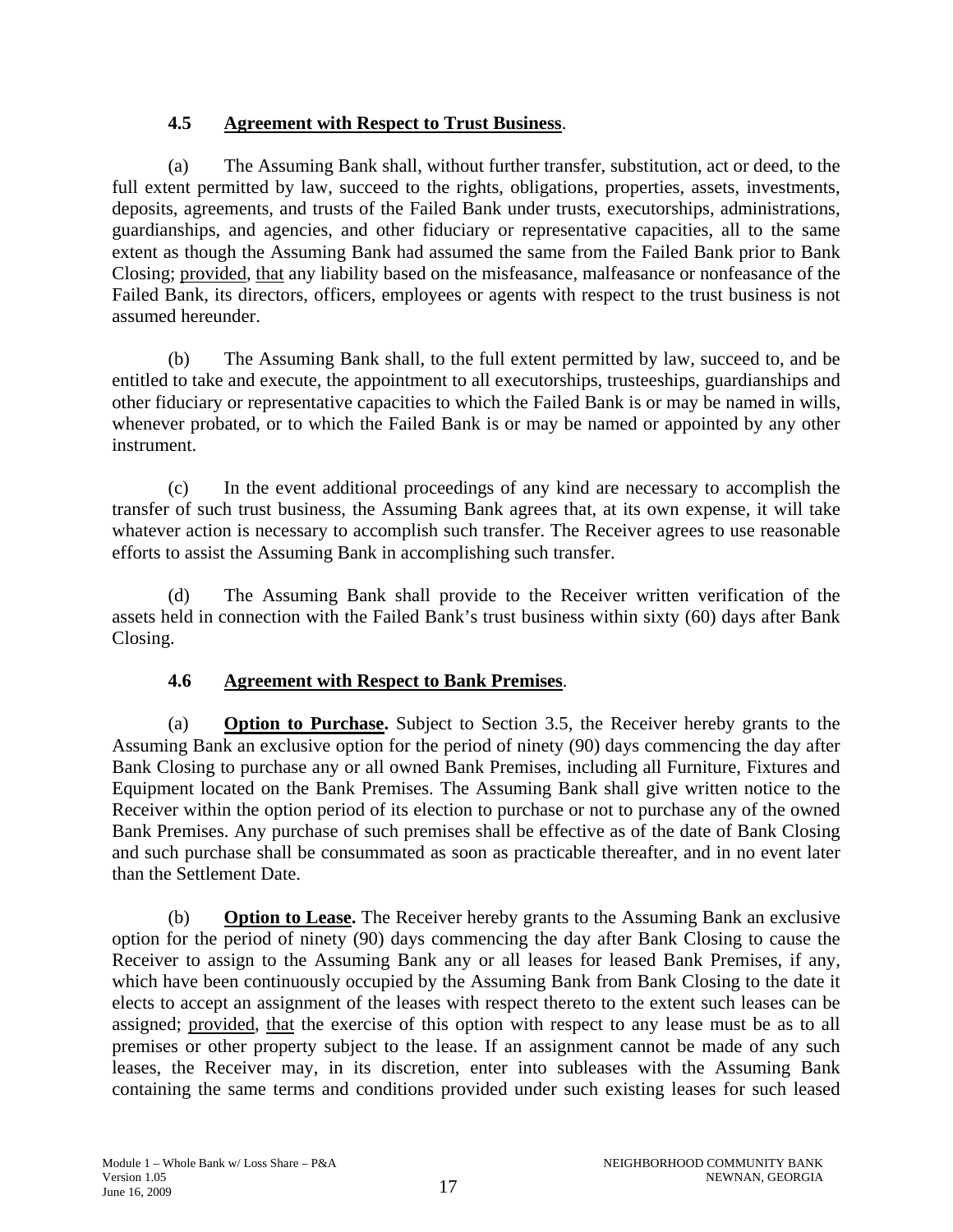## **4.5 Agreement with Respect to Trust Business**.

<span id="page-20-0"></span>(a) The Assuming Bank shall, without further transfer, substitution, act or deed, to the full extent permitted by law, succeed to the rights, obligations, properties, assets, investments, deposits, agreements, and trusts of the Failed Bank under trusts, executorships, administrations, guardianships, and agencies, and other fiduciary or representative capacities, all to the same extent as though the Assuming Bank had assumed the same from the Failed Bank prior to Bank Closing; provided, that any liability based on the misfeasance, malfeasance or nonfeasance of the Failed Bank, its directors, officers, employees or agents with respect to the trust business is not assumed hereunder.

(b) The Assuming Bank shall, to the full extent permitted by law, succeed to, and be entitled to take and execute, the appointment to all executorships, trusteeships, guardianships and other fiduciary or representative capacities to which the Failed Bank is or may be named in wills, whenever probated, or to which the Failed Bank is or may be named or appointed by any other instrument.

(c) In the event additional proceedings of any kind are necessary to accomplish the transfer of such trust business, the Assuming Bank agrees that, at its own expense, it will take whatever action is necessary to accomplish such transfer. The Receiver agrees to use reasonable efforts to assist the Assuming Bank in accomplishing such transfer.

(d) The Assuming Bank shall provide to the Receiver written verification of the assets held in connection with the Failed Bank's trust business within sixty (60) days after Bank Closing.

## **4.6 Agreement with Respect to Bank Premises**.

<span id="page-20-1"></span>(a) **Option to Purchase.** Subject to Section 3.5, the Receiver hereby grants to the Assuming Bank an exclusive option for the period of ninety (90) days commencing the day after Bank Closing to purchase any or all owned Bank Premises, including all Furniture, Fixtures and Equipment located on the Bank Premises. The Assuming Bank shall give written notice to the Receiver within the option period of its election to purchase or not to purchase any of the owned Bank Premises. Any purchase of such premises shall be effective as of the date of Bank Closing and such purchase shall be consummated as soon as practicable thereafter, and in no event later than the Settlement Date.

(b) **Option to Lease.** The Receiver hereby grants to the Assuming Bank an exclusive option for the period of ninety (90) days commencing the day after Bank Closing to cause the Receiver to assign to the Assuming Bank any or all leases for leased Bank Premises, if any, which have been continuously occupied by the Assuming Bank from Bank Closing to the date it elects to accept an assignment of the leases with respect thereto to the extent such leases can be assigned; provided, that the exercise of this option with respect to any lease must be as to all premises or other property subject to the lease. If an assignment cannot be made of any such leases, the Receiver may, in its discretion, enter into subleases with the Assuming Bank containing the same terms and conditions provided under such existing leases for such leased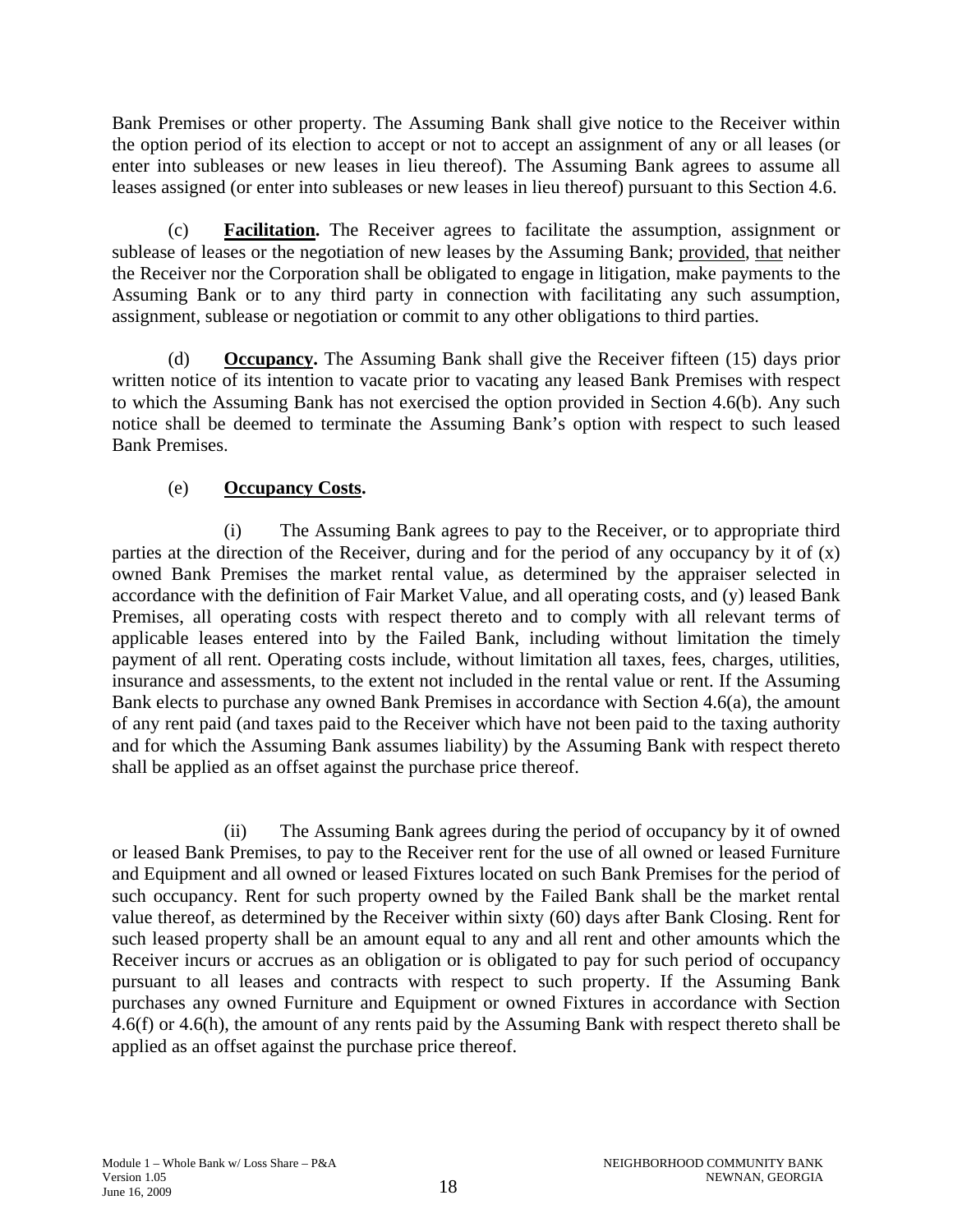Bank Premises or other property. The Assuming Bank shall give notice to the Receiver within the option period of its election to accept or not to accept an assignment of any or all leases (or enter into subleases or new leases in lieu thereof). The Assuming Bank agrees to assume all leases assigned (or enter into subleases or new leases in lieu thereof) pursuant to this Section 4.6.

(c) **Facilitation.** The Receiver agrees to facilitate the assumption, assignment or sublease of leases or the negotiation of new leases by the Assuming Bank; provided, that neither the Receiver nor the Corporation shall be obligated to engage in litigation, make payments to the Assuming Bank or to any third party in connection with facilitating any such assumption, assignment, sublease or negotiation or commit to any other obligations to third parties.

(d) **Occupancy.** The Assuming Bank shall give the Receiver fifteen (15) days prior written notice of its intention to vacate prior to vacating any leased Bank Premises with respect to which the Assuming Bank has not exercised the option provided in Section 4.6(b). Any such notice shall be deemed to terminate the Assuming Bank's option with respect to such leased Bank Premises.

## (e) **Occupancy Costs.**

(i) The Assuming Bank agrees to pay to the Receiver, or to appropriate third parties at the direction of the Receiver, during and for the period of any occupancy by it of (x) owned Bank Premises the market rental value, as determined by the appraiser selected in accordance with the definition of Fair Market Value, and all operating costs, and (y) leased Bank Premises, all operating costs with respect thereto and to comply with all relevant terms of applicable leases entered into by the Failed Bank, including without limitation the timely payment of all rent. Operating costs include, without limitation all taxes, fees, charges, utilities, insurance and assessments, to the extent not included in the rental value or rent. If the Assuming Bank elects to purchase any owned Bank Premises in accordance with Section 4.6(a), the amount of any rent paid (and taxes paid to the Receiver which have not been paid to the taxing authority and for which the Assuming Bank assumes liability) by the Assuming Bank with respect thereto shall be applied as an offset against the purchase price thereof.

(ii) The Assuming Bank agrees during the period of occupancy by it of owned or leased Bank Premises, to pay to the Receiver rent for the use of all owned or leased Furniture and Equipment and all owned or leased Fixtures located on such Bank Premises for the period of such occupancy. Rent for such property owned by the Failed Bank shall be the market rental value thereof, as determined by the Receiver within sixty (60) days after Bank Closing. Rent for such leased property shall be an amount equal to any and all rent and other amounts which the Receiver incurs or accrues as an obligation or is obligated to pay for such period of occupancy pursuant to all leases and contracts with respect to such property. If the Assuming Bank purchases any owned Furniture and Equipment or owned Fixtures in accordance with Section 4.6(f) or 4.6(h), the amount of any rents paid by the Assuming Bank with respect thereto shall be applied as an offset against the purchase price thereof.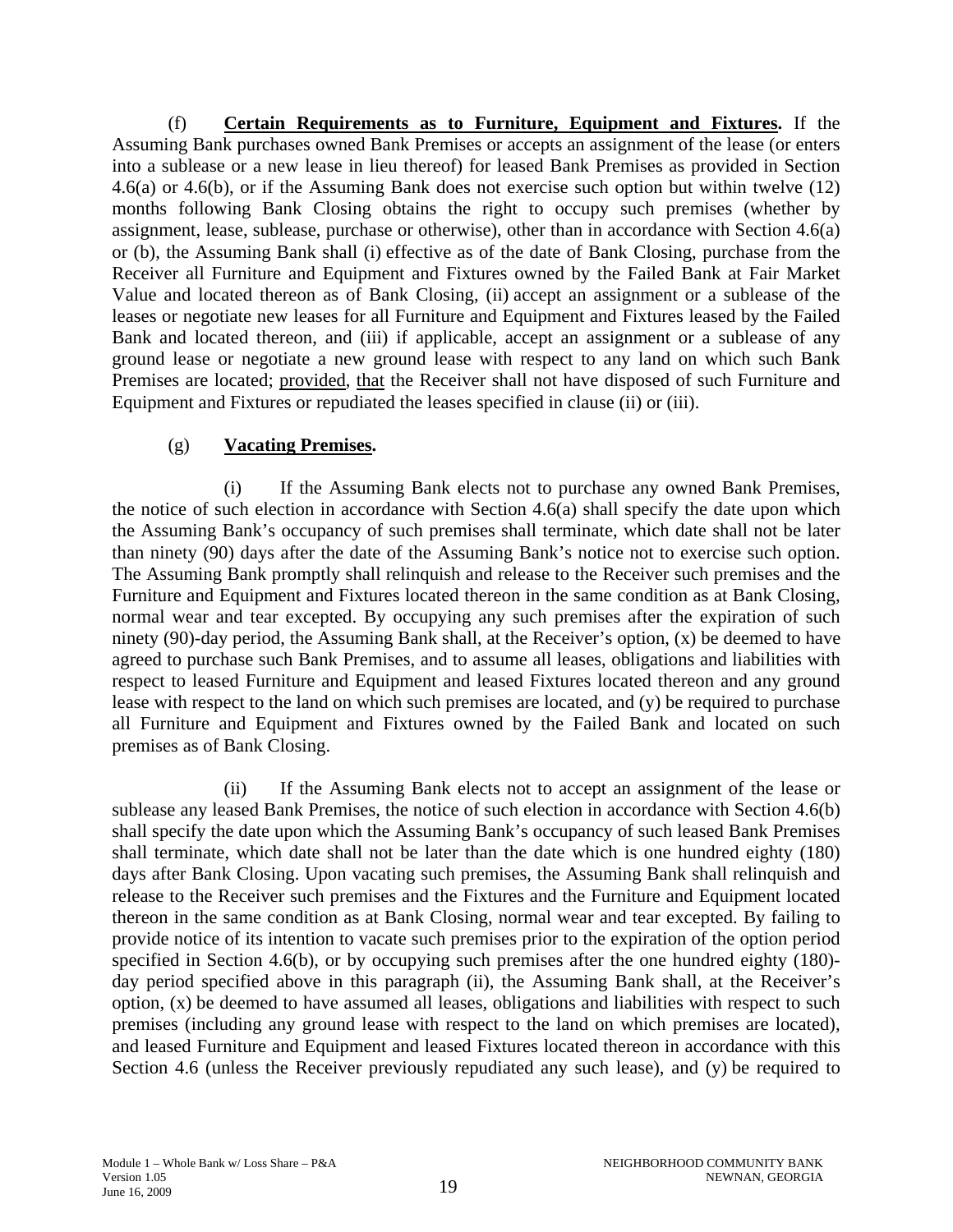(f) **Certain Requirements as to Furniture, Equipment and Fixtures.** If the Assuming Bank purchases owned Bank Premises or accepts an assignment of the lease (or enters into a sublease or a new lease in lieu thereof) for leased Bank Premises as provided in Section 4.6(a) or 4.6(b), or if the Assuming Bank does not exercise such option but within twelve (12) months following Bank Closing obtains the right to occupy such premises (whether by assignment, lease, sublease, purchase or otherwise), other than in accordance with Section 4.6(a) or (b), the Assuming Bank shall (i) effective as of the date of Bank Closing, purchase from the Receiver all Furniture and Equipment and Fixtures owned by the Failed Bank at Fair Market Value and located thereon as of Bank Closing, (ii) accept an assignment or a sublease of the leases or negotiate new leases for all Furniture and Equipment and Fixtures leased by the Failed Bank and located thereon, and (iii) if applicable, accept an assignment or a sublease of any ground lease or negotiate a new ground lease with respect to any land on which such Bank Premises are located; provided, that the Receiver shall not have disposed of such Furniture and Equipment and Fixtures or repudiated the leases specified in clause (ii) or (iii).

# (g) **Vacating Premises.**

(i) If the Assuming Bank elects not to purchase any owned Bank Premises, the notice of such election in accordance with Section 4.6(a) shall specify the date upon which the Assuming Bank's occupancy of such premises shall terminate, which date shall not be later than ninety (90) days after the date of the Assuming Bank's notice not to exercise such option. The Assuming Bank promptly shall relinquish and release to the Receiver such premises and the Furniture and Equipment and Fixtures located thereon in the same condition as at Bank Closing, normal wear and tear excepted. By occupying any such premises after the expiration of such ninety (90)-day period, the Assuming Bank shall, at the Receiver's option, (x) be deemed to have agreed to purchase such Bank Premises, and to assume all leases, obligations and liabilities with respect to leased Furniture and Equipment and leased Fixtures located thereon and any ground lease with respect to the land on which such premises are located, and (y) be required to purchase all Furniture and Equipment and Fixtures owned by the Failed Bank and located on such premises as of Bank Closing.

(ii) If the Assuming Bank elects not to accept an assignment of the lease or sublease any leased Bank Premises, the notice of such election in accordance with Section 4.6(b) shall specify the date upon which the Assuming Bank's occupancy of such leased Bank Premises shall terminate, which date shall not be later than the date which is one hundred eighty (180) days after Bank Closing. Upon vacating such premises, the Assuming Bank shall relinquish and release to the Receiver such premises and the Fixtures and the Furniture and Equipment located thereon in the same condition as at Bank Closing, normal wear and tear excepted. By failing to provide notice of its intention to vacate such premises prior to the expiration of the option period specified in Section 4.6(b), or by occupying such premises after the one hundred eighty (180)day period specified above in this paragraph (ii), the Assuming Bank shall, at the Receiver's option, (x) be deemed to have assumed all leases, obligations and liabilities with respect to such premises (including any ground lease with respect to the land on which premises are located), and leased Furniture and Equipment and leased Fixtures located thereon in accordance with this Section 4.6 (unless the Receiver previously repudiated any such lease), and (y) be required to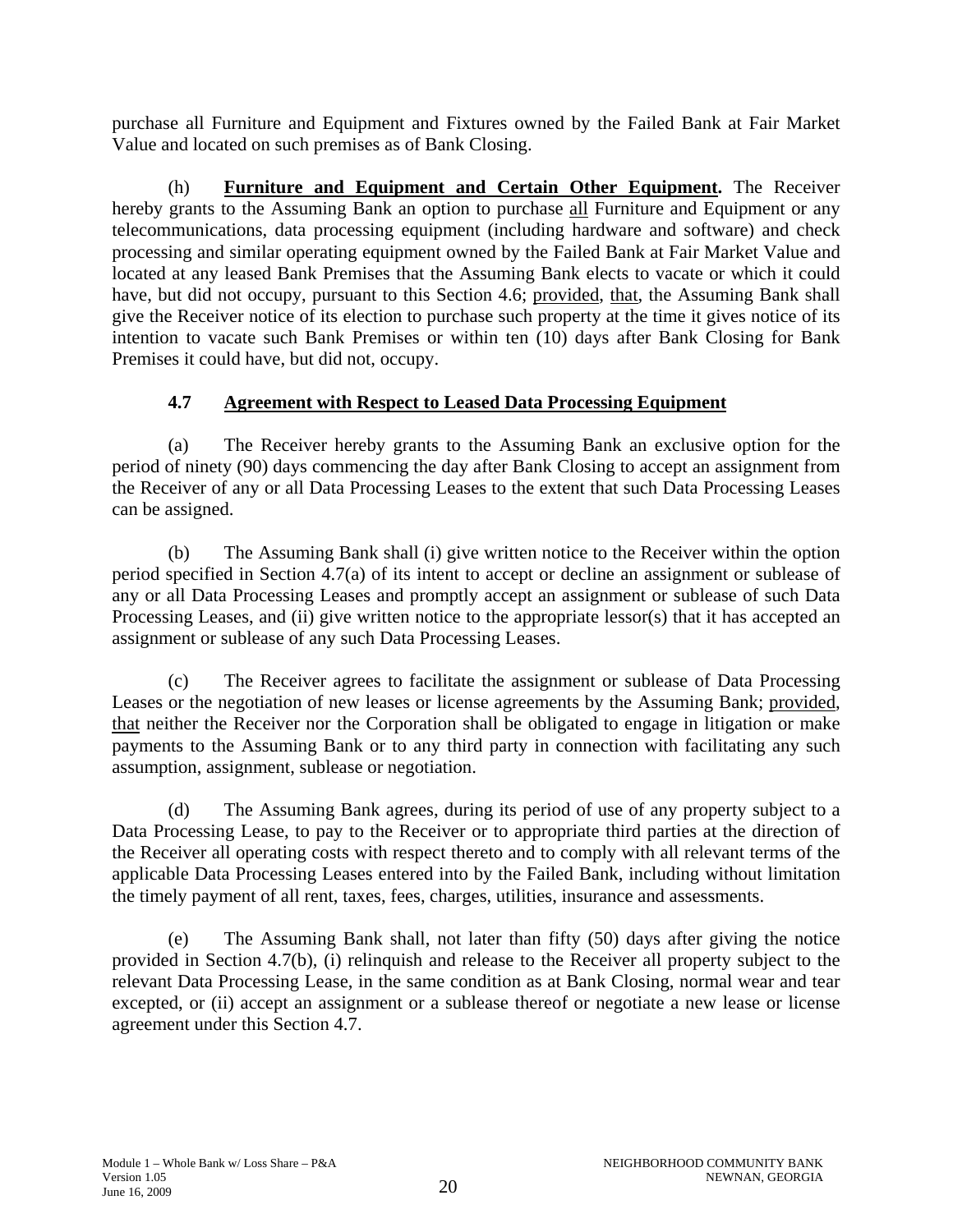purchase all Furniture and Equipment and Fixtures owned by the Failed Bank at Fair Market Value and located on such premises as of Bank Closing.

(h) **Furniture and Equipment and Certain Other Equipment.** The Receiver hereby grants to the Assuming Bank an option to purchase all Furniture and Equipment or any telecommunications, data processing equipment (including hardware and software) and check processing and similar operating equipment owned by the Failed Bank at Fair Market Value and located at any leased Bank Premises that the Assuming Bank elects to vacate or which it could have, but did not occupy, pursuant to this Section 4.6; provided, that, the Assuming Bank shall give the Receiver notice of its election to purchase such property at the time it gives notice of its intention to vacate such Bank Premises or within ten (10) days after Bank Closing for Bank Premises it could have, but did not, occupy.

# **4.7 Agreement with Respect to Leased Data Processing Equipment**

<span id="page-23-0"></span>(a) The Receiver hereby grants to the Assuming Bank an exclusive option for the period of ninety (90) days commencing the day after Bank Closing to accept an assignment from the Receiver of any or all Data Processing Leases to the extent that such Data Processing Leases can be assigned.

(b) The Assuming Bank shall (i) give written notice to the Receiver within the option period specified in Section 4.7(a) of its intent to accept or decline an assignment or sublease of any or all Data Processing Leases and promptly accept an assignment or sublease of such Data Processing Leases, and (ii) give written notice to the appropriate lessor(s) that it has accepted an assignment or sublease of any such Data Processing Leases.

(c) The Receiver agrees to facilitate the assignment or sublease of Data Processing Leases or the negotiation of new leases or license agreements by the Assuming Bank; provided, that neither the Receiver nor the Corporation shall be obligated to engage in litigation or make payments to the Assuming Bank or to any third party in connection with facilitating any such assumption, assignment, sublease or negotiation.

(d) The Assuming Bank agrees, during its period of use of any property subject to a Data Processing Lease, to pay to the Receiver or to appropriate third parties at the direction of the Receiver all operating costs with respect thereto and to comply with all relevant terms of the applicable Data Processing Leases entered into by the Failed Bank, including without limitation the timely payment of all rent, taxes, fees, charges, utilities, insurance and assessments.

(e) The Assuming Bank shall, not later than fifty (50) days after giving the notice provided in Section 4.7(b), (i) relinquish and release to the Receiver all property subject to the relevant Data Processing Lease, in the same condition as at Bank Closing, normal wear and tear excepted, or (ii) accept an assignment or a sublease thereof or negotiate a new lease or license agreement under this Section 4.7.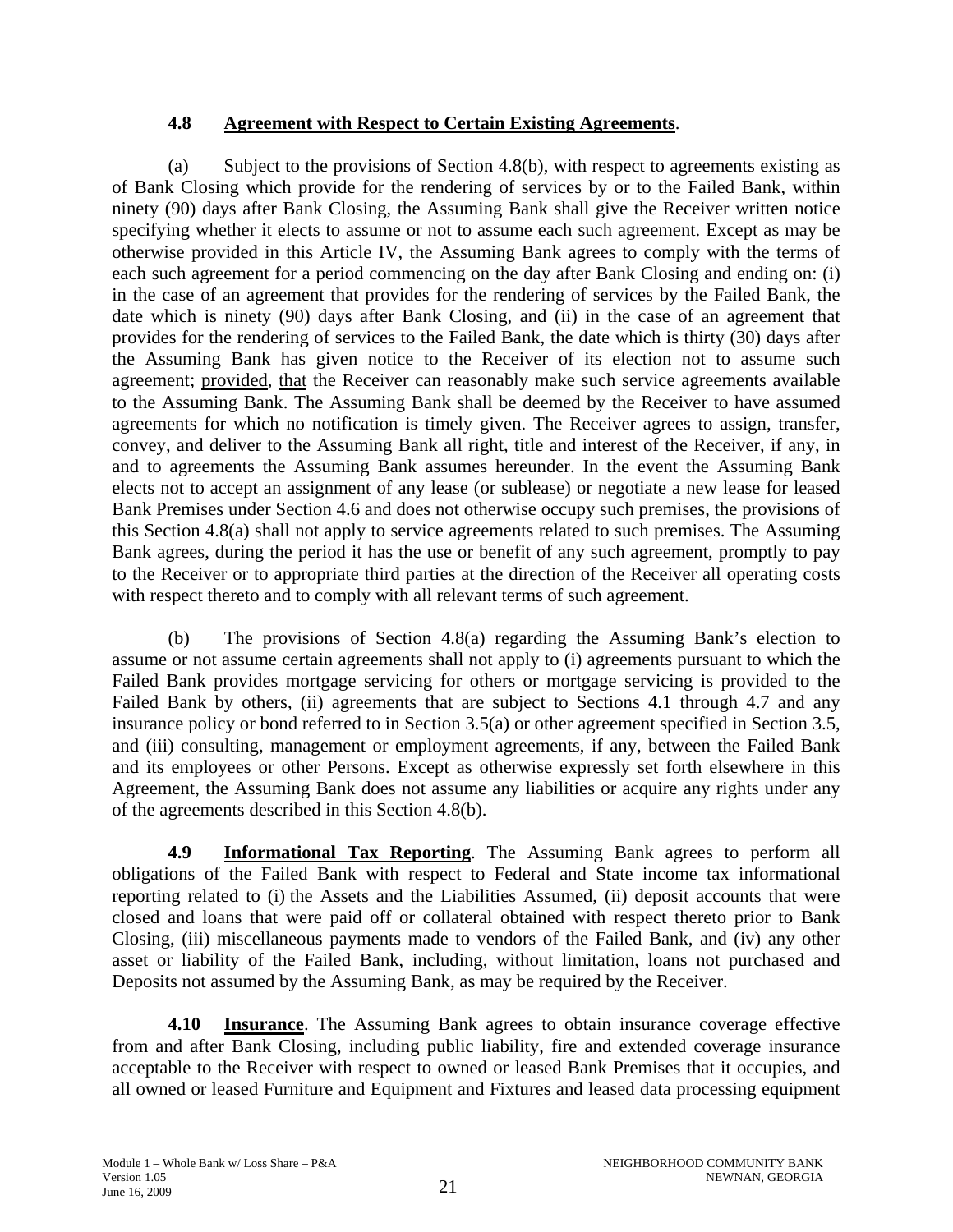### **4.8 Agreement with Respect to Certain Existing Agreements**.

(a) Subject to the provisions of Section 4.8(b), with respect to agreements existing as of Bank Closing which provide for the rendering of services by or to the Failed Bank, within ninety (90) days after Bank Closing, the Assuming Bank shall give the Receiver written notice specifying whether it elects to assume or not to assume each such agreement. Except as may be otherwise provided in this Article IV, the Assuming Bank agrees to comply with the terms of each such agreement for a period commencing on the day after Bank Closing and ending on: (i) in the case of an agreement that provides for the rendering of services by the Failed Bank, the date which is ninety (90) days after Bank Closing, and (ii) in the case of an agreement that provides for the rendering of services to the Failed Bank, the date which is thirty (30) days after the Assuming Bank has given notice to the Receiver of its election not to assume such agreement; provided, that the Receiver can reasonably make such service agreements available to the Assuming Bank. The Assuming Bank shall be deemed by the Receiver to have assumed agreements for which no notification is timely given. The Receiver agrees to assign, transfer, convey, and deliver to the Assuming Bank all right, title and interest of the Receiver, if any, in and to agreements the Assuming Bank assumes hereunder. In the event the Assuming Bank elects not to accept an assignment of any lease (or sublease) or negotiate a new lease for leased Bank Premises under Section 4.6 and does not otherwise occupy such premises, the provisions of this Section 4.8(a) shall not apply to service agreements related to such premises. The Assuming Bank agrees, during the period it has the use or benefit of any such agreement, promptly to pay to the Receiver or to appropriate third parties at the direction of the Receiver all operating costs with respect thereto and to comply with all relevant terms of such agreement.

(b) The provisions of Section 4.8(a) regarding the Assuming Bank's election to assume or not assume certain agreements shall not apply to (i) agreements pursuant to which the Failed Bank provides mortgage servicing for others or mortgage servicing is provided to the Failed Bank by others, (ii) agreements that are subject to Sections 4.1 through 4.7 and any insurance policy or bond referred to in Section 3.5(a) or other agreement specified in Section 3.5, and (iii) consulting, management or employment agreements, if any, between the Failed Bank and its employees or other Persons. Except as otherwise expressly set forth elsewhere in this Agreement, the Assuming Bank does not assume any liabilities or acquire any rights under any of the agreements described in this Section 4.8(b).

<span id="page-24-1"></span>**4.9 Informational Tax Reporting**. The Assuming Bank agrees to perform all obligations of the Failed Bank with respect to Federal and State income tax informational reporting related to (i) the Assets and the Liabilities Assumed, (ii) deposit accounts that were closed and loans that were paid off or collateral obtained with respect thereto prior to Bank Closing, (iii) miscellaneous payments made to vendors of the Failed Bank, and (iv) any other asset or liability of the Failed Bank, including, without limitation, loans not purchased and Deposits not assumed by the Assuming Bank, as may be required by the Receiver.

<span id="page-24-2"></span><span id="page-24-0"></span>**4.10 Insurance**. The Assuming Bank agrees to obtain insurance coverage effective from and after Bank Closing, including public liability, fire and extended coverage insurance acceptable to the Receiver with respect to owned or leased Bank Premises that it occupies, and all owned or leased Furniture and Equipment and Fixtures and leased data processing equipment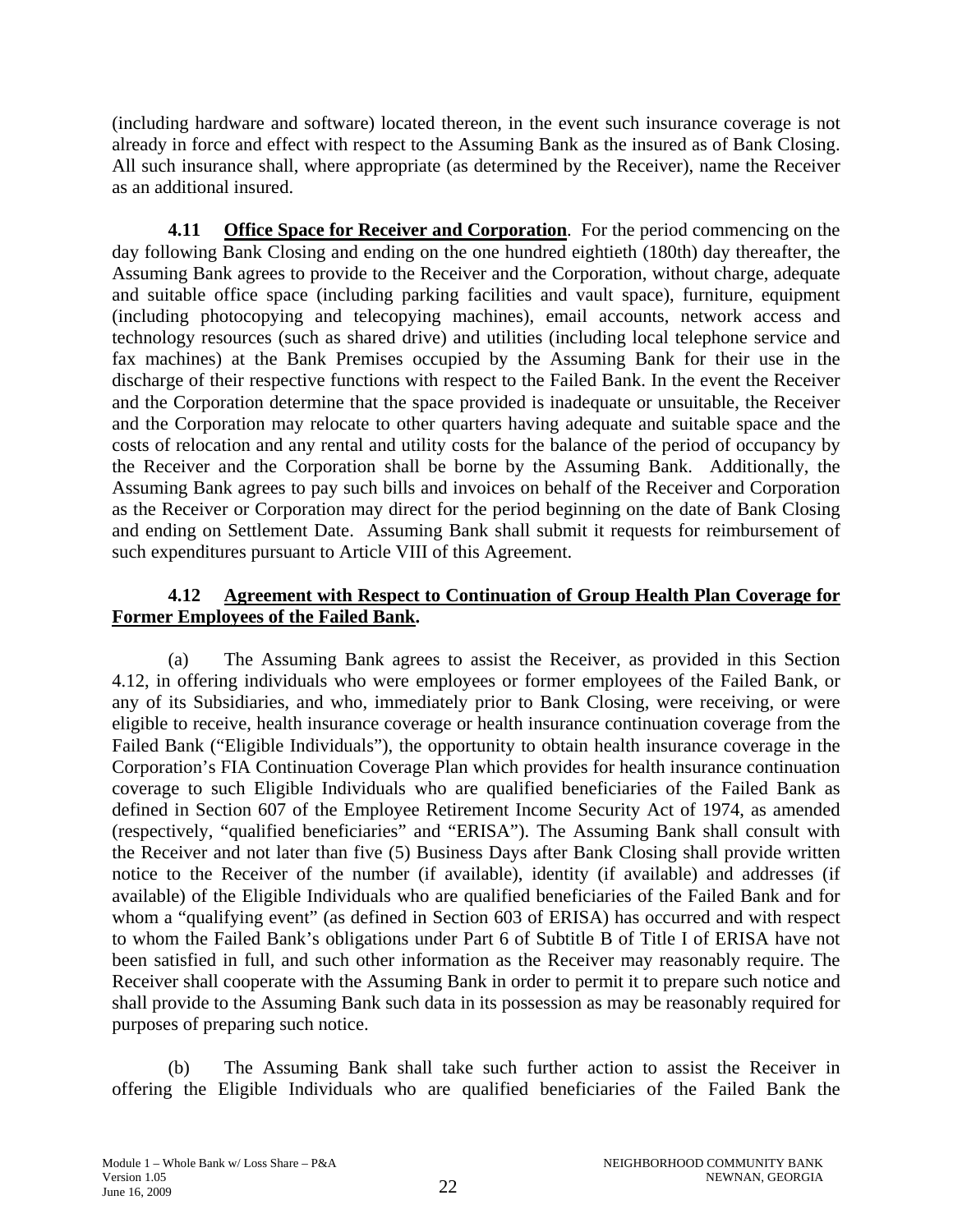(including hardware and software) located thereon, in the event such insurance coverage is not already in force and effect with respect to the Assuming Bank as the insured as of Bank Closing. All such insurance shall, where appropriate (as determined by the Receiver), name the Receiver as an additional insured.

<span id="page-25-0"></span>**4.11** Office Space for Receiver and Corporation. For the period commencing on the day following Bank Closing and ending on the one hundred eightieth (180th) day thereafter, the Assuming Bank agrees to provide to the Receiver and the Corporation, without charge, adequate and suitable office space (including parking facilities and vault space), furniture, equipment (including photocopying and telecopying machines), email accounts, network access and technology resources (such as shared drive) and utilities (including local telephone service and fax machines) at the Bank Premises occupied by the Assuming Bank for their use in the discharge of their respective functions with respect to the Failed Bank. In the event the Receiver and the Corporation determine that the space provided is inadequate or unsuitable, the Receiver and the Corporation may relocate to other quarters having adequate and suitable space and the costs of relocation and any rental and utility costs for the balance of the period of occupancy by the Receiver and the Corporation shall be borne by the Assuming Bank. Additionally, the Assuming Bank agrees to pay such bills and invoices on behalf of the Receiver and Corporation as the Receiver or Corporation may direct for the period beginning on the date of Bank Closing and ending on Settlement Date. Assuming Bank shall submit it requests for reimbursement of such expenditures pursuant to Article VIII of this Agreement.

### <span id="page-25-1"></span>**4.12 Agreement with Respect to Continuation of Group Health Plan Coverage for Former Employees of the Failed Bank.**

(a) The Assuming Bank agrees to assist the Receiver, as provided in this Section 4.12, in offering individuals who were employees or former employees of the Failed Bank, or any of its Subsidiaries, and who, immediately prior to Bank Closing, were receiving, or were eligible to receive, health insurance coverage or health insurance continuation coverage from the Failed Bank ("Eligible Individuals"), the opportunity to obtain health insurance coverage in the Corporation's FIA Continuation Coverage Plan which provides for health insurance continuation coverage to such Eligible Individuals who are qualified beneficiaries of the Failed Bank as defined in Section 607 of the Employee Retirement Income Security Act of 1974, as amended (respectively, "qualified beneficiaries" and "ERISA"). The Assuming Bank shall consult with the Receiver and not later than five (5) Business Days after Bank Closing shall provide written notice to the Receiver of the number (if available), identity (if available) and addresses (if available) of the Eligible Individuals who are qualified beneficiaries of the Failed Bank and for whom a "qualifying event" (as defined in Section 603 of ERISA) has occurred and with respect to whom the Failed Bank's obligations under Part 6 of Subtitle B of Title I of ERISA have not been satisfied in full, and such other information as the Receiver may reasonably require. The Receiver shall cooperate with the Assuming Bank in order to permit it to prepare such notice and shall provide to the Assuming Bank such data in its possession as may be reasonably required for purposes of preparing such notice.

(b) The Assuming Bank shall take such further action to assist the Receiver in offering the Eligible Individuals who are qualified beneficiaries of the Failed Bank the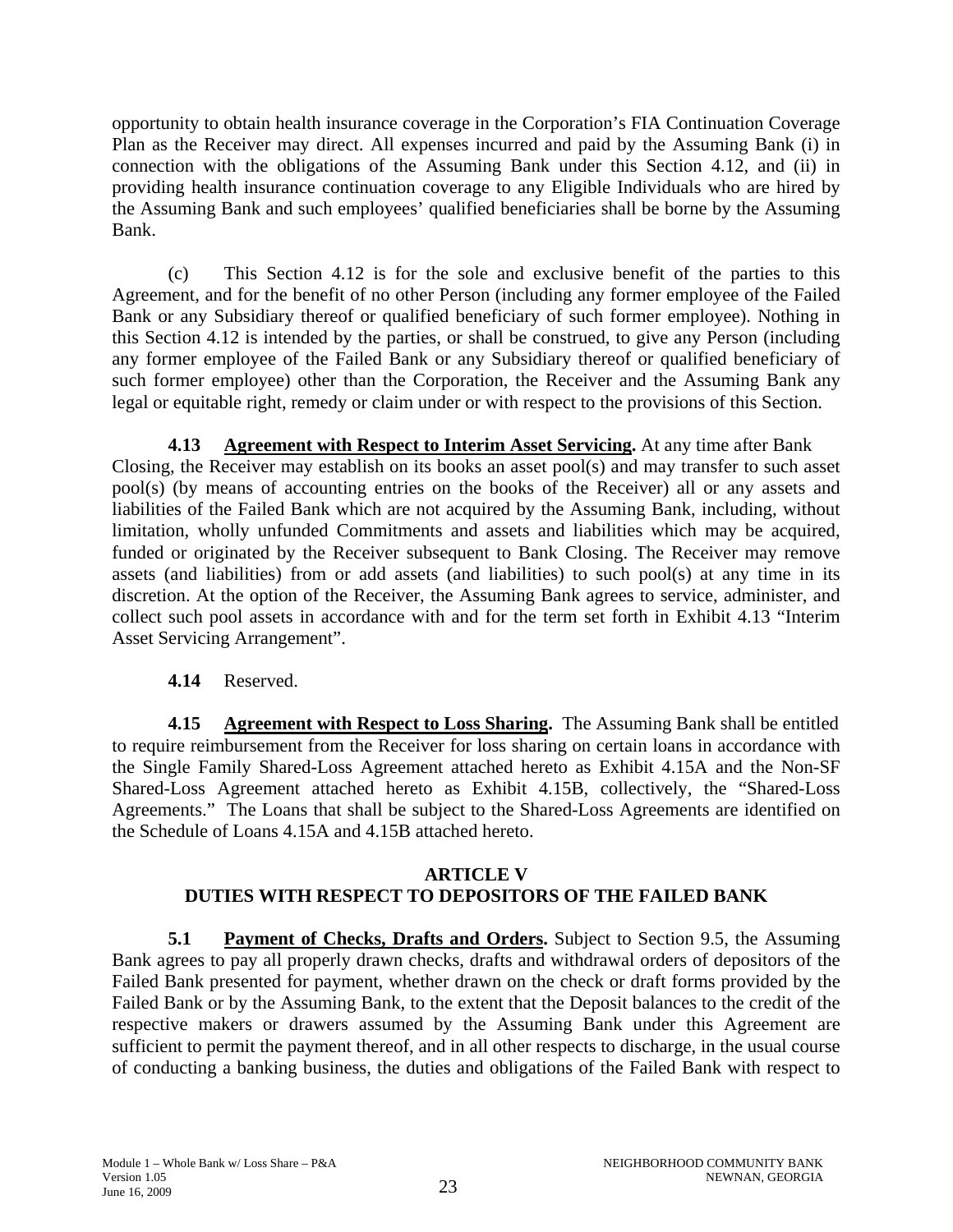opportunity to obtain health insurance coverage in the Corporation's FIA Continuation Coverage Plan as the Receiver may direct. All expenses incurred and paid by the Assuming Bank (i) in connection with the obligations of the Assuming Bank under this Section 4.12, and (ii) in providing health insurance continuation coverage to any Eligible Individuals who are hired by the Assuming Bank and such employees' qualified beneficiaries shall be borne by the Assuming Bank.

(c) This Section 4.12 is for the sole and exclusive benefit of the parties to this Agreement, and for the benefit of no other Person (including any former employee of the Failed Bank or any Subsidiary thereof or qualified beneficiary of such former employee). Nothing in this Section 4.12 is intended by the parties, or shall be construed, to give any Person (including any former employee of the Failed Bank or any Subsidiary thereof or qualified beneficiary of such former employee) other than the Corporation, the Receiver and the Assuming Bank any legal or equitable right, remedy or claim under or with respect to the provisions of this Section.

<span id="page-26-0"></span>**4.13 Agreement with Respect to Interim Asset Servicing.** At any time after Bank Closing, the Receiver may establish on its books an asset pool(s) and may transfer to such asset pool(s) (by means of accounting entries on the books of the Receiver) all or any assets and liabilities of the Failed Bank which are not acquired by the Assuming Bank, including, without limitation, wholly unfunded Commitments and assets and liabilities which may be acquired, funded or originated by the Receiver subsequent to Bank Closing. The Receiver may remove assets (and liabilities) from or add assets (and liabilities) to such pool(s) at any time in its discretion. At the option of the Receiver, the Assuming Bank agrees to service, administer, and collect such pool assets in accordance with and for the term set forth in Exhibit 4.13 "Interim Asset Servicing Arrangement".

## **4.14** Reserved.

**4.15 Agreement with Respect to Loss Sharing.** The Assuming Bank shall be entitled to require reimbursement from the Receiver for loss sharing on certain loans in accordance with the Single Family Shared-Loss Agreement attached hereto as Exhibit 4.15A and the Non-SF Shared-Loss Agreement attached hereto as Exhibit 4.15B, collectively, the "Shared-Loss Agreements." The Loans that shall be subject to the Shared-Loss Agreements are identified on the Schedule of Loans 4.15A and 4.15B attached hereto.

### **ARTICLE V DUTIES WITH RESPECT TO DEPOSITORS OF THE FAILED BANK**

<span id="page-26-2"></span><span id="page-26-1"></span>**5.1 Payment of Checks, Drafts and Orders.** Subject to Section 9.5, the Assuming Bank agrees to pay all properly drawn checks, drafts and withdrawal orders of depositors of the Failed Bank presented for payment, whether drawn on the check or draft forms provided by the Failed Bank or by the Assuming Bank, to the extent that the Deposit balances to the credit of the respective makers or drawers assumed by the Assuming Bank under this Agreement are sufficient to permit the payment thereof, and in all other respects to discharge, in the usual course of conducting a banking business, the duties and obligations of the Failed Bank with respect to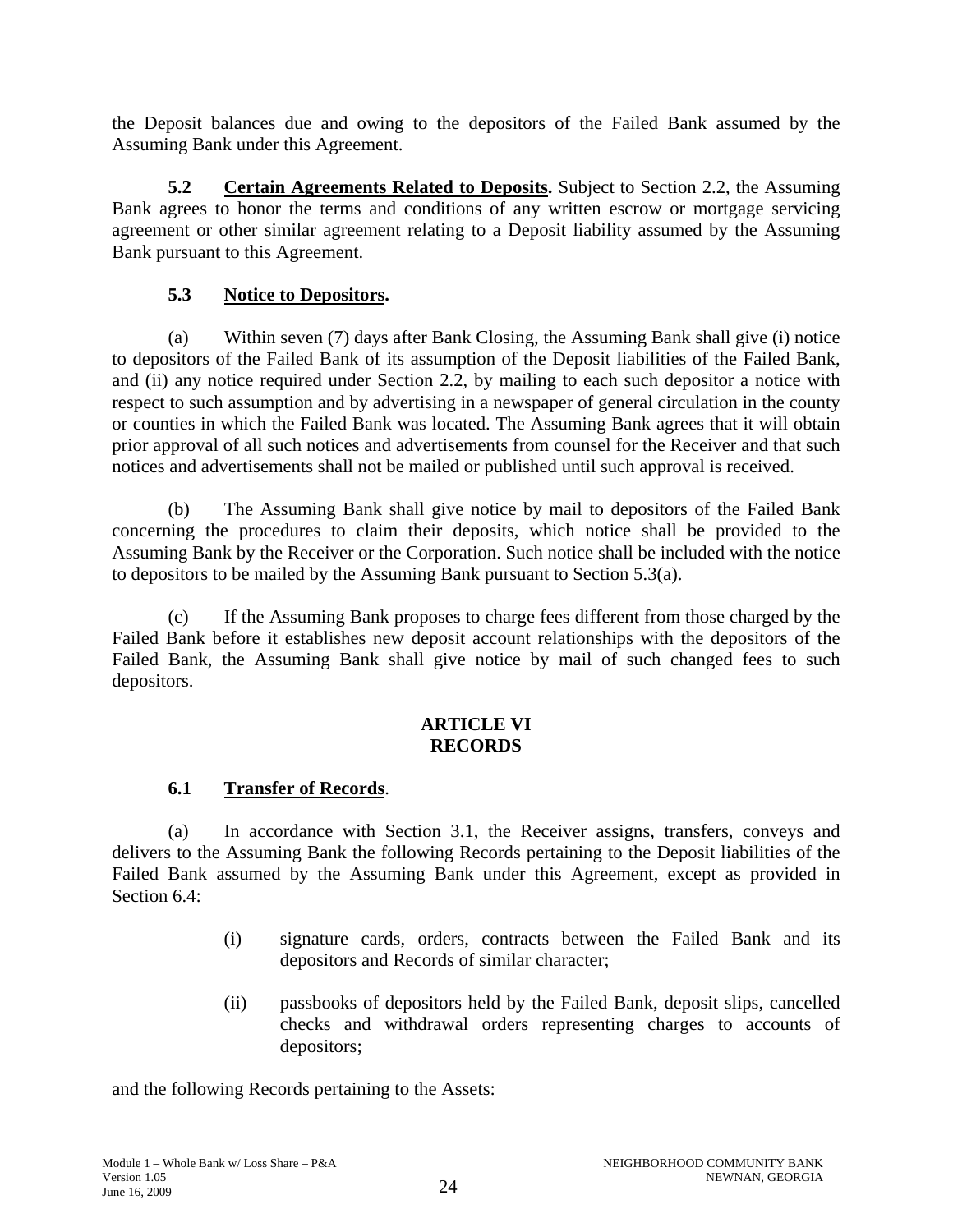the Deposit balances due and owing to the depositors of the Failed Bank assumed by the Assuming Bank under this Agreement.

<span id="page-27-0"></span>**5.2** Certain Agreements Related to Deposits. Subject to Section 2.2, the Assuming Bank agrees to honor the terms and conditions of any written escrow or mortgage servicing agreement or other similar agreement relating to a Deposit liability assumed by the Assuming Bank pursuant to this Agreement.

### **5.3 Notice to Depositors.**

<span id="page-27-1"></span>(a) Within seven (7) days after Bank Closing, the Assuming Bank shall give (i) notice to depositors of the Failed Bank of its assumption of the Deposit liabilities of the Failed Bank, and (ii) any notice required under Section 2.2, by mailing to each such depositor a notice with respect to such assumption and by advertising in a newspaper of general circulation in the county or counties in which the Failed Bank was located. The Assuming Bank agrees that it will obtain prior approval of all such notices and advertisements from counsel for the Receiver and that such notices and advertisements shall not be mailed or published until such approval is received.

(b) The Assuming Bank shall give notice by mail to depositors of the Failed Bank concerning the procedures to claim their deposits, which notice shall be provided to the Assuming Bank by the Receiver or the Corporation. Such notice shall be included with the notice to depositors to be mailed by the Assuming Bank pursuant to Section 5.3(a).

(c) If the Assuming Bank proposes to charge fees different from those charged by the Failed Bank before it establishes new deposit account relationships with the depositors of the Failed Bank, the Assuming Bank shall give notice by mail of such changed fees to such depositors.

### **ARTICLE VI RECORDS**

### **6.1 Transfer of Records**.

<span id="page-27-3"></span><span id="page-27-2"></span>(a) In accordance with Section 3.1, the Receiver assigns, transfers, conveys and delivers to the Assuming Bank the following Records pertaining to the Deposit liabilities of the Failed Bank assumed by the Assuming Bank under this Agreement, except as provided in Section 6.4:

- (i) signature cards, orders, contracts between the Failed Bank and its depositors and Records of similar character;
- (ii) passbooks of depositors held by the Failed Bank, deposit slips, cancelled checks and withdrawal orders representing charges to accounts of depositors;

and the following Records pertaining to the Assets: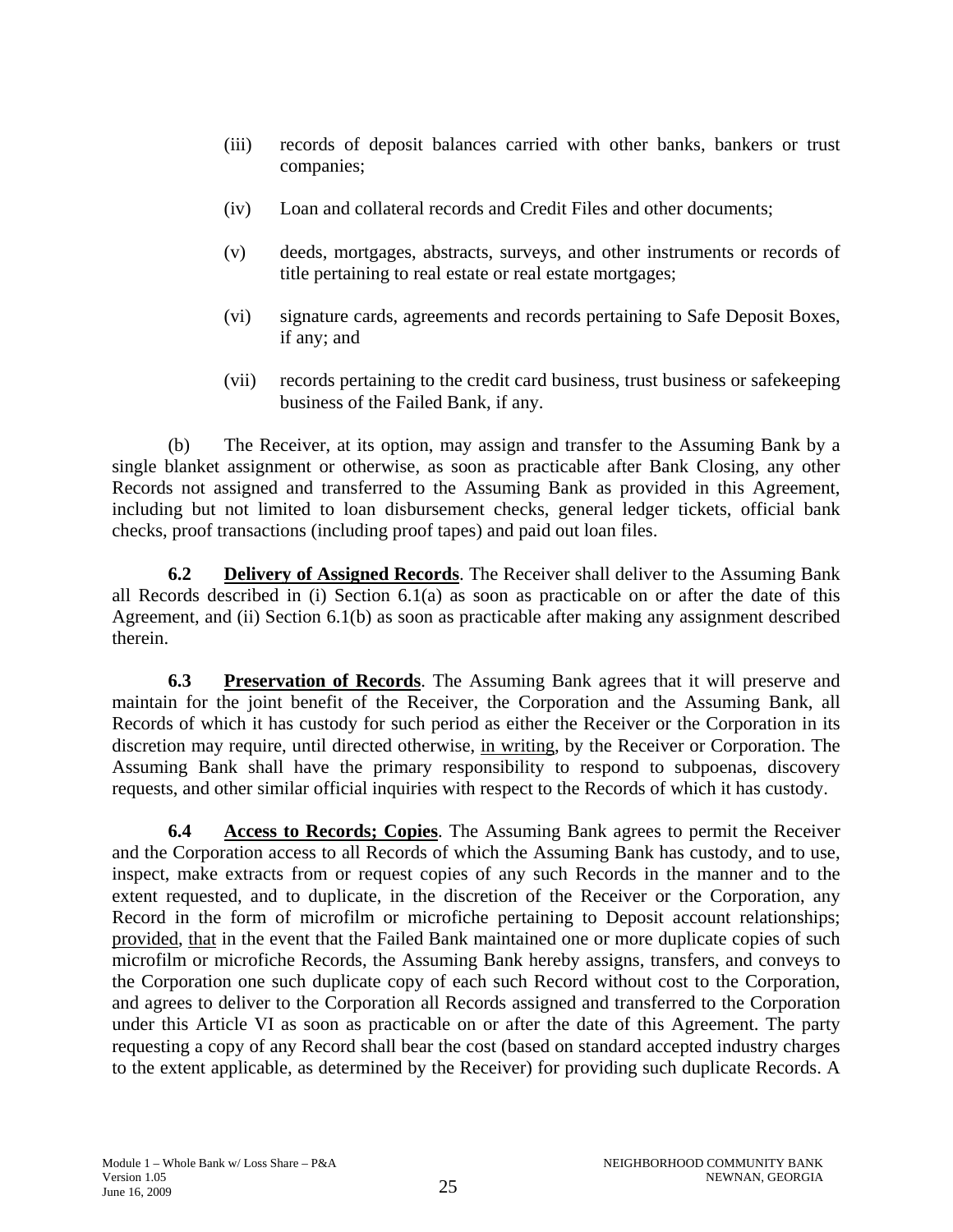- (iii) records of deposit balances carried with other banks, bankers or trust companies;
- (iv) Loan and collateral records and Credit Files and other documents;
- (v) deeds, mortgages, abstracts, surveys, and other instruments or records of title pertaining to real estate or real estate mortgages;
- (vi) signature cards, agreements and records pertaining to Safe Deposit Boxes, if any; and
- (vii) records pertaining to the credit card business, trust business or safekeeping business of the Failed Bank, if any.

(b) The Receiver, at its option, may assign and transfer to the Assuming Bank by a single blanket assignment or otherwise, as soon as practicable after Bank Closing, any other Records not assigned and transferred to the Assuming Bank as provided in this Agreement, including but not limited to loan disbursement checks, general ledger tickets, official bank checks, proof transactions (including proof tapes) and paid out loan files.

<span id="page-28-0"></span>**6.2 Delivery of Assigned Records**. The Receiver shall deliver to the Assuming Bank all Records described in (i) Section 6.1(a) as soon as practicable on or after the date of this Agreement, and (ii) Section 6.1(b) as soon as practicable after making any assignment described therein.

<span id="page-28-1"></span>**6.3 Preservation of Records**. The Assuming Bank agrees that it will preserve and maintain for the joint benefit of the Receiver, the Corporation and the Assuming Bank, all Records of which it has custody for such period as either the Receiver or the Corporation in its discretion may require, until directed otherwise, in writing, by the Receiver or Corporation. The Assuming Bank shall have the primary responsibility to respond to subpoenas, discovery requests, and other similar official inquiries with respect to the Records of which it has custody.

**6.4 Access to Records; Copies**. The Assuming Bank agrees to permit the Receiver and the Corporation access to all Records of which the Assuming Bank has custody, and to use, inspect, make extracts from or request copies of any such Records in the manner and to the extent requested, and to duplicate, in the discretion of the Receiver or the Corporation, any Record in the form of microfilm or microfiche pertaining to Deposit account relationships; provided, that in the event that the Failed Bank maintained one or more duplicate copies of such microfilm or microfiche Records, the Assuming Bank hereby assigns, transfers, and conveys to the Corporation one such duplicate copy of each such Record without cost to the Corporation, and agrees to deliver to the Corporation all Records assigned and transferred to the Corporation under this Article VI as soon as practicable on or after the date of this Agreement. The party requesting a copy of any Record shall bear the cost (based on standard accepted industry charges to the extent applicable, as determined by the Receiver) for providing such duplicate Records. A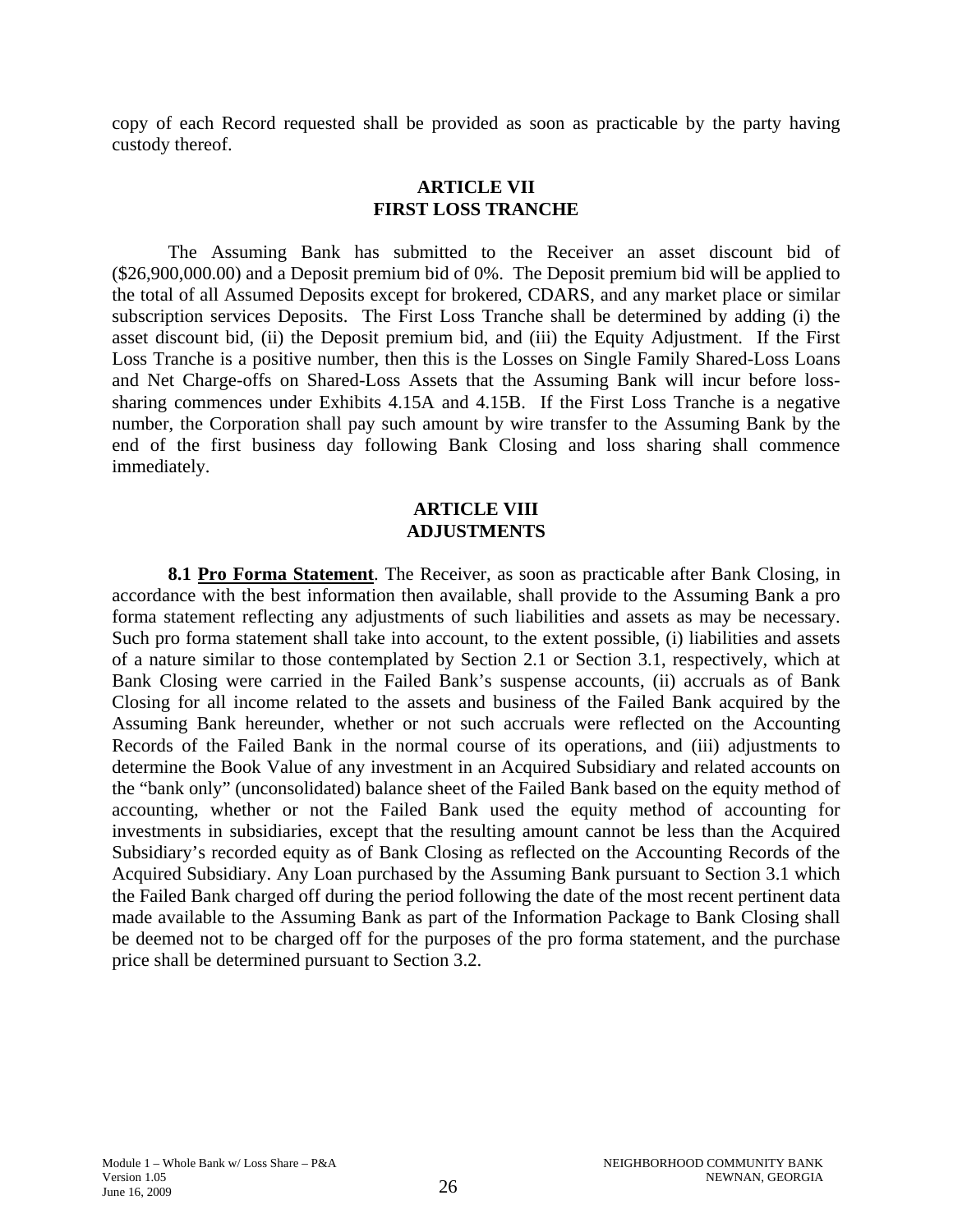copy of each Record requested shall be provided as soon as practicable by the party having custody thereof.

#### **ARTICLE VII FIRST LOSS TRANCHE**

 The Assuming Bank has submitted to the Receiver an asset discount bid of (\$26,900,000.00) and a Deposit premium bid of 0%. The Deposit premium bid will be applied to the total of all Assumed Deposits except for brokered, CDARS, and any market place or similar subscription services Deposits. The First Loss Tranche shall be determined by adding (i) the asset discount bid, (ii) the Deposit premium bid, and (iii) the Equity Adjustment. If the First Loss Tranche is a positive number, then this is the Losses on Single Family Shared-Loss Loans and Net Charge-offs on Shared-Loss Assets that the Assuming Bank will incur before losssharing commences under Exhibits 4.15A and 4.15B. If the First Loss Tranche is a negative number, the Corporation shall pay such amount by wire transfer to the Assuming Bank by the end of the first business day following Bank Closing and loss sharing shall commence immediately.

#### **ARTICLE VIII ADJUSTMENTS**

<span id="page-29-1"></span><span id="page-29-0"></span>**8.1 Pro Forma Statement**. The Receiver, as soon as practicable after Bank Closing, in accordance with the best information then available, shall provide to the Assuming Bank a pro forma statement reflecting any adjustments of such liabilities and assets as may be necessary. Such pro forma statement shall take into account, to the extent possible, (i) liabilities and assets of a nature similar to those contemplated by Section 2.1 or Section 3.1, respectively, which at Bank Closing were carried in the Failed Bank's suspense accounts, (ii) accruals as of Bank Closing for all income related to the assets and business of the Failed Bank acquired by the Assuming Bank hereunder, whether or not such accruals were reflected on the Accounting Records of the Failed Bank in the normal course of its operations, and (iii) adjustments to determine the Book Value of any investment in an Acquired Subsidiary and related accounts on the "bank only" (unconsolidated) balance sheet of the Failed Bank based on the equity method of accounting, whether or not the Failed Bank used the equity method of accounting for investments in subsidiaries, except that the resulting amount cannot be less than the Acquired Subsidiary's recorded equity as of Bank Closing as reflected on the Accounting Records of the Acquired Subsidiary. Any Loan purchased by the Assuming Bank pursuant to Section 3.1 which the Failed Bank charged off during the period following the date of the most recent pertinent data made available to the Assuming Bank as part of the Information Package to Bank Closing shall be deemed not to be charged off for the purposes of the pro forma statement, and the purchase price shall be determined pursuant to Section 3.2.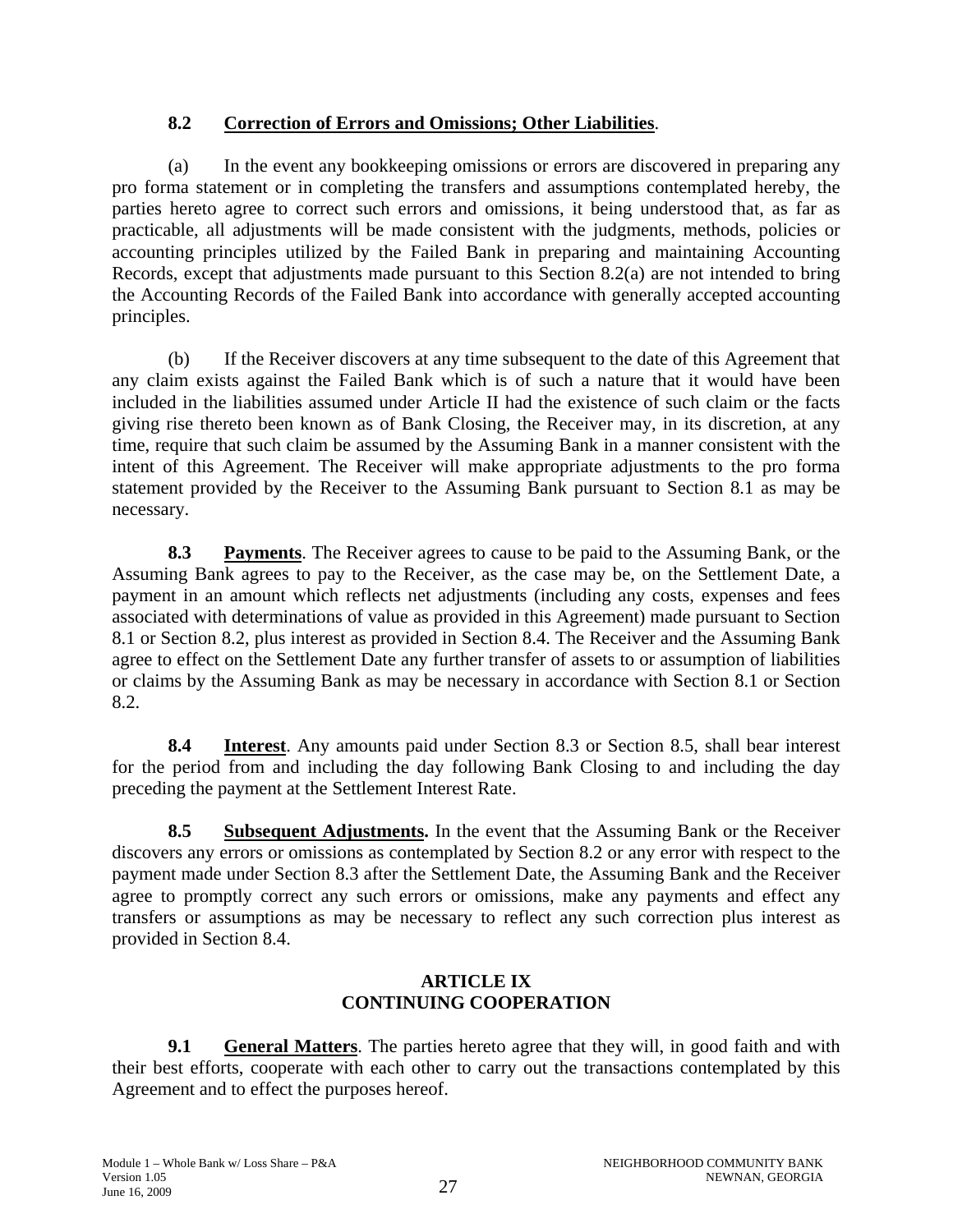# **8.2 Correction of Errors and Omissions; Other Liabilities**.

(a) In the event any bookkeeping omissions or errors are discovered in preparing any pro forma statement or in completing the transfers and assumptions contemplated hereby, the parties hereto agree to correct such errors and omissions, it being understood that, as far as practicable, all adjustments will be made consistent with the judgments, methods, policies or accounting principles utilized by the Failed Bank in preparing and maintaining Accounting Records, except that adjustments made pursuant to this Section 8.2(a) are not intended to bring the Accounting Records of the Failed Bank into accordance with generally accepted accounting principles.

(b) If the Receiver discovers at any time subsequent to the date of this Agreement that any claim exists against the Failed Bank which is of such a nature that it would have been included in the liabilities assumed under Article II had the existence of such claim or the facts giving rise thereto been known as of Bank Closing, the Receiver may, in its discretion, at any time, require that such claim be assumed by the Assuming Bank in a manner consistent with the intent of this Agreement. The Receiver will make appropriate adjustments to the pro forma statement provided by the Receiver to the Assuming Bank pursuant to Section 8.1 as may be necessary.

<span id="page-30-0"></span>**8.3 Payments**. The Receiver agrees to cause to be paid to the Assuming Bank, or the Assuming Bank agrees to pay to the Receiver, as the case may be, on the Settlement Date, a payment in an amount which reflects net adjustments (including any costs, expenses and fees associated with determinations of value as provided in this Agreement) made pursuant to Section 8.1 or Section 8.2, plus interest as provided in Section 8.4. The Receiver and the Assuming Bank agree to effect on the Settlement Date any further transfer of assets to or assumption of liabilities or claims by the Assuming Bank as may be necessary in accordance with Section 8.1 or Section 8.2.

<span id="page-30-1"></span>**8.4 Interest**. Any amounts paid under Section 8.3 or Section 8.5, shall bear interest for the period from and including the day following Bank Closing to and including the day preceding the payment at the Settlement Interest Rate.

<span id="page-30-2"></span>**8.5 Subsequent Adjustments.** In the event that the Assuming Bank or the Receiver discovers any errors or omissions as contemplated by Section 8.2 or any error with respect to the payment made under Section 8.3 after the Settlement Date, the Assuming Bank and the Receiver agree to promptly correct any such errors or omissions, make any payments and effect any transfers or assumptions as may be necessary to reflect any such correction plus interest as provided in Section 8.4.

### **ARTICLE IX CONTINUING COOPERATION**

<span id="page-30-4"></span><span id="page-30-3"></span>**9.1 General Matters**. The parties hereto agree that they will, in good faith and with their best efforts, cooperate with each other to carry out the transactions contemplated by this Agreement and to effect the purposes hereof.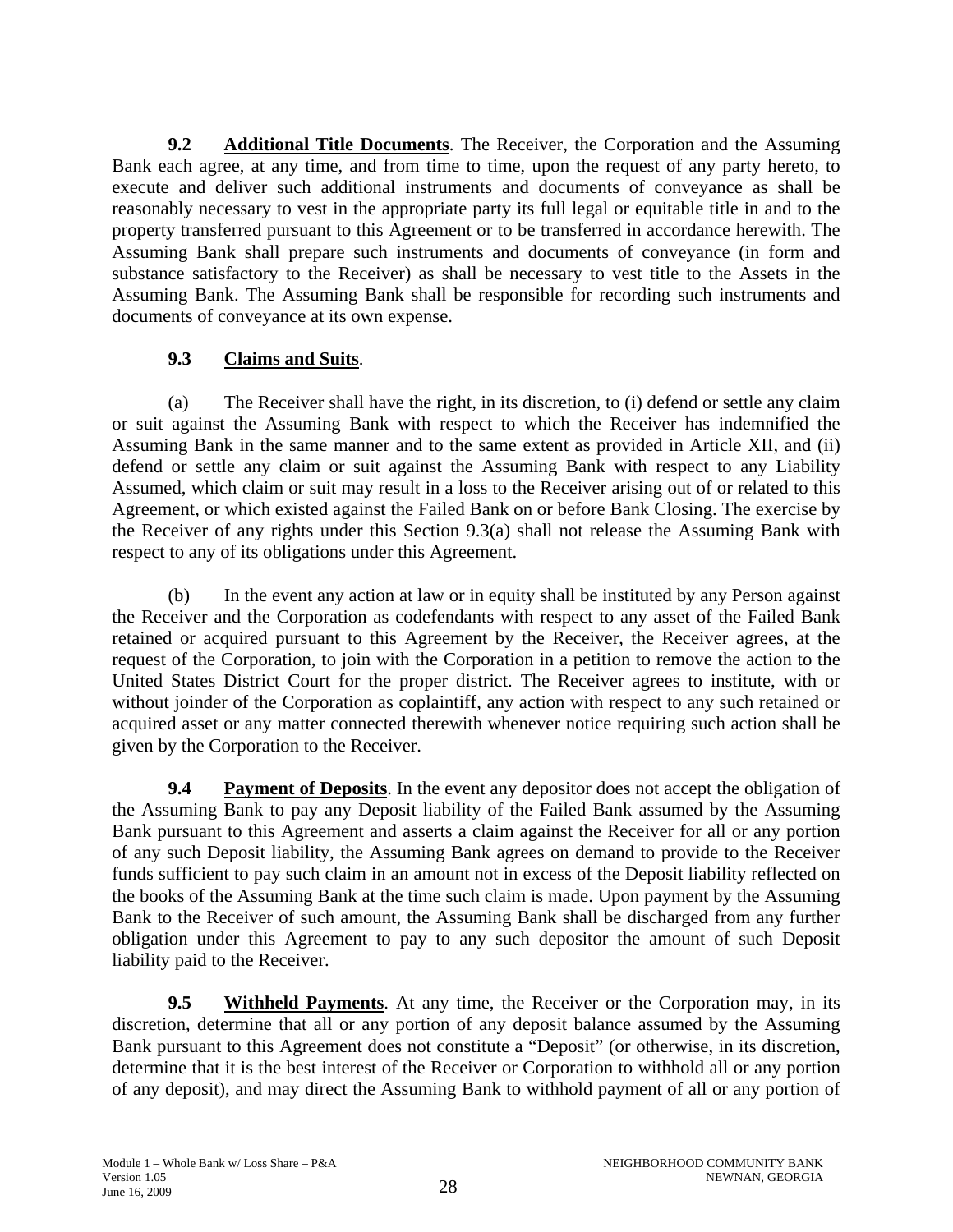<span id="page-31-0"></span>**9.2** Additional Title Documents. The Receiver, the Corporation and the Assuming Bank each agree, at any time, and from time to time, upon the request of any party hereto, to execute and deliver such additional instruments and documents of conveyance as shall be reasonably necessary to vest in the appropriate party its full legal or equitable title in and to the property transferred pursuant to this Agreement or to be transferred in accordance herewith. The Assuming Bank shall prepare such instruments and documents of conveyance (in form and substance satisfactory to the Receiver) as shall be necessary to vest title to the Assets in the Assuming Bank. The Assuming Bank shall be responsible for recording such instruments and documents of conveyance at its own expense.

# **9.3 Claims and Suits**.

<span id="page-31-1"></span>(a) The Receiver shall have the right, in its discretion, to (i) defend or settle any claim or suit against the Assuming Bank with respect to which the Receiver has indemnified the Assuming Bank in the same manner and to the same extent as provided in Article XII, and (ii) defend or settle any claim or suit against the Assuming Bank with respect to any Liability Assumed, which claim or suit may result in a loss to the Receiver arising out of or related to this Agreement, or which existed against the Failed Bank on or before Bank Closing. The exercise by the Receiver of any rights under this Section 9.3(a) shall not release the Assuming Bank with respect to any of its obligations under this Agreement.

(b) In the event any action at law or in equity shall be instituted by any Person against the Receiver and the Corporation as codefendants with respect to any asset of the Failed Bank retained or acquired pursuant to this Agreement by the Receiver, the Receiver agrees, at the request of the Corporation, to join with the Corporation in a petition to remove the action to the United States District Court for the proper district. The Receiver agrees to institute, with or without joinder of the Corporation as coplaintiff, any action with respect to any such retained or acquired asset or any matter connected therewith whenever notice requiring such action shall be given by the Corporation to the Receiver.

<span id="page-31-2"></span>**9.4 Payment of Deposits**. In the event any depositor does not accept the obligation of the Assuming Bank to pay any Deposit liability of the Failed Bank assumed by the Assuming Bank pursuant to this Agreement and asserts a claim against the Receiver for all or any portion of any such Deposit liability, the Assuming Bank agrees on demand to provide to the Receiver funds sufficient to pay such claim in an amount not in excess of the Deposit liability reflected on the books of the Assuming Bank at the time such claim is made. Upon payment by the Assuming Bank to the Receiver of such amount, the Assuming Bank shall be discharged from any further obligation under this Agreement to pay to any such depositor the amount of such Deposit liability paid to the Receiver.

<span id="page-31-3"></span>**9.5 Withheld Payments**. At any time, the Receiver or the Corporation may, in its discretion, determine that all or any portion of any deposit balance assumed by the Assuming Bank pursuant to this Agreement does not constitute a "Deposit" (or otherwise, in its discretion, determine that it is the best interest of the Receiver or Corporation to withhold all or any portion of any deposit), and may direct the Assuming Bank to withhold payment of all or any portion of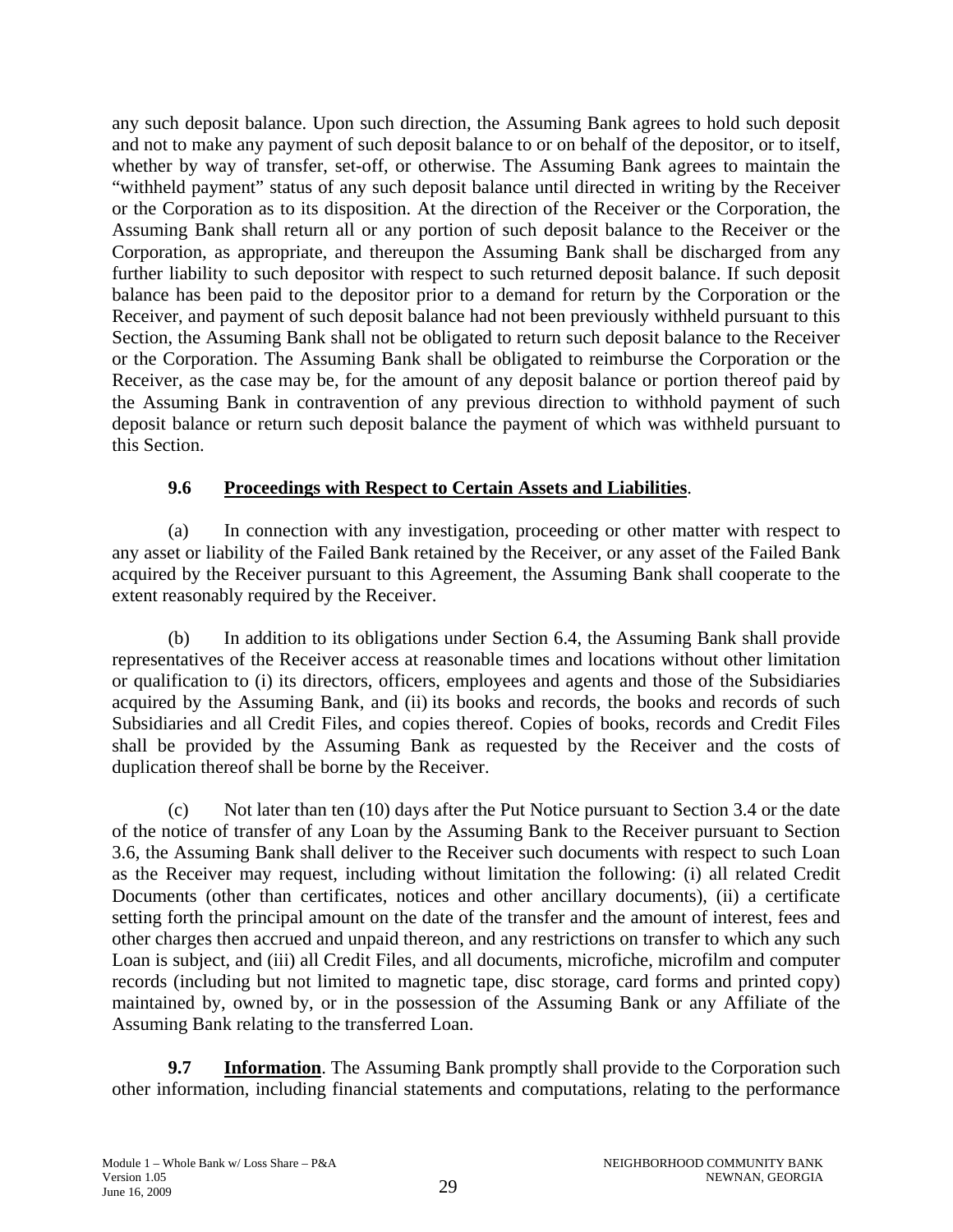any such deposit balance. Upon such direction, the Assuming Bank agrees to hold such deposit and not to make any payment of such deposit balance to or on behalf of the depositor, or to itself, whether by way of transfer, set-off, or otherwise. The Assuming Bank agrees to maintain the "withheld payment" status of any such deposit balance until directed in writing by the Receiver or the Corporation as to its disposition. At the direction of the Receiver or the Corporation, the Assuming Bank shall return all or any portion of such deposit balance to the Receiver or the Corporation, as appropriate, and thereupon the Assuming Bank shall be discharged from any further liability to such depositor with respect to such returned deposit balance. If such deposit balance has been paid to the depositor prior to a demand for return by the Corporation or the Receiver, and payment of such deposit balance had not been previously withheld pursuant to this Section, the Assuming Bank shall not be obligated to return such deposit balance to the Receiver or the Corporation. The Assuming Bank shall be obligated to reimburse the Corporation or the Receiver, as the case may be, for the amount of any deposit balance or portion thereof paid by the Assuming Bank in contravention of any previous direction to withhold payment of such deposit balance or return such deposit balance the payment of which was withheld pursuant to this Section.

## **9.6 Proceedings with Respect to Certain Assets and Liabilities**.

<span id="page-32-0"></span>(a) In connection with any investigation, proceeding or other matter with respect to any asset or liability of the Failed Bank retained by the Receiver, or any asset of the Failed Bank acquired by the Receiver pursuant to this Agreement, the Assuming Bank shall cooperate to the extent reasonably required by the Receiver.

(b) In addition to its obligations under Section 6.4, the Assuming Bank shall provide representatives of the Receiver access at reasonable times and locations without other limitation or qualification to (i) its directors, officers, employees and agents and those of the Subsidiaries acquired by the Assuming Bank, and (ii) its books and records, the books and records of such Subsidiaries and all Credit Files, and copies thereof. Copies of books, records and Credit Files shall be provided by the Assuming Bank as requested by the Receiver and the costs of duplication thereof shall be borne by the Receiver.

(c) Not later than ten (10) days after the Put Notice pursuant to Section 3.4 or the date of the notice of transfer of any Loan by the Assuming Bank to the Receiver pursuant to Section 3.6, the Assuming Bank shall deliver to the Receiver such documents with respect to such Loan as the Receiver may request, including without limitation the following: (i) all related Credit Documents (other than certificates, notices and other ancillary documents), (ii) a certificate setting forth the principal amount on the date of the transfer and the amount of interest, fees and other charges then accrued and unpaid thereon, and any restrictions on transfer to which any such Loan is subject, and (iii) all Credit Files, and all documents, microfiche, microfilm and computer records (including but not limited to magnetic tape, disc storage, card forms and printed copy) maintained by, owned by, or in the possession of the Assuming Bank or any Affiliate of the Assuming Bank relating to the transferred Loan.

<span id="page-32-1"></span>**9.7** Information. The Assuming Bank promptly shall provide to the Corporation such other information, including financial statements and computations, relating to the performance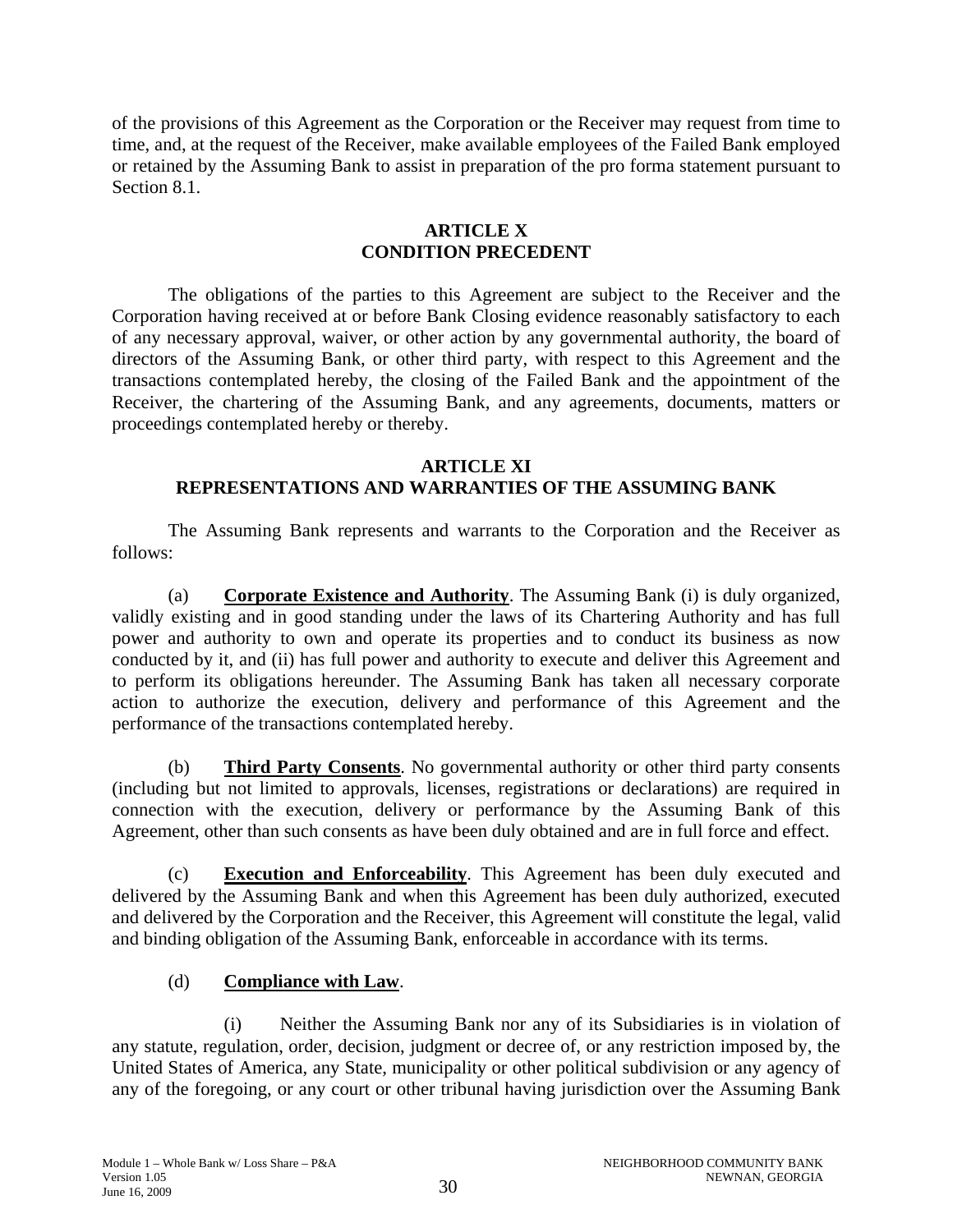of the provisions of this Agreement as the Corporation or the Receiver may request from time to time, and, at the request of the Receiver, make available employees of the Failed Bank employed or retained by the Assuming Bank to assist in preparation of the pro forma statement pursuant to Section 8.1.

### **ARTICLE X CONDITION PRECEDENT**

<span id="page-33-0"></span>The obligations of the parties to this Agreement are subject to the Receiver and the Corporation having received at or before Bank Closing evidence reasonably satisfactory to each of any necessary approval, waiver, or other action by any governmental authority, the board of directors of the Assuming Bank, or other third party, with respect to this Agreement and the transactions contemplated hereby, the closing of the Failed Bank and the appointment of the Receiver, the chartering of the Assuming Bank, and any agreements, documents, matters or proceedings contemplated hereby or thereby.

### **ARTICLE XI REPRESENTATIONS AND WARRANTIES OF THE ASSUMING BANK**

<span id="page-33-1"></span>The Assuming Bank represents and warrants to the Corporation and the Receiver as follows:

(a) **Corporate Existence and Authority**. The Assuming Bank (i) is duly organized, validly existing and in good standing under the laws of its Chartering Authority and has full power and authority to own and operate its properties and to conduct its business as now conducted by it, and (ii) has full power and authority to execute and deliver this Agreement and to perform its obligations hereunder. The Assuming Bank has taken all necessary corporate action to authorize the execution, delivery and performance of this Agreement and the performance of the transactions contemplated hereby.

(b) **Third Party Consents**. No governmental authority or other third party consents (including but not limited to approvals, licenses, registrations or declarations) are required in connection with the execution, delivery or performance by the Assuming Bank of this Agreement, other than such consents as have been duly obtained and are in full force and effect.

(c) **Execution and Enforceability**. This Agreement has been duly executed and delivered by the Assuming Bank and when this Agreement has been duly authorized, executed and delivered by the Corporation and the Receiver, this Agreement will constitute the legal, valid and binding obligation of the Assuming Bank, enforceable in accordance with its terms.

### (d) **Compliance with Law**.

(i) Neither the Assuming Bank nor any of its Subsidiaries is in violation of any statute, regulation, order, decision, judgment or decree of, or any restriction imposed by, the United States of America, any State, municipality or other political subdivision or any agency of any of the foregoing, or any court or other tribunal having jurisdiction over the Assuming Bank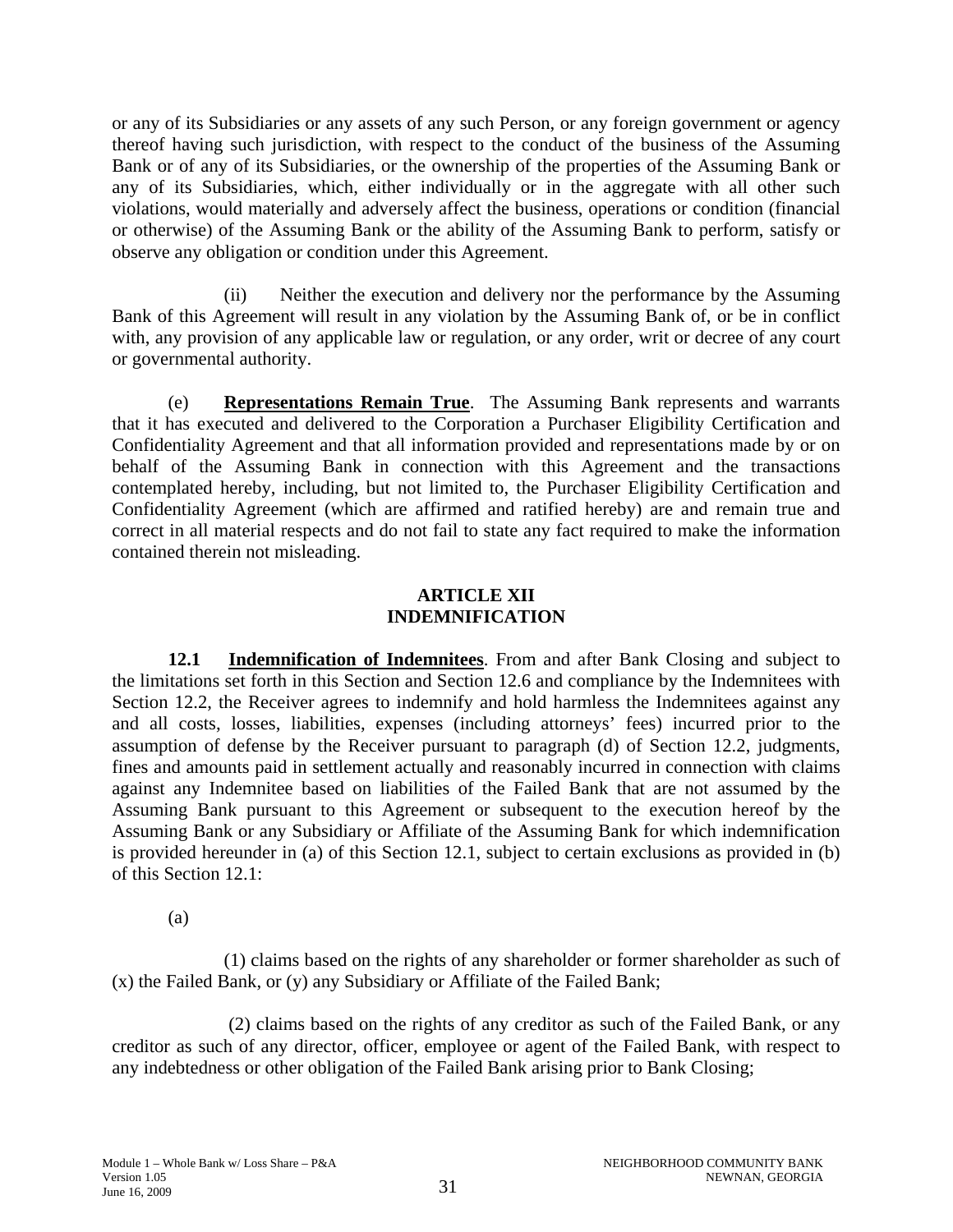or any of its Subsidiaries or any assets of any such Person, or any foreign government or agency thereof having such jurisdiction, with respect to the conduct of the business of the Assuming Bank or of any of its Subsidiaries, or the ownership of the properties of the Assuming Bank or any of its Subsidiaries, which, either individually or in the aggregate with all other such violations, would materially and adversely affect the business, operations or condition (financial or otherwise) of the Assuming Bank or the ability of the Assuming Bank to perform, satisfy or observe any obligation or condition under this Agreement.

(ii) Neither the execution and delivery nor the performance by the Assuming Bank of this Agreement will result in any violation by the Assuming Bank of, or be in conflict with, any provision of any applicable law or regulation, or any order, writ or decree of any court or governmental authority.

(e) **Representations Remain True**. The Assuming Bank represents and warrants that it has executed and delivered to the Corporation a Purchaser Eligibility Certification and Confidentiality Agreement and that all information provided and representations made by or on behalf of the Assuming Bank in connection with this Agreement and the transactions contemplated hereby, including, but not limited to, the Purchaser Eligibility Certification and Confidentiality Agreement (which are affirmed and ratified hereby) are and remain true and correct in all material respects and do not fail to state any fact required to make the information contained therein not misleading.

### **ARTICLE XII INDEMNIFICATION**

<span id="page-34-0"></span>12.1 **Indemnification of Indemnitees**. From and after Bank Closing and subject to the limitations set forth in this Section and Section 12.6 and compliance by the Indemnitees with Section 12.2, the Receiver agrees to indemnify and hold harmless the Indemnitees against any and all costs, losses, liabilities, expenses (including attorneys' fees) incurred prior to the assumption of defense by the Receiver pursuant to paragraph (d) of Section 12.2, judgments, fines and amounts paid in settlement actually and reasonably incurred in connection with claims against any Indemnitee based on liabilities of the Failed Bank that are not assumed by the Assuming Bank pursuant to this Agreement or subsequent to the execution hereof by the Assuming Bank or any Subsidiary or Affiliate of the Assuming Bank for which indemnification is provided hereunder in (a) of this Section 12.1, subject to certain exclusions as provided in (b) of this Section 12.1:

(1) claims based on the rights of any shareholder or former shareholder as such of (x) the Failed Bank, or (y) any Subsidiary or Affiliate of the Failed Bank;

(2) claims based on the rights of any creditor as such of the Failed Bank, or any creditor as such of any director, officer, employee or agent of the Failed Bank, with respect to any indebtedness or other obligation of the Failed Bank arising prior to Bank Closing;

<sup>(</sup>a)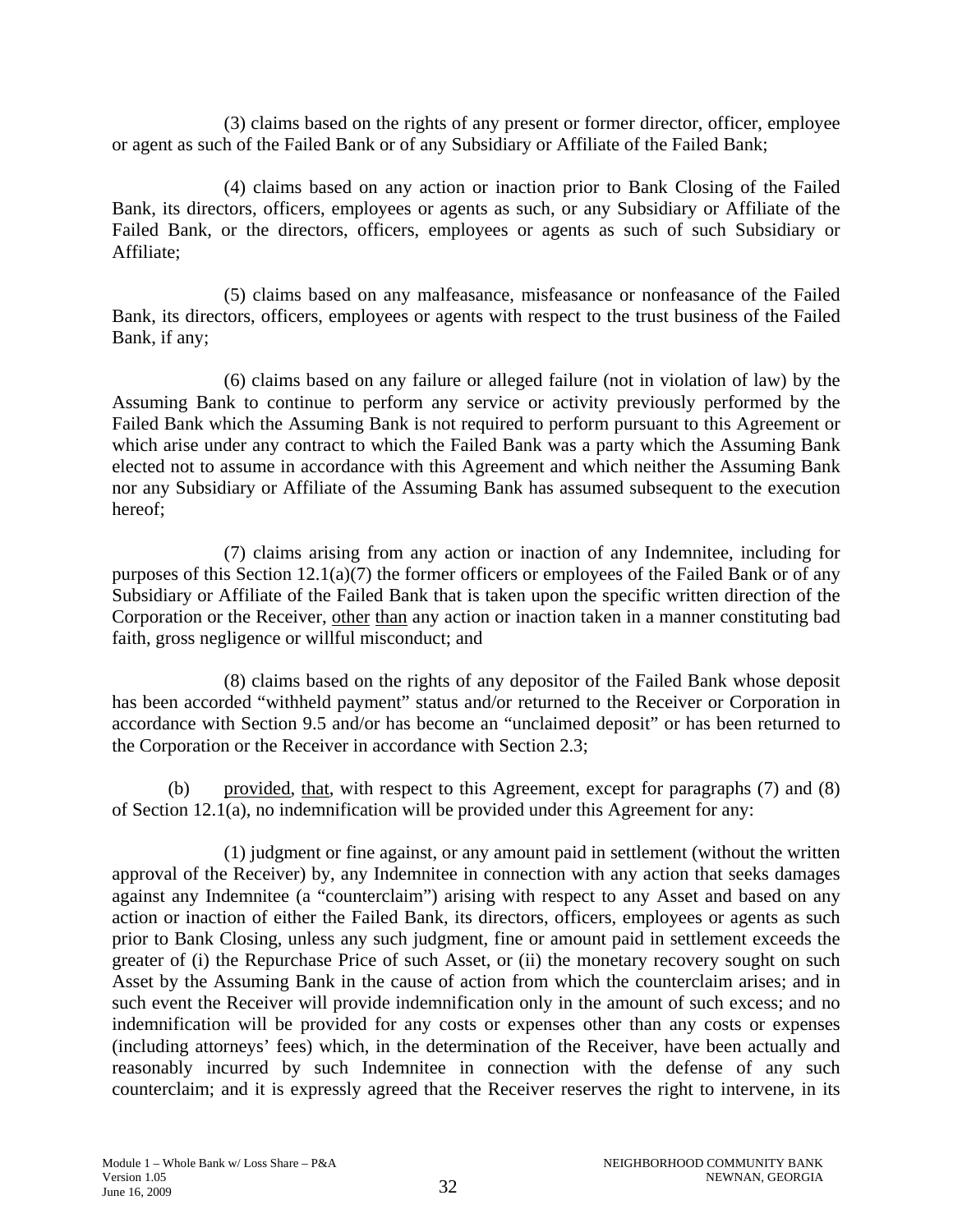(3) claims based on the rights of any present or former director, officer, employee or agent as such of the Failed Bank or of any Subsidiary or Affiliate of the Failed Bank;

(4) claims based on any action or inaction prior to Bank Closing of the Failed Bank, its directors, officers, employees or agents as such, or any Subsidiary or Affiliate of the Failed Bank, or the directors, officers, employees or agents as such of such Subsidiary or Affiliate;

(5) claims based on any malfeasance, misfeasance or nonfeasance of the Failed Bank, its directors, officers, employees or agents with respect to the trust business of the Failed Bank, if any;

(6) claims based on any failure or alleged failure (not in violation of law) by the Assuming Bank to continue to perform any service or activity previously performed by the Failed Bank which the Assuming Bank is not required to perform pursuant to this Agreement or which arise under any contract to which the Failed Bank was a party which the Assuming Bank elected not to assume in accordance with this Agreement and which neither the Assuming Bank nor any Subsidiary or Affiliate of the Assuming Bank has assumed subsequent to the execution hereof;

(7) claims arising from any action or inaction of any Indemnitee, including for purposes of this Section 12.1(a)(7) the former officers or employees of the Failed Bank or of any Subsidiary or Affiliate of the Failed Bank that is taken upon the specific written direction of the Corporation or the Receiver, other than any action or inaction taken in a manner constituting bad faith, gross negligence or willful misconduct; and

(8) claims based on the rights of any depositor of the Failed Bank whose deposit has been accorded "withheld payment" status and/or returned to the Receiver or Corporation in accordance with Section 9.5 and/or has become an "unclaimed deposit" or has been returned to the Corporation or the Receiver in accordance with Section 2.3;

(b) provided, that, with respect to this Agreement, except for paragraphs (7) and (8) of Section 12.1(a), no indemnification will be provided under this Agreement for any:

(1) judgment or fine against, or any amount paid in settlement (without the written approval of the Receiver) by, any Indemnitee in connection with any action that seeks damages against any Indemnitee (a "counterclaim") arising with respect to any Asset and based on any action or inaction of either the Failed Bank, its directors, officers, employees or agents as such prior to Bank Closing, unless any such judgment, fine or amount paid in settlement exceeds the greater of (i) the Repurchase Price of such Asset, or (ii) the monetary recovery sought on such Asset by the Assuming Bank in the cause of action from which the counterclaim arises; and in such event the Receiver will provide indemnification only in the amount of such excess; and no indemnification will be provided for any costs or expenses other than any costs or expenses (including attorneys' fees) which, in the determination of the Receiver, have been actually and reasonably incurred by such Indemnitee in connection with the defense of any such counterclaim; and it is expressly agreed that the Receiver reserves the right to intervene, in its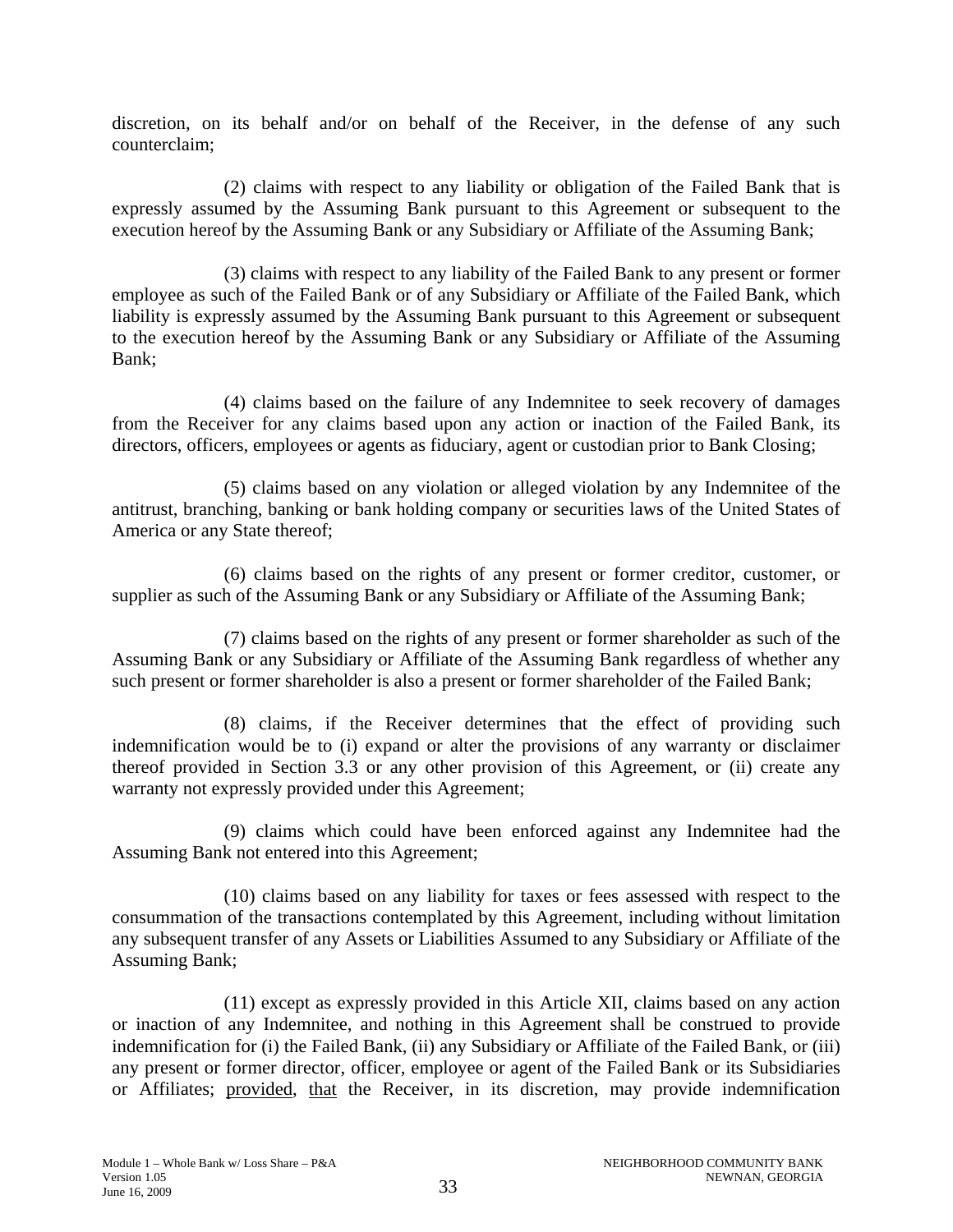discretion, on its behalf and/or on behalf of the Receiver, in the defense of any such counterclaim;

(2) claims with respect to any liability or obligation of the Failed Bank that is expressly assumed by the Assuming Bank pursuant to this Agreement or subsequent to the execution hereof by the Assuming Bank or any Subsidiary or Affiliate of the Assuming Bank;

(3) claims with respect to any liability of the Failed Bank to any present or former employee as such of the Failed Bank or of any Subsidiary or Affiliate of the Failed Bank, which liability is expressly assumed by the Assuming Bank pursuant to this Agreement or subsequent to the execution hereof by the Assuming Bank or any Subsidiary or Affiliate of the Assuming Bank;

(4) claims based on the failure of any Indemnitee to seek recovery of damages from the Receiver for any claims based upon any action or inaction of the Failed Bank, its directors, officers, employees or agents as fiduciary, agent or custodian prior to Bank Closing;

(5) claims based on any violation or alleged violation by any Indemnitee of the antitrust, branching, banking or bank holding company or securities laws of the United States of America or any State thereof;

(6) claims based on the rights of any present or former creditor, customer, or supplier as such of the Assuming Bank or any Subsidiary or Affiliate of the Assuming Bank;

(7) claims based on the rights of any present or former shareholder as such of the Assuming Bank or any Subsidiary or Affiliate of the Assuming Bank regardless of whether any such present or former shareholder is also a present or former shareholder of the Failed Bank;

(8) claims, if the Receiver determines that the effect of providing such indemnification would be to (i) expand or alter the provisions of any warranty or disclaimer thereof provided in Section 3.3 or any other provision of this Agreement, or (ii) create any warranty not expressly provided under this Agreement;

(9) claims which could have been enforced against any Indemnitee had the Assuming Bank not entered into this Agreement;

(10) claims based on any liability for taxes or fees assessed with respect to the consummation of the transactions contemplated by this Agreement, including without limitation any subsequent transfer of any Assets or Liabilities Assumed to any Subsidiary or Affiliate of the Assuming Bank;

(11) except as expressly provided in this Article XII, claims based on any action or inaction of any Indemnitee, and nothing in this Agreement shall be construed to provide indemnification for (i) the Failed Bank, (ii) any Subsidiary or Affiliate of the Failed Bank, or (iii) any present or former director, officer, employee or agent of the Failed Bank or its Subsidiaries or Affiliates; provided, that the Receiver, in its discretion, may provide indemnification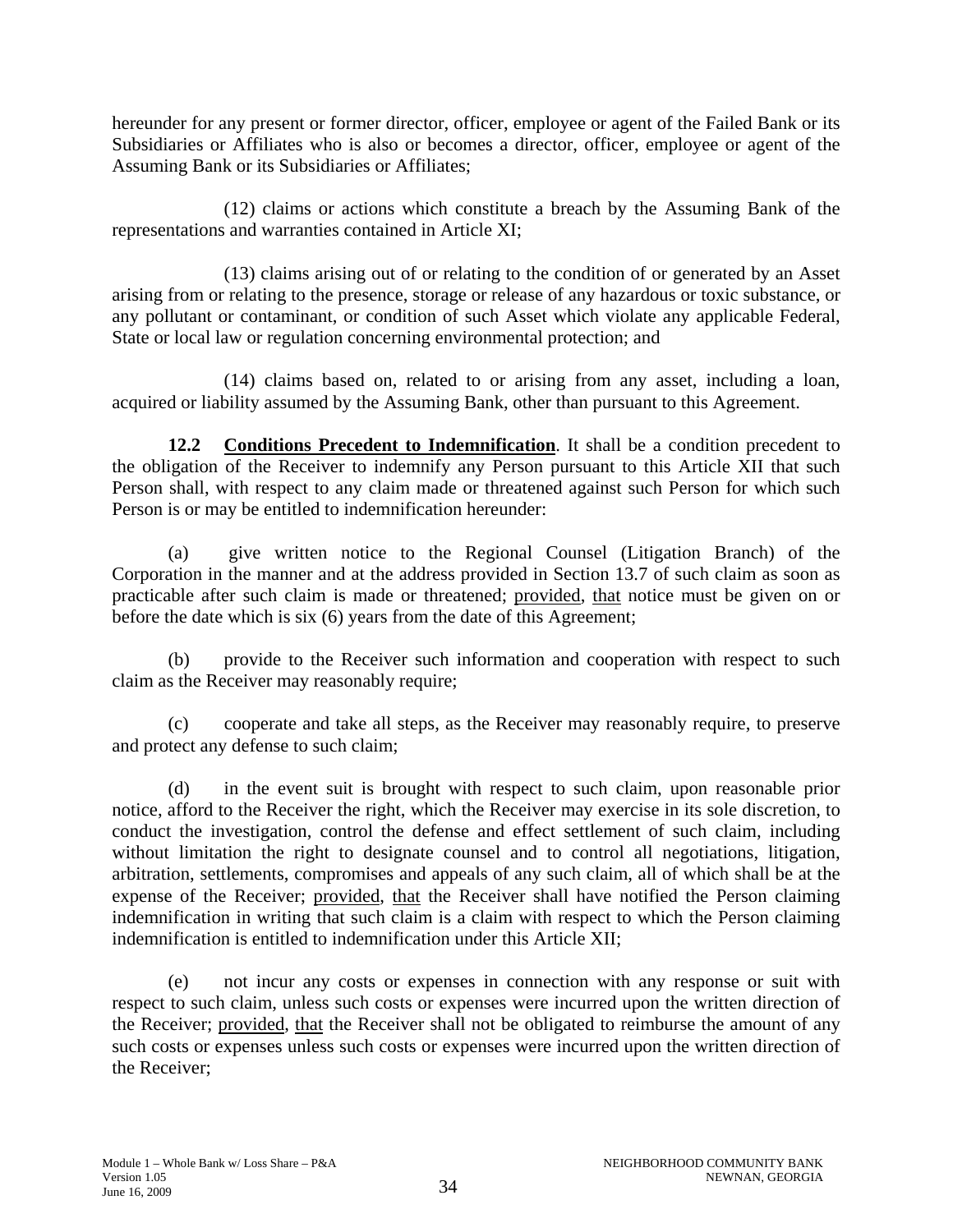hereunder for any present or former director, officer, employee or agent of the Failed Bank or its Subsidiaries or Affiliates who is also or becomes a director, officer, employee or agent of the Assuming Bank or its Subsidiaries or Affiliates;

(12) claims or actions which constitute a breach by the Assuming Bank of the representations and warranties contained in Article XI;

(13) claims arising out of or relating to the condition of or generated by an Asset arising from or relating to the presence, storage or release of any hazardous or toxic substance, or any pollutant or contaminant, or condition of such Asset which violate any applicable Federal, State or local law or regulation concerning environmental protection; and

(14) claims based on, related to or arising from any asset, including a loan, acquired or liability assumed by the Assuming Bank, other than pursuant to this Agreement.

**12.2 Conditions Precedent to Indemnification**. It shall be a condition precedent to the obligation of the Receiver to indemnify any Person pursuant to this Article XII that such Person shall, with respect to any claim made or threatened against such Person for which such Person is or may be entitled to indemnification hereunder:

(a) give written notice to the Regional Counsel (Litigation Branch) of the Corporation in the manner and at the address provided in Section 13.7 of such claim as soon as practicable after such claim is made or threatened; provided, that notice must be given on or before the date which is six (6) years from the date of this Agreement;

(b) provide to the Receiver such information and cooperation with respect to such claim as the Receiver may reasonably require;

(c) cooperate and take all steps, as the Receiver may reasonably require, to preserve and protect any defense to such claim;

(d) in the event suit is brought with respect to such claim, upon reasonable prior notice, afford to the Receiver the right, which the Receiver may exercise in its sole discretion, to conduct the investigation, control the defense and effect settlement of such claim, including without limitation the right to designate counsel and to control all negotiations, litigation, arbitration, settlements, compromises and appeals of any such claim, all of which shall be at the expense of the Receiver; provided, that the Receiver shall have notified the Person claiming indemnification in writing that such claim is a claim with respect to which the Person claiming indemnification is entitled to indemnification under this Article XII;

(e) not incur any costs or expenses in connection with any response or suit with respect to such claim, unless such costs or expenses were incurred upon the written direction of the Receiver; provided, that the Receiver shall not be obligated to reimburse the amount of any such costs or expenses unless such costs or expenses were incurred upon the written direction of the Receiver;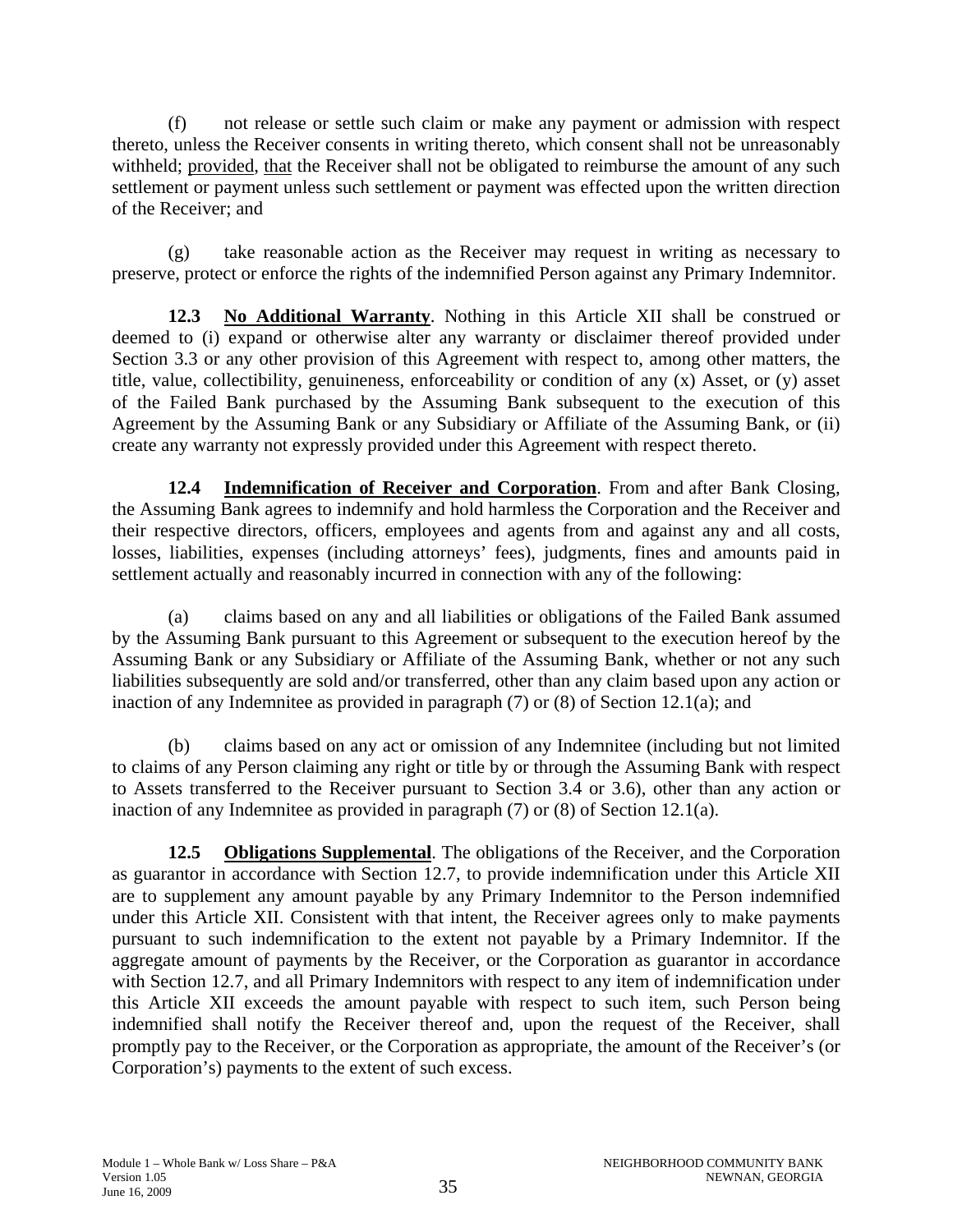(f) not release or settle such claim or make any payment or admission with respect thereto, unless the Receiver consents in writing thereto, which consent shall not be unreasonably withheld; provided, that the Receiver shall not be obligated to reimburse the amount of any such settlement or payment unless such settlement or payment was effected upon the written direction of the Receiver; and

(g) take reasonable action as the Receiver may request in writing as necessary to preserve, protect or enforce the rights of the indemnified Person against any Primary Indemnitor.

**12.3 No Additional Warranty**. Nothing in this Article XII shall be construed or deemed to (i) expand or otherwise alter any warranty or disclaimer thereof provided under Section 3.3 or any other provision of this Agreement with respect to, among other matters, the title, value, collectibility, genuineness, enforceability or condition of any (x) Asset, or (y) asset of the Failed Bank purchased by the Assuming Bank subsequent to the execution of this Agreement by the Assuming Bank or any Subsidiary or Affiliate of the Assuming Bank, or (ii) create any warranty not expressly provided under this Agreement with respect thereto.

**12.4 Indemnification of Receiver and Corporation**. From and after Bank Closing, the Assuming Bank agrees to indemnify and hold harmless the Corporation and the Receiver and their respective directors, officers, employees and agents from and against any and all costs, losses, liabilities, expenses (including attorneys' fees), judgments, fines and amounts paid in settlement actually and reasonably incurred in connection with any of the following:

(a) claims based on any and all liabilities or obligations of the Failed Bank assumed by the Assuming Bank pursuant to this Agreement or subsequent to the execution hereof by the Assuming Bank or any Subsidiary or Affiliate of the Assuming Bank, whether or not any such liabilities subsequently are sold and/or transferred, other than any claim based upon any action or inaction of any Indemnitee as provided in paragraph (7) or (8) of Section 12.1(a); and

(b) claims based on any act or omission of any Indemnitee (including but not limited to claims of any Person claiming any right or title by or through the Assuming Bank with respect to Assets transferred to the Receiver pursuant to Section 3.4 or 3.6), other than any action or inaction of any Indemnitee as provided in paragraph (7) or (8) of Section 12.1(a).

**12.5 Obligations Supplemental**. The obligations of the Receiver, and the Corporation as guarantor in accordance with Section 12.7, to provide indemnification under this Article XII are to supplement any amount payable by any Primary Indemnitor to the Person indemnified under this Article XII. Consistent with that intent, the Receiver agrees only to make payments pursuant to such indemnification to the extent not payable by a Primary Indemnitor. If the aggregate amount of payments by the Receiver, or the Corporation as guarantor in accordance with Section 12.7, and all Primary Indemnitors with respect to any item of indemnification under this Article XII exceeds the amount payable with respect to such item, such Person being indemnified shall notify the Receiver thereof and, upon the request of the Receiver, shall promptly pay to the Receiver, or the Corporation as appropriate, the amount of the Receiver's (or Corporation's) payments to the extent of such excess.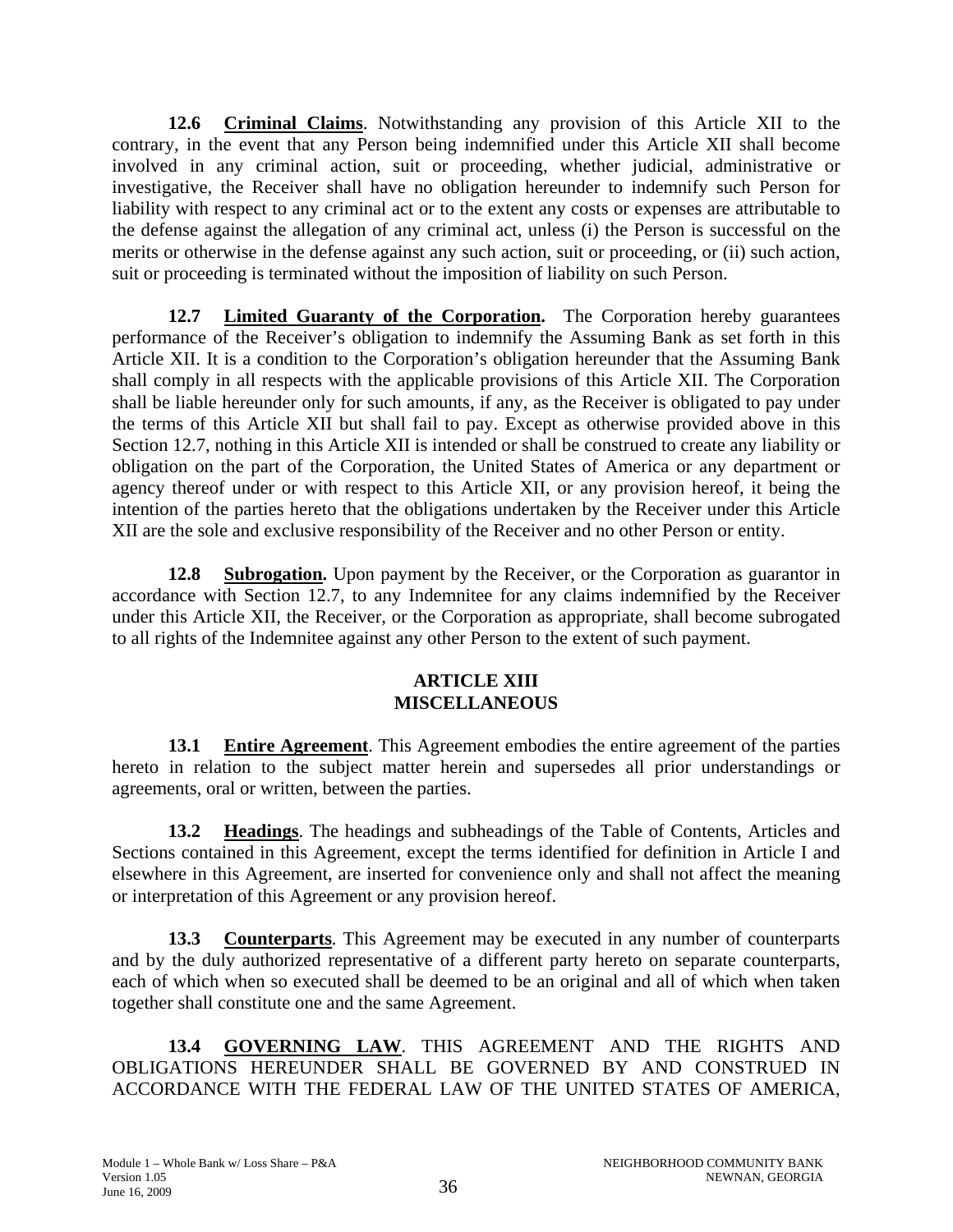**12.6 Criminal Claims**. Notwithstanding any provision of this Article XII to the contrary, in the event that any Person being indemnified under this Article XII shall become involved in any criminal action, suit or proceeding, whether judicial, administrative or investigative, the Receiver shall have no obligation hereunder to indemnify such Person for liability with respect to any criminal act or to the extent any costs or expenses are attributable to the defense against the allegation of any criminal act, unless (i) the Person is successful on the merits or otherwise in the defense against any such action, suit or proceeding, or (ii) such action, suit or proceeding is terminated without the imposition of liability on such Person.

**12.7 Limited Guaranty of the Corporation.** The Corporation hereby guarantees performance of the Receiver's obligation to indemnify the Assuming Bank as set forth in this Article XII. It is a condition to the Corporation's obligation hereunder that the Assuming Bank shall comply in all respects with the applicable provisions of this Article XII. The Corporation shall be liable hereunder only for such amounts, if any, as the Receiver is obligated to pay under the terms of this Article XII but shall fail to pay. Except as otherwise provided above in this Section 12.7, nothing in this Article XII is intended or shall be construed to create any liability or obligation on the part of the Corporation, the United States of America or any department or agency thereof under or with respect to this Article XII, or any provision hereof, it being the intention of the parties hereto that the obligations undertaken by the Receiver under this Article XII are the sole and exclusive responsibility of the Receiver and no other Person or entity.

**12.8 Subrogation.** Upon payment by the Receiver, or the Corporation as guarantor in accordance with Section 12.7, to any Indemnitee for any claims indemnified by the Receiver under this Article XII, the Receiver, or the Corporation as appropriate, shall become subrogated to all rights of the Indemnitee against any other Person to the extent of such payment.

### **ARTICLE XIII MISCELLANEOUS**

**13.1 Entire Agreement**. This Agreement embodies the entire agreement of the parties hereto in relation to the subject matter herein and supersedes all prior understandings or agreements, oral or written, between the parties.

**13.2 Headings**. The headings and subheadings of the Table of Contents, Articles and Sections contained in this Agreement, except the terms identified for definition in Article I and elsewhere in this Agreement, are inserted for convenience only and shall not affect the meaning or interpretation of this Agreement or any provision hereof.

**13.3 Counterparts**. This Agreement may be executed in any number of counterparts and by the duly authorized representative of a different party hereto on separate counterparts, each of which when so executed shall be deemed to be an original and all of which when taken together shall constitute one and the same Agreement.

**13.4 GOVERNING LAW**. THIS AGREEMENT AND THE RIGHTS AND OBLIGATIONS HEREUNDER SHALL BE GOVERNED BY AND CONSTRUED IN ACCORDANCE WITH THE FEDERAL LAW OF THE UNITED STATES OF AMERICA,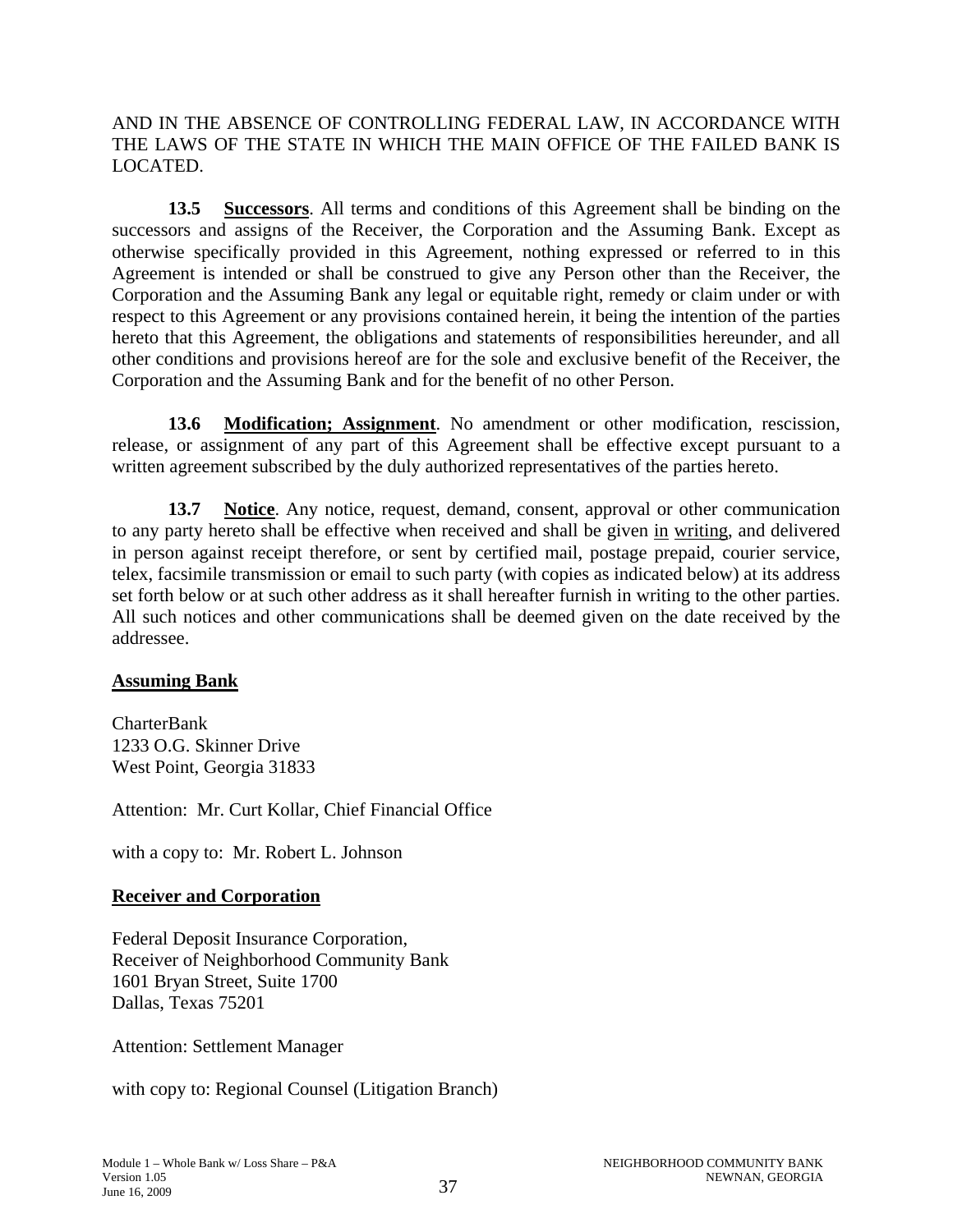AND IN THE ABSENCE OF CONTROLLING FEDERAL LAW, IN ACCORDANCE WITH THE LAWS OF THE STATE IN WHICH THE MAIN OFFICE OF THE FAILED BANK IS LOCATED.

 **13.5 Successors**. All terms and conditions of this Agreement shall be binding on the successors and assigns of the Receiver, the Corporation and the Assuming Bank. Except as otherwise specifically provided in this Agreement, nothing expressed or referred to in this Agreement is intended or shall be construed to give any Person other than the Receiver, the Corporation and the Assuming Bank any legal or equitable right, remedy or claim under or with respect to this Agreement or any provisions contained herein, it being the intention of the parties hereto that this Agreement, the obligations and statements of responsibilities hereunder, and all other conditions and provisions hereof are for the sole and exclusive benefit of the Receiver, the Corporation and the Assuming Bank and for the benefit of no other Person.

**13.6 Modification; Assignment**. No amendment or other modification, rescission, release, or assignment of any part of this Agreement shall be effective except pursuant to a written agreement subscribed by the duly authorized representatives of the parties hereto.

**13.7** Notice. Any notice, request, demand, consent, approval or other communication to any party hereto shall be effective when received and shall be given in writing, and delivered in person against receipt therefore, or sent by certified mail, postage prepaid, courier service, telex, facsimile transmission or email to such party (with copies as indicated below) at its address set forth below or at such other address as it shall hereafter furnish in writing to the other parties. All such notices and other communications shall be deemed given on the date received by the addressee.

### **Assuming Bank**

**CharterBank** 1233 O.G. Skinner Drive West Point, Georgia 31833

Attention: Mr. Curt Kollar, Chief Financial Office

with a copy to: Mr. Robert L. Johnson

# **Receiver and Corporation**

Federal Deposit Insurance Corporation, Receiver of Neighborhood Community Bank 1601 Bryan Street, Suite 1700 Dallas, Texas 75201

Attention: Settlement Manager

with copy to: Regional Counsel (Litigation Branch)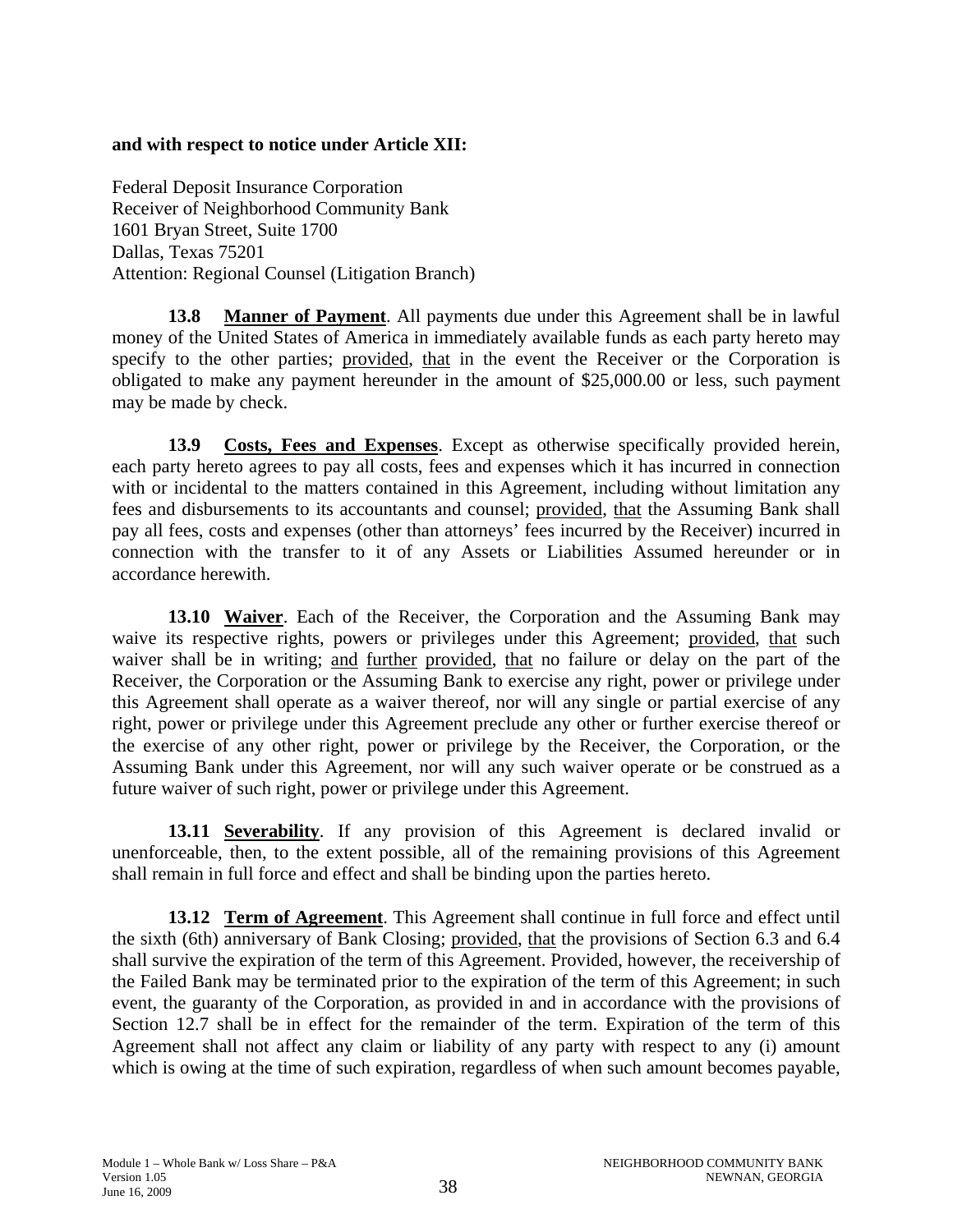### **and with respect to notice under Article XII:**

Federal Deposit Insurance Corporation Receiver of Neighborhood Community Bank 1601 Bryan Street, Suite 1700 Dallas, Texas 75201 Attention: Regional Counsel (Litigation Branch)

 **13.8 Manner of Payment**. All payments due under this Agreement shall be in lawful money of the United States of America in immediately available funds as each party hereto may specify to the other parties; provided, that in the event the Receiver or the Corporation is obligated to make any payment hereunder in the amount of \$25,000.00 or less, such payment may be made by check.

**13.9 Costs, Fees and Expenses**. Except as otherwise specifically provided herein, each party hereto agrees to pay all costs, fees and expenses which it has incurred in connection with or incidental to the matters contained in this Agreement, including without limitation any fees and disbursements to its accountants and counsel; provided, that the Assuming Bank shall pay all fees, costs and expenses (other than attorneys' fees incurred by the Receiver) incurred in connection with the transfer to it of any Assets or Liabilities Assumed hereunder or in accordance herewith.

**13.10 Waiver**. Each of the Receiver, the Corporation and the Assuming Bank may waive its respective rights, powers or privileges under this Agreement; provided, that such waiver shall be in writing; and further provided, that no failure or delay on the part of the Receiver, the Corporation or the Assuming Bank to exercise any right, power or privilege under this Agreement shall operate as a waiver thereof, nor will any single or partial exercise of any right, power or privilege under this Agreement preclude any other or further exercise thereof or the exercise of any other right, power or privilege by the Receiver, the Corporation, or the Assuming Bank under this Agreement, nor will any such waiver operate or be construed as a future waiver of such right, power or privilege under this Agreement.

**13.11 Severability**. If any provision of this Agreement is declared invalid or unenforceable, then, to the extent possible, all of the remaining provisions of this Agreement shall remain in full force and effect and shall be binding upon the parties hereto.

**13.12 Term of Agreement**. This Agreement shall continue in full force and effect until the sixth (6th) anniversary of Bank Closing; provided, that the provisions of Section 6.3 and 6.4 shall survive the expiration of the term of this Agreement. Provided, however, the receivership of the Failed Bank may be terminated prior to the expiration of the term of this Agreement; in such event, the guaranty of the Corporation, as provided in and in accordance with the provisions of Section 12.7 shall be in effect for the remainder of the term. Expiration of the term of this Agreement shall not affect any claim or liability of any party with respect to any (i) amount which is owing at the time of such expiration, regardless of when such amount becomes payable,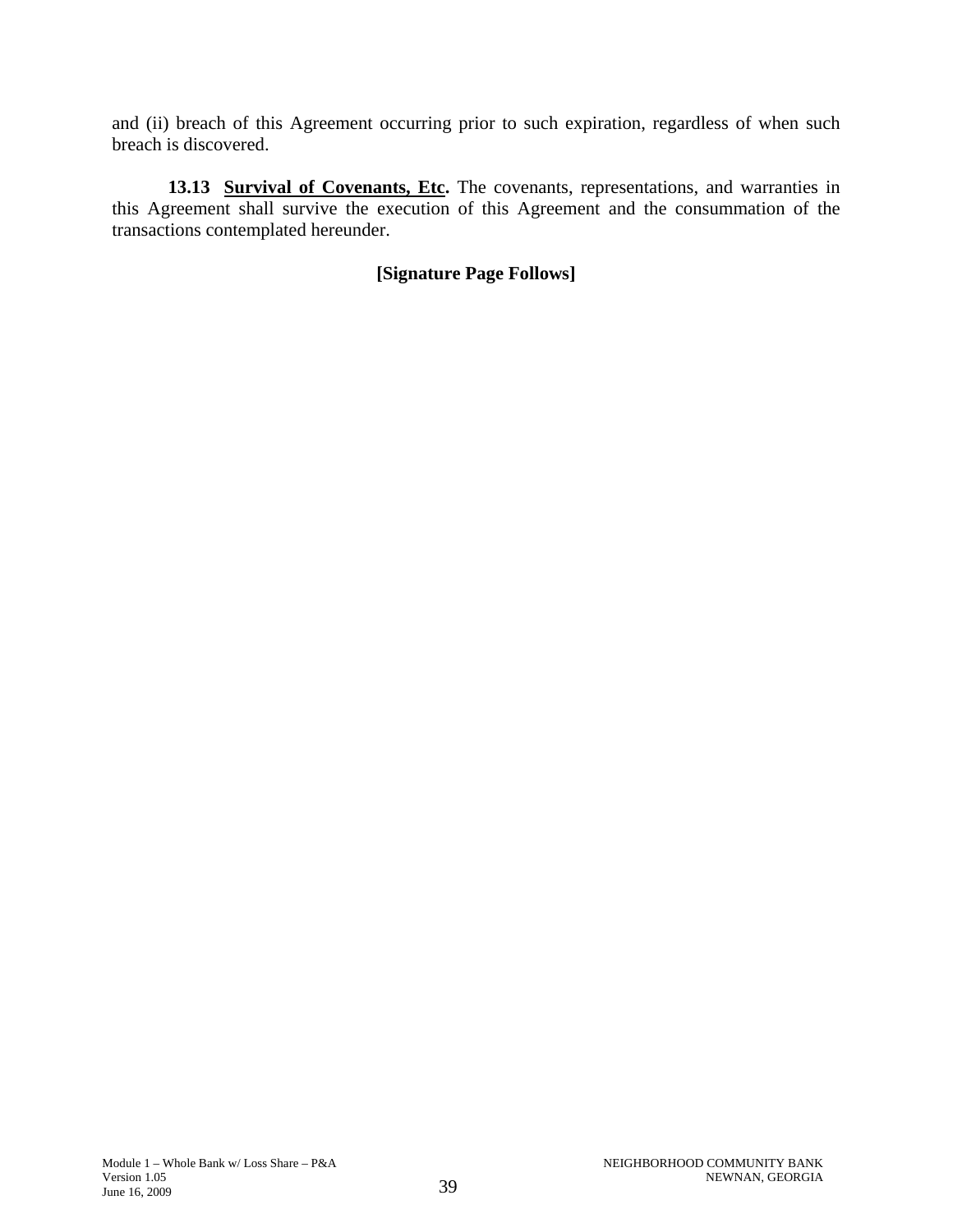and (ii) breach of this Agreement occurring prior to such expiration, regardless of when such breach is discovered.

13.13 **Survival of Covenants, Etc.** The covenants, representations, and warranties in this Agreement shall survive the execution of this Agreement and the consummation of the transactions contemplated hereunder.

### **[Signature Page Follows]**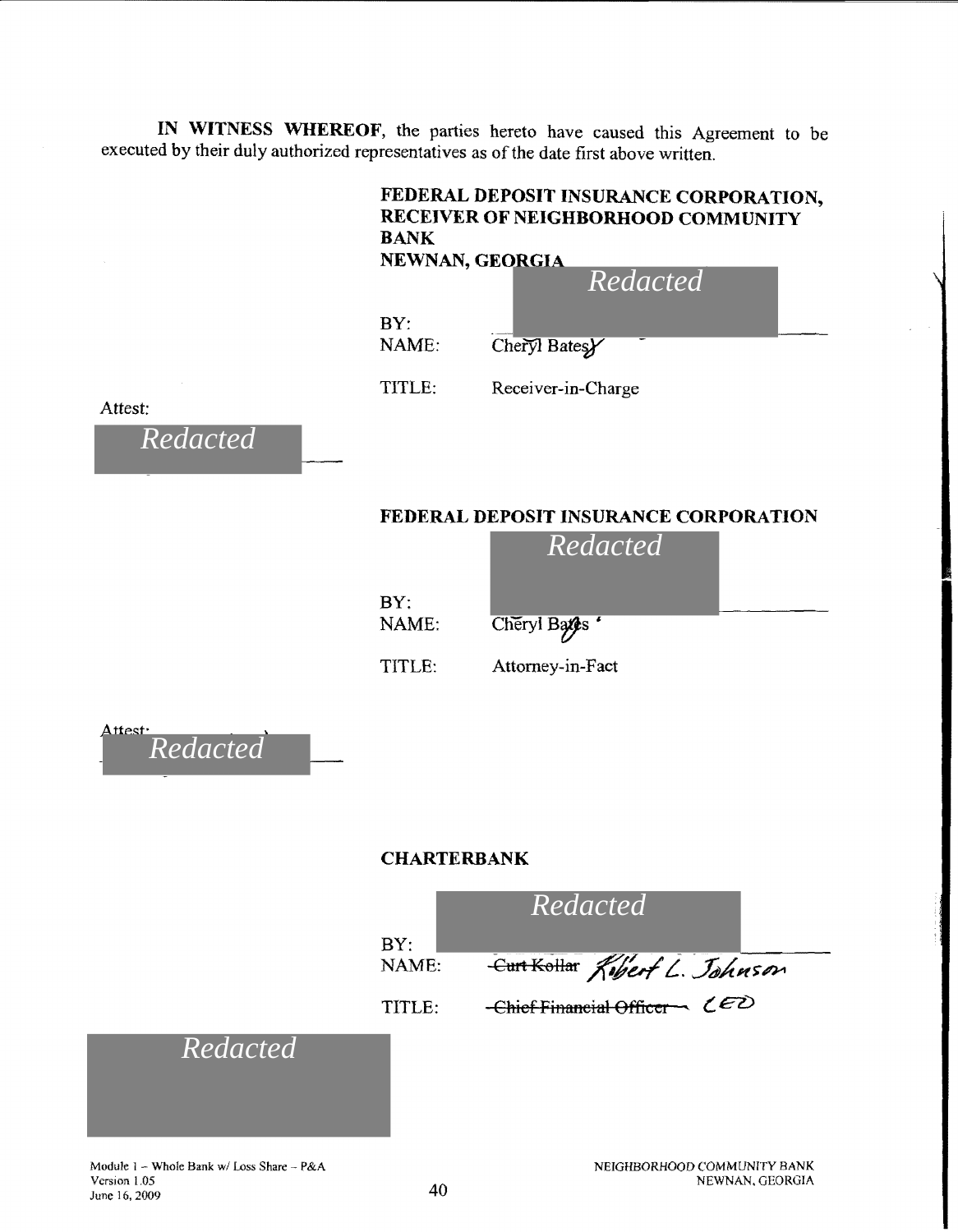IN WITNESS WHEREOF, the parties hereto have caused this Agreement to be executed by their duly authorized representatives as of the date first above written.

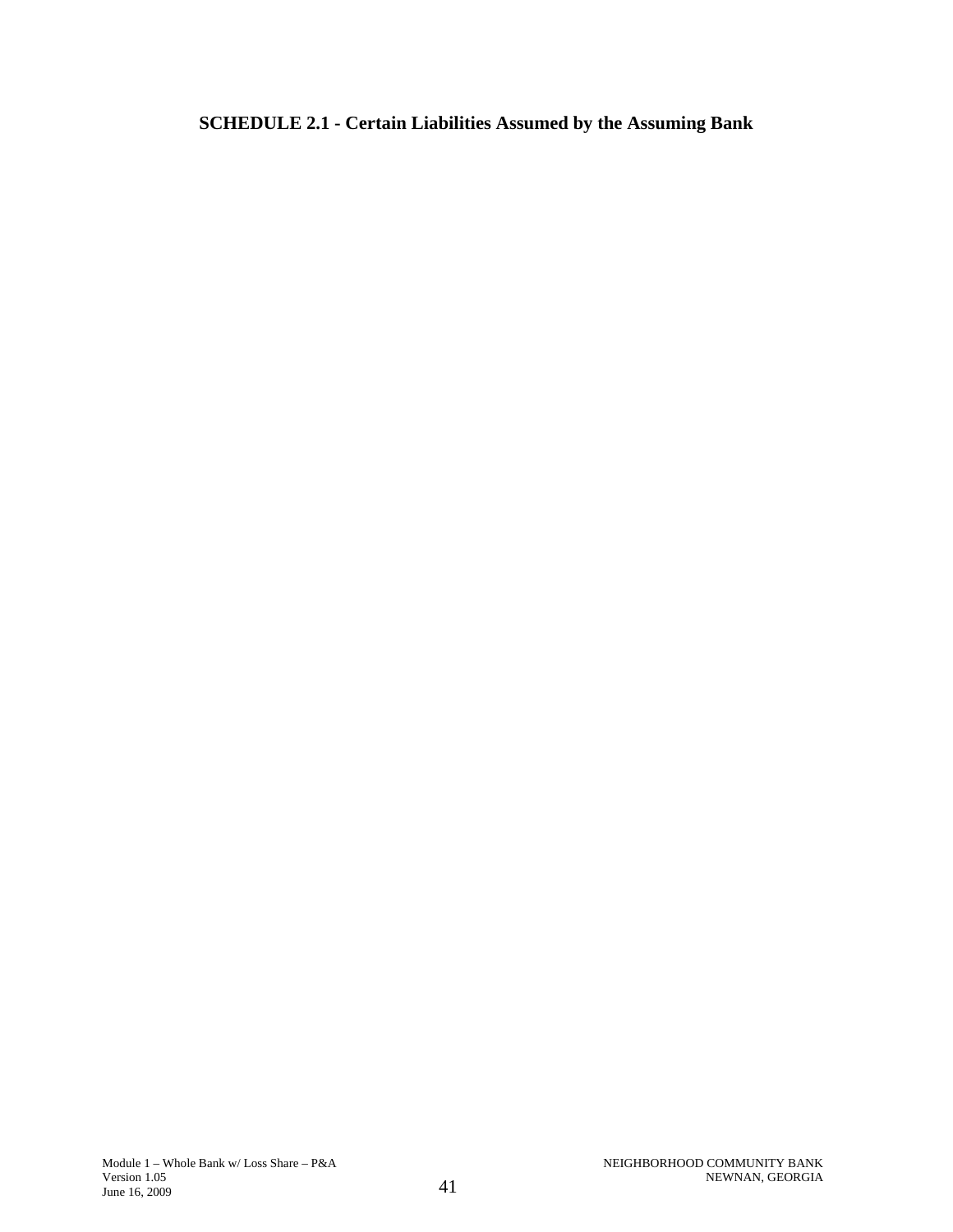**SCHEDULE 2.1 - Certain Liabilities Assumed by the Assuming Bank**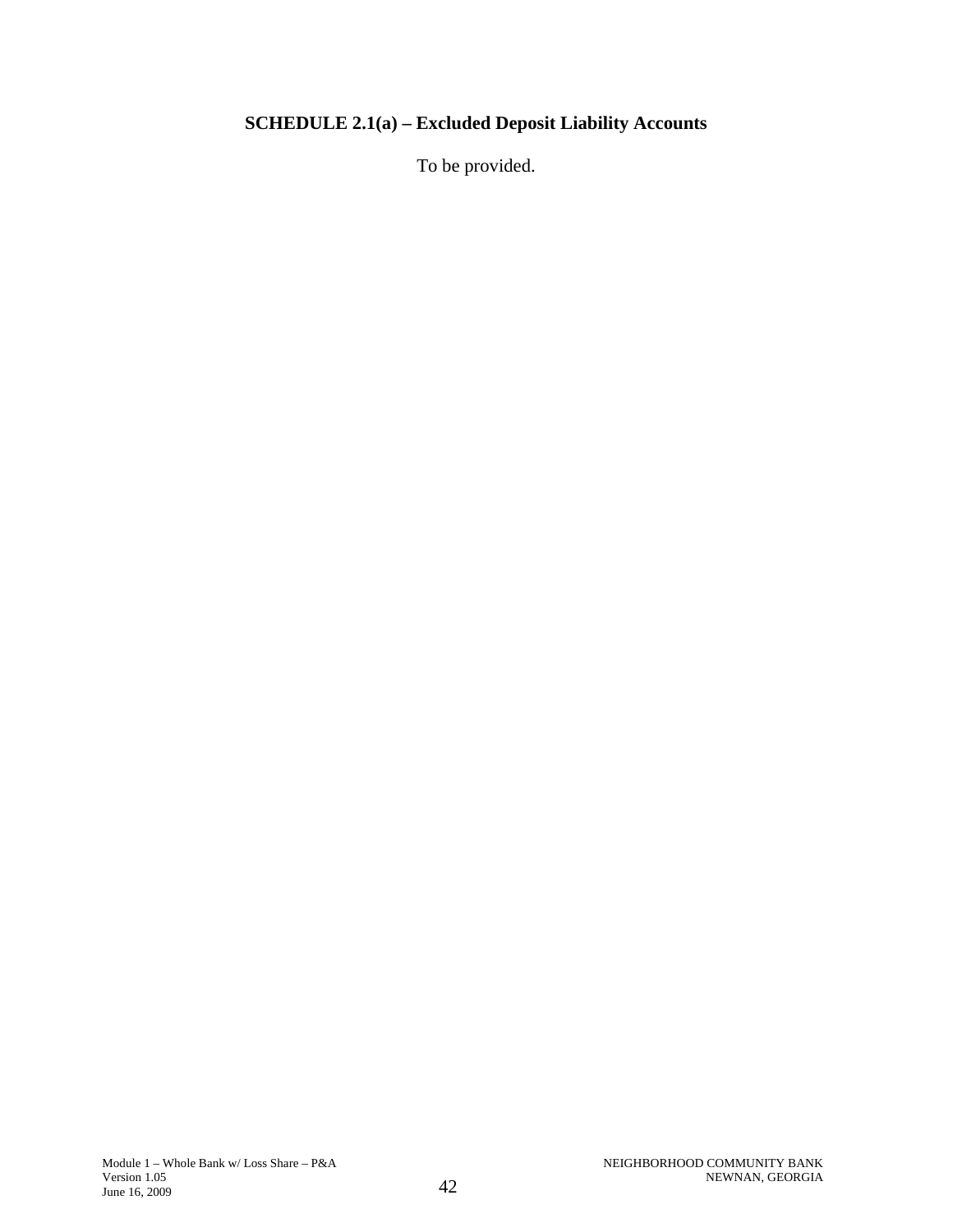# **SCHEDULE 2.1(a) – Excluded Deposit Liability Accounts**

To be provided.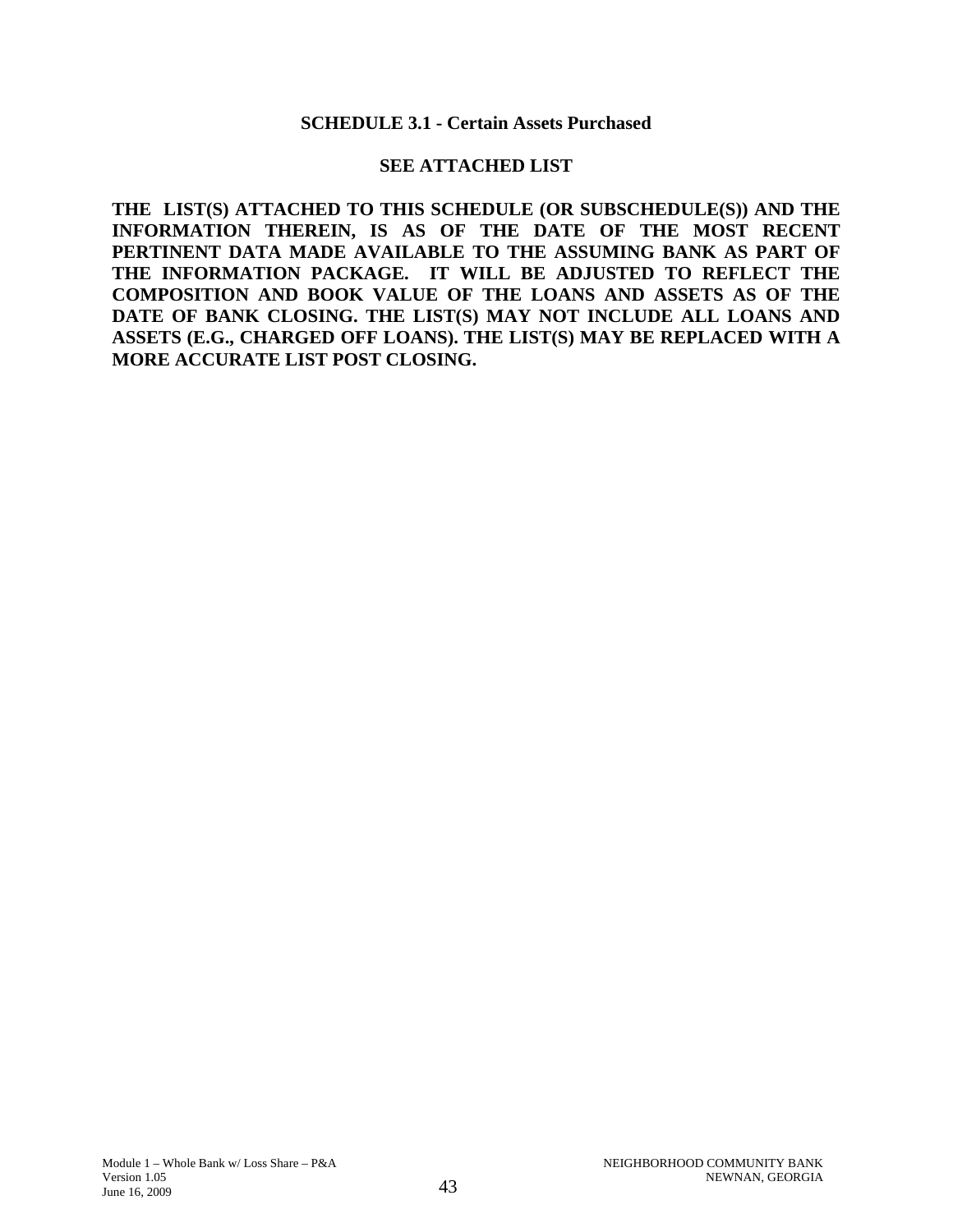#### **SCHEDULE 3.1 - Certain Assets Purchased**

#### **SEE ATTACHED LIST**

**THE LIST(S) ATTACHED TO THIS SCHEDULE (OR SUBSCHEDULE(S)) AND THE INFORMATION THEREIN, IS AS OF THE DATE OF THE MOST RECENT PERTINENT DATA MADE AVAILABLE TO THE ASSUMING BANK AS PART OF THE INFORMATION PACKAGE. IT WILL BE ADJUSTED TO REFLECT THE COMPOSITION AND BOOK VALUE OF THE LOANS AND ASSETS AS OF THE DATE OF BANK CLOSING. THE LIST(S) MAY NOT INCLUDE ALL LOANS AND ASSETS (E.G., CHARGED OFF LOANS). THE LIST(S) MAY BE REPLACED WITH A MORE ACCURATE LIST POST CLOSING.**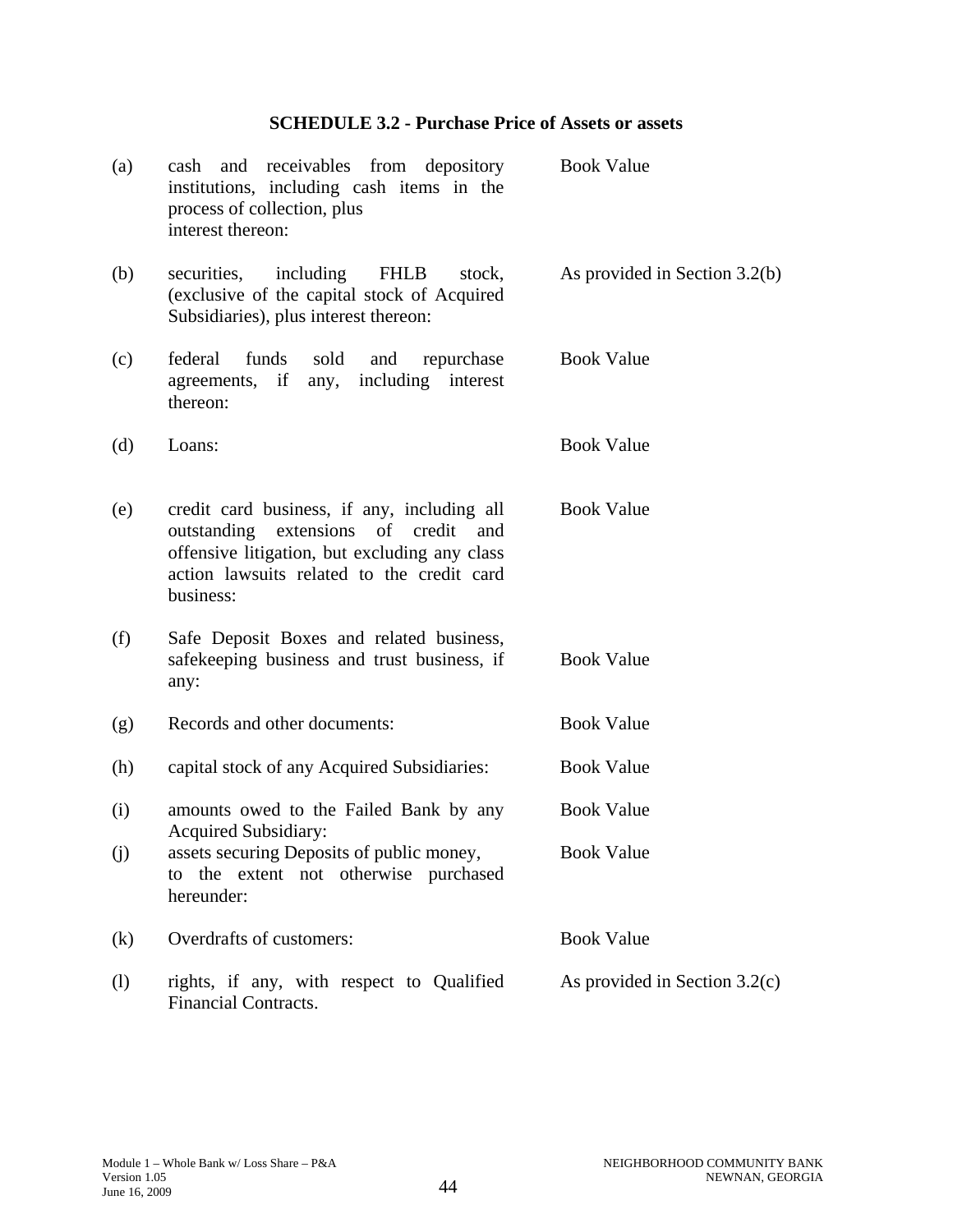# **SCHEDULE 3.2 - Purchase Price of Assets or assets**

| (a) | cash and receivables from depository<br>institutions, including cash items in the<br>process of collection, plus<br>interest thereon:                                                              | <b>Book Value</b>               |
|-----|----------------------------------------------------------------------------------------------------------------------------------------------------------------------------------------------------|---------------------------------|
| (b) | including<br><b>FHLB</b><br>stock,<br>securities,<br>(exclusive of the capital stock of Acquired<br>Subsidiaries), plus interest thereon:                                                          | As provided in Section $3.2(b)$ |
| (c) | federal<br>funds<br>sold<br>and<br>repurchase<br>any, including interest<br>agreements, if<br>thereon:                                                                                             | <b>Book Value</b>               |
| (d) | Loans:                                                                                                                                                                                             | <b>Book Value</b>               |
| (e) | credit card business, if any, including all<br>outstanding extensions of credit<br>and<br>offensive litigation, but excluding any class<br>action lawsuits related to the credit card<br>business: | <b>Book Value</b>               |
| (f) | Safe Deposit Boxes and related business,<br>safekeeping business and trust business, if<br>any:                                                                                                    | <b>Book Value</b>               |
| (g) | Records and other documents:                                                                                                                                                                       | <b>Book Value</b>               |
| (h) | capital stock of any Acquired Subsidiaries:                                                                                                                                                        | <b>Book Value</b>               |
| (i) | amounts owed to the Failed Bank by any<br><b>Acquired Subsidiary:</b>                                                                                                                              | <b>Book Value</b>               |
| (j) | assets securing Deposits of public money,<br>to the extent not otherwise purchased<br>hereunder:                                                                                                   | <b>Book Value</b>               |
| (k) | Overdrafts of customers:                                                                                                                                                                           | <b>Book Value</b>               |
| (1) | rights, if any, with respect to Qualified<br>Financial Contracts.                                                                                                                                  | As provided in Section $3.2(c)$ |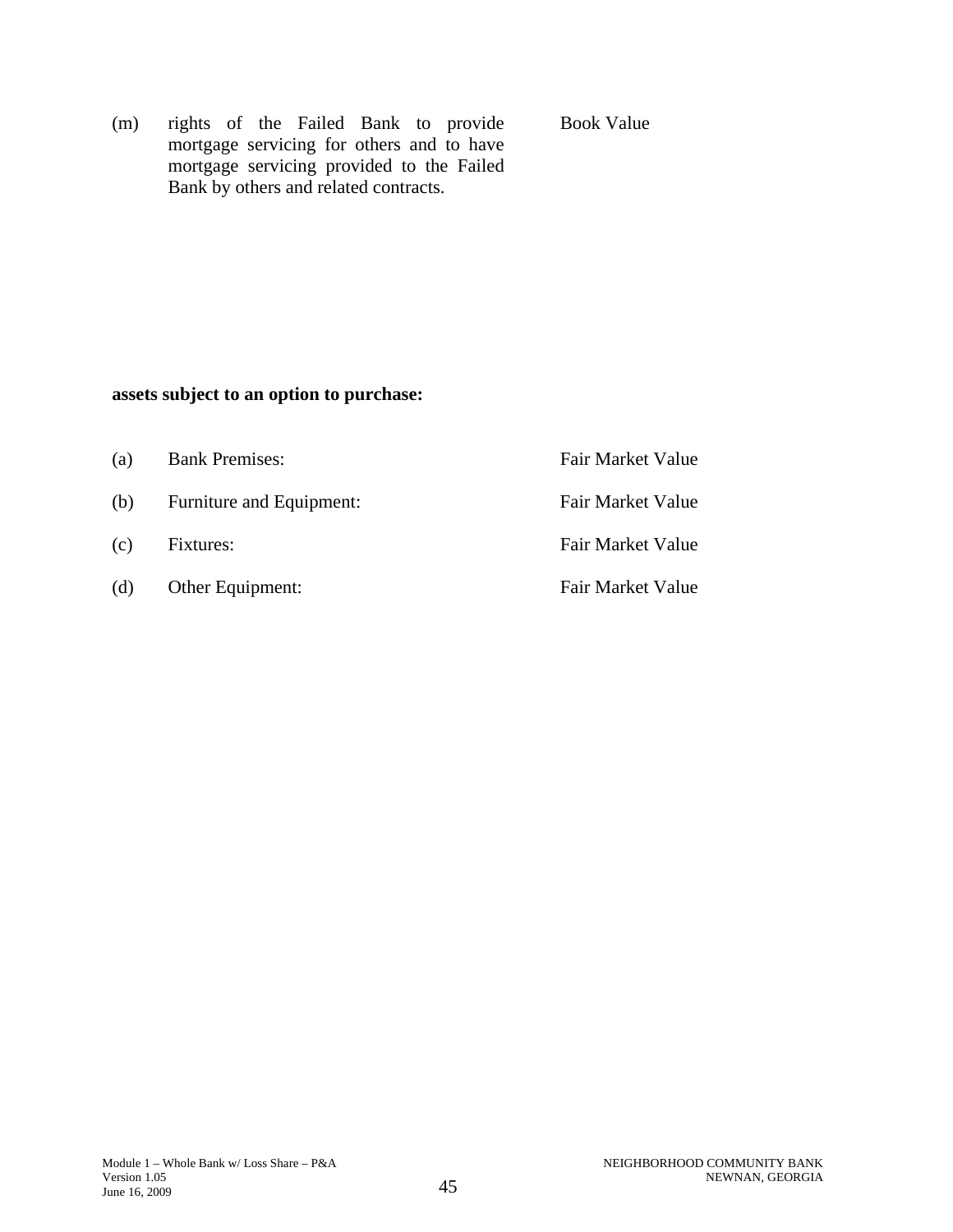(m) rights of the Failed Bank to provide Book Value mortgage servicing for others and to have mortgage servicing provided to the Failed Bank by others and related contracts.

### **assets subject to an option to purchase:**

(a) Bank Premises: Fair Market Value (b) Furniture and Equipment: Fair Market Value (c) Fixtures: Fair Market Value (d) Other Equipment: Fair Market Value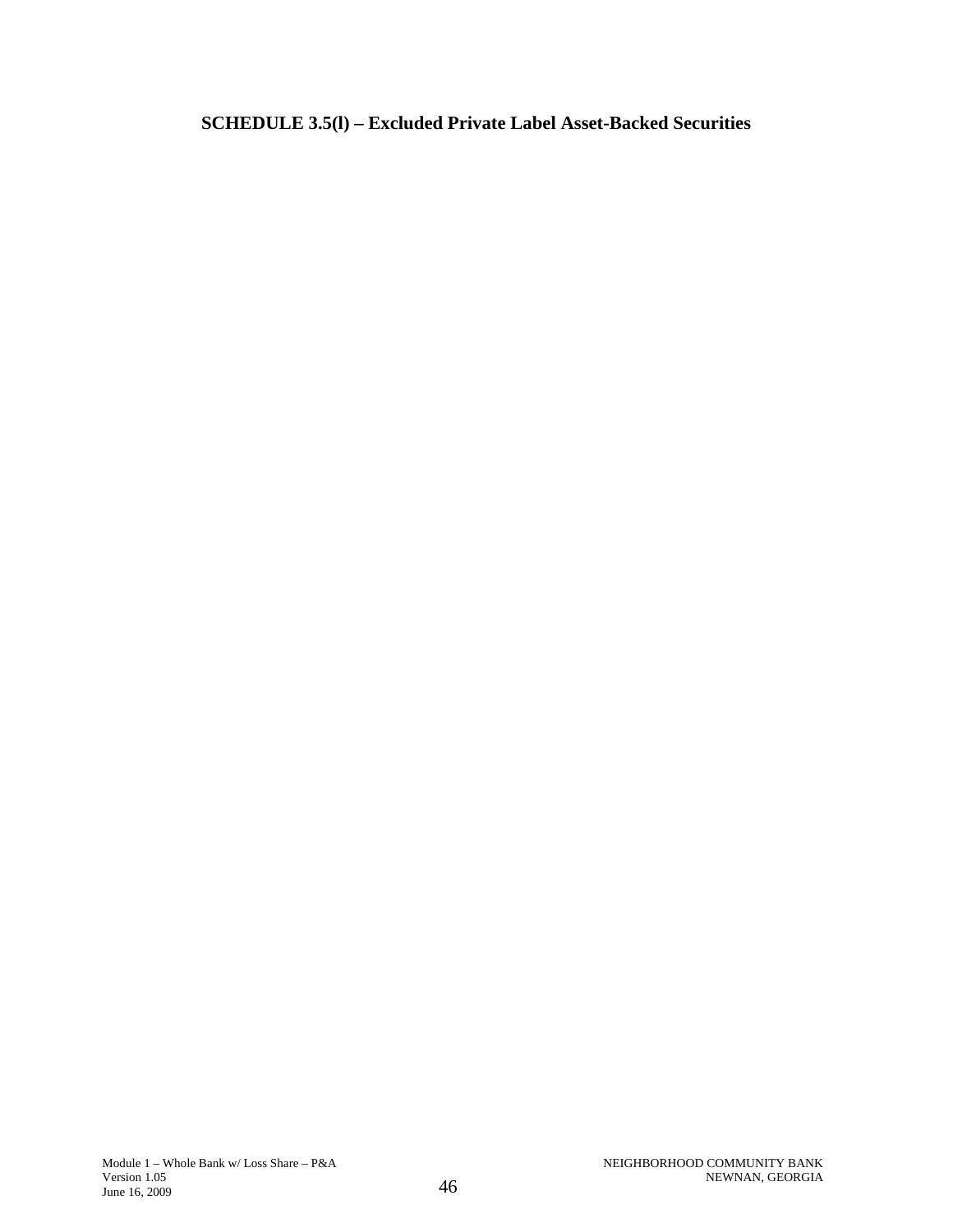# **SCHEDULE 3.5(l) – Excluded Private Label Asset-Backed Securities**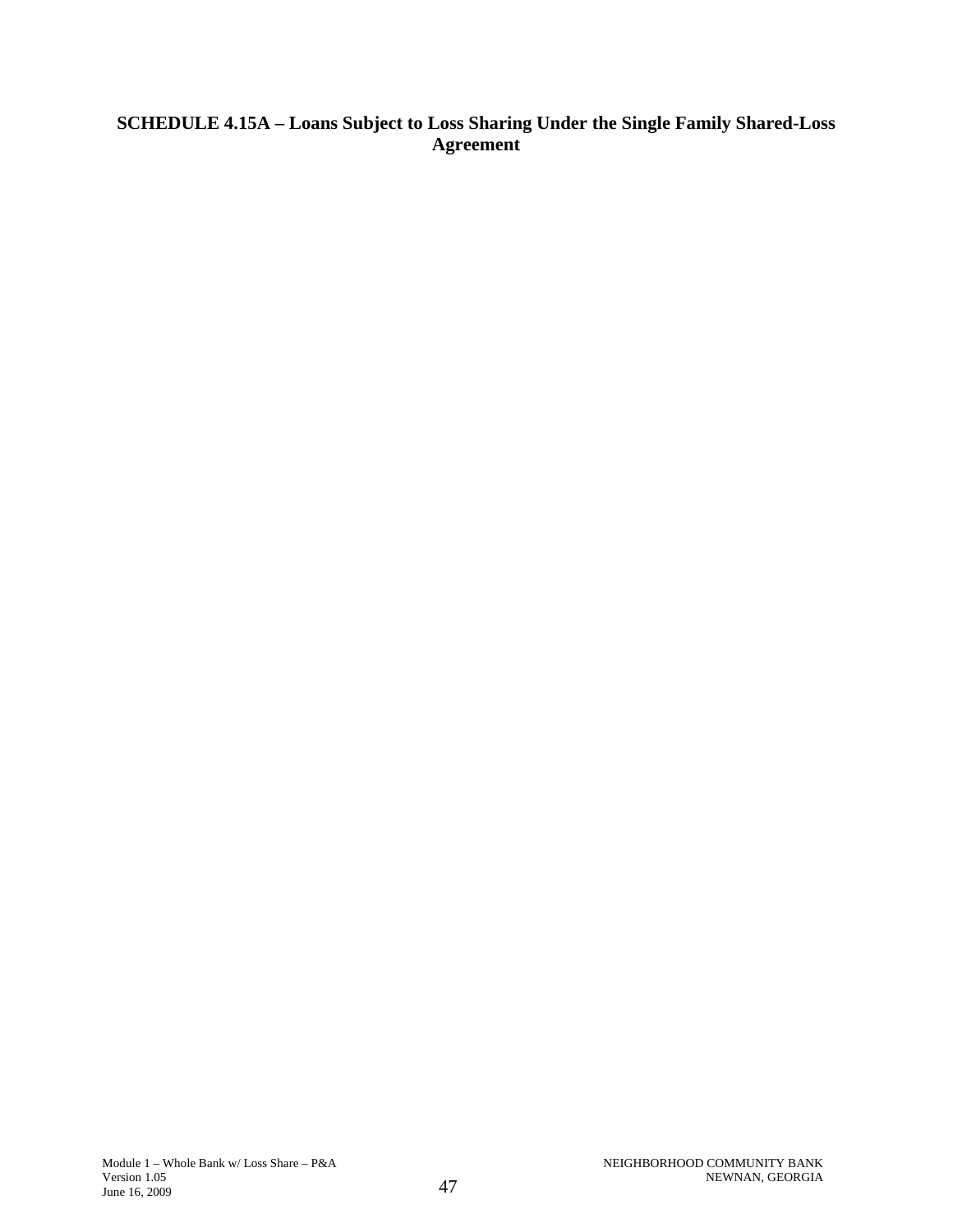### **SCHEDULE 4.15A – Loans Subject to Loss Sharing Under the Single Family Shared-Loss Agreement**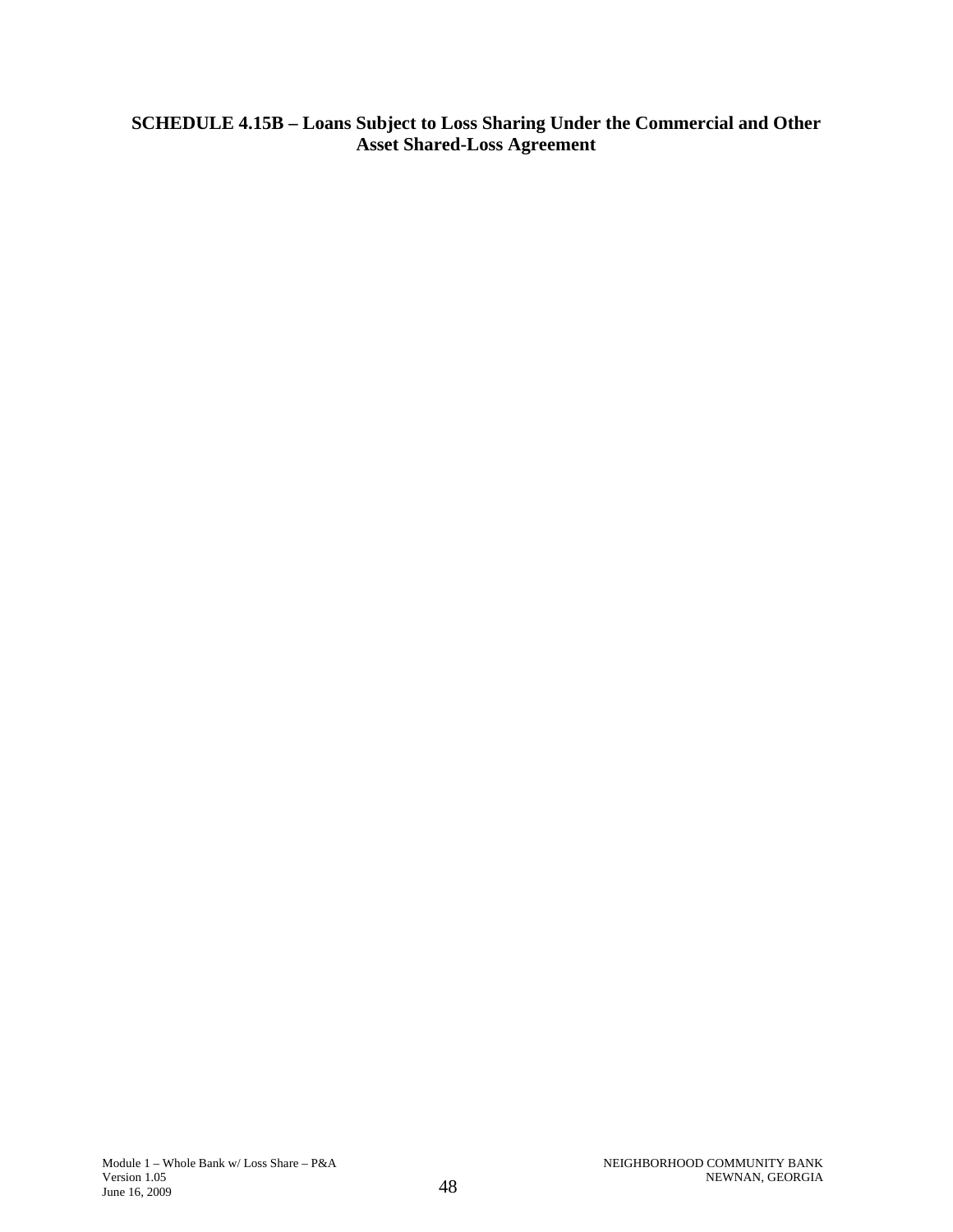**SCHEDULE 4.15B – Loans Subject to Loss Sharing Under the Commercial and Other Asset Shared-Loss Agreement**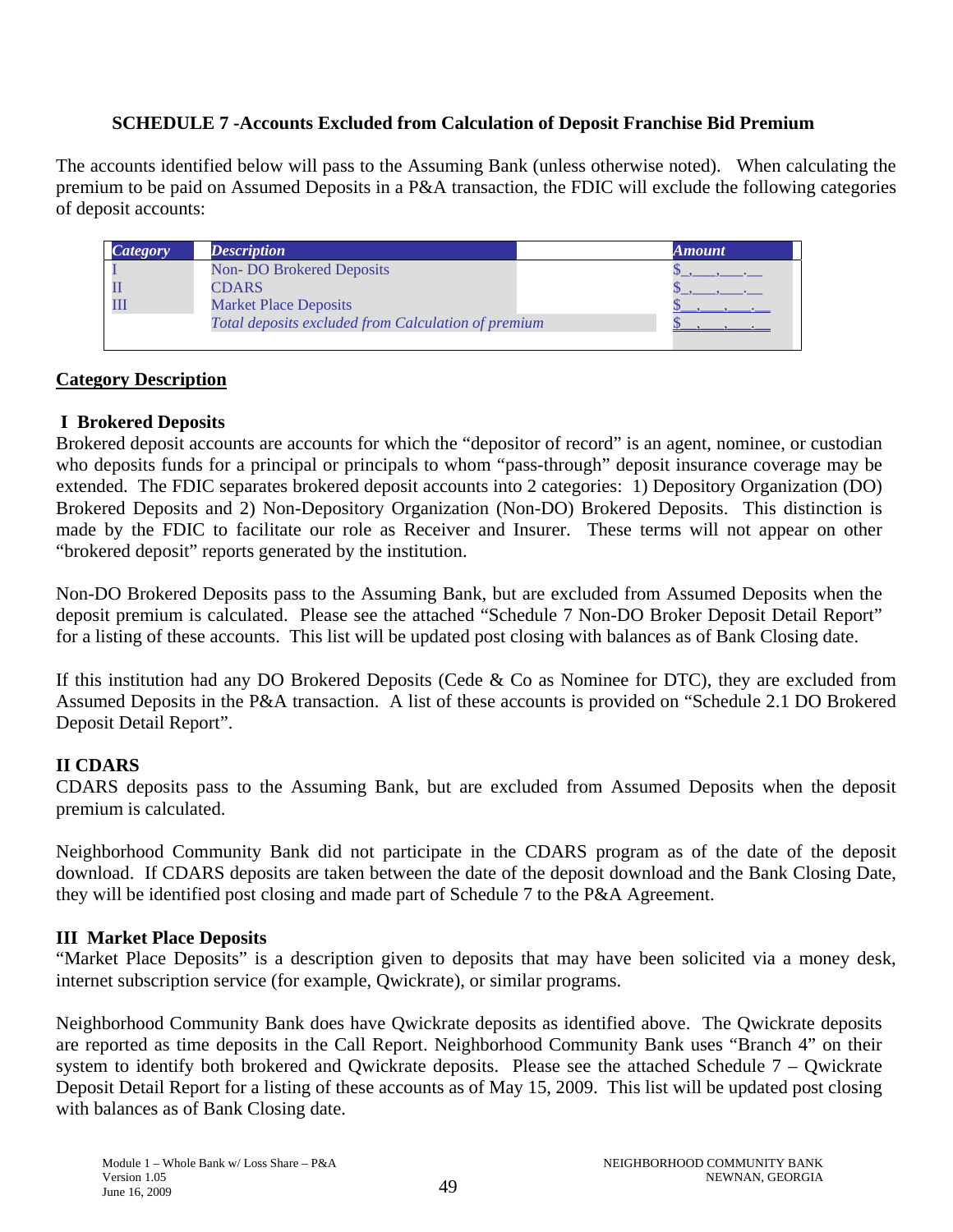### **SCHEDULE 7 -Accounts Excluded from Calculation of Deposit Franchise Bid Premium**

The accounts identified below will pass to the Assuming Bank (unless otherwise noted). When calculating the premium to be paid on Assumed Deposits in a P&A transaction, the FDIC will exclude the following categories of deposit accounts:

| <b>Category</b> | <b>Description</b>                                  | <b>Amount</b> |
|-----------------|-----------------------------------------------------|---------------|
|                 | <b>Non-DO Brokered Deposits</b>                     |               |
|                 | <b>CDARS</b>                                        |               |
|                 | <b>Market Place Deposits</b>                        |               |
|                 | Total deposits excluded from Calculation of premium |               |
|                 |                                                     |               |

## **Category Description**

## **I Brokered Deposits**

Brokered deposit accounts are accounts for which the "depositor of record" is an agent, nominee, or custodian who deposits funds for a principal or principals to whom "pass-through" deposit insurance coverage may be extended. The FDIC separates brokered deposit accounts into 2 categories: 1) Depository Organization (DO) Brokered Deposits and 2) Non-Depository Organization (Non-DO) Brokered Deposits. This distinction is made by the FDIC to facilitate our role as Receiver and Insurer. These terms will not appear on other "brokered deposit" reports generated by the institution.

Non-DO Brokered Deposits pass to the Assuming Bank, but are excluded from Assumed Deposits when the deposit premium is calculated. Please see the attached "Schedule 7 Non-DO Broker Deposit Detail Report" for a listing of these accounts. This list will be updated post closing with balances as of Bank Closing date.

If this institution had any DO Brokered Deposits (Cede & Co as Nominee for DTC), they are excluded from Assumed Deposits in the P&A transaction. A list of these accounts is provided on "Schedule 2.1 DO Brokered Deposit Detail Report".

### **II CDARS**

CDARS deposits pass to the Assuming Bank, but are excluded from Assumed Deposits when the deposit premium is calculated.

Neighborhood Community Bank did not participate in the CDARS program as of the date of the deposit download. If CDARS deposits are taken between the date of the deposit download and the Bank Closing Date, they will be identified post closing and made part of Schedule 7 to the P&A Agreement.

### **III Market Place Deposits**

"Market Place Deposits" is a description given to deposits that may have been solicited via a money desk, internet subscription service (for example, Qwickrate), or similar programs.

Neighborhood Community Bank does have Qwickrate deposits as identified above. The Qwickrate deposits are reported as time deposits in the Call Report. Neighborhood Community Bank uses "Branch 4" on their system to identify both brokered and Qwickrate deposits. Please see the attached Schedule 7 – Qwickrate Deposit Detail Report for a listing of these accounts as of May 15, 2009. This list will be updated post closing with balances as of Bank Closing date.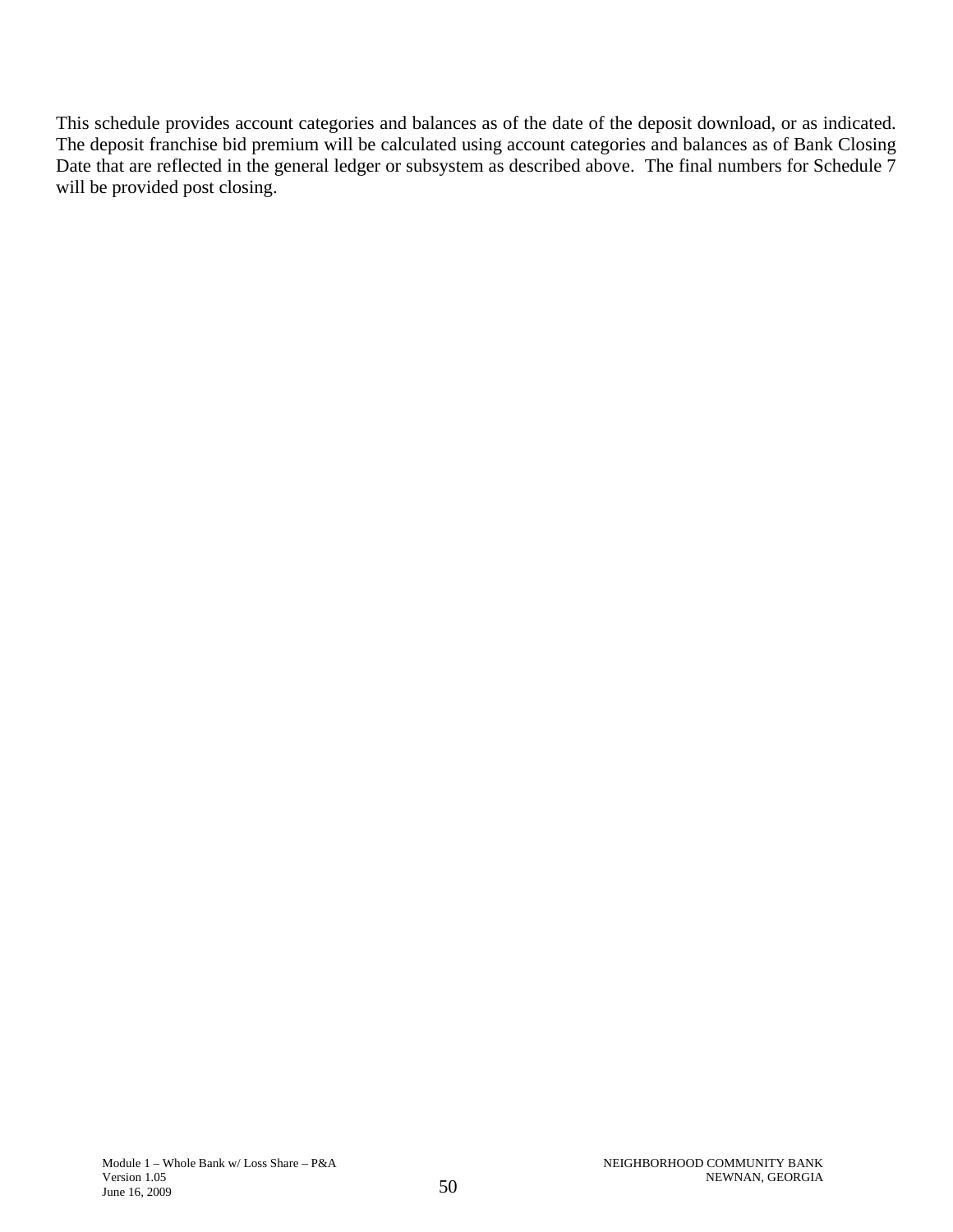This schedule provides account categories and balances as of the date of the deposit download, or as indicated. The deposit franchise bid premium will be calculated using account categories and balances as of Bank Closing Date that are reflected in the general ledger or subsystem as described above. The final numbers for Schedule 7 will be provided post closing.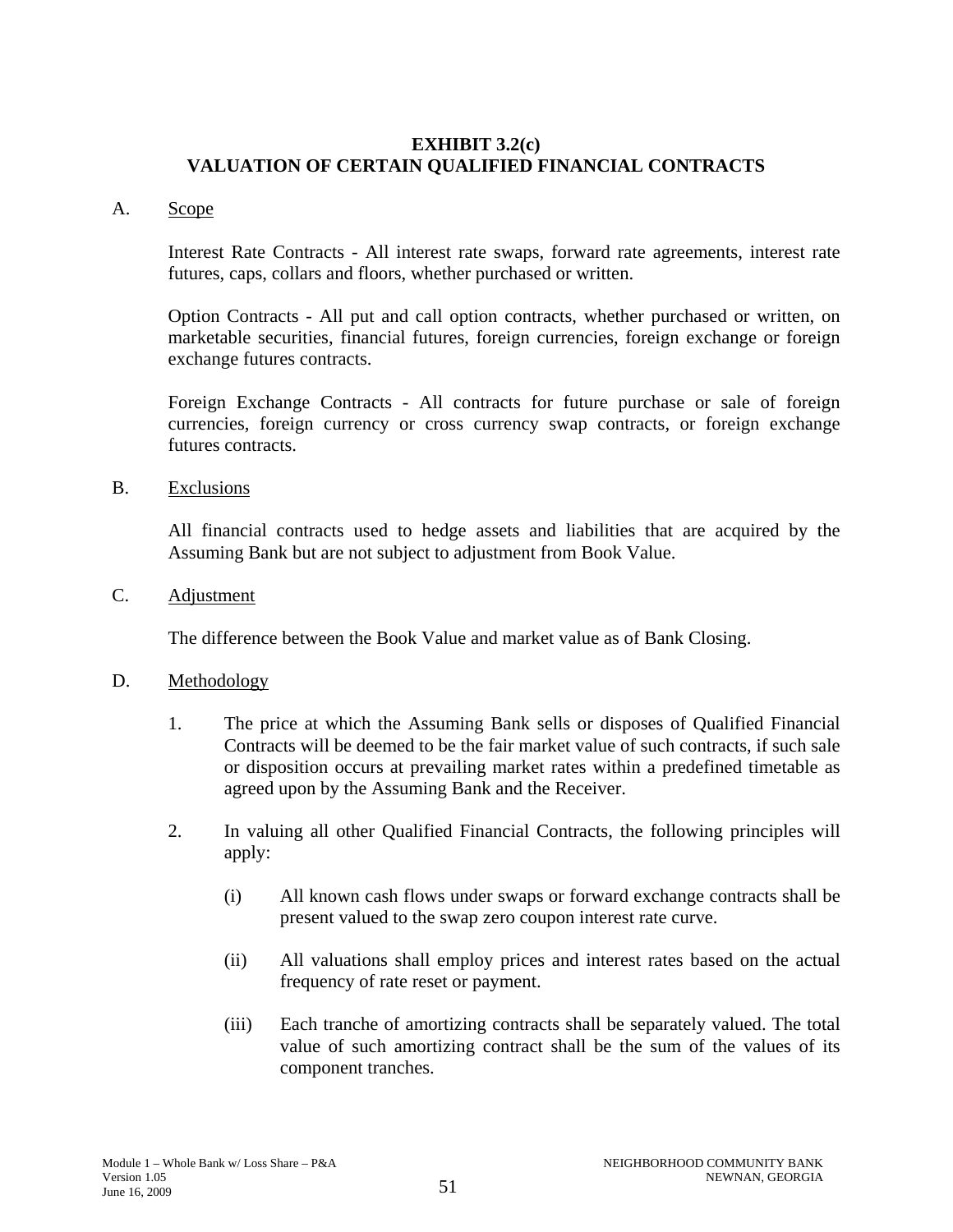### **EXHIBIT 3.2(c) VALUATION OF CERTAIN QUALIFIED FINANCIAL CONTRACTS**

#### A. Scope

Interest Rate Contracts - All interest rate swaps, forward rate agreements, interest rate futures, caps, collars and floors, whether purchased or written.

Option Contracts - All put and call option contracts, whether purchased or written, on marketable securities, financial futures, foreign currencies, foreign exchange or foreign exchange futures contracts.

Foreign Exchange Contracts - All contracts for future purchase or sale of foreign currencies, foreign currency or cross currency swap contracts, or foreign exchange futures contracts.

#### B. Exclusions

All financial contracts used to hedge assets and liabilities that are acquired by the Assuming Bank but are not subject to adjustment from Book Value.

#### C. Adjustment

The difference between the Book Value and market value as of Bank Closing.

### D. Methodology

- 1. The price at which the Assuming Bank sells or disposes of Qualified Financial Contracts will be deemed to be the fair market value of such contracts, if such sale or disposition occurs at prevailing market rates within a predefined timetable as agreed upon by the Assuming Bank and the Receiver.
- 2. In valuing all other Qualified Financial Contracts, the following principles will apply:
	- (i) All known cash flows under swaps or forward exchange contracts shall be present valued to the swap zero coupon interest rate curve.
	- (ii) All valuations shall employ prices and interest rates based on the actual frequency of rate reset or payment.
	- (iii) Each tranche of amortizing contracts shall be separately valued. The total value of such amortizing contract shall be the sum of the values of its component tranches.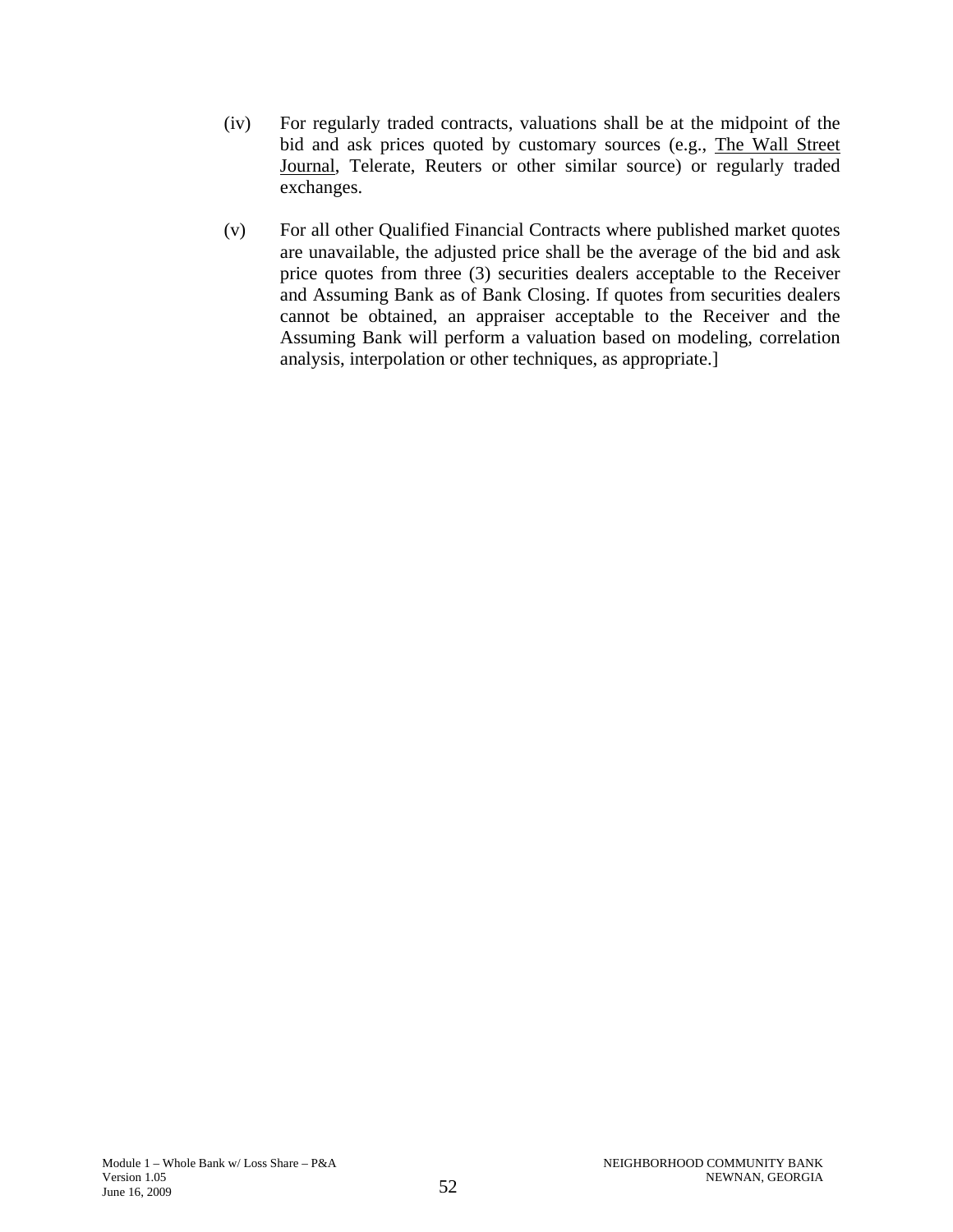- (iv) For regularly traded contracts, valuations shall be at the midpoint of the bid and ask prices quoted by customary sources (e.g., The Wall Street Journal, Telerate, Reuters or other similar source) or regularly traded exchanges.
- (v) For all other Qualified Financial Contracts where published market quotes are unavailable, the adjusted price shall be the average of the bid and ask price quotes from three (3) securities dealers acceptable to the Receiver and Assuming Bank as of Bank Closing. If quotes from securities dealers cannot be obtained, an appraiser acceptable to the Receiver and the Assuming Bank will perform a valuation based on modeling, correlation analysis, interpolation or other techniques, as appropriate.]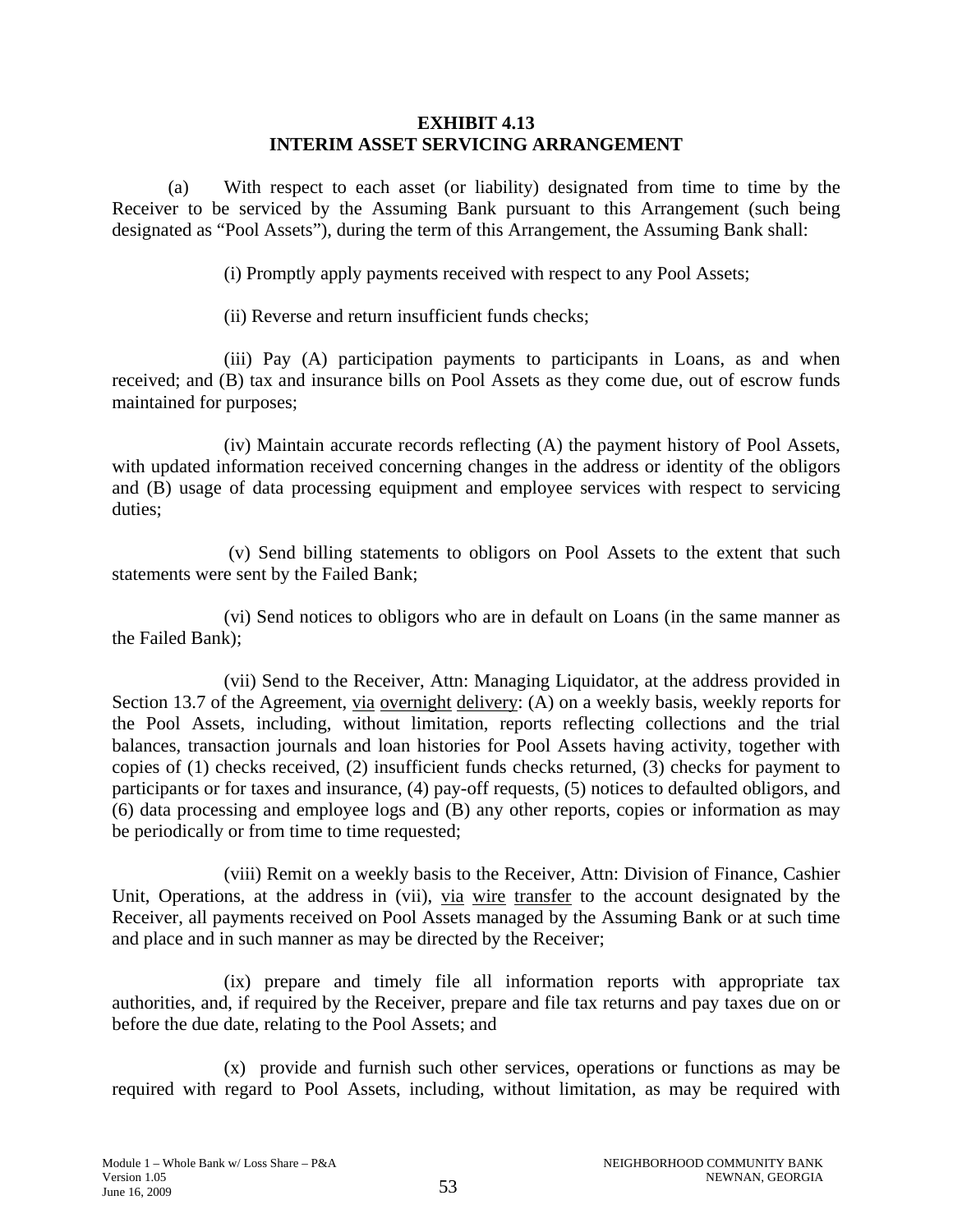### **EXHIBIT 4.13 INTERIM ASSET SERVICING ARRANGEMENT**

(a) With respect to each asset (or liability) designated from time to time by the Receiver to be serviced by the Assuming Bank pursuant to this Arrangement (such being designated as "Pool Assets"), during the term of this Arrangement, the Assuming Bank shall:

(i) Promptly apply payments received with respect to any Pool Assets;

(ii) Reverse and return insufficient funds checks;

(iii) Pay (A) participation payments to participants in Loans, as and when received; and (B) tax and insurance bills on Pool Assets as they come due, out of escrow funds maintained for purposes;

(iv) Maintain accurate records reflecting (A) the payment history of Pool Assets, with updated information received concerning changes in the address or identity of the obligors and (B) usage of data processing equipment and employee services with respect to servicing duties;

(v) Send billing statements to obligors on Pool Assets to the extent that such statements were sent by the Failed Bank;

(vi) Send notices to obligors who are in default on Loans (in the same manner as the Failed Bank);

(vii) Send to the Receiver, Attn: Managing Liquidator, at the address provided in Section 13.7 of the Agreement, via overnight delivery: (A) on a weekly basis, weekly reports for the Pool Assets, including, without limitation, reports reflecting collections and the trial balances, transaction journals and loan histories for Pool Assets having activity, together with copies of (1) checks received, (2) insufficient funds checks returned, (3) checks for payment to participants or for taxes and insurance, (4) pay-off requests, (5) notices to defaulted obligors, and (6) data processing and employee logs and (B) any other reports, copies or information as may be periodically or from time to time requested;

(viii) Remit on a weekly basis to the Receiver, Attn: Division of Finance, Cashier Unit, Operations, at the address in (vii), via wire transfer to the account designated by the Receiver, all payments received on Pool Assets managed by the Assuming Bank or at such time and place and in such manner as may be directed by the Receiver;

(ix) prepare and timely file all information reports with appropriate tax authorities, and, if required by the Receiver, prepare and file tax returns and pay taxes due on or before the due date, relating to the Pool Assets; and

(x) provide and furnish such other services, operations or functions as may be required with regard to Pool Assets, including, without limitation, as may be required with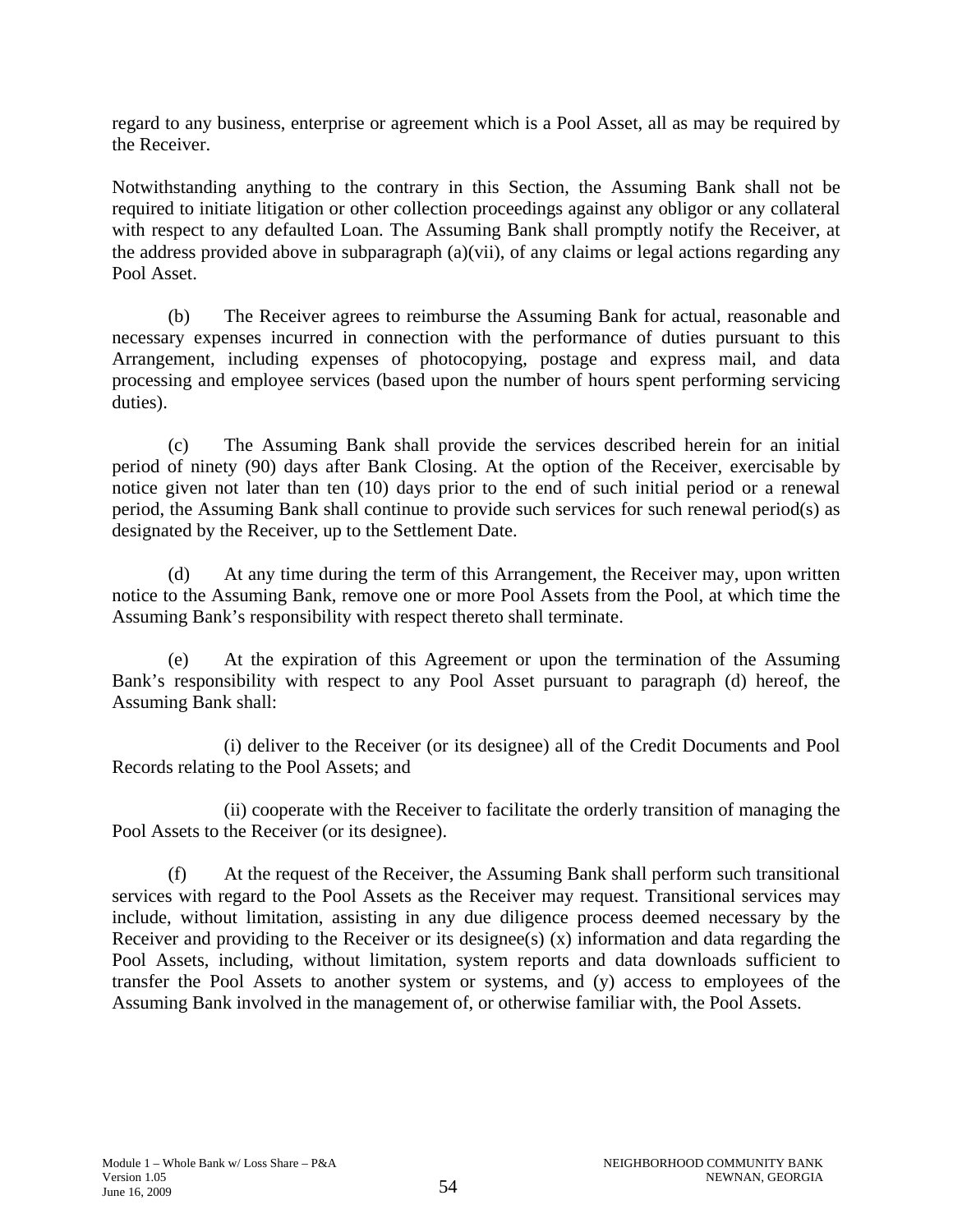regard to any business, enterprise or agreement which is a Pool Asset, all as may be required by the Receiver.

Notwithstanding anything to the contrary in this Section, the Assuming Bank shall not be required to initiate litigation or other collection proceedings against any obligor or any collateral with respect to any defaulted Loan. The Assuming Bank shall promptly notify the Receiver, at the address provided above in subparagraph (a)(vii), of any claims or legal actions regarding any Pool Asset.

(b) The Receiver agrees to reimburse the Assuming Bank for actual, reasonable and necessary expenses incurred in connection with the performance of duties pursuant to this Arrangement, including expenses of photocopying, postage and express mail, and data processing and employee services (based upon the number of hours spent performing servicing duties).

(c) The Assuming Bank shall provide the services described herein for an initial period of ninety (90) days after Bank Closing. At the option of the Receiver, exercisable by notice given not later than ten (10) days prior to the end of such initial period or a renewal period, the Assuming Bank shall continue to provide such services for such renewal period(s) as designated by the Receiver, up to the Settlement Date.

(d) At any time during the term of this Arrangement, the Receiver may, upon written notice to the Assuming Bank, remove one or more Pool Assets from the Pool, at which time the Assuming Bank's responsibility with respect thereto shall terminate.

(e) At the expiration of this Agreement or upon the termination of the Assuming Bank's responsibility with respect to any Pool Asset pursuant to paragraph (d) hereof, the Assuming Bank shall:

(i) deliver to the Receiver (or its designee) all of the Credit Documents and Pool Records relating to the Pool Assets; and

(ii) cooperate with the Receiver to facilitate the orderly transition of managing the Pool Assets to the Receiver (or its designee).

(f) At the request of the Receiver, the Assuming Bank shall perform such transitional services with regard to the Pool Assets as the Receiver may request. Transitional services may include, without limitation, assisting in any due diligence process deemed necessary by the Receiver and providing to the Receiver or its designee(s) (x) information and data regarding the Pool Assets, including, without limitation, system reports and data downloads sufficient to transfer the Pool Assets to another system or systems, and (y) access to employees of the Assuming Bank involved in the management of, or otherwise familiar with, the Pool Assets.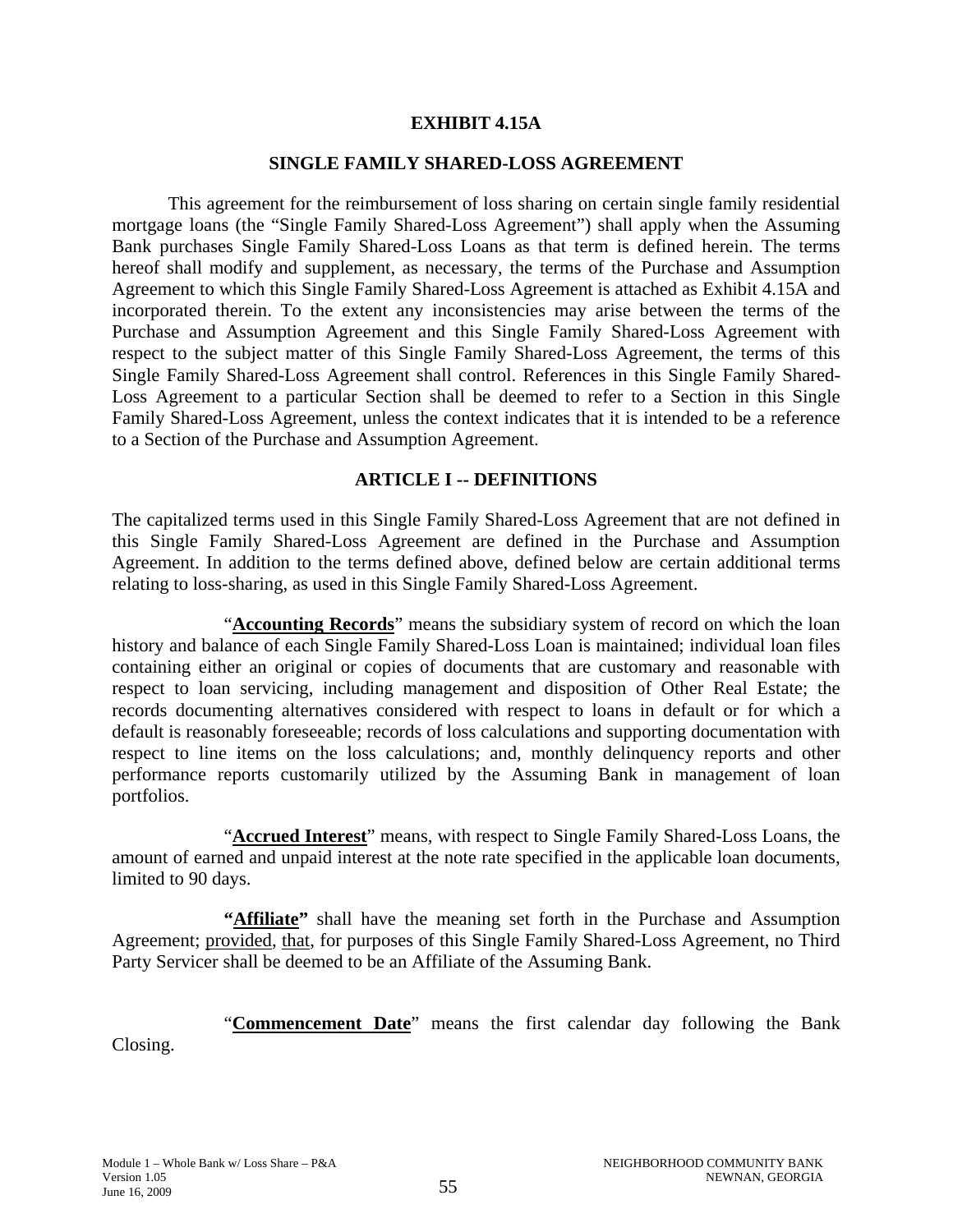#### **EXHIBIT 4.15A**

#### **SINGLE FAMILY SHARED-LOSS AGREEMENT**

This agreement for the reimbursement of loss sharing on certain single family residential mortgage loans (the "Single Family Shared-Loss Agreement") shall apply when the Assuming Bank purchases Single Family Shared-Loss Loans as that term is defined herein. The terms hereof shall modify and supplement, as necessary, the terms of the Purchase and Assumption Agreement to which this Single Family Shared-Loss Agreement is attached as Exhibit 4.15A and incorporated therein. To the extent any inconsistencies may arise between the terms of the Purchase and Assumption Agreement and this Single Family Shared-Loss Agreement with respect to the subject matter of this Single Family Shared-Loss Agreement, the terms of this Single Family Shared-Loss Agreement shall control. References in this Single Family Shared-Loss Agreement to a particular Section shall be deemed to refer to a Section in this Single Family Shared-Loss Agreement, unless the context indicates that it is intended to be a reference to a Section of the Purchase and Assumption Agreement.

### **ARTICLE I -- DEFINITIONS**

The capitalized terms used in this Single Family Shared-Loss Agreement that are not defined in this Single Family Shared-Loss Agreement are defined in the Purchase and Assumption Agreement. In addition to the terms defined above, defined below are certain additional terms relating to loss-sharing, as used in this Single Family Shared-Loss Agreement.

"**Accounting Records**" means the subsidiary system of record on which the loan history and balance of each Single Family Shared-Loss Loan is maintained; individual loan files containing either an original or copies of documents that are customary and reasonable with respect to loan servicing, including management and disposition of Other Real Estate; the records documenting alternatives considered with respect to loans in default or for which a default is reasonably foreseeable; records of loss calculations and supporting documentation with respect to line items on the loss calculations; and, monthly delinquency reports and other performance reports customarily utilized by the Assuming Bank in management of loan portfolios.

"**Accrued Interest**" means, with respect to Single Family Shared-Loss Loans, the amount of earned and unpaid interest at the note rate specified in the applicable loan documents, limited to 90 days.

**"Affiliate"** shall have the meaning set forth in the Purchase and Assumption Agreement; provided, that, for purposes of this Single Family Shared-Loss Agreement, no Third Party Servicer shall be deemed to be an Affiliate of the Assuming Bank.

"**Commencement Date**" means the first calendar day following the Bank Closing.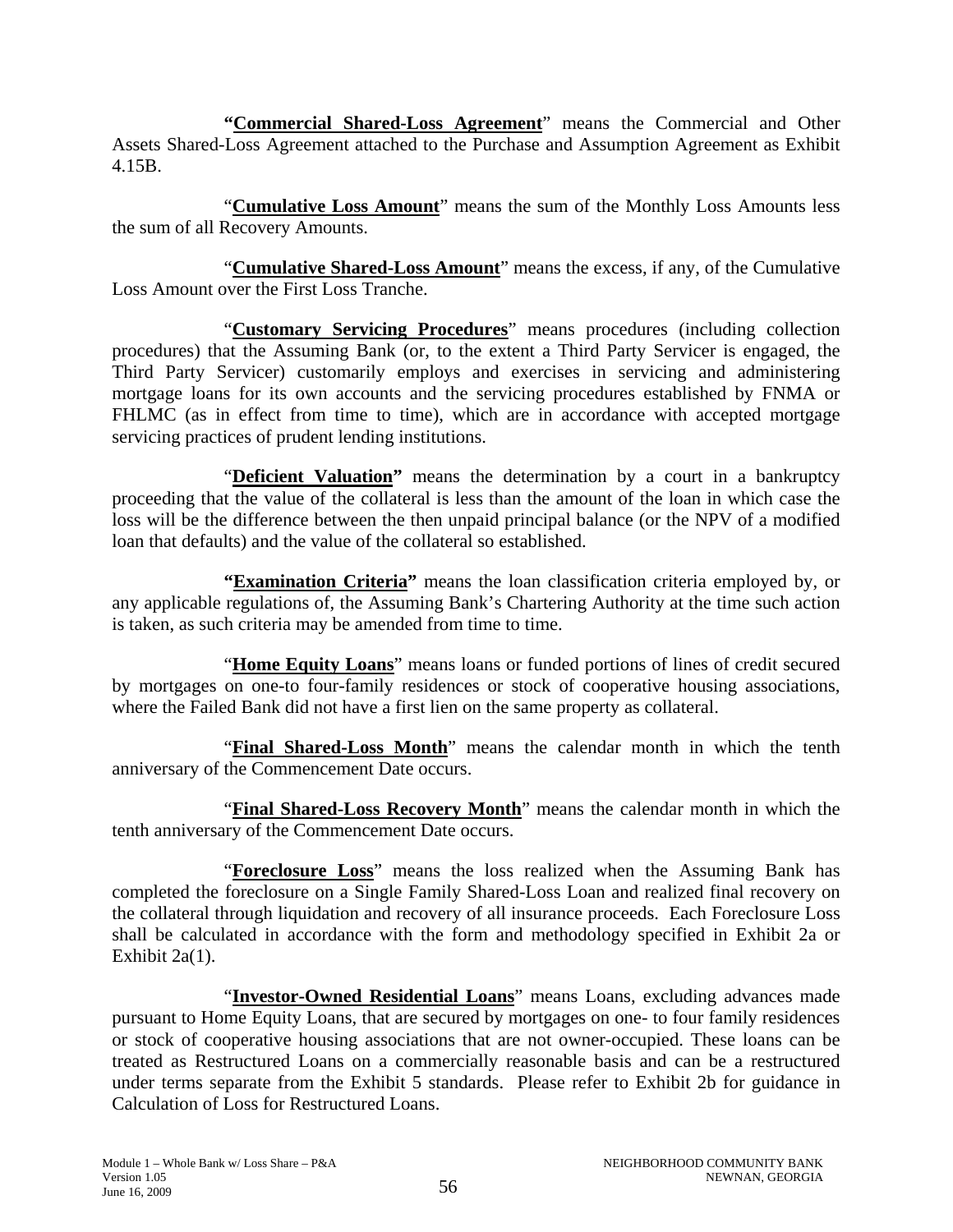**"Commercial Shared-Loss Agreement**" means the Commercial and Other Assets Shared-Loss Agreement attached to the Purchase and Assumption Agreement as Exhibit 4.15B.

"**Cumulative Loss Amount**" means the sum of the Monthly Loss Amounts less the sum of all Recovery Amounts.

"**Cumulative Shared-Loss Amount**" means the excess, if any, of the Cumulative Loss Amount over the First Loss Tranche.

"**Customary Servicing Procedures**" means procedures (including collection procedures) that the Assuming Bank (or, to the extent a Third Party Servicer is engaged, the Third Party Servicer) customarily employs and exercises in servicing and administering mortgage loans for its own accounts and the servicing procedures established by FNMA or FHLMC (as in effect from time to time), which are in accordance with accepted mortgage servicing practices of prudent lending institutions.

"**Deficient Valuation"** means the determination by a court in a bankruptcy proceeding that the value of the collateral is less than the amount of the loan in which case the loss will be the difference between the then unpaid principal balance (or the NPV of a modified loan that defaults) and the value of the collateral so established.

**"Examination Criteria"** means the loan classification criteria employed by, or any applicable regulations of, the Assuming Bank's Chartering Authority at the time such action is taken, as such criteria may be amended from time to time.

"**Home Equity Loans**" means loans or funded portions of lines of credit secured by mortgages on one-to four-family residences or stock of cooperative housing associations, where the Failed Bank did not have a first lien on the same property as collateral.

"**Final Shared-Loss Month**" means the calendar month in which the tenth anniversary of the Commencement Date occurs.

"**Final Shared-Loss Recovery Month**" means the calendar month in which the tenth anniversary of the Commencement Date occurs.

"**Foreclosure Loss**" means the loss realized when the Assuming Bank has completed the foreclosure on a Single Family Shared-Loss Loan and realized final recovery on the collateral through liquidation and recovery of all insurance proceeds. Each Foreclosure Loss shall be calculated in accordance with the form and methodology specified in Exhibit 2a or Exhibit 2a(1).

"**Investor-Owned Residential Loans**" means Loans, excluding advances made pursuant to Home Equity Loans, that are secured by mortgages on one- to four family residences or stock of cooperative housing associations that are not owner-occupied. These loans can be treated as Restructured Loans on a commercially reasonable basis and can be a restructured under terms separate from the Exhibit 5 standards. Please refer to Exhibit 2b for guidance in Calculation of Loss for Restructured Loans.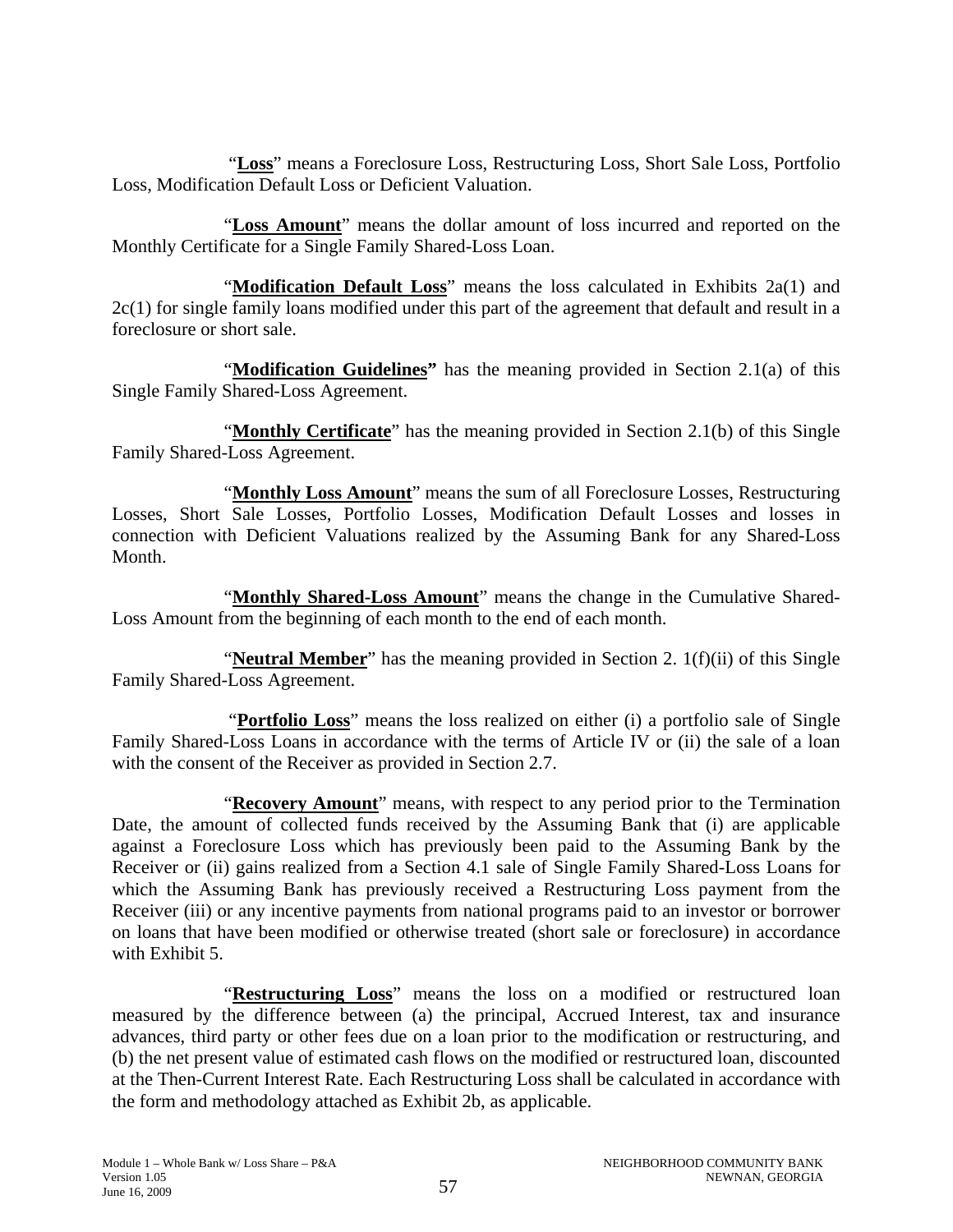"**Loss**" means a Foreclosure Loss, Restructuring Loss, Short Sale Loss, Portfolio Loss, Modification Default Loss or Deficient Valuation.

"**Loss Amount**" means the dollar amount of loss incurred and reported on the Monthly Certificate for a Single Family Shared-Loss Loan.

"**Modification Default Loss**" means the loss calculated in Exhibits 2a(1) and 2c(1) for single family loans modified under this part of the agreement that default and result in a foreclosure or short sale.

"**Modification Guidelines**" has the meaning provided in Section 2.1(a) of this Single Family Shared-Loss Agreement.

"**Monthly Certificate**" has the meaning provided in Section 2.1(b) of this Single Family Shared-Loss Agreement.

"**Monthly Loss Amount**" means the sum of all Foreclosure Losses, Restructuring Losses, Short Sale Losses, Portfolio Losses, Modification Default Losses and losses in connection with Deficient Valuations realized by the Assuming Bank for any Shared-Loss Month.

"**Monthly Shared-Loss Amount**" means the change in the Cumulative Shared-Loss Amount from the beginning of each month to the end of each month.

"**Neutral Member**" has the meaning provided in Section 2. 1(f)(ii) of this Single Family Shared-Loss Agreement.

"**Portfolio Loss**" means the loss realized on either (i) a portfolio sale of Single Family Shared-Loss Loans in accordance with the terms of Article IV or (ii) the sale of a loan with the consent of the Receiver as provided in Section 2.7.

"**Recovery Amount**" means, with respect to any period prior to the Termination Date, the amount of collected funds received by the Assuming Bank that (i) are applicable against a Foreclosure Loss which has previously been paid to the Assuming Bank by the Receiver or (ii) gains realized from a Section 4.1 sale of Single Family Shared-Loss Loans for which the Assuming Bank has previously received a Restructuring Loss payment from the Receiver (iii) or any incentive payments from national programs paid to an investor or borrower on loans that have been modified or otherwise treated (short sale or foreclosure) in accordance with Exhibit 5.

"**Restructuring Loss**" means the loss on a modified or restructured loan measured by the difference between (a) the principal, Accrued Interest, tax and insurance advances, third party or other fees due on a loan prior to the modification or restructuring, and (b) the net present value of estimated cash flows on the modified or restructured loan, discounted at the Then-Current Interest Rate. Each Restructuring Loss shall be calculated in accordance with the form and methodology attached as Exhibit 2b, as applicable.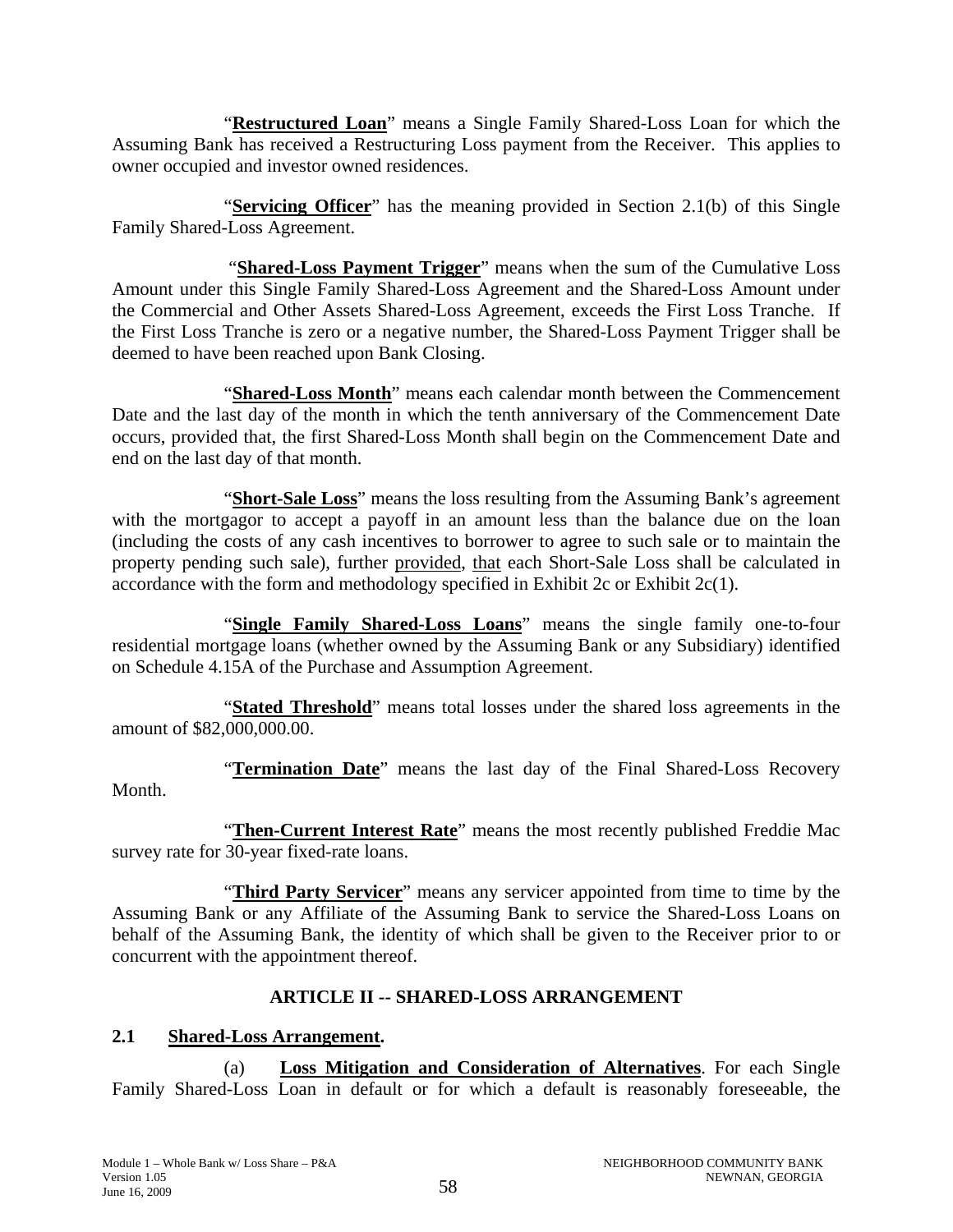"**Restructured Loan**" means a Single Family Shared-Loss Loan for which the Assuming Bank has received a Restructuring Loss payment from the Receiver. This applies to owner occupied and investor owned residences.

"**Servicing Officer**" has the meaning provided in Section 2.1(b) of this Single Family Shared-Loss Agreement.

"Shared-Loss Payment Trigger" means when the sum of the Cumulative Loss Amount under this Single Family Shared-Loss Agreement and the Shared-Loss Amount under the Commercial and Other Assets Shared-Loss Agreement, exceeds the First Loss Tranche. If the First Loss Tranche is zero or a negative number, the Shared-Loss Payment Trigger shall be deemed to have been reached upon Bank Closing.

"**Shared-Loss Month**" means each calendar month between the Commencement Date and the last day of the month in which the tenth anniversary of the Commencement Date occurs, provided that, the first Shared-Loss Month shall begin on the Commencement Date and end on the last day of that month.

"**Short-Sale Loss**" means the loss resulting from the Assuming Bank's agreement with the mortgagor to accept a payoff in an amount less than the balance due on the loan (including the costs of any cash incentives to borrower to agree to such sale or to maintain the property pending such sale), further provided, that each Short-Sale Loss shall be calculated in accordance with the form and methodology specified in Exhibit  $2c$  or Exhibit  $2c(1)$ .

"**Single Family Shared-Loss Loans**" means the single family one-to-four residential mortgage loans (whether owned by the Assuming Bank or any Subsidiary) identified on Schedule 4.15A of the Purchase and Assumption Agreement.

"**Stated Threshold**" means total losses under the shared loss agreements in the amount of \$82,000,000.00.

"**Termination Date**" means the last day of the Final Shared-Loss Recovery Month.

"**Then-Current Interest Rate**" means the most recently published Freddie Mac survey rate for 30-year fixed-rate loans.

"**Third Party Servicer**" means any servicer appointed from time to time by the Assuming Bank or any Affiliate of the Assuming Bank to service the Shared-Loss Loans on behalf of the Assuming Bank, the identity of which shall be given to the Receiver prior to or concurrent with the appointment thereof.

# **ARTICLE II -- SHARED-LOSS ARRANGEMENT**

# **2.1 Shared-Loss Arrangement.**

(a) **Loss Mitigation and Consideration of Alternatives**. For each Single Family Shared-Loss Loan in default or for which a default is reasonably foreseeable, the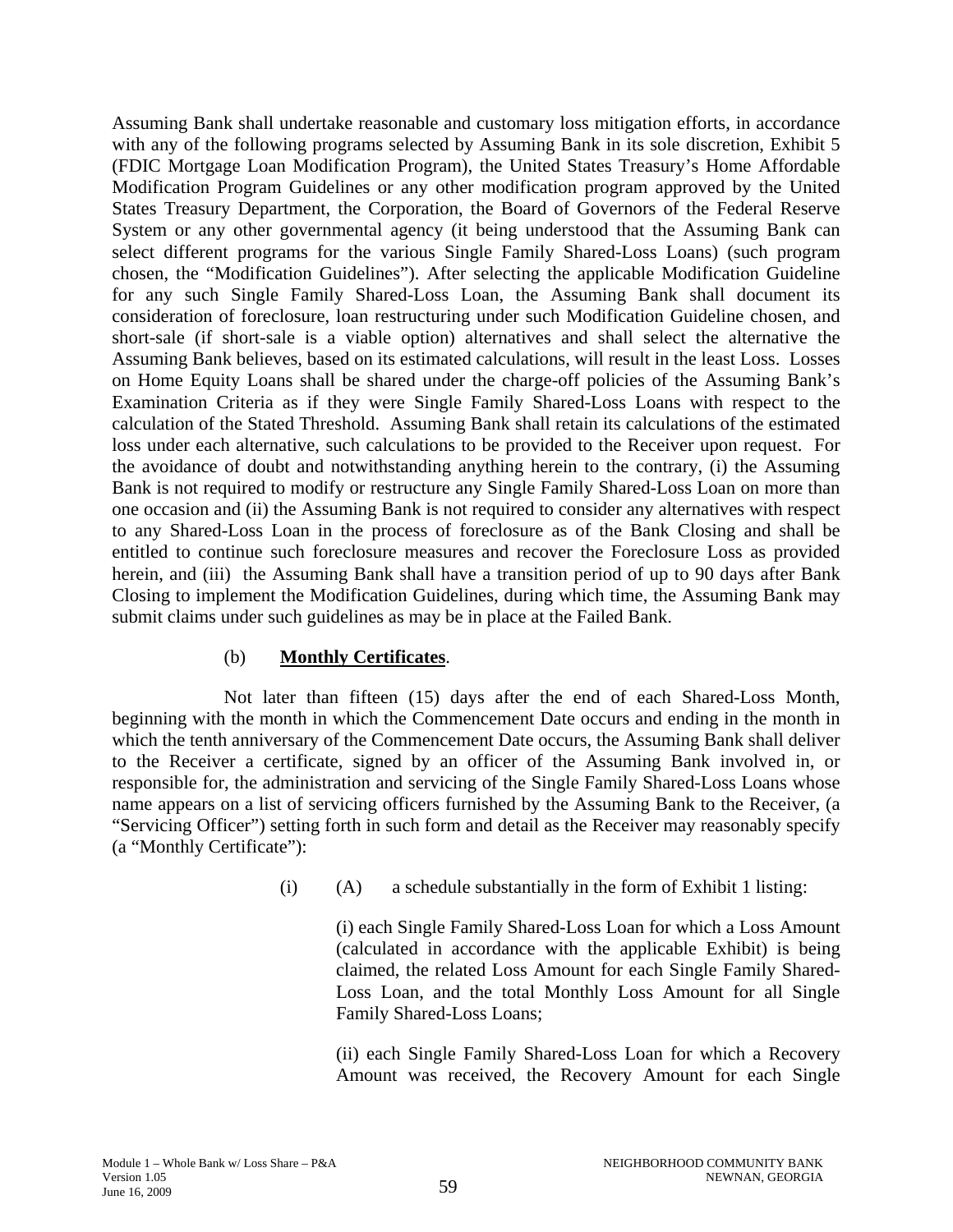Assuming Bank shall undertake reasonable and customary loss mitigation efforts, in accordance with any of the following programs selected by Assuming Bank in its sole discretion, Exhibit 5 (FDIC Mortgage Loan Modification Program), the United States Treasury's Home Affordable Modification Program Guidelines or any other modification program approved by the United States Treasury Department, the Corporation, the Board of Governors of the Federal Reserve System or any other governmental agency (it being understood that the Assuming Bank can select different programs for the various Single Family Shared-Loss Loans) (such program chosen, the "Modification Guidelines"). After selecting the applicable Modification Guideline for any such Single Family Shared-Loss Loan, the Assuming Bank shall document its consideration of foreclosure, loan restructuring under such Modification Guideline chosen, and short-sale (if short-sale is a viable option) alternatives and shall select the alternative the Assuming Bank believes, based on its estimated calculations, will result in the least Loss. Losses on Home Equity Loans shall be shared under the charge-off policies of the Assuming Bank's Examination Criteria as if they were Single Family Shared-Loss Loans with respect to the calculation of the Stated Threshold. Assuming Bank shall retain its calculations of the estimated loss under each alternative, such calculations to be provided to the Receiver upon request. For the avoidance of doubt and notwithstanding anything herein to the contrary, (i) the Assuming Bank is not required to modify or restructure any Single Family Shared-Loss Loan on more than one occasion and (ii) the Assuming Bank is not required to consider any alternatives with respect to any Shared-Loss Loan in the process of foreclosure as of the Bank Closing and shall be entitled to continue such foreclosure measures and recover the Foreclosure Loss as provided herein, and (iii) the Assuming Bank shall have a transition period of up to 90 days after Bank Closing to implement the Modification Guidelines, during which time, the Assuming Bank may submit claims under such guidelines as may be in place at the Failed Bank.

### (b) **Monthly Certificates**.

Not later than fifteen (15) days after the end of each Shared-Loss Month, beginning with the month in which the Commencement Date occurs and ending in the month in which the tenth anniversary of the Commencement Date occurs, the Assuming Bank shall deliver to the Receiver a certificate, signed by an officer of the Assuming Bank involved in, or responsible for, the administration and servicing of the Single Family Shared-Loss Loans whose name appears on a list of servicing officers furnished by the Assuming Bank to the Receiver, (a "Servicing Officer") setting forth in such form and detail as the Receiver may reasonably specify (a "Monthly Certificate"):

(i) (A) a schedule substantially in the form of Exhibit 1 listing:

(i) each Single Family Shared-Loss Loan for which a Loss Amount (calculated in accordance with the applicable Exhibit) is being claimed, the related Loss Amount for each Single Family Shared-Loss Loan, and the total Monthly Loss Amount for all Single Family Shared-Loss Loans;

(ii) each Single Family Shared-Loss Loan for which a Recovery Amount was received, the Recovery Amount for each Single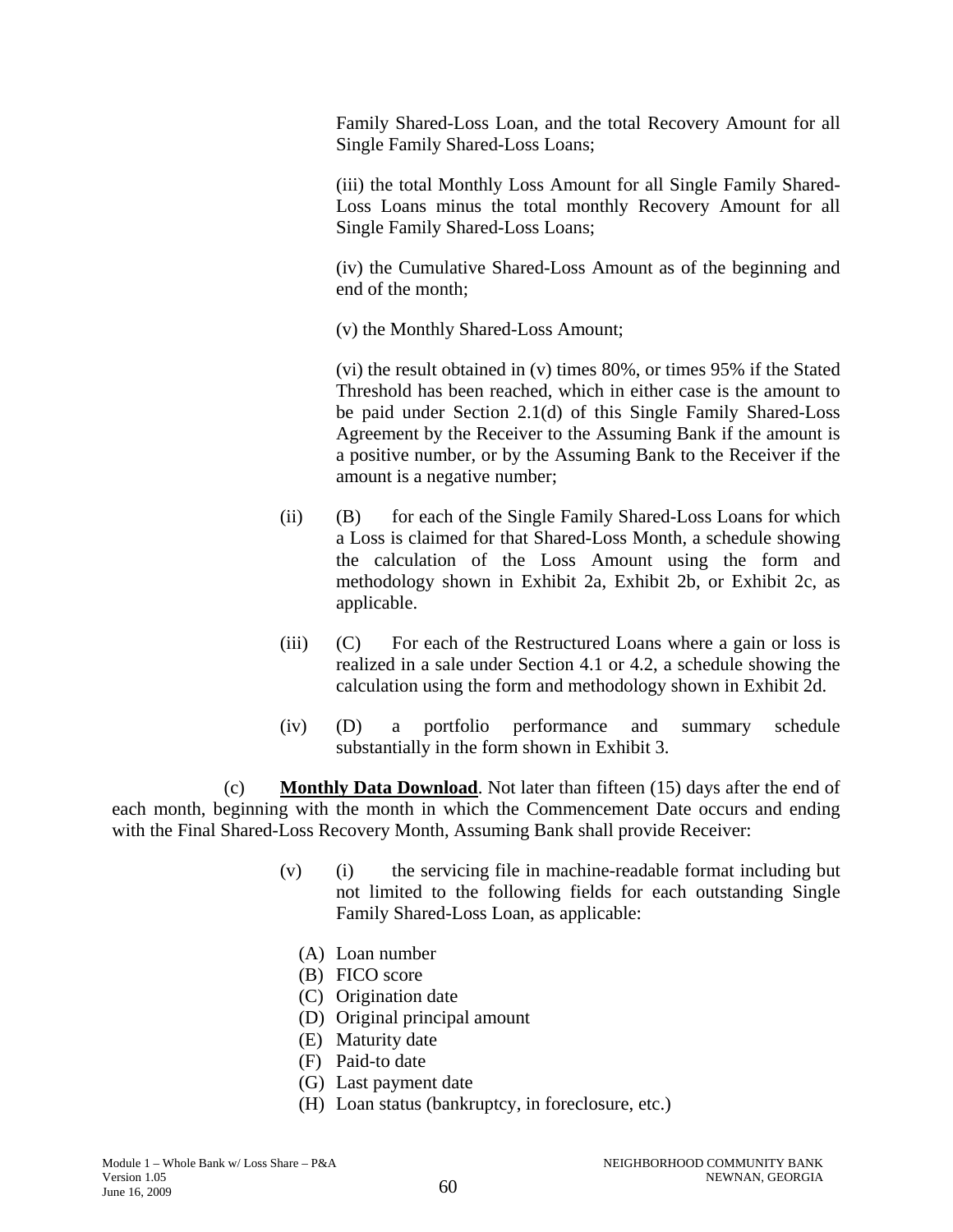Family Shared-Loss Loan, and the total Recovery Amount for all Single Family Shared-Loss Loans;

(iii) the total Monthly Loss Amount for all Single Family Shared-Loss Loans minus the total monthly Recovery Amount for all Single Family Shared-Loss Loans;

(iv) the Cumulative Shared-Loss Amount as of the beginning and end of the month;

(v) the Monthly Shared-Loss Amount;

(vi) the result obtained in (v) times 80%, or times 95% if the Stated Threshold has been reached, which in either case is the amount to be paid under Section 2.1(d) of this Single Family Shared-Loss Agreement by the Receiver to the Assuming Bank if the amount is a positive number, or by the Assuming Bank to the Receiver if the amount is a negative number;

- (ii) (B) for each of the Single Family Shared-Loss Loans for which a Loss is claimed for that Shared-Loss Month, a schedule showing the calculation of the Loss Amount using the form and methodology shown in Exhibit 2a, Exhibit 2b, or Exhibit 2c, as applicable.
- (iii) (C) For each of the Restructured Loans where a gain or loss is realized in a sale under Section 4.1 or 4.2, a schedule showing the calculation using the form and methodology shown in Exhibit 2d.
- (iv) (D) a portfolio performance and summary schedule substantially in the form shown in Exhibit 3.

(c) **Monthly Data Download**. Not later than fifteen (15) days after the end of each month, beginning with the month in which the Commencement Date occurs and ending with the Final Shared-Loss Recovery Month, Assuming Bank shall provide Receiver:

- $(v)$  (i) the servicing file in machine-readable format including but not limited to the following fields for each outstanding Single Family Shared-Loss Loan, as applicable:
	- (A) Loan number
	- (B) FICO score
	- (C) Origination date
	- (D) Original principal amount
	- (E) Maturity date
	- (F) Paid-to date
	- (G) Last payment date
	- (H) Loan status (bankruptcy, in foreclosure, etc.)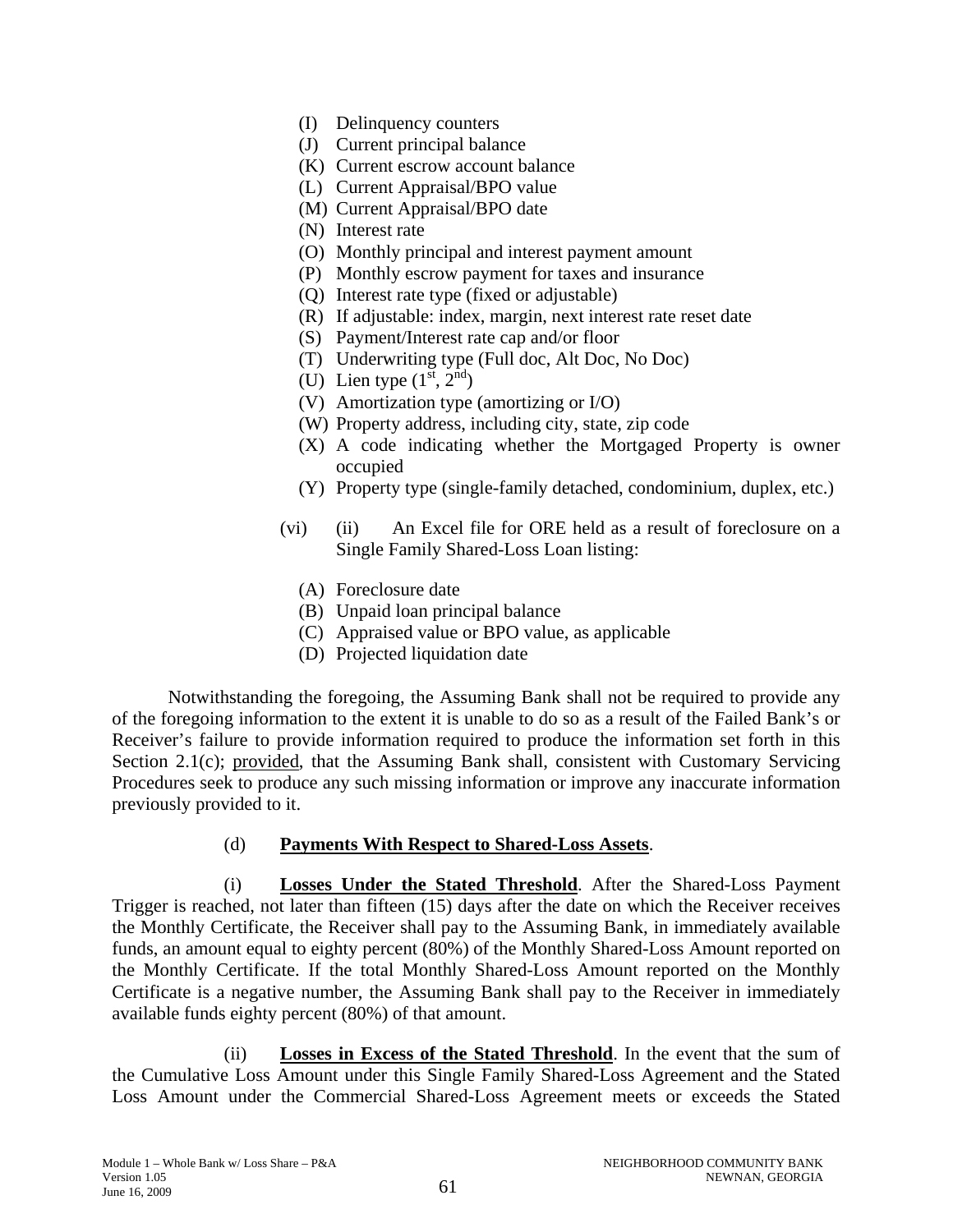- (I) Delinquency counters
- (J) Current principal balance
- (K) Current escrow account balance
- (L) Current Appraisal/BPO value
- (M) Current Appraisal/BPO date
- (N) Interest rate
- (O) Monthly principal and interest payment amount
- (P) Monthly escrow payment for taxes and insurance
- (Q) Interest rate type (fixed or adjustable)
- (R) If adjustable: index, margin, next interest rate reset date
- (S) Payment/Interest rate cap and/or floor
- (T) Underwriting type (Full doc, Alt Doc, No Doc)
- (U) Lien type  $(1<sup>st</sup>, 2<sup>nd</sup>)$
- (V) Amortization type (amortizing or I/O)
- (W) Property address, including city, state, zip code
- (X) A code indicating whether the Mortgaged Property is owner occupied
- (Y) Property type (single-family detached, condominium, duplex, etc.)
- (vi) (ii) An Excel file for ORE held as a result of foreclosure on a Single Family Shared-Loss Loan listing:
	- (A) Foreclosure date
	- (B) Unpaid loan principal balance
	- (C) Appraised value or BPO value, as applicable
	- (D) Projected liquidation date

Notwithstanding the foregoing, the Assuming Bank shall not be required to provide any of the foregoing information to the extent it is unable to do so as a result of the Failed Bank's or Receiver's failure to provide information required to produce the information set forth in this Section 2.1(c); provided, that the Assuming Bank shall, consistent with Customary Servicing Procedures seek to produce any such missing information or improve any inaccurate information previously provided to it.

### (d) **Payments With Respect to Shared-Loss Assets**.

(i) **Losses Under the Stated Threshold**. After the Shared-Loss Payment Trigger is reached, not later than fifteen (15) days after the date on which the Receiver receives the Monthly Certificate, the Receiver shall pay to the Assuming Bank, in immediately available funds, an amount equal to eighty percent (80%) of the Monthly Shared-Loss Amount reported on the Monthly Certificate. If the total Monthly Shared-Loss Amount reported on the Monthly Certificate is a negative number, the Assuming Bank shall pay to the Receiver in immediately available funds eighty percent (80%) of that amount.

(ii) **Losses in Excess of the Stated Threshold**. In the event that the sum of the Cumulative Loss Amount under this Single Family Shared-Loss Agreement and the Stated Loss Amount under the Commercial Shared-Loss Agreement meets or exceeds the Stated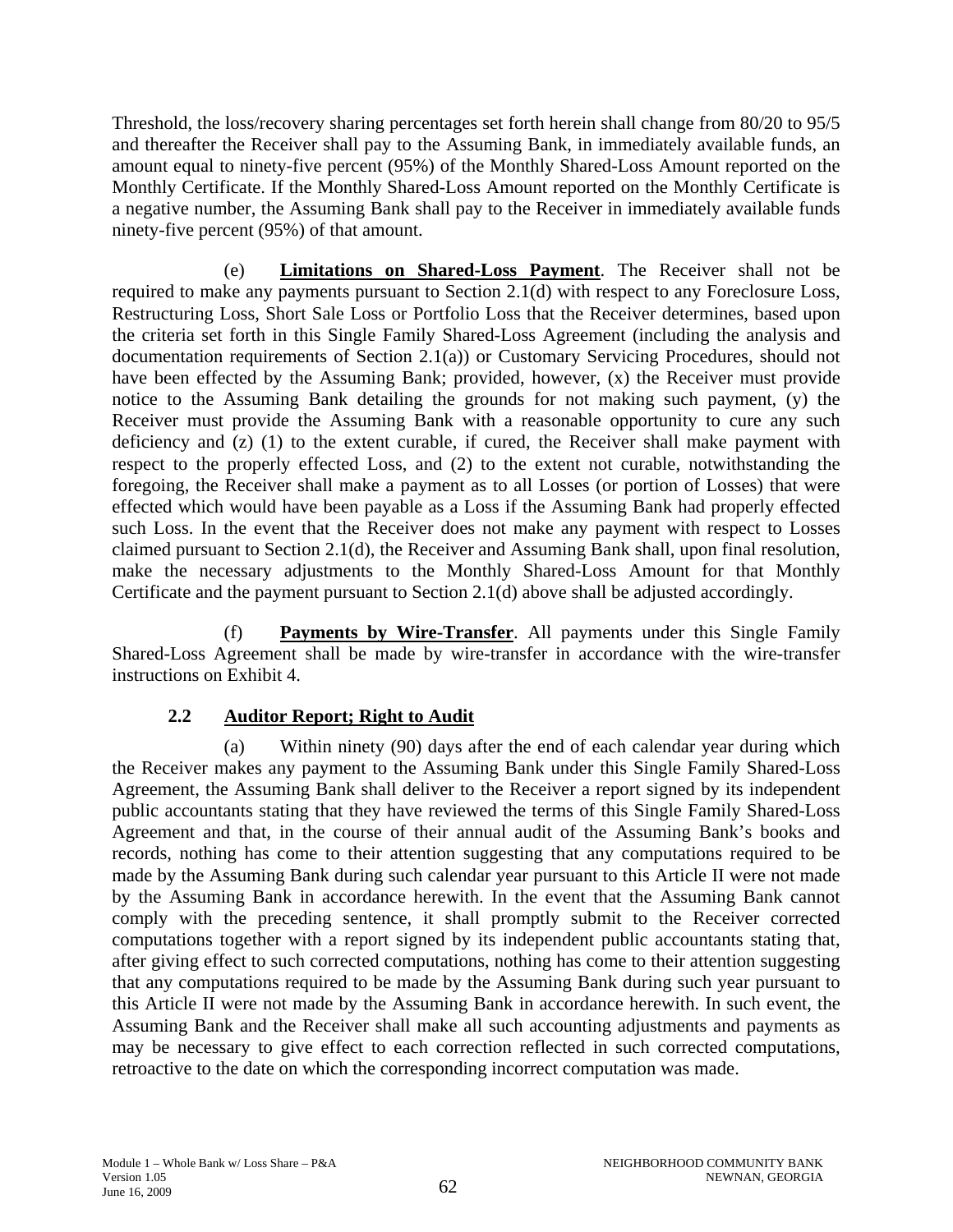Threshold, the loss/recovery sharing percentages set forth herein shall change from 80/20 to 95/5 and thereafter the Receiver shall pay to the Assuming Bank, in immediately available funds, an amount equal to ninety-five percent (95%) of the Monthly Shared-Loss Amount reported on the Monthly Certificate. If the Monthly Shared-Loss Amount reported on the Monthly Certificate is a negative number, the Assuming Bank shall pay to the Receiver in immediately available funds ninety-five percent (95%) of that amount.

(e) **Limitations on Shared-Loss Payment**. The Receiver shall not be required to make any payments pursuant to Section 2.1(d) with respect to any Foreclosure Loss, Restructuring Loss, Short Sale Loss or Portfolio Loss that the Receiver determines, based upon the criteria set forth in this Single Family Shared-Loss Agreement (including the analysis and documentation requirements of Section 2.1(a)) or Customary Servicing Procedures, should not have been effected by the Assuming Bank; provided, however, (x) the Receiver must provide notice to the Assuming Bank detailing the grounds for not making such payment, (y) the Receiver must provide the Assuming Bank with a reasonable opportunity to cure any such deficiency and (z) (1) to the extent curable, if cured, the Receiver shall make payment with respect to the properly effected Loss, and (2) to the extent not curable, notwithstanding the foregoing, the Receiver shall make a payment as to all Losses (or portion of Losses) that were effected which would have been payable as a Loss if the Assuming Bank had properly effected such Loss. In the event that the Receiver does not make any payment with respect to Losses claimed pursuant to Section 2.1(d), the Receiver and Assuming Bank shall, upon final resolution, make the necessary adjustments to the Monthly Shared-Loss Amount for that Monthly Certificate and the payment pursuant to Section 2.1(d) above shall be adjusted accordingly.

(f) **Payments by Wire-Transfer**. All payments under this Single Family Shared-Loss Agreement shall be made by wire-transfer in accordance with the wire-transfer instructions on Exhibit 4.

### **2.2 Auditor Report; Right to Audit**

(a) Within ninety (90) days after the end of each calendar year during which the Receiver makes any payment to the Assuming Bank under this Single Family Shared-Loss Agreement, the Assuming Bank shall deliver to the Receiver a report signed by its independent public accountants stating that they have reviewed the terms of this Single Family Shared-Loss Agreement and that, in the course of their annual audit of the Assuming Bank's books and records, nothing has come to their attention suggesting that any computations required to be made by the Assuming Bank during such calendar year pursuant to this Article II were not made by the Assuming Bank in accordance herewith. In the event that the Assuming Bank cannot comply with the preceding sentence, it shall promptly submit to the Receiver corrected computations together with a report signed by its independent public accountants stating that, after giving effect to such corrected computations, nothing has come to their attention suggesting that any computations required to be made by the Assuming Bank during such year pursuant to this Article II were not made by the Assuming Bank in accordance herewith. In such event, the Assuming Bank and the Receiver shall make all such accounting adjustments and payments as may be necessary to give effect to each correction reflected in such corrected computations, retroactive to the date on which the corresponding incorrect computation was made.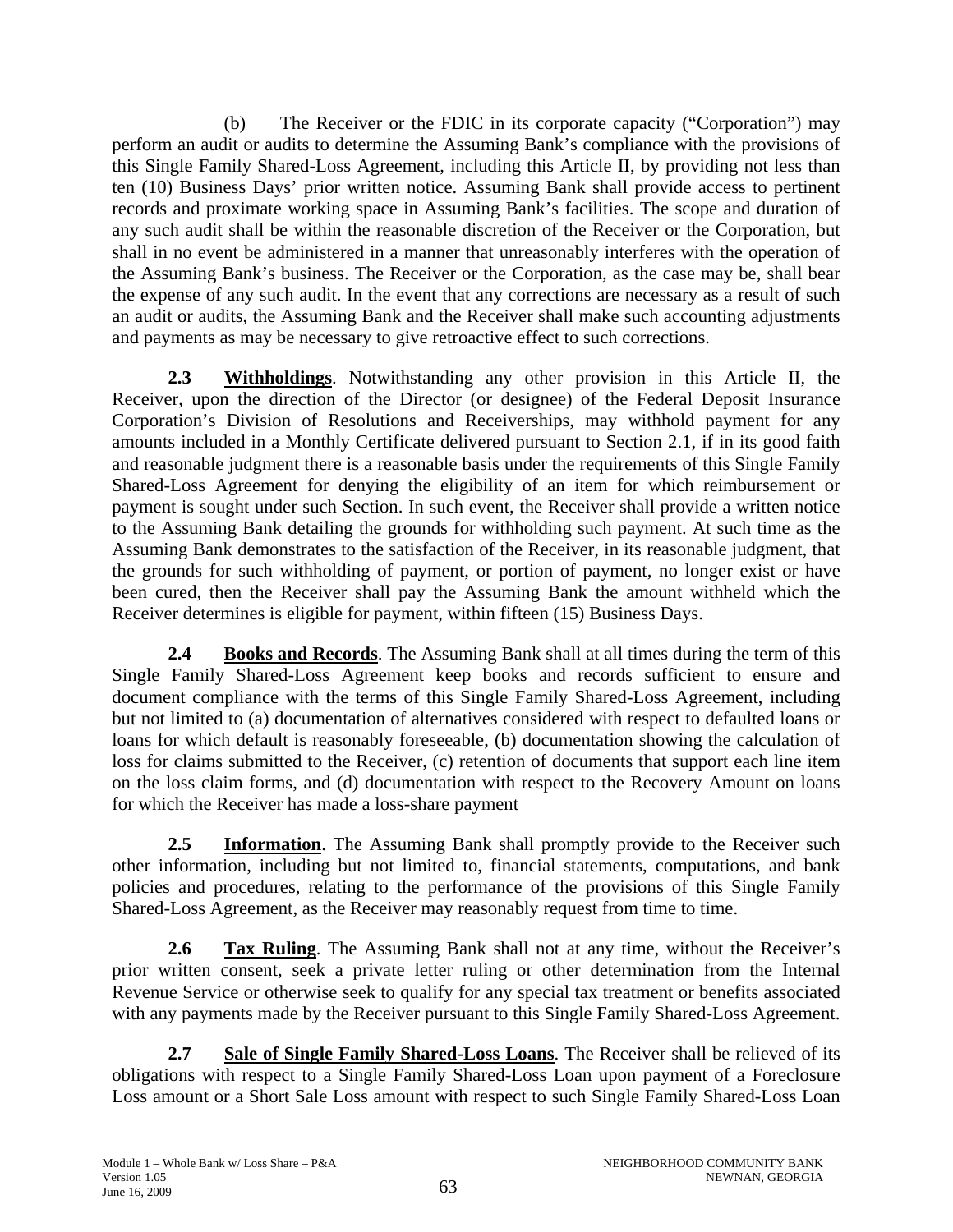(b) The Receiver or the FDIC in its corporate capacity ("Corporation") may perform an audit or audits to determine the Assuming Bank's compliance with the provisions of this Single Family Shared-Loss Agreement, including this Article II, by providing not less than ten (10) Business Days' prior written notice. Assuming Bank shall provide access to pertinent records and proximate working space in Assuming Bank's facilities. The scope and duration of any such audit shall be within the reasonable discretion of the Receiver or the Corporation, but shall in no event be administered in a manner that unreasonably interferes with the operation of the Assuming Bank's business. The Receiver or the Corporation, as the case may be, shall bear the expense of any such audit. In the event that any corrections are necessary as a result of such an audit or audits, the Assuming Bank and the Receiver shall make such accounting adjustments and payments as may be necessary to give retroactive effect to such corrections.

**2.3 Withholdings**. Notwithstanding any other provision in this Article II, the Receiver, upon the direction of the Director (or designee) of the Federal Deposit Insurance Corporation's Division of Resolutions and Receiverships, may withhold payment for any amounts included in a Monthly Certificate delivered pursuant to Section 2.1, if in its good faith and reasonable judgment there is a reasonable basis under the requirements of this Single Family Shared-Loss Agreement for denying the eligibility of an item for which reimbursement or payment is sought under such Section. In such event, the Receiver shall provide a written notice to the Assuming Bank detailing the grounds for withholding such payment. At such time as the Assuming Bank demonstrates to the satisfaction of the Receiver, in its reasonable judgment, that the grounds for such withholding of payment, or portion of payment, no longer exist or have been cured, then the Receiver shall pay the Assuming Bank the amount withheld which the Receiver determines is eligible for payment, within fifteen (15) Business Days.

**2.4 Books and Records**. The Assuming Bank shall at all times during the term of this Single Family Shared-Loss Agreement keep books and records sufficient to ensure and document compliance with the terms of this Single Family Shared-Loss Agreement, including but not limited to (a) documentation of alternatives considered with respect to defaulted loans or loans for which default is reasonably foreseeable, (b) documentation showing the calculation of loss for claims submitted to the Receiver, (c) retention of documents that support each line item on the loss claim forms, and (d) documentation with respect to the Recovery Amount on loans for which the Receiver has made a loss-share payment

**2.5 Information**. The Assuming Bank shall promptly provide to the Receiver such other information, including but not limited to, financial statements, computations, and bank policies and procedures, relating to the performance of the provisions of this Single Family Shared-Loss Agreement, as the Receiver may reasonably request from time to time.

**2.6 Tax Ruling**. The Assuming Bank shall not at any time, without the Receiver's prior written consent, seek a private letter ruling or other determination from the Internal Revenue Service or otherwise seek to qualify for any special tax treatment or benefits associated with any payments made by the Receiver pursuant to this Single Family Shared-Loss Agreement.

**2.7 Sale of Single Family Shared-Loss Loans**. The Receiver shall be relieved of its obligations with respect to a Single Family Shared-Loss Loan upon payment of a Foreclosure Loss amount or a Short Sale Loss amount with respect to such Single Family Shared-Loss Loan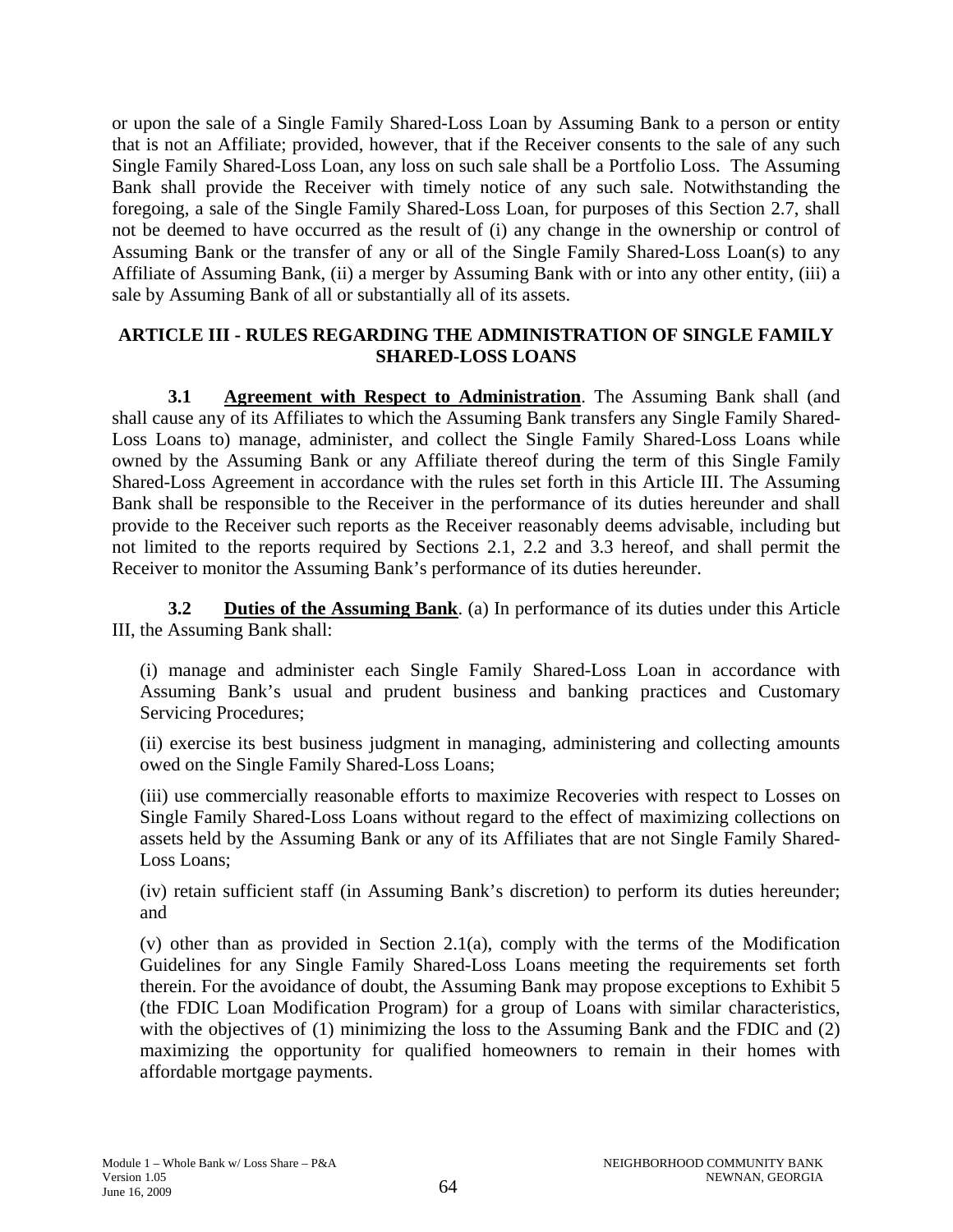or upon the sale of a Single Family Shared-Loss Loan by Assuming Bank to a person or entity that is not an Affiliate; provided, however, that if the Receiver consents to the sale of any such Single Family Shared-Loss Loan, any loss on such sale shall be a Portfolio Loss. The Assuming Bank shall provide the Receiver with timely notice of any such sale. Notwithstanding the foregoing, a sale of the Single Family Shared-Loss Loan, for purposes of this Section 2.7, shall not be deemed to have occurred as the result of (i) any change in the ownership or control of Assuming Bank or the transfer of any or all of the Single Family Shared-Loss Loan(s) to any Affiliate of Assuming Bank, (ii) a merger by Assuming Bank with or into any other entity, (iii) a sale by Assuming Bank of all or substantially all of its assets.

### **ARTICLE III - RULES REGARDING THE ADMINISTRATION OF SINGLE FAMILY SHARED-LOSS LOANS**

**3.1 Agreement with Respect to Administration**. The Assuming Bank shall (and shall cause any of its Affiliates to which the Assuming Bank transfers any Single Family Shared-Loss Loans to) manage, administer, and collect the Single Family Shared-Loss Loans while owned by the Assuming Bank or any Affiliate thereof during the term of this Single Family Shared-Loss Agreement in accordance with the rules set forth in this Article III. The Assuming Bank shall be responsible to the Receiver in the performance of its duties hereunder and shall provide to the Receiver such reports as the Receiver reasonably deems advisable, including but not limited to the reports required by Sections 2.1, 2.2 and 3.3 hereof, and shall permit the Receiver to monitor the Assuming Bank's performance of its duties hereunder.

**3.2 Duties of the Assuming Bank**. (a) In performance of its duties under this Article III, the Assuming Bank shall:

(i) manage and administer each Single Family Shared-Loss Loan in accordance with Assuming Bank's usual and prudent business and banking practices and Customary Servicing Procedures;

(ii) exercise its best business judgment in managing, administering and collecting amounts owed on the Single Family Shared-Loss Loans;

(iii) use commercially reasonable efforts to maximize Recoveries with respect to Losses on Single Family Shared-Loss Loans without regard to the effect of maximizing collections on assets held by the Assuming Bank or any of its Affiliates that are not Single Family Shared-Loss Loans;

(iv) retain sufficient staff (in Assuming Bank's discretion) to perform its duties hereunder; and

(v) other than as provided in Section 2.1(a), comply with the terms of the Modification Guidelines for any Single Family Shared-Loss Loans meeting the requirements set forth therein. For the avoidance of doubt, the Assuming Bank may propose exceptions to Exhibit 5 (the FDIC Loan Modification Program) for a group of Loans with similar characteristics, with the objectives of (1) minimizing the loss to the Assuming Bank and the FDIC and (2) maximizing the opportunity for qualified homeowners to remain in their homes with affordable mortgage payments.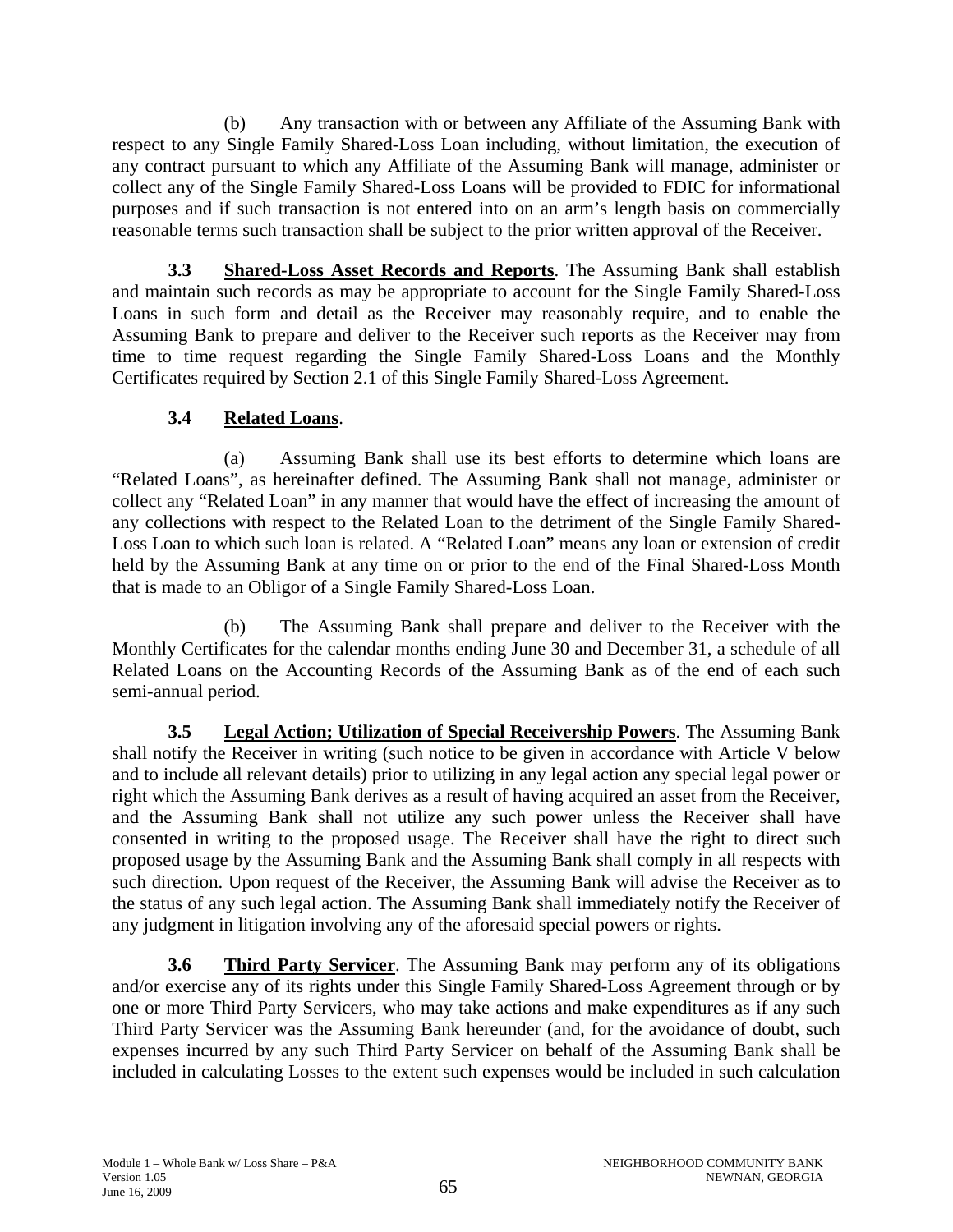(b) Any transaction with or between any Affiliate of the Assuming Bank with respect to any Single Family Shared-Loss Loan including, without limitation, the execution of any contract pursuant to which any Affiliate of the Assuming Bank will manage, administer or collect any of the Single Family Shared-Loss Loans will be provided to FDIC for informational purposes and if such transaction is not entered into on an arm's length basis on commercially reasonable terms such transaction shall be subject to the prior written approval of the Receiver.

**3.3 Shared-Loss Asset Records and Reports**. The Assuming Bank shall establish and maintain such records as may be appropriate to account for the Single Family Shared-Loss Loans in such form and detail as the Receiver may reasonably require, and to enable the Assuming Bank to prepare and deliver to the Receiver such reports as the Receiver may from time to time request regarding the Single Family Shared-Loss Loans and the Monthly Certificates required by Section 2.1 of this Single Family Shared-Loss Agreement.

# **3.4 Related Loans**.

(a) Assuming Bank shall use its best efforts to determine which loans are "Related Loans", as hereinafter defined. The Assuming Bank shall not manage, administer or collect any "Related Loan" in any manner that would have the effect of increasing the amount of any collections with respect to the Related Loan to the detriment of the Single Family Shared-Loss Loan to which such loan is related. A "Related Loan" means any loan or extension of credit held by the Assuming Bank at any time on or prior to the end of the Final Shared-Loss Month that is made to an Obligor of a Single Family Shared-Loss Loan.

(b) The Assuming Bank shall prepare and deliver to the Receiver with the Monthly Certificates for the calendar months ending June 30 and December 31, a schedule of all Related Loans on the Accounting Records of the Assuming Bank as of the end of each such semi-annual period.

**3.5 Legal Action; Utilization of Special Receivership Powers**. The Assuming Bank shall notify the Receiver in writing (such notice to be given in accordance with Article V below and to include all relevant details) prior to utilizing in any legal action any special legal power or right which the Assuming Bank derives as a result of having acquired an asset from the Receiver, and the Assuming Bank shall not utilize any such power unless the Receiver shall have consented in writing to the proposed usage. The Receiver shall have the right to direct such proposed usage by the Assuming Bank and the Assuming Bank shall comply in all respects with such direction. Upon request of the Receiver, the Assuming Bank will advise the Receiver as to the status of any such legal action. The Assuming Bank shall immediately notify the Receiver of any judgment in litigation involving any of the aforesaid special powers or rights.

**3.6 Third Party Servicer**. The Assuming Bank may perform any of its obligations and/or exercise any of its rights under this Single Family Shared-Loss Agreement through or by one or more Third Party Servicers, who may take actions and make expenditures as if any such Third Party Servicer was the Assuming Bank hereunder (and, for the avoidance of doubt, such expenses incurred by any such Third Party Servicer on behalf of the Assuming Bank shall be included in calculating Losses to the extent such expenses would be included in such calculation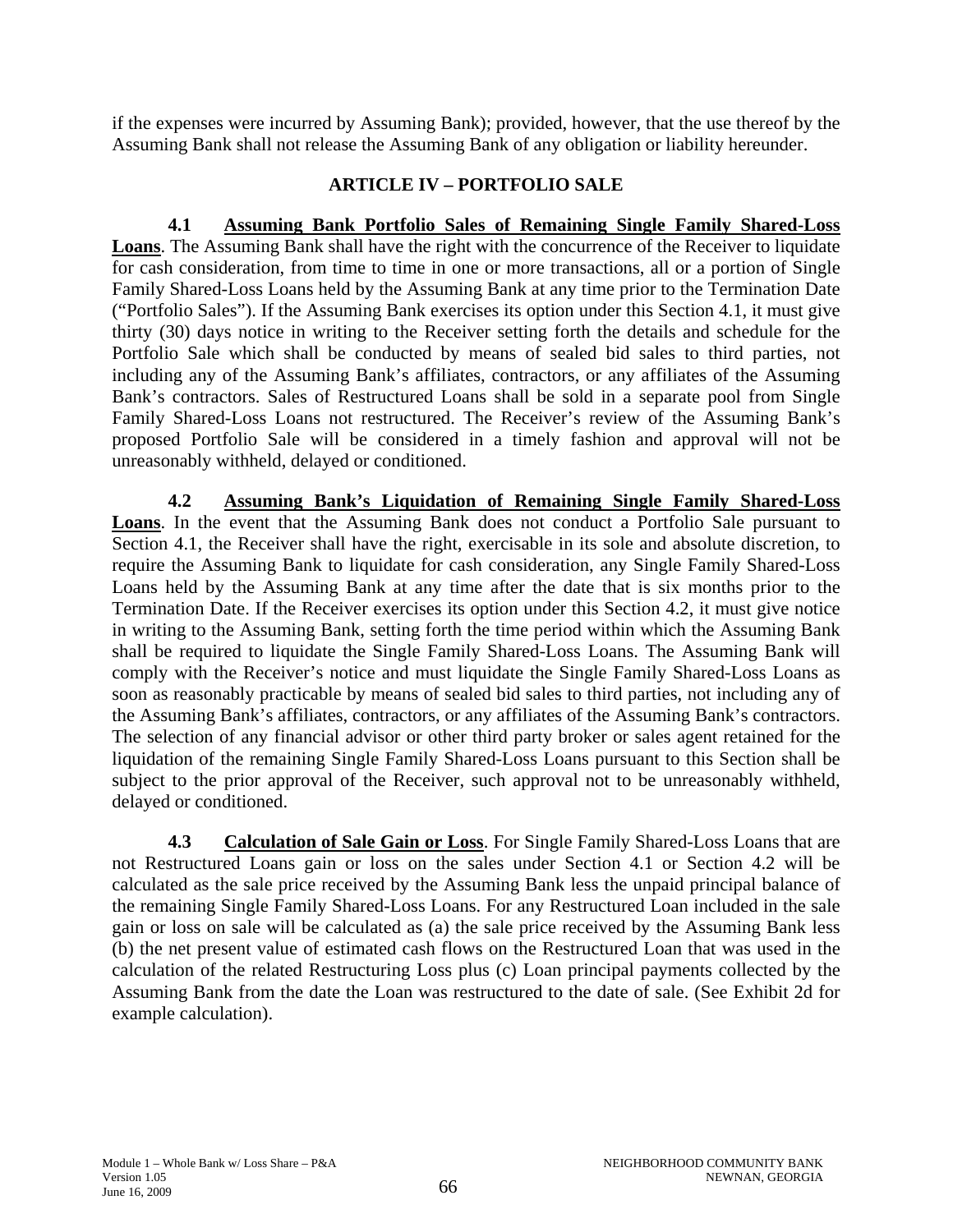if the expenses were incurred by Assuming Bank); provided, however, that the use thereof by the Assuming Bank shall not release the Assuming Bank of any obligation or liability hereunder.

## **ARTICLE IV – PORTFOLIO SALE**

**4.1 Assuming Bank Portfolio Sales of Remaining Single Family Shared-Loss Loans**. The Assuming Bank shall have the right with the concurrence of the Receiver to liquidate for cash consideration, from time to time in one or more transactions, all or a portion of Single Family Shared-Loss Loans held by the Assuming Bank at any time prior to the Termination Date ("Portfolio Sales"). If the Assuming Bank exercises its option under this Section 4.1, it must give thirty (30) days notice in writing to the Receiver setting forth the details and schedule for the Portfolio Sale which shall be conducted by means of sealed bid sales to third parties, not including any of the Assuming Bank's affiliates, contractors, or any affiliates of the Assuming Bank's contractors. Sales of Restructured Loans shall be sold in a separate pool from Single Family Shared-Loss Loans not restructured. The Receiver's review of the Assuming Bank's proposed Portfolio Sale will be considered in a timely fashion and approval will not be unreasonably withheld, delayed or conditioned.

**4.2 Assuming Bank's Liquidation of Remaining Single Family Shared-Loss Loans**. In the event that the Assuming Bank does not conduct a Portfolio Sale pursuant to Section 4.1, the Receiver shall have the right, exercisable in its sole and absolute discretion, to require the Assuming Bank to liquidate for cash consideration, any Single Family Shared-Loss Loans held by the Assuming Bank at any time after the date that is six months prior to the Termination Date. If the Receiver exercises its option under this Section 4.2, it must give notice in writing to the Assuming Bank, setting forth the time period within which the Assuming Bank shall be required to liquidate the Single Family Shared-Loss Loans. The Assuming Bank will comply with the Receiver's notice and must liquidate the Single Family Shared-Loss Loans as soon as reasonably practicable by means of sealed bid sales to third parties, not including any of the Assuming Bank's affiliates, contractors, or any affiliates of the Assuming Bank's contractors. The selection of any financial advisor or other third party broker or sales agent retained for the liquidation of the remaining Single Family Shared-Loss Loans pursuant to this Section shall be subject to the prior approval of the Receiver, such approval not to be unreasonably withheld, delayed or conditioned.

**4.3 Calculation of Sale Gain or Loss**. For Single Family Shared-Loss Loans that are not Restructured Loans gain or loss on the sales under Section 4.1 or Section 4.2 will be calculated as the sale price received by the Assuming Bank less the unpaid principal balance of the remaining Single Family Shared-Loss Loans. For any Restructured Loan included in the sale gain or loss on sale will be calculated as (a) the sale price received by the Assuming Bank less (b) the net present value of estimated cash flows on the Restructured Loan that was used in the calculation of the related Restructuring Loss plus (c) Loan principal payments collected by the Assuming Bank from the date the Loan was restructured to the date of sale. (See Exhibit 2d for example calculation).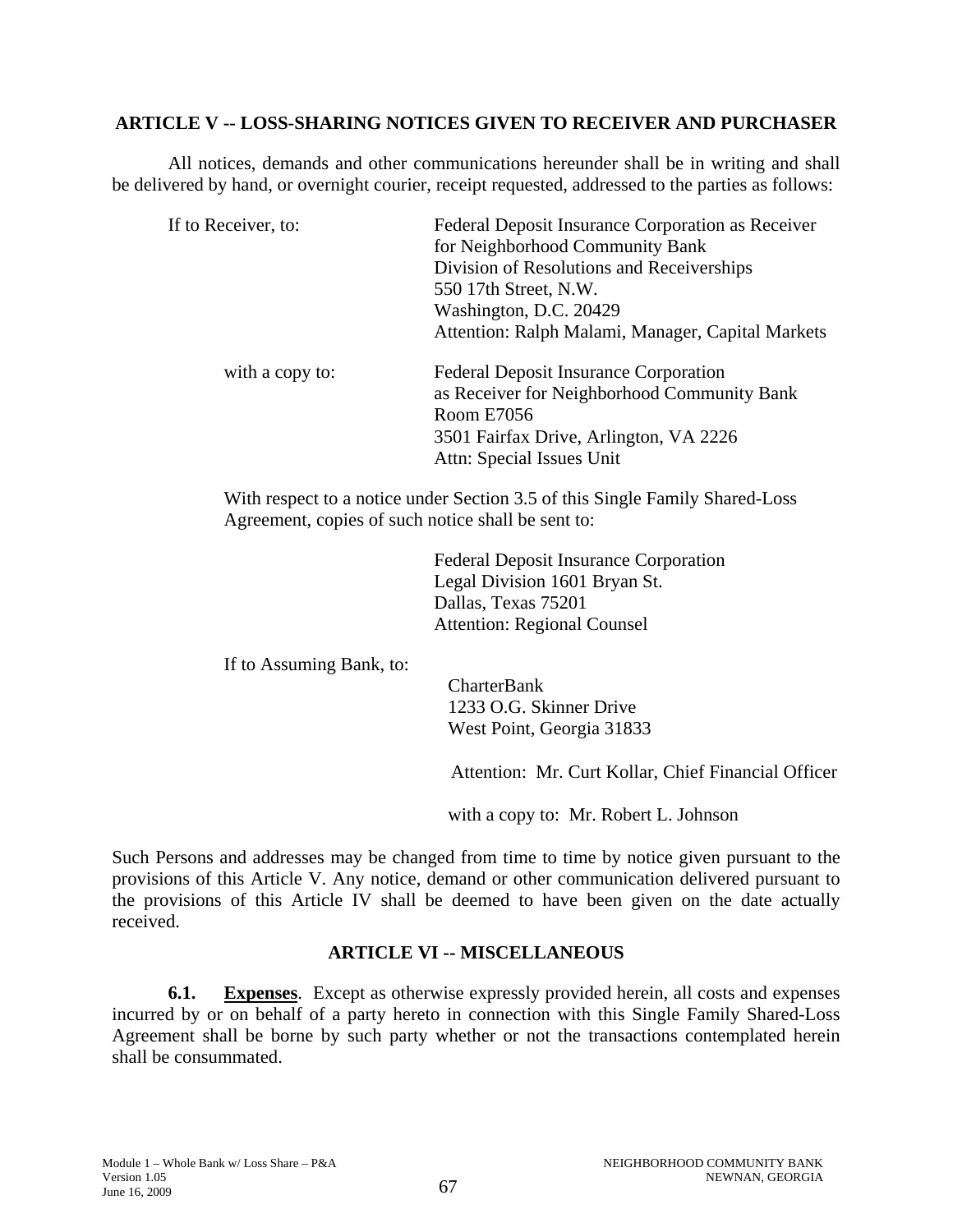### **ARTICLE V -- LOSS-SHARING NOTICES GIVEN TO RECEIVER AND PURCHASER**

All notices, demands and other communications hereunder shall be in writing and shall be delivered by hand, or overnight courier, receipt requested, addressed to the parties as follows:

| If to Receiver, to: | Federal Deposit Insurance Corporation as Receiver<br>for Neighborhood Community Bank<br>Division of Resolutions and Receiverships<br>550 17th Street, N.W.<br>Washington, D.C. 20429<br>Attention: Ralph Malami, Manager, Capital Markets |
|---------------------|-------------------------------------------------------------------------------------------------------------------------------------------------------------------------------------------------------------------------------------------|
| with a copy to:     | <b>Federal Deposit Insurance Corporation</b><br>as Receiver for Neighborhood Community Bank<br>Room E7056<br>3501 Fairfax Drive, Arlington, VA 2226<br>Attn: Special Issues Unit                                                          |

With respect to a notice under Section 3.5 of this Single Family Shared-Loss Agreement, copies of such notice shall be sent to:

> Federal Deposit Insurance Corporation Legal Division 1601 Bryan St. Dallas, Texas 75201 Attention: Regional Counsel

If to Assuming Bank, to:

**CharterBank** 1233 O.G. Skinner Drive West Point, Georgia 31833

Attention: Mr. Curt Kollar, Chief Financial Officer

with a copy to: Mr. Robert L. Johnson

Such Persons and addresses may be changed from time to time by notice given pursuant to the provisions of this Article V. Any notice, demand or other communication delivered pursuant to the provisions of this Article IV shall be deemed to have been given on the date actually received.

### **ARTICLE VI -- MISCELLANEOUS**

**6.1. Expenses**. Except as otherwise expressly provided herein, all costs and expenses incurred by or on behalf of a party hereto in connection with this Single Family Shared-Loss Agreement shall be borne by such party whether or not the transactions contemplated herein shall be consummated.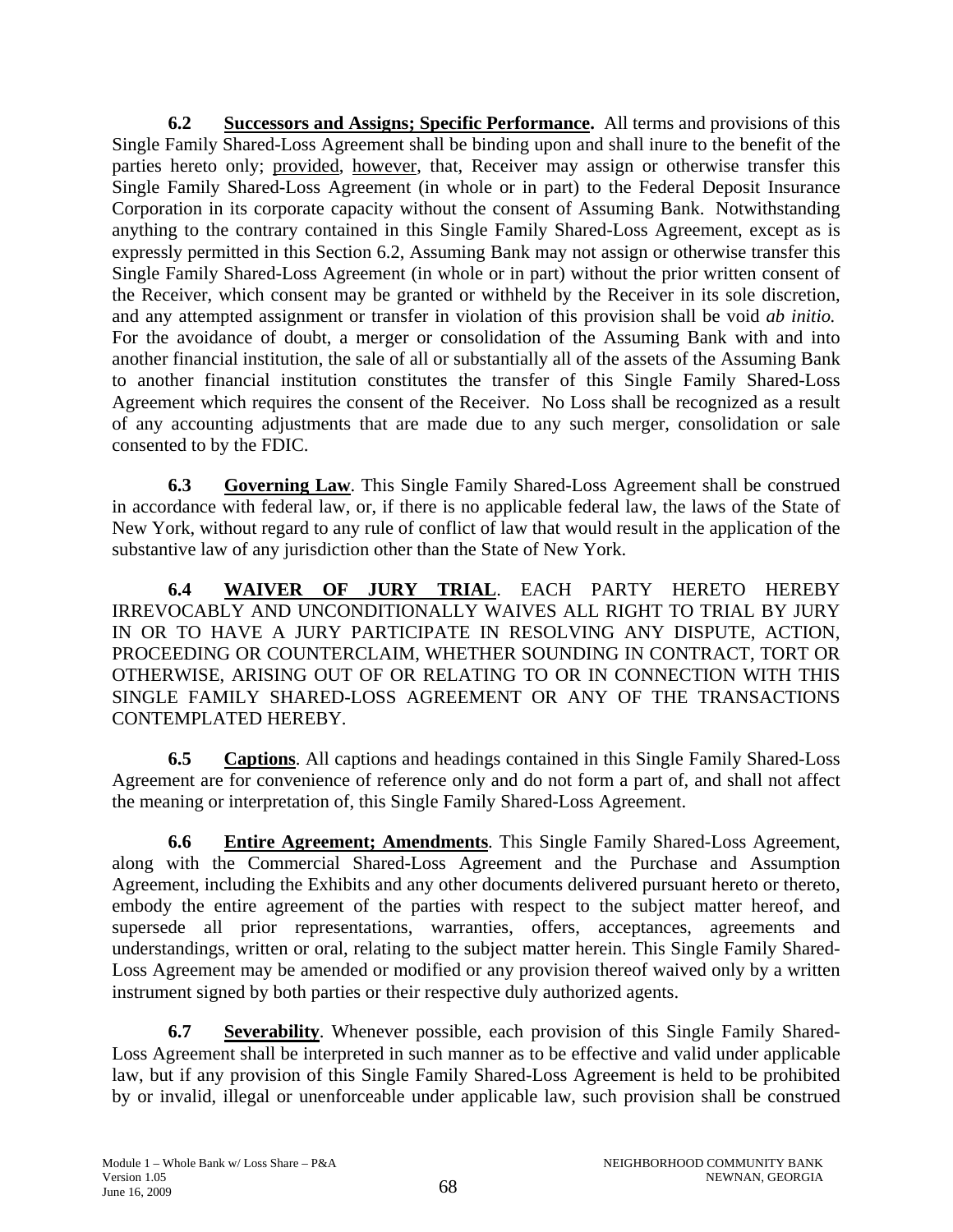**6.2** Successors and Assigns; Specific Performance. All terms and provisions of this Single Family Shared-Loss Agreement shall be binding upon and shall inure to the benefit of the parties hereto only; provided, however, that, Receiver may assign or otherwise transfer this Single Family Shared-Loss Agreement (in whole or in part) to the Federal Deposit Insurance Corporation in its corporate capacity without the consent of Assuming Bank. Notwithstanding anything to the contrary contained in this Single Family Shared-Loss Agreement, except as is expressly permitted in this Section 6.2, Assuming Bank may not assign or otherwise transfer this Single Family Shared-Loss Agreement (in whole or in part) without the prior written consent of the Receiver, which consent may be granted or withheld by the Receiver in its sole discretion, and any attempted assignment or transfer in violation of this provision shall be void *ab initio.*  For the avoidance of doubt, a merger or consolidation of the Assuming Bank with and into another financial institution, the sale of all or substantially all of the assets of the Assuming Bank to another financial institution constitutes the transfer of this Single Family Shared-Loss Agreement which requires the consent of the Receiver. No Loss shall be recognized as a result of any accounting adjustments that are made due to any such merger, consolidation or sale consented to by the FDIC.

**6.3** Governing Law. This Single Family Shared-Loss Agreement shall be construed in accordance with federal law, or, if there is no applicable federal law, the laws of the State of New York, without regard to any rule of conflict of law that would result in the application of the substantive law of any jurisdiction other than the State of New York.

**6.4 WAIVER OF JURY TRIAL**. EACH PARTY HERETO HEREBY IRREVOCABLY AND UNCONDITIONALLY WAIVES ALL RIGHT TO TRIAL BY JURY IN OR TO HAVE A JURY PARTICIPATE IN RESOLVING ANY DISPUTE, ACTION, PROCEEDING OR COUNTERCLAIM, WHETHER SOUNDING IN CONTRACT, TORT OR OTHERWISE, ARISING OUT OF OR RELATING TO OR IN CONNECTION WITH THIS SINGLE FAMILY SHARED-LOSS AGREEMENT OR ANY OF THE TRANSACTIONS CONTEMPLATED HEREBY.

**6.5 Captions**. All captions and headings contained in this Single Family Shared-Loss Agreement are for convenience of reference only and do not form a part of, and shall not affect the meaning or interpretation of, this Single Family Shared-Loss Agreement.

**6.6 Entire Agreement; Amendments**. This Single Family Shared-Loss Agreement, along with the Commercial Shared-Loss Agreement and the Purchase and Assumption Agreement, including the Exhibits and any other documents delivered pursuant hereto or thereto, embody the entire agreement of the parties with respect to the subject matter hereof, and supersede all prior representations, warranties, offers, acceptances, agreements and understandings, written or oral, relating to the subject matter herein. This Single Family Shared-Loss Agreement may be amended or modified or any provision thereof waived only by a written instrument signed by both parties or their respective duly authorized agents.

**6.7 Severability**. Whenever possible, each provision of this Single Family Shared-Loss Agreement shall be interpreted in such manner as to be effective and valid under applicable law, but if any provision of this Single Family Shared-Loss Agreement is held to be prohibited by or invalid, illegal or unenforceable under applicable law, such provision shall be construed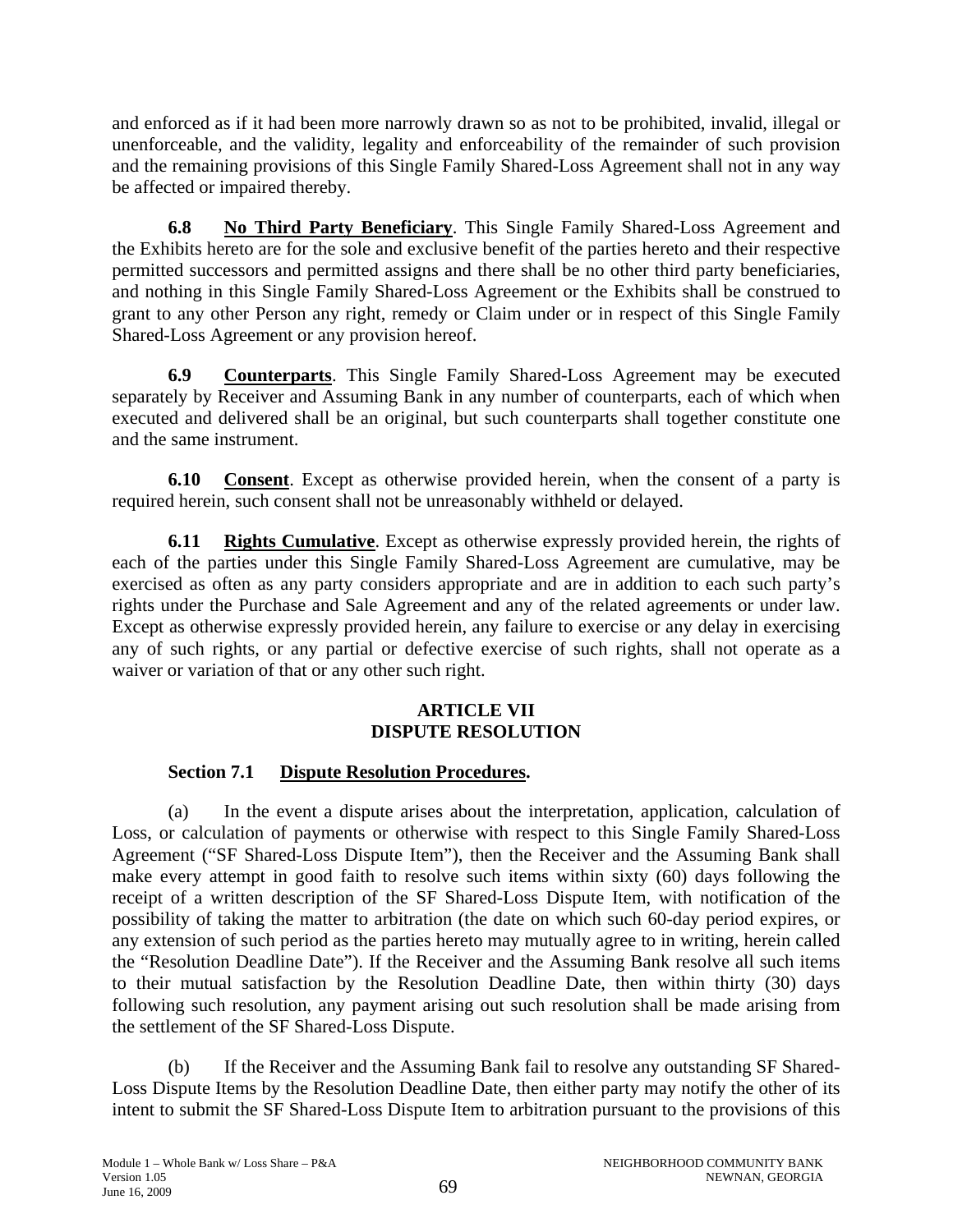and enforced as if it had been more narrowly drawn so as not to be prohibited, invalid, illegal or unenforceable, and the validity, legality and enforceability of the remainder of such provision and the remaining provisions of this Single Family Shared-Loss Agreement shall not in any way be affected or impaired thereby.

**6.8 No Third Party Beneficiary**. This Single Family Shared-Loss Agreement and the Exhibits hereto are for the sole and exclusive benefit of the parties hereto and their respective permitted successors and permitted assigns and there shall be no other third party beneficiaries, and nothing in this Single Family Shared-Loss Agreement or the Exhibits shall be construed to grant to any other Person any right, remedy or Claim under or in respect of this Single Family Shared-Loss Agreement or any provision hereof.

**6.9 Counterparts**. This Single Family Shared-Loss Agreement may be executed separately by Receiver and Assuming Bank in any number of counterparts, each of which when executed and delivered shall be an original, but such counterparts shall together constitute one and the same instrument.

**6.10 Consent**. Except as otherwise provided herein, when the consent of a party is required herein, such consent shall not be unreasonably withheld or delayed.

**6.11 Rights Cumulative**. Except as otherwise expressly provided herein, the rights of each of the parties under this Single Family Shared-Loss Agreement are cumulative, may be exercised as often as any party considers appropriate and are in addition to each such party's rights under the Purchase and Sale Agreement and any of the related agreements or under law. Except as otherwise expressly provided herein, any failure to exercise or any delay in exercising any of such rights, or any partial or defective exercise of such rights, shall not operate as a waiver or variation of that or any other such right.

### **ARTICLE VII DISPUTE RESOLUTION**

## **Section 7.1 Dispute Resolution Procedures.**

(a) In the event a dispute arises about the interpretation, application, calculation of Loss, or calculation of payments or otherwise with respect to this Single Family Shared-Loss Agreement ("SF Shared-Loss Dispute Item"), then the Receiver and the Assuming Bank shall make every attempt in good faith to resolve such items within sixty (60) days following the receipt of a written description of the SF Shared-Loss Dispute Item, with notification of the possibility of taking the matter to arbitration (the date on which such 60-day period expires, or any extension of such period as the parties hereto may mutually agree to in writing, herein called the "Resolution Deadline Date"). If the Receiver and the Assuming Bank resolve all such items to their mutual satisfaction by the Resolution Deadline Date, then within thirty (30) days following such resolution, any payment arising out such resolution shall be made arising from the settlement of the SF Shared-Loss Dispute.

(b) If the Receiver and the Assuming Bank fail to resolve any outstanding SF Shared-Loss Dispute Items by the Resolution Deadline Date, then either party may notify the other of its intent to submit the SF Shared-Loss Dispute Item to arbitration pursuant to the provisions of this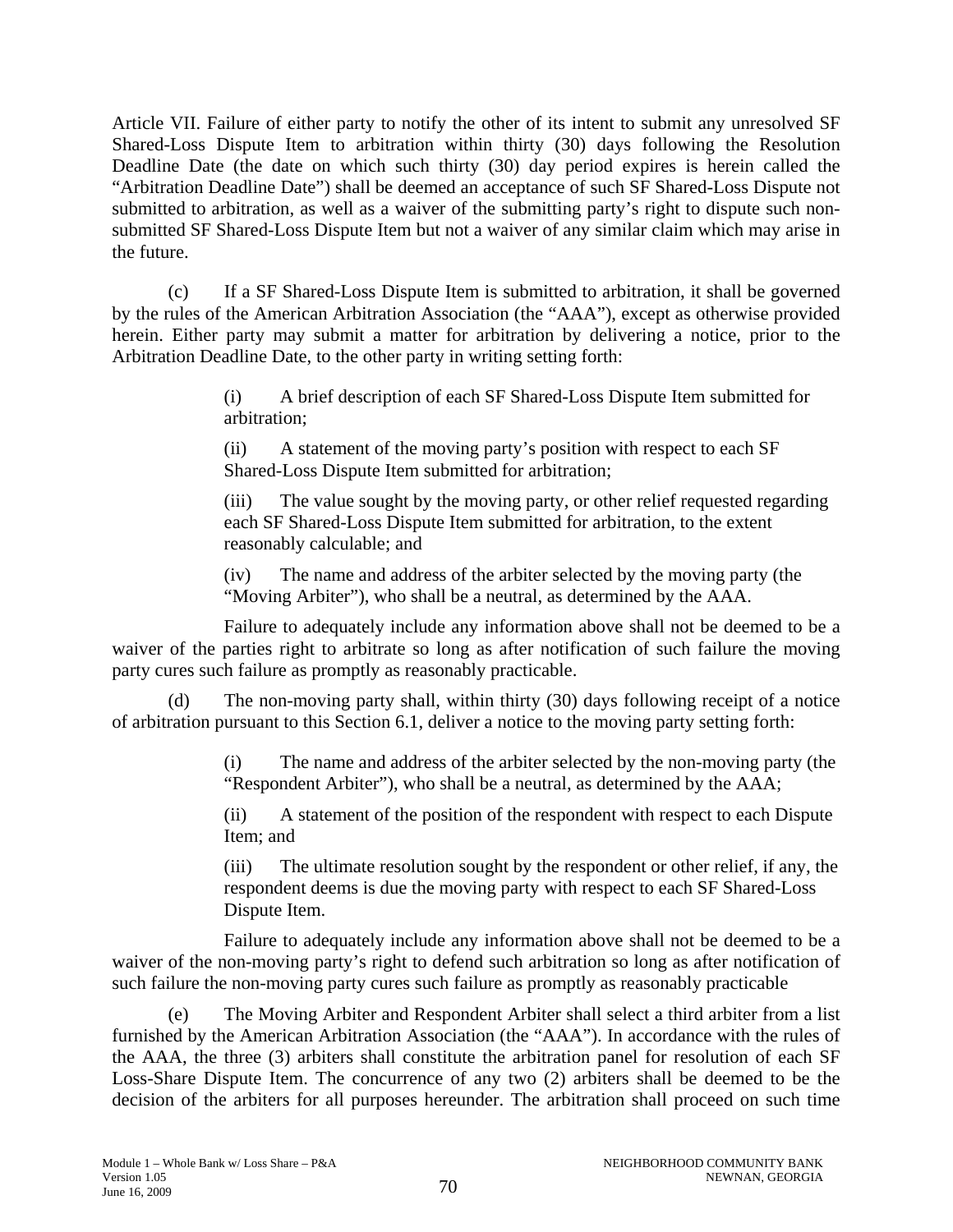Article VII. Failure of either party to notify the other of its intent to submit any unresolved SF Shared-Loss Dispute Item to arbitration within thirty (30) days following the Resolution Deadline Date (the date on which such thirty (30) day period expires is herein called the "Arbitration Deadline Date") shall be deemed an acceptance of such SF Shared-Loss Dispute not submitted to arbitration, as well as a waiver of the submitting party's right to dispute such nonsubmitted SF Shared-Loss Dispute Item but not a waiver of any similar claim which may arise in the future.

(c) If a SF Shared-Loss Dispute Item is submitted to arbitration, it shall be governed by the rules of the American Arbitration Association (the "AAA"), except as otherwise provided herein. Either party may submit a matter for arbitration by delivering a notice, prior to the Arbitration Deadline Date, to the other party in writing setting forth:

> (i) A brief description of each SF Shared-Loss Dispute Item submitted for arbitration;

(ii) A statement of the moving party's position with respect to each SF Shared-Loss Dispute Item submitted for arbitration;

(iii) The value sought by the moving party, or other relief requested regarding each SF Shared-Loss Dispute Item submitted for arbitration, to the extent reasonably calculable; and

(iv) The name and address of the arbiter selected by the moving party (the "Moving Arbiter"), who shall be a neutral, as determined by the AAA.

Failure to adequately include any information above shall not be deemed to be a waiver of the parties right to arbitrate so long as after notification of such failure the moving party cures such failure as promptly as reasonably practicable.

(d) The non-moving party shall, within thirty (30) days following receipt of a notice of arbitration pursuant to this Section 6.1, deliver a notice to the moving party setting forth:

> (i) The name and address of the arbiter selected by the non-moving party (the "Respondent Arbiter"), who shall be a neutral, as determined by the AAA;

> (ii) A statement of the position of the respondent with respect to each Dispute Item; and

> (iii) The ultimate resolution sought by the respondent or other relief, if any, the respondent deems is due the moving party with respect to each SF Shared-Loss Dispute Item.

Failure to adequately include any information above shall not be deemed to be a waiver of the non-moving party's right to defend such arbitration so long as after notification of such failure the non-moving party cures such failure as promptly as reasonably practicable

(e) The Moving Arbiter and Respondent Arbiter shall select a third arbiter from a list furnished by the American Arbitration Association (the "AAA"). In accordance with the rules of the AAA, the three (3) arbiters shall constitute the arbitration panel for resolution of each SF Loss-Share Dispute Item. The concurrence of any two (2) arbiters shall be deemed to be the decision of the arbiters for all purposes hereunder. The arbitration shall proceed on such time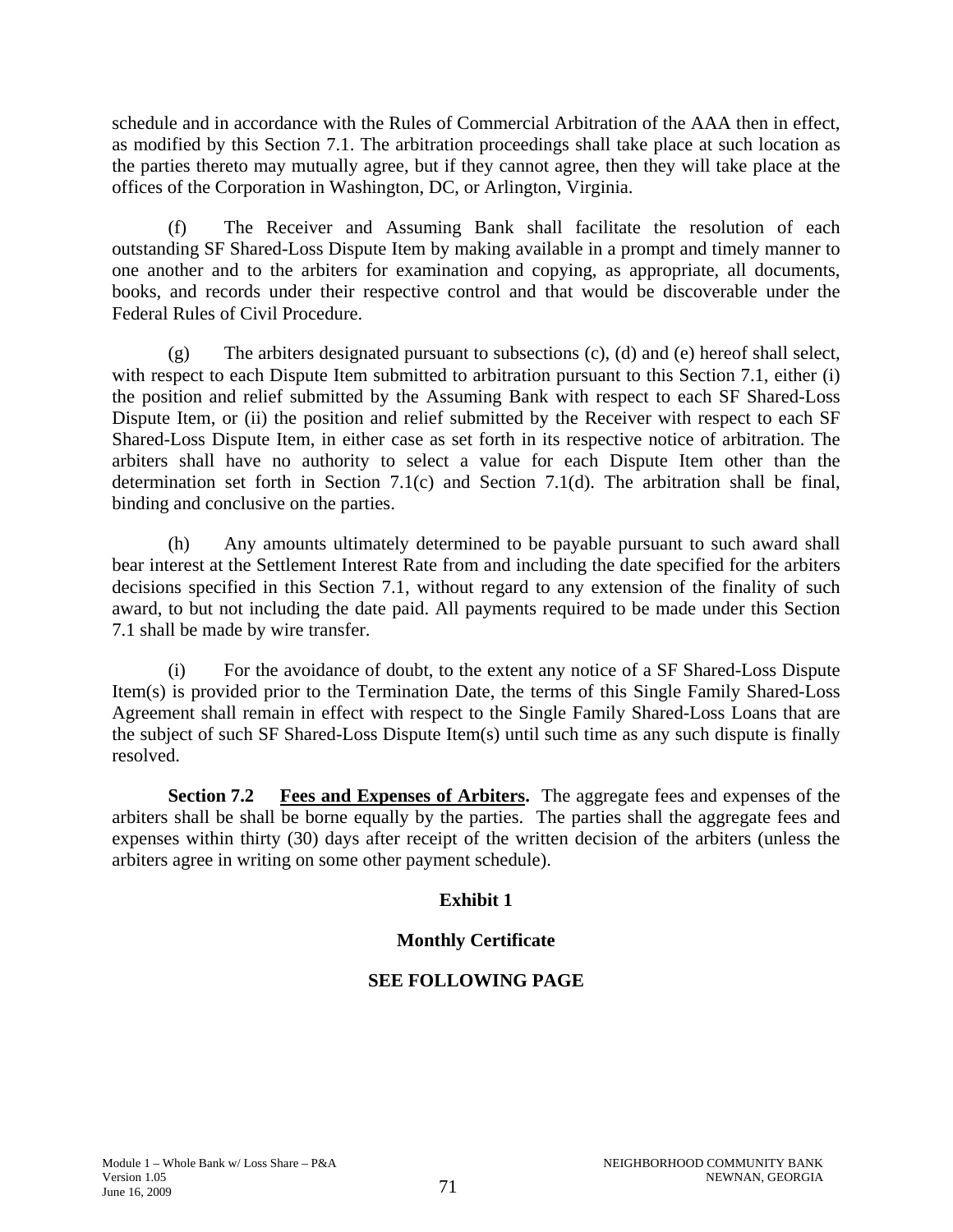schedule and in accordance with the Rules of Commercial Arbitration of the AAA then in effect, as modified by this Section 7.1. The arbitration proceedings shall take place at such location as the parties thereto may mutually agree, but if they cannot agree, then they will take place at the offices of the Corporation in Washington, DC, or Arlington, Virginia.

(f) The Receiver and Assuming Bank shall facilitate the resolution of each outstanding SF Shared-Loss Dispute Item by making available in a prompt and timely manner to one another and to the arbiters for examination and copying, as appropriate, all documents, books, and records under their respective control and that would be discoverable under the Federal Rules of Civil Procedure.

(g) The arbiters designated pursuant to subsections (c), (d) and (e) hereof shall select, with respect to each Dispute Item submitted to arbitration pursuant to this Section 7.1, either (i) the position and relief submitted by the Assuming Bank with respect to each SF Shared-Loss Dispute Item, or (ii) the position and relief submitted by the Receiver with respect to each SF Shared-Loss Dispute Item, in either case as set forth in its respective notice of arbitration. The arbiters shall have no authority to select a value for each Dispute Item other than the determination set forth in Section 7.1(c) and Section 7.1(d). The arbitration shall be final, binding and conclusive on the parties.

(h) Any amounts ultimately determined to be payable pursuant to such award shall bear interest at the Settlement Interest Rate from and including the date specified for the arbiters decisions specified in this Section 7.1, without regard to any extension of the finality of such award, to but not including the date paid. All payments required to be made under this Section 7.1 shall be made by wire transfer.

(i) For the avoidance of doubt, to the extent any notice of a SF Shared-Loss Dispute Item(s) is provided prior to the Termination Date, the terms of this Single Family Shared-Loss Agreement shall remain in effect with respect to the Single Family Shared-Loss Loans that are the subject of such SF Shared-Loss Dispute Item(s) until such time as any such dispute is finally resolved.

**Section 7.2 Fees and Expenses of Arbiters.** The aggregate fees and expenses of the arbiters shall be shall be borne equally by the parties. The parties shall the aggregate fees and expenses within thirty (30) days after receipt of the written decision of the arbiters (unless the arbiters agree in writing on some other payment schedule).

## **Exhibit 1**

## **Monthly Certificate**

## **SEE FOLLOWING PAGE**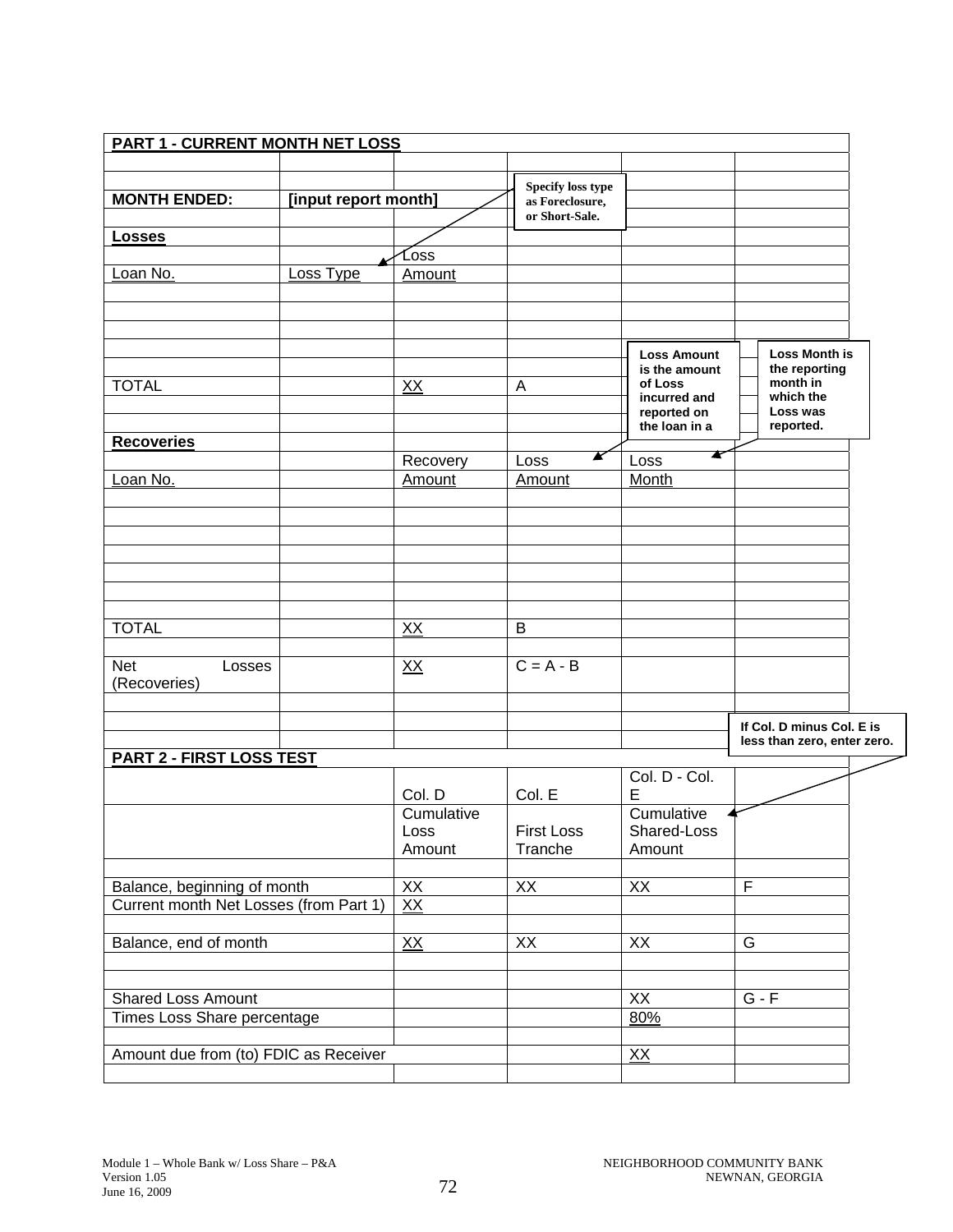| <b>PART 1 - CURRENT MONTH NET LOSS</b> |                      |                 |                                   |                             |                             |
|----------------------------------------|----------------------|-----------------|-----------------------------------|-----------------------------|-----------------------------|
|                                        |                      |                 |                                   |                             |                             |
|                                        |                      |                 | Specify loss type                 |                             |                             |
| <b>MONTH ENDED:</b>                    | [input report month] |                 | as Foreclosure,<br>or Short-Sale. |                             |                             |
|                                        |                      |                 |                                   |                             |                             |
| <b>Losses</b>                          |                      | ∕Loss           |                                   |                             |                             |
| Loan No.                               | Loss Type            | Amount          |                                   |                             |                             |
|                                        |                      |                 |                                   |                             |                             |
|                                        |                      |                 |                                   |                             |                             |
|                                        |                      |                 |                                   |                             |                             |
|                                        |                      |                 |                                   | <b>Loss Amount</b>          | <b>Loss Month is</b>        |
|                                        |                      |                 |                                   | is the amount               | the reporting               |
| <b>TOTAL</b>                           |                      | XX              | A                                 | of Loss                     | month in                    |
|                                        |                      |                 |                                   | incurred and<br>reported on | which the<br>Loss was       |
|                                        |                      |                 |                                   | the loan in a               | reported.                   |
| <b>Recoveries</b>                      |                      |                 |                                   |                             |                             |
|                                        |                      | Recovery        | K<br>Loss                         | ×<br>Loss                   |                             |
| Loan No.                               |                      | Amount          | Amount                            | Month                       |                             |
|                                        |                      |                 |                                   |                             |                             |
|                                        |                      |                 |                                   |                             |                             |
|                                        |                      |                 |                                   |                             |                             |
|                                        |                      |                 |                                   |                             |                             |
|                                        |                      |                 |                                   |                             |                             |
|                                        |                      |                 |                                   |                             |                             |
|                                        |                      |                 |                                   |                             |                             |
| <b>TOTAL</b>                           |                      | XX              | B                                 |                             |                             |
|                                        |                      |                 | $C = A - B$                       |                             |                             |
| <b>Net</b><br>Losses<br>(Recoveries)   |                      | XX              |                                   |                             |                             |
|                                        |                      |                 |                                   |                             |                             |
|                                        |                      |                 |                                   |                             |                             |
|                                        |                      |                 |                                   |                             | If Col. D minus Col. E is   |
| <b>PART 2 - FIRST LOSS TEST</b>        |                      |                 |                                   |                             | less than zero, enter zero. |
|                                        |                      |                 |                                   | Col. D - Col.               |                             |
|                                        |                      | Col. D          | Col. E                            | E                           |                             |
|                                        |                      | Cumulative      |                                   | Cumulative                  |                             |
|                                        |                      | Loss            | <b>First Loss</b>                 | Shared-Loss                 |                             |
|                                        |                      | Amount          | Tranche                           | Amount                      |                             |
|                                        |                      |                 |                                   |                             |                             |
| Balance, beginning of month            |                      | XX              | XX                                | XX                          | F                           |
| Current month Net Losses (from Part 1) |                      | $\overline{XX}$ |                                   |                             |                             |
|                                        |                      |                 |                                   |                             |                             |
| Balance, end of month                  |                      | XX              | XX                                | XX                          | G                           |
|                                        |                      |                 |                                   |                             |                             |
|                                        |                      |                 |                                   |                             |                             |
| Shared Loss Amount                     |                      |                 |                                   | XX                          | $G - F$                     |
| Times Loss Share percentage            |                      |                 |                                   | 80%                         |                             |
|                                        |                      |                 |                                   |                             |                             |
| Amount due from (to) FDIC as Receiver  |                      |                 |                                   | XX                          |                             |
|                                        |                      |                 |                                   |                             |                             |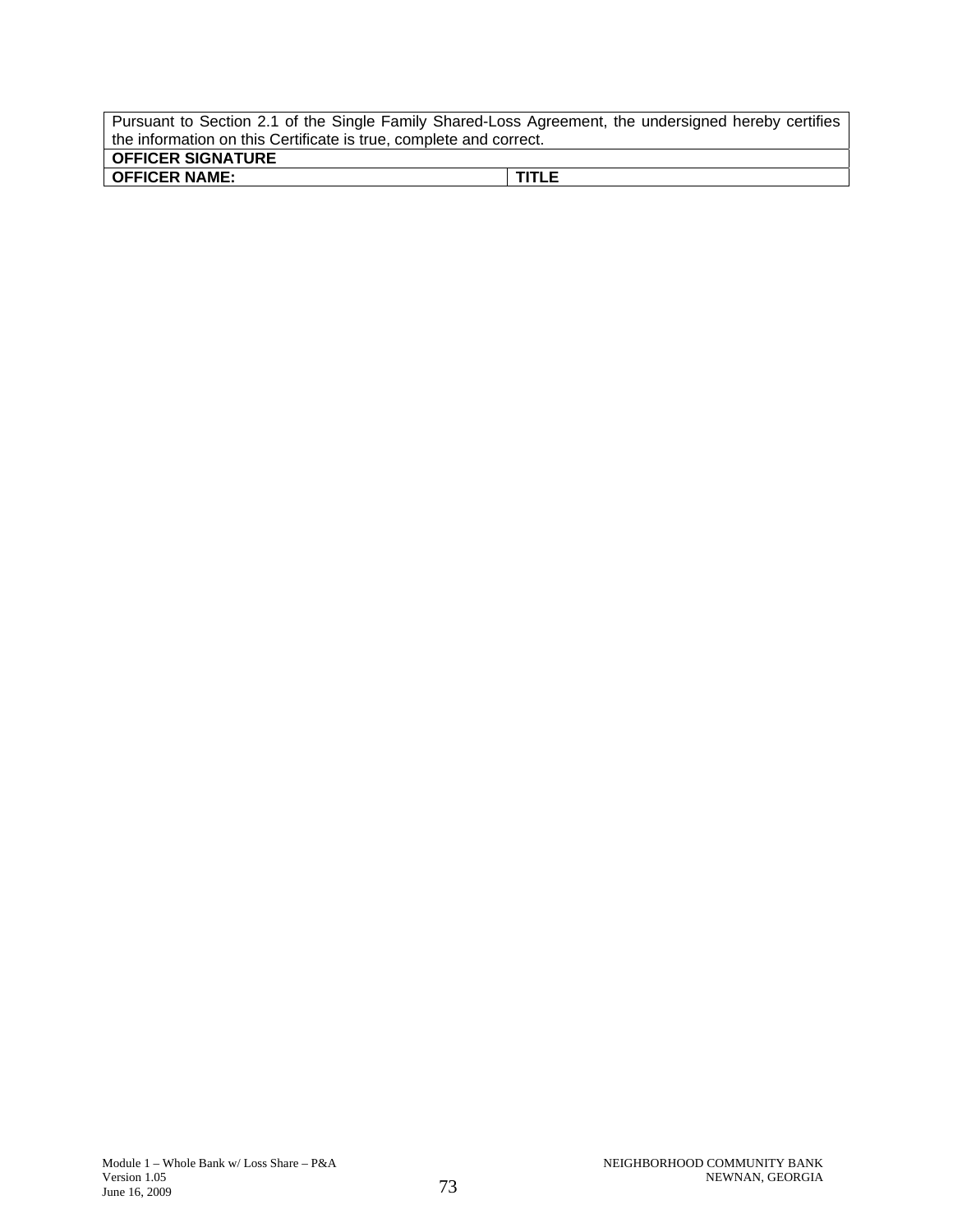| Pursuant to Section 2.1 of the Single Family Shared-Loss Agreement, the undersigned hereby certifies |              |  |  |  |
|------------------------------------------------------------------------------------------------------|--------------|--|--|--|
| the information on this Certificate is true, complete and correct.                                   |              |  |  |  |
| <b>OFFICER SIGNATURE</b>                                                                             |              |  |  |  |
| <b>OFFICER NAME:</b>                                                                                 | <b>TITLE</b> |  |  |  |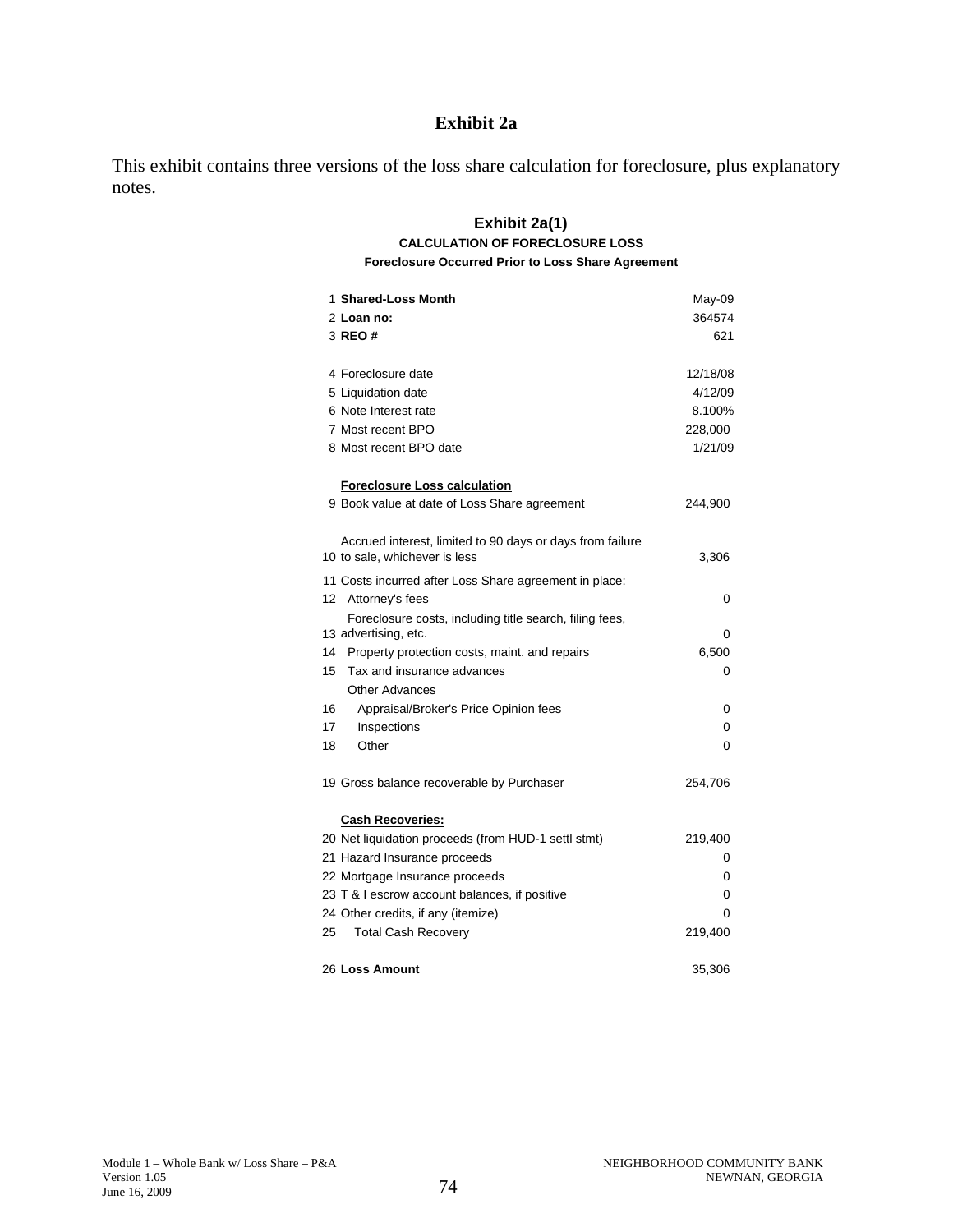### **Exhibit 2a**

This exhibit contains three versions of the loss share calculation for foreclosure, plus explanatory notes.

#### **Exhibit 2a(1) CALCULATION OF FORECLOSURE LOSS Foreclosure Occurred Prior to Loss Share Agreement**

|    | 1 Shared-Loss Month<br>2 Loan no:<br>3 REO #                                               | May-09<br>364574<br>621 |
|----|--------------------------------------------------------------------------------------------|-------------------------|
|    | 4 Foreclosure date                                                                         | 12/18/08                |
|    | 5 Liquidation date                                                                         | 4/12/09                 |
|    | 6 Note Interest rate                                                                       | 8.100%                  |
|    | 7 Most recent BPO                                                                          | 228,000                 |
|    | 8 Most recent BPO date                                                                     | 1/21/09                 |
|    | <b>Foreclosure Loss calculation</b>                                                        |                         |
|    | 9 Book value at date of Loss Share agreement                                               | 244,900                 |
|    | Accrued interest, limited to 90 days or days from failure<br>10 to sale, whichever is less |                         |
|    |                                                                                            | 3,306                   |
|    | 11 Costs incurred after Loss Share agreement in place:                                     |                         |
| 12 | Attorney's fees                                                                            | 0                       |
|    | Foreclosure costs, including title search, filing fees,<br>13 advertising, etc.            | 0                       |
| 14 | Property protection costs, maint. and repairs                                              | 6,500                   |
| 15 | Tax and insurance advances                                                                 | 0                       |
|    | <b>Other Advances</b>                                                                      |                         |
| 16 | Appraisal/Broker's Price Opinion fees                                                      | 0                       |
| 17 | Inspections                                                                                | 0                       |
| 18 | Other                                                                                      | 0                       |
|    | 19 Gross balance recoverable by Purchaser                                                  | 254,706                 |
|    | <b>Cash Recoveries:</b>                                                                    |                         |
|    | 20 Net liquidation proceeds (from HUD-1 settl stmt)                                        | 219,400                 |
|    | 21 Hazard Insurance proceeds                                                               | 0                       |
|    | 22 Mortgage Insurance proceeds                                                             | 0                       |
|    | 23 T & I escrow account balances, if positive                                              | 0                       |
|    | 24 Other credits, if any (itemize)                                                         | 0                       |
| 25 | <b>Total Cash Recovery</b>                                                                 | 219,400                 |
|    | 26 Loss Amount                                                                             | 35,306                  |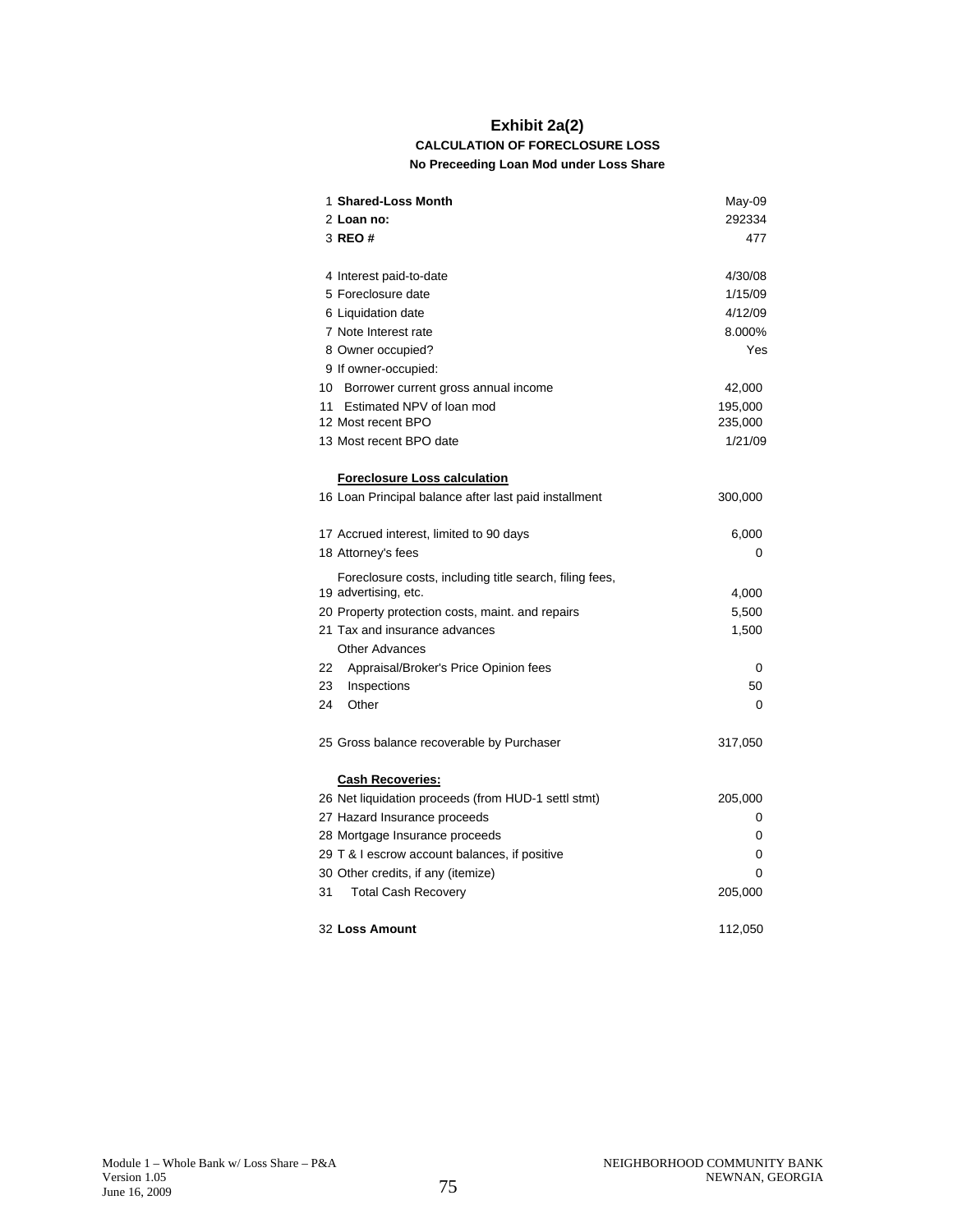#### **Exhibit 2a(2)**

#### **CALCULATION OF FORECLOSURE LOSS**

#### **No Preceeding Loan Mod under Loss Share**

| 1 Shared-Loss Month                                                             | May-09  |
|---------------------------------------------------------------------------------|---------|
| 2 Loan no:                                                                      | 292334  |
| 3 REO #                                                                         | 477     |
| 4 Interest paid-to-date                                                         | 4/30/08 |
| 5 Foreclosure date                                                              | 1/15/09 |
| 6 Liquidation date                                                              | 4/12/09 |
| 7 Note Interest rate                                                            | 8.000%  |
| 8 Owner occupied?                                                               | Yes     |
| 9 If owner-occupied:                                                            |         |
| 10<br>Borrower current gross annual income                                      | 42,000  |
| Estimated NPV of loan mod<br>11                                                 | 195,000 |
| 12 Most recent BPO                                                              | 235,000 |
| 13 Most recent BPO date                                                         | 1/21/09 |
| <b>Foreclosure Loss calculation</b>                                             |         |
| 16 Loan Principal balance after last paid installment                           | 300,000 |
| 17 Accrued interest, limited to 90 days                                         | 6,000   |
| 18 Attorney's fees                                                              | 0       |
| Foreclosure costs, including title search, filing fees,<br>19 advertising, etc. | 4,000   |
| 20 Property protection costs, maint. and repairs                                | 5,500   |
| 21 Tax and insurance advances                                                   | 1,500   |
| <b>Other Advances</b>                                                           |         |
| 22<br>Appraisal/Broker's Price Opinion fees                                     | 0       |
| 23<br>Inspections                                                               | 50      |
| 24<br>Other                                                                     | 0       |
| 25 Gross balance recoverable by Purchaser                                       | 317,050 |
| <b>Cash Recoveries:</b>                                                         |         |
| 26 Net liquidation proceeds (from HUD-1 settl stmt)                             | 205,000 |
| 27 Hazard Insurance proceeds                                                    | 0       |
| 28 Mortgage Insurance proceeds                                                  | 0       |
| 29 T & I escrow account balances, if positive                                   | 0       |
| 30 Other credits, if any (itemize)                                              | 0       |
| 31<br><b>Total Cash Recovery</b>                                                | 205,000 |
| 32 Loss Amount                                                                  | 112,050 |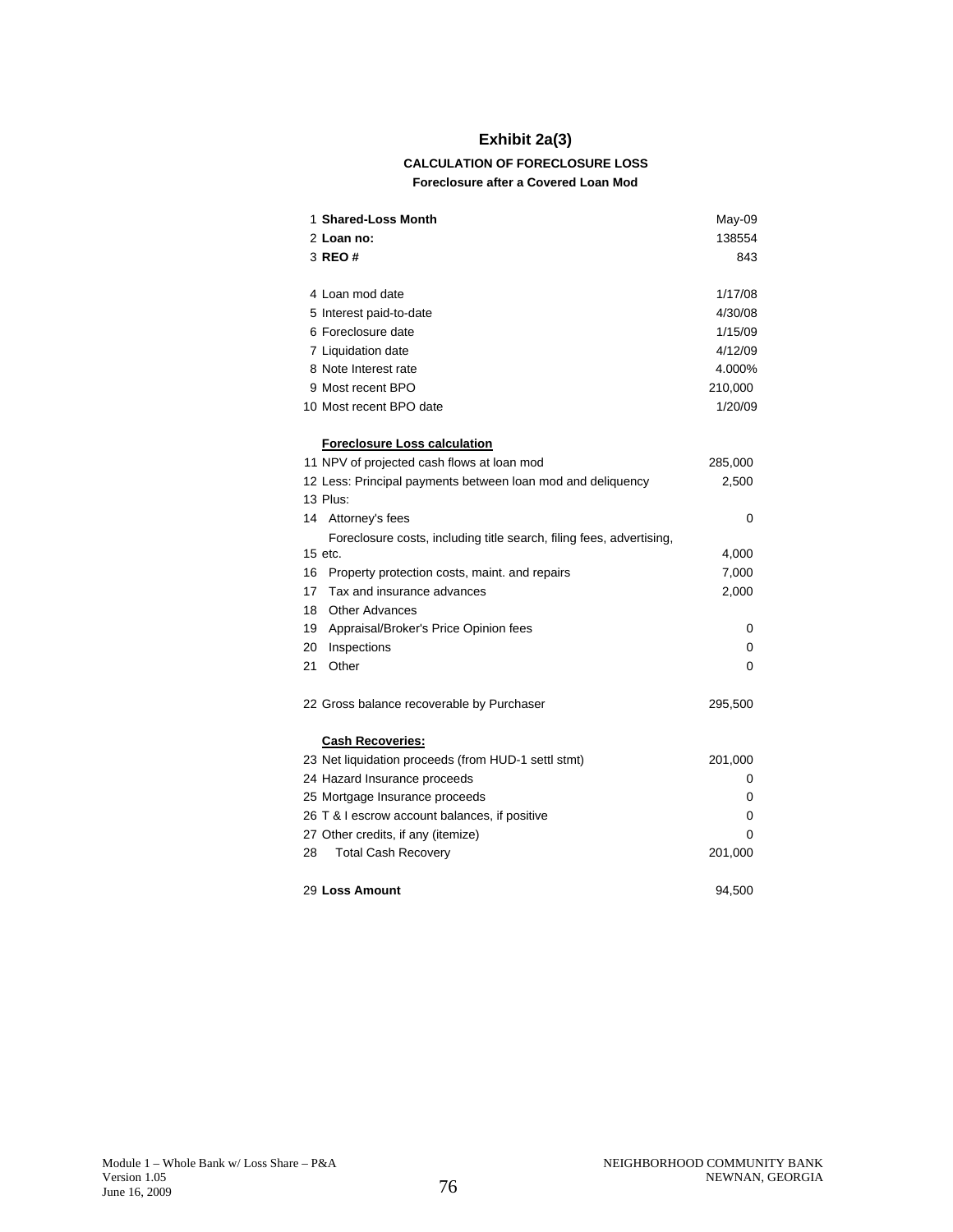### **Exhibit 2a(3)**

#### **CALCULATION OF FORECLOSURE LOSS Foreclosure after a Covered Loan Mod**

| 1 Shared-Loss Month                                                  | May-09  |
|----------------------------------------------------------------------|---------|
| 2 Loan no:                                                           | 138554  |
| 3 REO #                                                              | 843     |
|                                                                      |         |
| 4 Loan mod date                                                      | 1/17/08 |
| 5 Interest paid-to-date                                              | 4/30/08 |
| 6 Foreclosure date                                                   | 1/15/09 |
| 7 Liquidation date                                                   | 4/12/09 |
| 8 Note Interest rate                                                 | 4.000%  |
| 9 Most recent BPO                                                    | 210,000 |
| 10 Most recent BPO date                                              | 1/20/09 |
|                                                                      |         |
| <b>Foreclosure Loss calculation</b>                                  |         |
| 11 NPV of projected cash flows at loan mod                           | 285,000 |
| 12 Less: Principal payments between loan mod and deliquency          | 2,500   |
| 13 Plus:                                                             |         |
| 14<br>Attorney's fees                                                | 0       |
| Foreclosure costs, including title search, filing fees, advertising, |         |
| 15 etc.                                                              | 4,000   |
| 16<br>Property protection costs, maint. and repairs                  | 7,000   |
| Tax and insurance advances<br>17                                     | 2,000   |
| 18<br><b>Other Advances</b>                                          |         |
| 19 Appraisal/Broker's Price Opinion fees                             | 0       |
| 20<br>Inspections                                                    | 0       |
| 21<br>Other                                                          | 0       |
|                                                                      |         |
| 22 Gross balance recoverable by Purchaser                            | 295,500 |
|                                                                      |         |
| <b>Cash Recoveries:</b>                                              |         |
| 23 Net liquidation proceeds (from HUD-1 settl stmt)                  | 201,000 |
| 24 Hazard Insurance proceeds                                         | 0       |
| 25 Mortgage Insurance proceeds                                       | 0       |
| 26 T & I escrow account balances, if positive                        | 0       |
| 27 Other credits, if any (itemize)                                   | 0       |
| 28<br><b>Total Cash Recovery</b>                                     | 201,000 |
|                                                                      |         |
| 29 Loss Amount                                                       | 94,500  |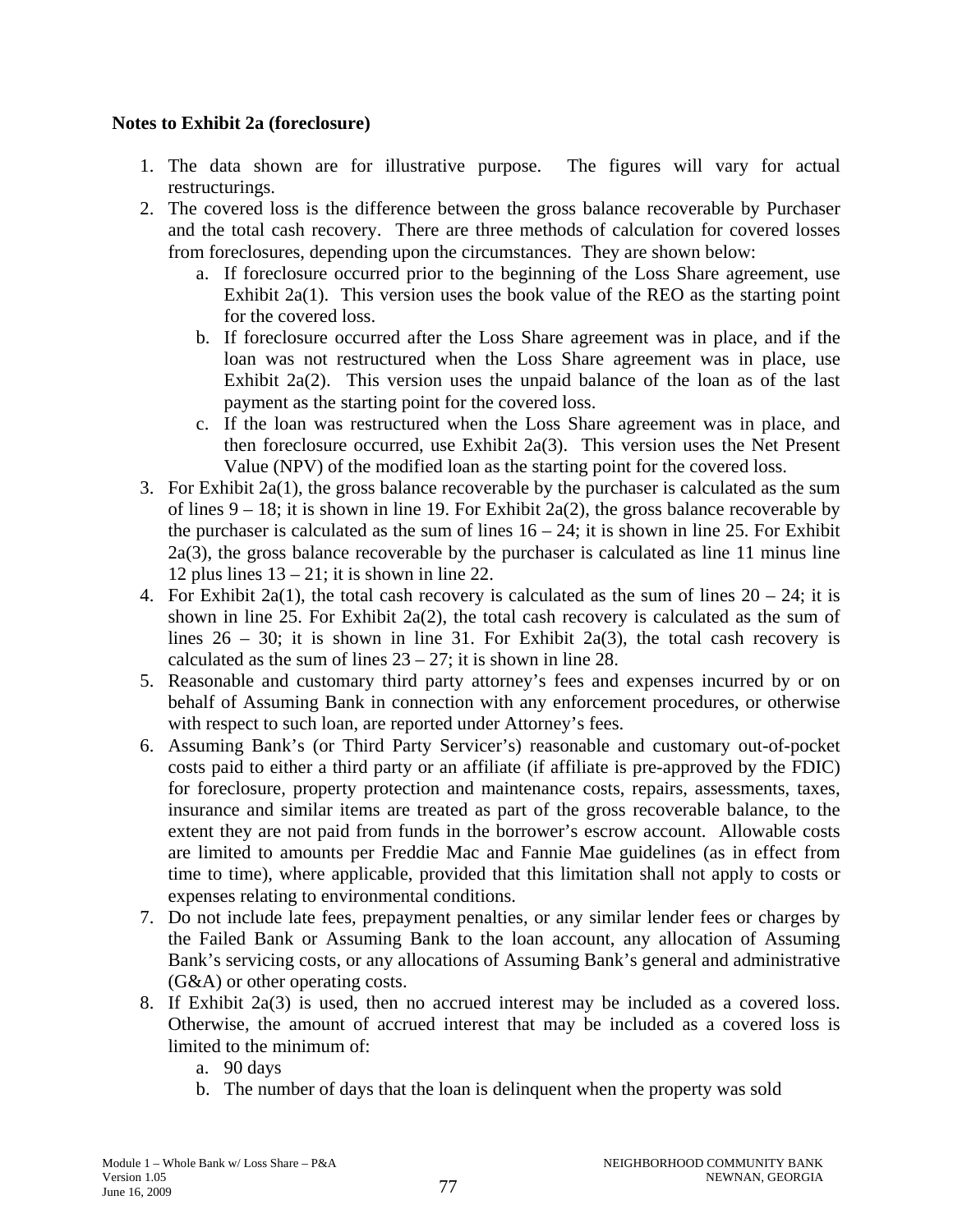### **Notes to Exhibit 2a (foreclosure)**

- 1. The data shown are for illustrative purpose. The figures will vary for actual restructurings.
- 2. The covered loss is the difference between the gross balance recoverable by Purchaser and the total cash recovery. There are three methods of calculation for covered losses from foreclosures, depending upon the circumstances. They are shown below:
	- a. If foreclosure occurred prior to the beginning of the Loss Share agreement, use Exhibit  $2a(1)$ . This version uses the book value of the REO as the starting point for the covered loss.
	- b. If foreclosure occurred after the Loss Share agreement was in place, and if the loan was not restructured when the Loss Share agreement was in place, use Exhibit 2a(2). This version uses the unpaid balance of the loan as of the last payment as the starting point for the covered loss.
	- c. If the loan was restructured when the Loss Share agreement was in place, and then foreclosure occurred, use Exhibit 2a(3). This version uses the Net Present Value (NPV) of the modified loan as the starting point for the covered loss.
- 3. For Exhibit  $2a(1)$ , the gross balance recoverable by the purchaser is calculated as the sum of lines  $9 - 18$ ; it is shown in line 19. For Exhibit 2a(2), the gross balance recoverable by the purchaser is calculated as the sum of lines  $16 - 24$ ; it is shown in line 25. For Exhibit 2a(3), the gross balance recoverable by the purchaser is calculated as line 11 minus line 12 plus lines  $13 - 21$ ; it is shown in line 22.
- 4. For Exhibit 2a(1), the total cash recovery is calculated as the sum of lines  $20 24$ ; it is shown in line 25. For Exhibit 2a(2), the total cash recovery is calculated as the sum of lines  $26 - 30$ ; it is shown in line 31. For Exhibit 2a(3), the total cash recovery is calculated as the sum of lines  $23 - 27$ ; it is shown in line 28.
- 5. Reasonable and customary third party attorney's fees and expenses incurred by or on behalf of Assuming Bank in connection with any enforcement procedures, or otherwise with respect to such loan, are reported under Attorney's fees.
- 6. Assuming Bank's (or Third Party Servicer's) reasonable and customary out-of-pocket costs paid to either a third party or an affiliate (if affiliate is pre-approved by the FDIC) for foreclosure, property protection and maintenance costs, repairs, assessments, taxes, insurance and similar items are treated as part of the gross recoverable balance, to the extent they are not paid from funds in the borrower's escrow account. Allowable costs are limited to amounts per Freddie Mac and Fannie Mae guidelines (as in effect from time to time), where applicable, provided that this limitation shall not apply to costs or expenses relating to environmental conditions.
- 7. Do not include late fees, prepayment penalties, or any similar lender fees or charges by the Failed Bank or Assuming Bank to the loan account, any allocation of Assuming Bank's servicing costs, or any allocations of Assuming Bank's general and administrative (G&A) or other operating costs.
- 8. If Exhibit  $2a(3)$  is used, then no accrued interest may be included as a covered loss. Otherwise, the amount of accrued interest that may be included as a covered loss is limited to the minimum of:
	- a. 90 days
	- b. The number of days that the loan is delinquent when the property was sold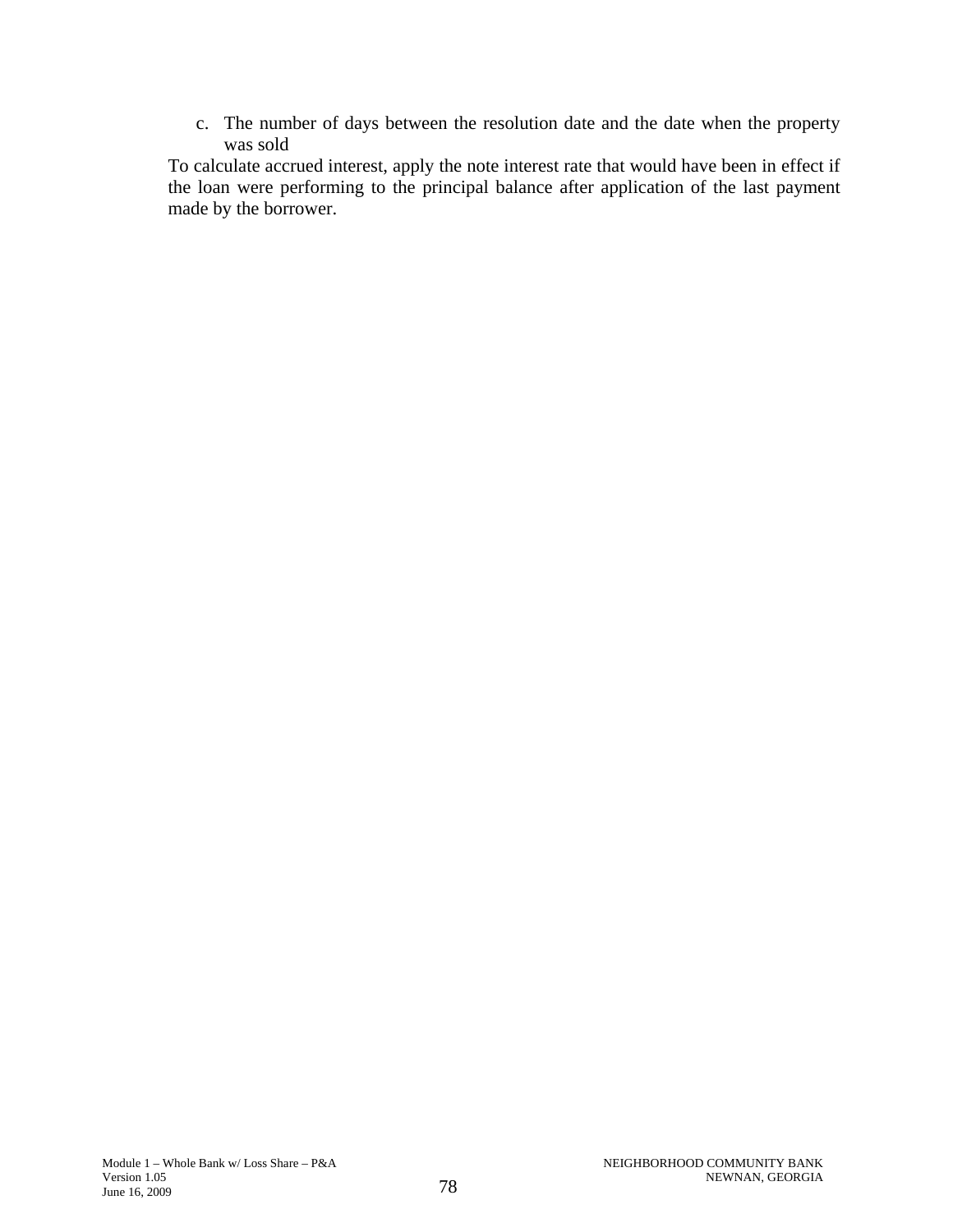c. The number of days between the resolution date and the date when the property was sold

To calculate accrued interest, apply the note interest rate that would have been in effect if the loan were performing to the principal balance after application of the last payment made by the borrower.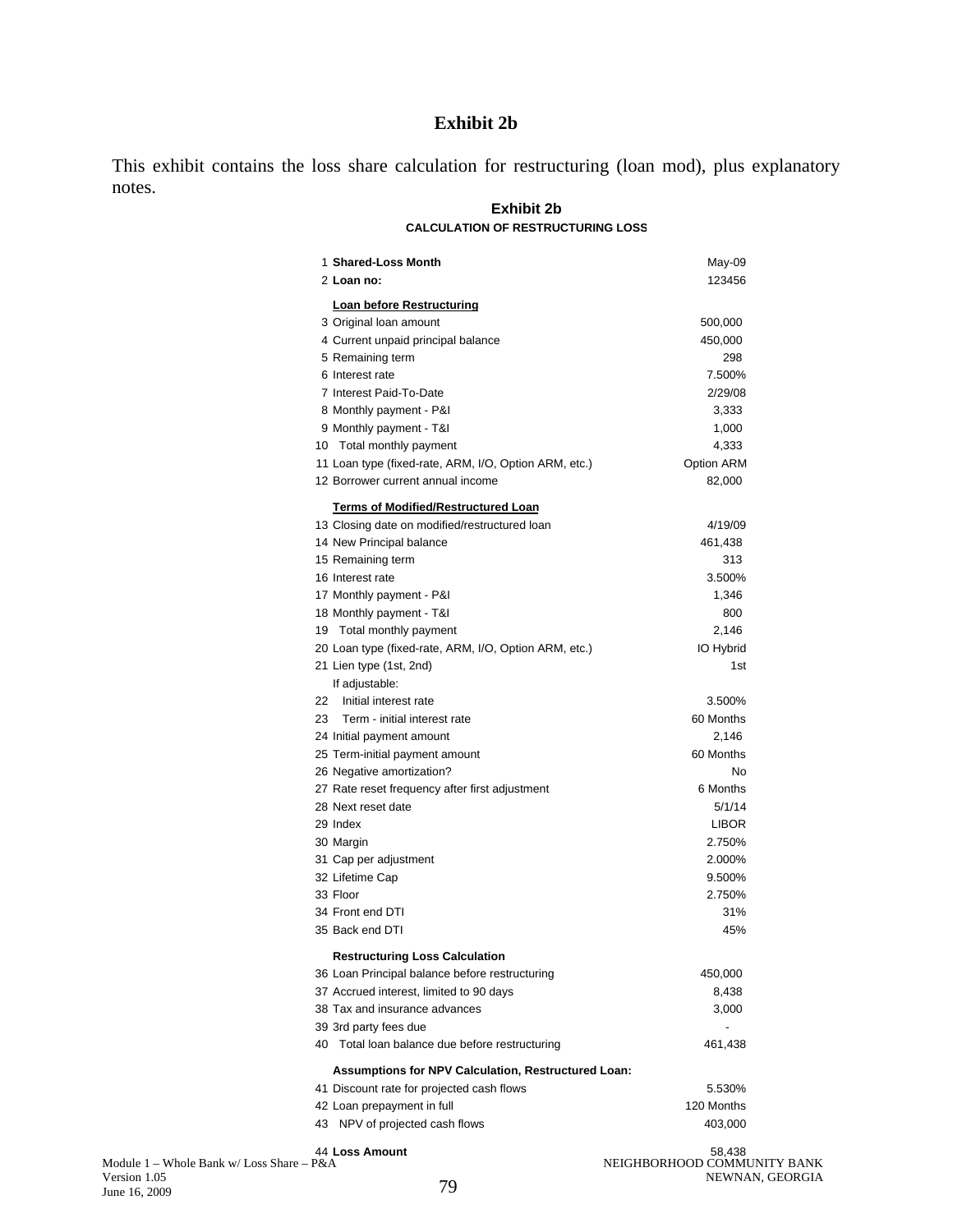# **Exhibit 2b**

This exhibit contains the loss share calculation for restructuring (loan mod), plus explanatory notes.

#### **Exhibit 2b CALCULATION OF RESTRUCTURING LOSS**

|                                           | 1 Shared-Loss Month                                   | May-09                                |
|-------------------------------------------|-------------------------------------------------------|---------------------------------------|
|                                           | 2 Loan no:                                            | 123456                                |
|                                           | Loan before Restructuring                             |                                       |
|                                           | 3 Original loan amount                                | 500,000                               |
|                                           | 4 Current unpaid principal balance                    | 450,000                               |
|                                           | 5 Remaining term                                      | 298                                   |
|                                           | 6 Interest rate                                       | 7.500%                                |
|                                           | 7 Interest Paid-To-Date                               | 2/29/08                               |
|                                           | 8 Monthly payment - P&I                               | 3,333                                 |
|                                           | 9 Monthly payment - T&I                               | 1,000                                 |
|                                           | 10 Total monthly payment                              | 4,333                                 |
|                                           | 11 Loan type (fixed-rate, ARM, I/O, Option ARM, etc.) | <b>Option ARM</b>                     |
|                                           | 12 Borrower current annual income                     | 82,000                                |
|                                           | <b>Terms of Modified/Restructured Loan</b>            |                                       |
|                                           | 13 Closing date on modified/restructured loan         | 4/19/09                               |
|                                           | 14 New Principal balance                              | 461,438                               |
|                                           | 15 Remaining term                                     | 313                                   |
|                                           | 16 Interest rate                                      | 3.500%                                |
|                                           | 17 Monthly payment - P&I                              | 1,346                                 |
|                                           | 18 Monthly payment - T&I                              | 800                                   |
|                                           | 19 Total monthly payment                              | 2,146                                 |
|                                           | 20 Loan type (fixed-rate, ARM, I/O, Option ARM, etc.) | IO Hybrid                             |
|                                           | 21 Lien type (1st, 2nd)                               | 1st                                   |
|                                           | If adjustable:                                        |                                       |
| 22                                        | Initial interest rate                                 | 3.500%                                |
| 23                                        | Term - initial interest rate                          | 60 Months                             |
|                                           | 24 Initial payment amount                             | 2,146                                 |
|                                           | 25 Term-initial payment amount                        | 60 Months                             |
|                                           | 26 Negative amortization?                             | No                                    |
|                                           | 27 Rate reset frequency after first adjustment        | 6 Months                              |
|                                           | 28 Next reset date                                    | 5/1/14                                |
|                                           | 29 Index                                              | <b>LIBOR</b>                          |
|                                           | 30 Margin                                             | 2.750%                                |
|                                           | 31 Cap per adjustment                                 | 2.000%                                |
|                                           | 32 Lifetime Cap                                       | 9.500%                                |
|                                           | 33 Floor                                              | 2.750%                                |
|                                           | 34 Front end DTI                                      | 31%                                   |
|                                           | 35 Back end DTI                                       | 45%                                   |
|                                           | <b>Restructuring Loss Calculation</b>                 |                                       |
|                                           | 36 Loan Principal balance before restructuring        | 450,000                               |
|                                           | 37 Accrued interest, limited to 90 days               | 8,438                                 |
|                                           | 38 Tax and insurance advances                         | 3,000                                 |
|                                           | 39 3rd party fees due                                 |                                       |
|                                           | 40 Total loan balance due before restructuring        | 461,438                               |
|                                           | Assumptions for NPV Calculation, Restructured Loan:   |                                       |
|                                           | 41 Discount rate for projected cash flows             | 5.530%                                |
|                                           | 42 Loan prepayment in full                            | 120 Months                            |
|                                           | 43 NPV of projected cash flows                        | 403,000                               |
| Module 1 – Whole Bank w/ Loss Share – P&A | 44 Loss Amount                                        | 58,438<br>NEIGHBORHOOD COMMUNITY BANK |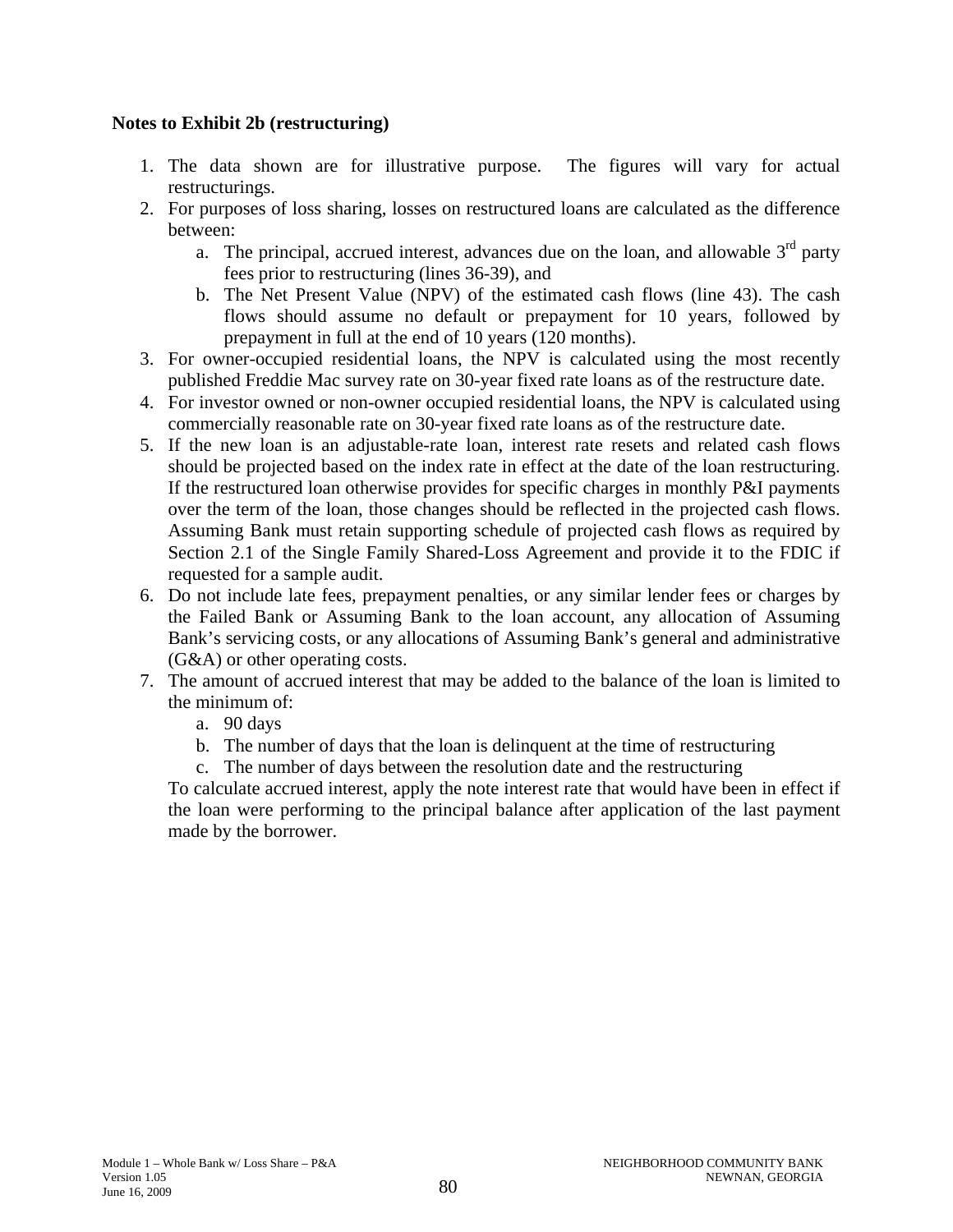### **Notes to Exhibit 2b (restructuring)**

- 1. The data shown are for illustrative purpose. The figures will vary for actual restructurings.
- 2. For purposes of loss sharing, losses on restructured loans are calculated as the difference between:
	- a. The principal, accrued interest, advances due on the loan, and allowable  $3<sup>rd</sup>$  party fees prior to restructuring (lines 36-39), and
	- b. The Net Present Value (NPV) of the estimated cash flows (line 43). The cash flows should assume no default or prepayment for 10 years, followed by prepayment in full at the end of 10 years (120 months).
- 3. For owner-occupied residential loans, the NPV is calculated using the most recently published Freddie Mac survey rate on 30-year fixed rate loans as of the restructure date.
- 4. For investor owned or non-owner occupied residential loans, the NPV is calculated using commercially reasonable rate on 30-year fixed rate loans as of the restructure date.
- 5. If the new loan is an adjustable-rate loan, interest rate resets and related cash flows should be projected based on the index rate in effect at the date of the loan restructuring. If the restructured loan otherwise provides for specific charges in monthly P&I payments over the term of the loan, those changes should be reflected in the projected cash flows. Assuming Bank must retain supporting schedule of projected cash flows as required by Section 2.1 of the Single Family Shared-Loss Agreement and provide it to the FDIC if requested for a sample audit.
- 6. Do not include late fees, prepayment penalties, or any similar lender fees or charges by the Failed Bank or Assuming Bank to the loan account, any allocation of Assuming Bank's servicing costs, or any allocations of Assuming Bank's general and administrative (G&A) or other operating costs.
- 7. The amount of accrued interest that may be added to the balance of the loan is limited to the minimum of:
	- a. 90 days
	- b. The number of days that the loan is delinquent at the time of restructuring
	- c. The number of days between the resolution date and the restructuring

To calculate accrued interest, apply the note interest rate that would have been in effect if the loan were performing to the principal balance after application of the last payment made by the borrower.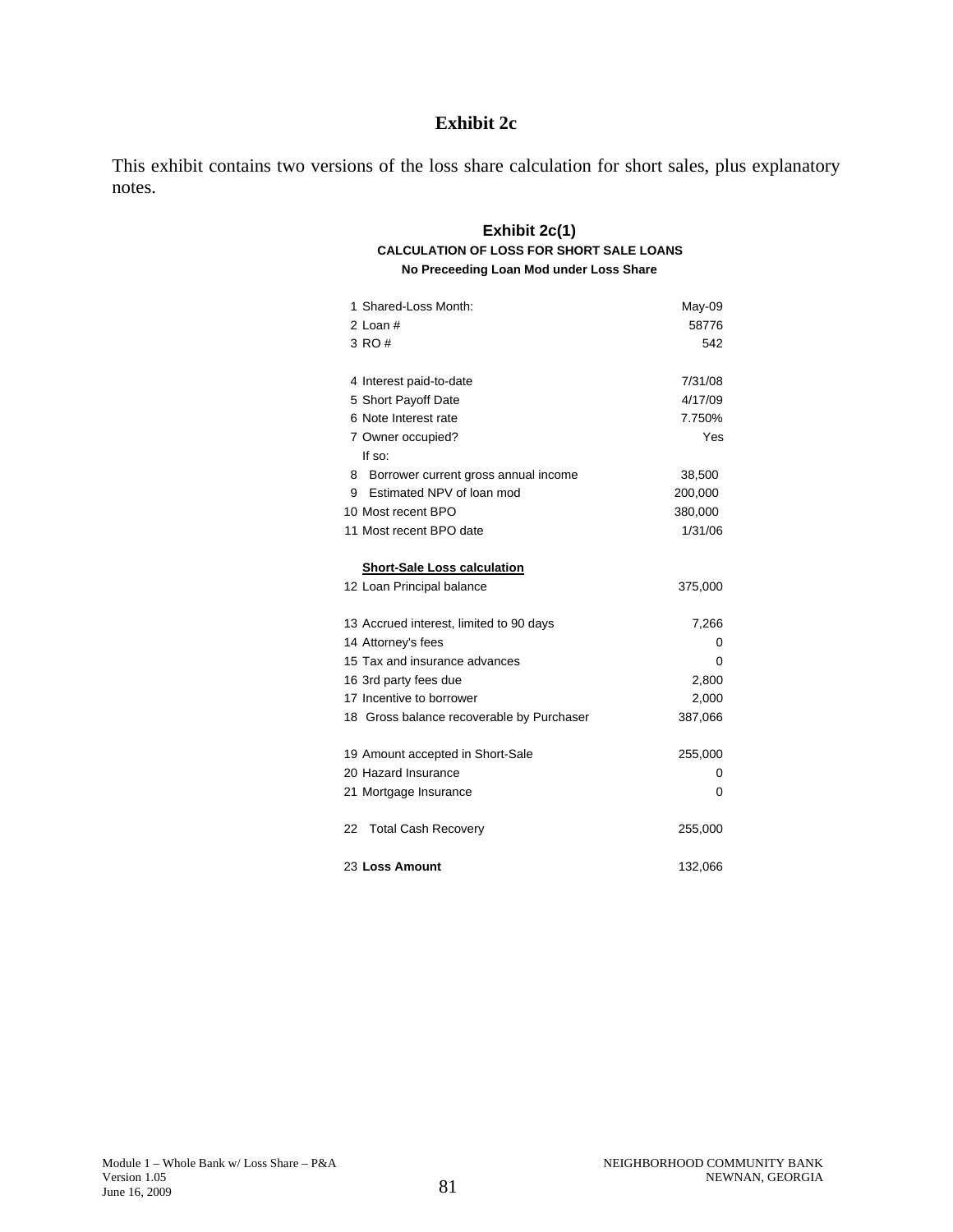#### **Exhibit 2c**

This exhibit contains two versions of the loss share calculation for short sales, plus explanatory notes.

#### **Exhibit 2c(1) CALCULATION OF LOSS FOR SHORT SALE LOANS No Preceeding Loan Mod under Loss Share**

| 1 Shared-Loss Month:<br>2 Loan #<br>3 RO #                                                                                                                                                       | May-09<br>58776<br>542                       |
|--------------------------------------------------------------------------------------------------------------------------------------------------------------------------------------------------|----------------------------------------------|
| 4 Interest paid-to-date<br>5 Short Payoff Date                                                                                                                                                   | 7/31/08<br>4/17/09                           |
| 6 Note Interest rate<br>7 Owner occupied?<br>If so:                                                                                                                                              | 7.750%<br>Yes                                |
| Borrower current gross annual income<br>8<br>Estimated NPV of loan mod<br>9<br>10 Most recent BPO<br>11 Most recent BPO date                                                                     | 38,500<br>200,000<br>380,000<br>1/31/06      |
| <b>Short-Sale Loss calculation</b><br>12 Loan Principal balance                                                                                                                                  | 375,000                                      |
| 13 Accrued interest, limited to 90 days<br>14 Attorney's fees<br>15 Tax and insurance advances<br>16 3rd party fees due<br>17 Incentive to borrower<br>18 Gross balance recoverable by Purchaser | 7,266<br>0<br>0<br>2,800<br>2,000<br>387,066 |
| 19 Amount accepted in Short-Sale<br>20 Hazard Insurance<br>21 Mortgage Insurance                                                                                                                 | 255,000<br>0<br>0                            |
| 22 Total Cash Recovery                                                                                                                                                                           | 255,000                                      |
| 23 Loss Amount                                                                                                                                                                                   | 132,066                                      |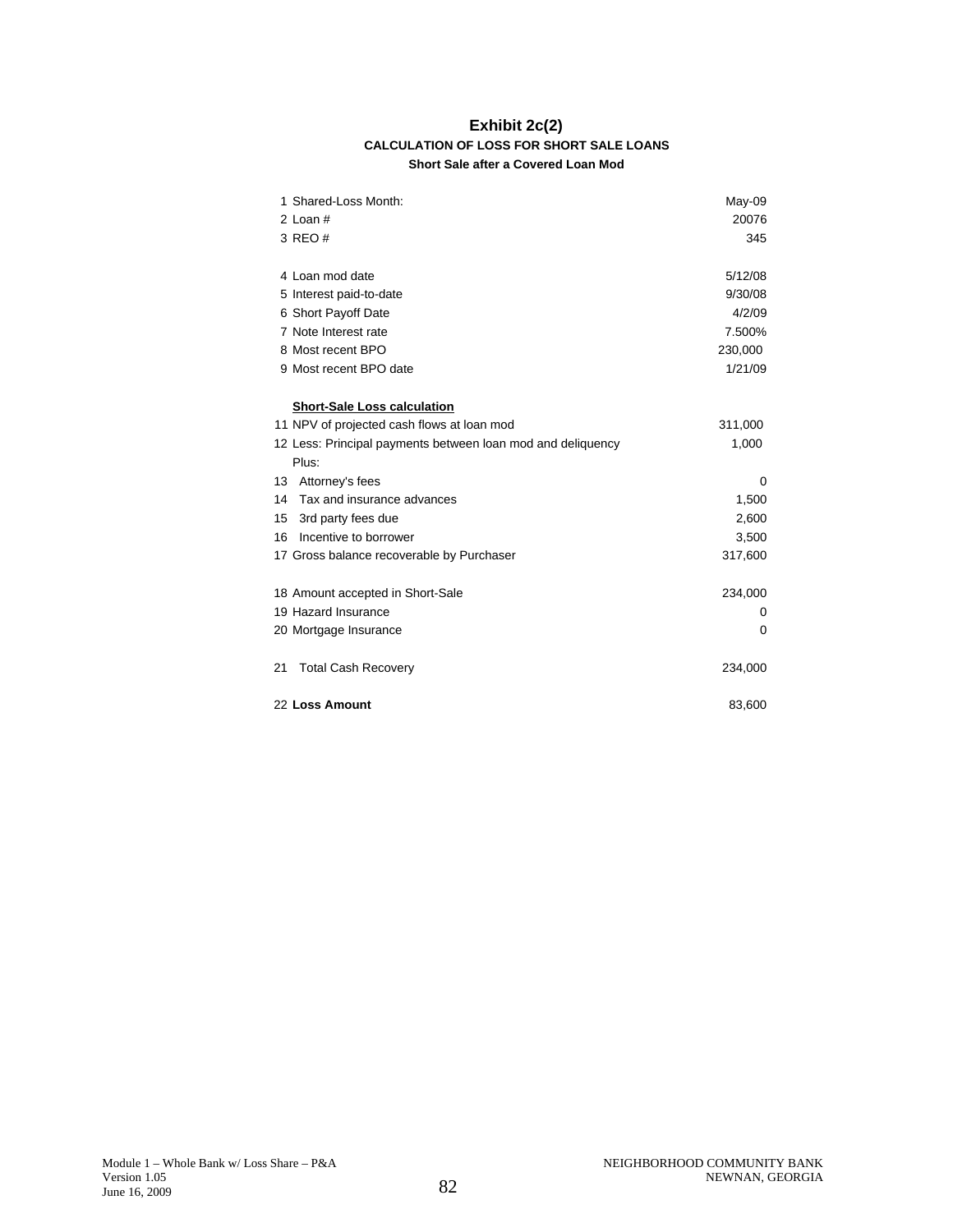#### **Exhibit 2c(2) CALCULATION OF LOSS FOR SHORT SALE LOANS Short Sale after a Covered Loan Mod**

| 1 Shared-Loss Month:                                        | May-09  |
|-------------------------------------------------------------|---------|
| 2 Loan $#$                                                  | 20076   |
| 3 REO #                                                     | 345     |
|                                                             |         |
| 4 Loan mod date                                             | 5/12/08 |
| 5 Interest paid-to-date                                     | 9/30/08 |
| 6 Short Payoff Date                                         | 4/2/09  |
| 7 Note Interest rate                                        | 7.500%  |
| 8 Most recent BPO                                           | 230,000 |
| 9 Most recent BPO date                                      | 1/21/09 |
|                                                             |         |
| <b>Short-Sale Loss calculation</b>                          |         |
| 11 NPV of projected cash flows at loan mod                  | 311,000 |
| 12 Less: Principal payments between loan mod and deliquency | 1,000   |
| Plus:                                                       |         |
| Attorney's fees<br>13                                       | 0       |
| Tax and insurance advances<br>14                            | 1,500   |
| 3rd party fees due<br>15                                    | 2,600   |
| Incentive to borrower<br>16                                 | 3,500   |
| 17 Gross balance recoverable by Purchaser                   | 317,600 |
|                                                             |         |
| 18 Amount accepted in Short-Sale                            | 234,000 |
| 19 Hazard Insurance                                         | 0       |
| 20 Mortgage Insurance                                       | 0       |
|                                                             |         |
| <b>Total Cash Recovery</b><br>21                            | 234,000 |
|                                                             |         |
| 22 Loss Amount                                              | 83,600  |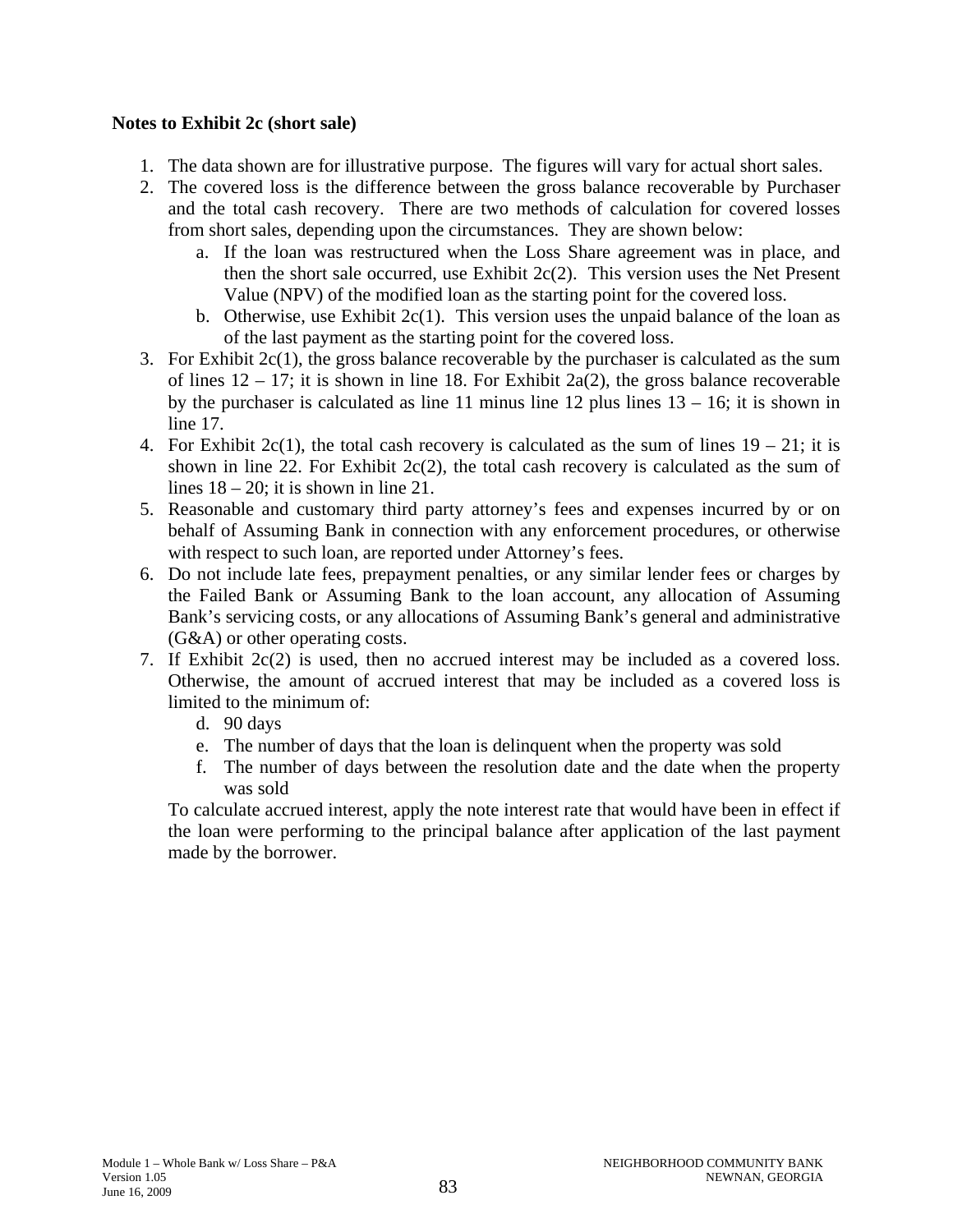### **Notes to Exhibit 2c (short sale)**

- 1. The data shown are for illustrative purpose. The figures will vary for actual short sales.
- 2. The covered loss is the difference between the gross balance recoverable by Purchaser and the total cash recovery. There are two methods of calculation for covered losses from short sales, depending upon the circumstances. They are shown below:
	- a. If the loan was restructured when the Loss Share agreement was in place, and then the short sale occurred, use Exhibit  $2c(2)$ . This version uses the Net Present Value (NPV) of the modified loan as the starting point for the covered loss.
	- b. Otherwise, use Exhibit  $2c(1)$ . This version uses the unpaid balance of the loan as of the last payment as the starting point for the covered loss.
- 3. For Exhibit  $2c(1)$ , the gross balance recoverable by the purchaser is calculated as the sum of lines  $12 - 17$ ; it is shown in line 18. For Exhibit 2a(2), the gross balance recoverable by the purchaser is calculated as line 11 minus line  $12$  plus lines  $13 - 16$ ; it is shown in line 17.
- 4. For Exhibit 2c(1), the total cash recovery is calculated as the sum of lines  $19 21$ ; it is shown in line 22. For Exhibit  $2c(2)$ , the total cash recovery is calculated as the sum of lines  $18 - 20$ ; it is shown in line 21.
- 5. Reasonable and customary third party attorney's fees and expenses incurred by or on behalf of Assuming Bank in connection with any enforcement procedures, or otherwise with respect to such loan, are reported under Attorney's fees.
- 6. Do not include late fees, prepayment penalties, or any similar lender fees or charges by the Failed Bank or Assuming Bank to the loan account, any allocation of Assuming Bank's servicing costs, or any allocations of Assuming Bank's general and administrative (G&A) or other operating costs.
- 7. If Exhibit  $2c(2)$  is used, then no accrued interest may be included as a covered loss. Otherwise, the amount of accrued interest that may be included as a covered loss is limited to the minimum of:
	- d. 90 days
	- e. The number of days that the loan is delinquent when the property was sold
	- f. The number of days between the resolution date and the date when the property was sold

To calculate accrued interest, apply the note interest rate that would have been in effect if the loan were performing to the principal balance after application of the last payment made by the borrower.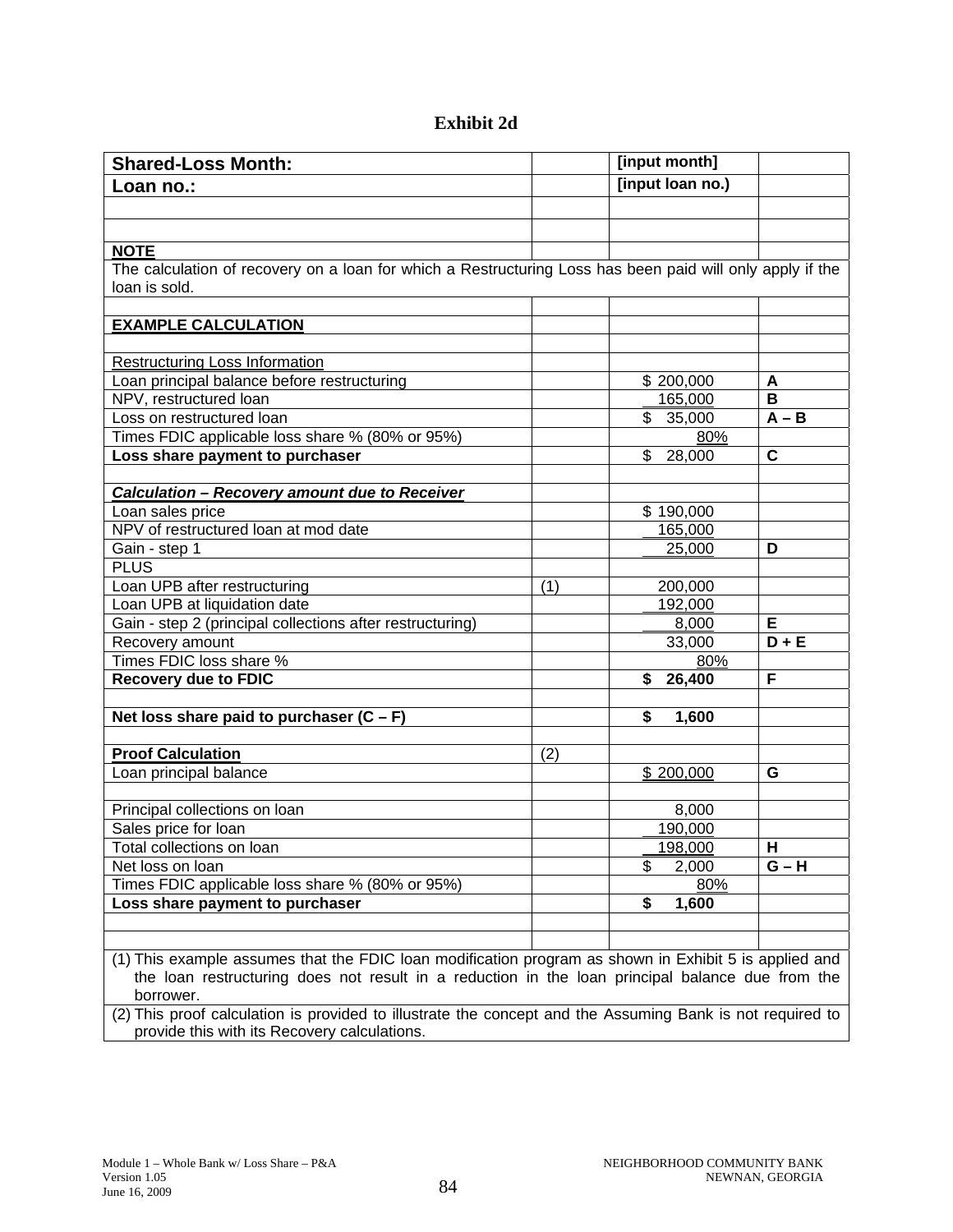# **Exhibit 2d**

| <b>Shared-Loss Month:</b>                                                                                 |     |                  |             |  |  |
|-----------------------------------------------------------------------------------------------------------|-----|------------------|-------------|--|--|
| Loan no.:                                                                                                 |     | [input loan no.) |             |  |  |
|                                                                                                           |     |                  |             |  |  |
|                                                                                                           |     |                  |             |  |  |
| <b>NOTE</b>                                                                                               |     |                  |             |  |  |
| The calculation of recovery on a loan for which a Restructuring Loss has been paid will only apply if the |     |                  |             |  |  |
| loan is sold.                                                                                             |     |                  |             |  |  |
|                                                                                                           |     |                  |             |  |  |
| <b>EXAMPLE CALCULATION</b>                                                                                |     |                  |             |  |  |
|                                                                                                           |     |                  |             |  |  |
| <b>Restructuring Loss Information</b>                                                                     |     |                  |             |  |  |
| Loan principal balance before restructuring                                                               |     | \$200,000        | A           |  |  |
| NPV, restructured loan                                                                                    |     | 165,000          | B           |  |  |
| Loss on restructured loan                                                                                 |     | \$35,000         | $A - B$     |  |  |
| Times FDIC applicable loss share % (80% or 95%)                                                           |     | 80%              |             |  |  |
| Loss share payment to purchaser                                                                           |     | \$28,000         | $\mathbf C$ |  |  |
|                                                                                                           |     |                  |             |  |  |
| Calculation - Recovery amount due to Receiver                                                             |     |                  |             |  |  |
| Loan sales price                                                                                          |     | \$190,000        |             |  |  |
| NPV of restructured loan at mod date                                                                      |     | 165,000          |             |  |  |
| Gain - step 1                                                                                             |     | 25,000           | D           |  |  |
| <b>PLUS</b>                                                                                               |     |                  |             |  |  |
| Loan UPB after restructuring                                                                              | (1) | 200,000          |             |  |  |
| Loan UPB at liquidation date                                                                              |     | 192,000          |             |  |  |
| Gain - step 2 (principal collections after restructuring)                                                 |     | 8,000            | Е           |  |  |
| Recovery amount                                                                                           |     | 33,000           | $D + E$     |  |  |
| Times FDIC loss share %                                                                                   |     | 80%              |             |  |  |
| <b>Recovery due to FDIC</b>                                                                               |     | \$26,400         | F           |  |  |
|                                                                                                           |     |                  |             |  |  |
| Net loss share paid to purchaser $(C - F)$                                                                |     | \$<br>1,600      |             |  |  |
| <b>Proof Calculation</b>                                                                                  | (2) |                  |             |  |  |
| Loan principal balance                                                                                    |     | \$200,000        | G           |  |  |
|                                                                                                           |     |                  |             |  |  |
| Principal collections on loan                                                                             |     | 8,000            |             |  |  |
| Sales price for loan                                                                                      |     | 190,000          |             |  |  |
| Total collections on loan                                                                                 |     | 198,000          | H           |  |  |
| Net loss on loan                                                                                          |     | \$<br>2,000      | $G - H$     |  |  |
| Times FDIC applicable loss share % (80% or 95%)                                                           |     | 80%              |             |  |  |
| Loss share payment to purchaser                                                                           |     | \$<br>1,600      |             |  |  |
|                                                                                                           |     |                  |             |  |  |
|                                                                                                           |     |                  |             |  |  |
| (1) This example assumes that the FDIC loan modification program as shown in Exhibit 5 is applied and     |     |                  |             |  |  |
| the loan restructuring does not result in a reduction in the loan principal balance due from the          |     |                  |             |  |  |
| borrower.                                                                                                 |     |                  |             |  |  |
| (2) This proof calculation is provided to illustrate the concept and the Assuming Bank is not required to |     |                  |             |  |  |
| provide this with its Recovery calculations.                                                              |     |                  |             |  |  |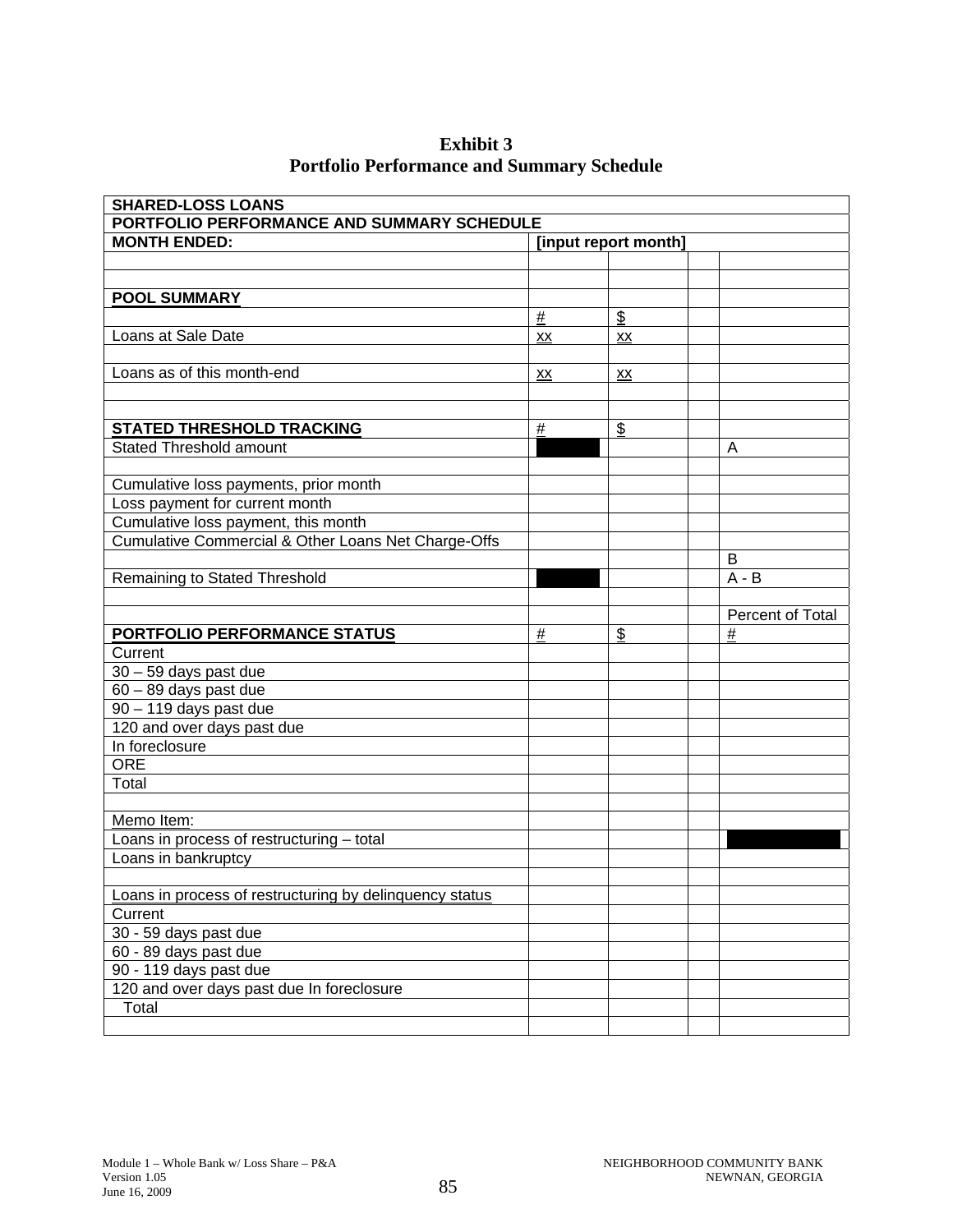| <b>SHARED-LOSS LOANS</b><br>PORTFOLIO PERFORMANCE AND SUMMARY SCHEDULE |                      |               |                  |  |
|------------------------------------------------------------------------|----------------------|---------------|------------------|--|
| <b>MONTH ENDED:</b>                                                    | [input report month] |               |                  |  |
|                                                                        |                      |               |                  |  |
|                                                                        |                      |               |                  |  |
| <b>POOL SUMMARY</b>                                                    |                      |               |                  |  |
|                                                                        | #                    | \$            |                  |  |
| Loans at Sale Date                                                     | XX                   | XX            |                  |  |
|                                                                        |                      |               |                  |  |
| Loans as of this month-end                                             | XX                   | XX            |                  |  |
|                                                                        |                      |               |                  |  |
| <b>STATED THRESHOLD TRACKING</b>                                       | $\#$                 | $\frac{1}{2}$ |                  |  |
| <b>Stated Threshold amount</b>                                         |                      |               | A                |  |
|                                                                        |                      |               |                  |  |
| Cumulative loss payments, prior month                                  |                      |               |                  |  |
| Loss payment for current month                                         |                      |               |                  |  |
| Cumulative loss payment, this month                                    |                      |               |                  |  |
| Cumulative Commercial & Other Loans Net Charge-Offs                    |                      |               |                  |  |
|                                                                        |                      |               | B                |  |
| <b>Remaining to Stated Threshold</b>                                   |                      |               | $A - B$          |  |
|                                                                        |                      |               |                  |  |
|                                                                        |                      |               | Percent of Total |  |
| <b>PORTFOLIO PERFORMANCE STATUS</b>                                    | $\#$                 | $\frac{1}{2}$ | $\#$             |  |
| Current                                                                |                      |               |                  |  |
| $30 - 59$ days past due                                                |                      |               |                  |  |
| $60 - 89$ days past due                                                |                      |               |                  |  |
| $90 - 119$ days past due                                               |                      |               |                  |  |
| 120 and over days past due                                             |                      |               |                  |  |
| In foreclosure                                                         |                      |               |                  |  |
| <b>ORE</b>                                                             |                      |               |                  |  |
| Total                                                                  |                      |               |                  |  |
|                                                                        |                      |               |                  |  |
| Memo Item:                                                             |                      |               |                  |  |
| Loans in process of restructuring - total                              |                      |               |                  |  |
| Loans in bankruptcy                                                    |                      |               |                  |  |
|                                                                        |                      |               |                  |  |
| Loans in process of restructuring by delinquency status                |                      |               |                  |  |
| Current                                                                |                      |               |                  |  |
| 30 - 59 days past due                                                  |                      |               |                  |  |
| 60 - 89 days past due                                                  |                      |               |                  |  |
| 90 - 119 days past due                                                 |                      |               |                  |  |
| 120 and over days past due In foreclosure                              |                      |               |                  |  |
| Total                                                                  |                      |               |                  |  |

**Exhibit 3 Portfolio Performance and Summary Schedule**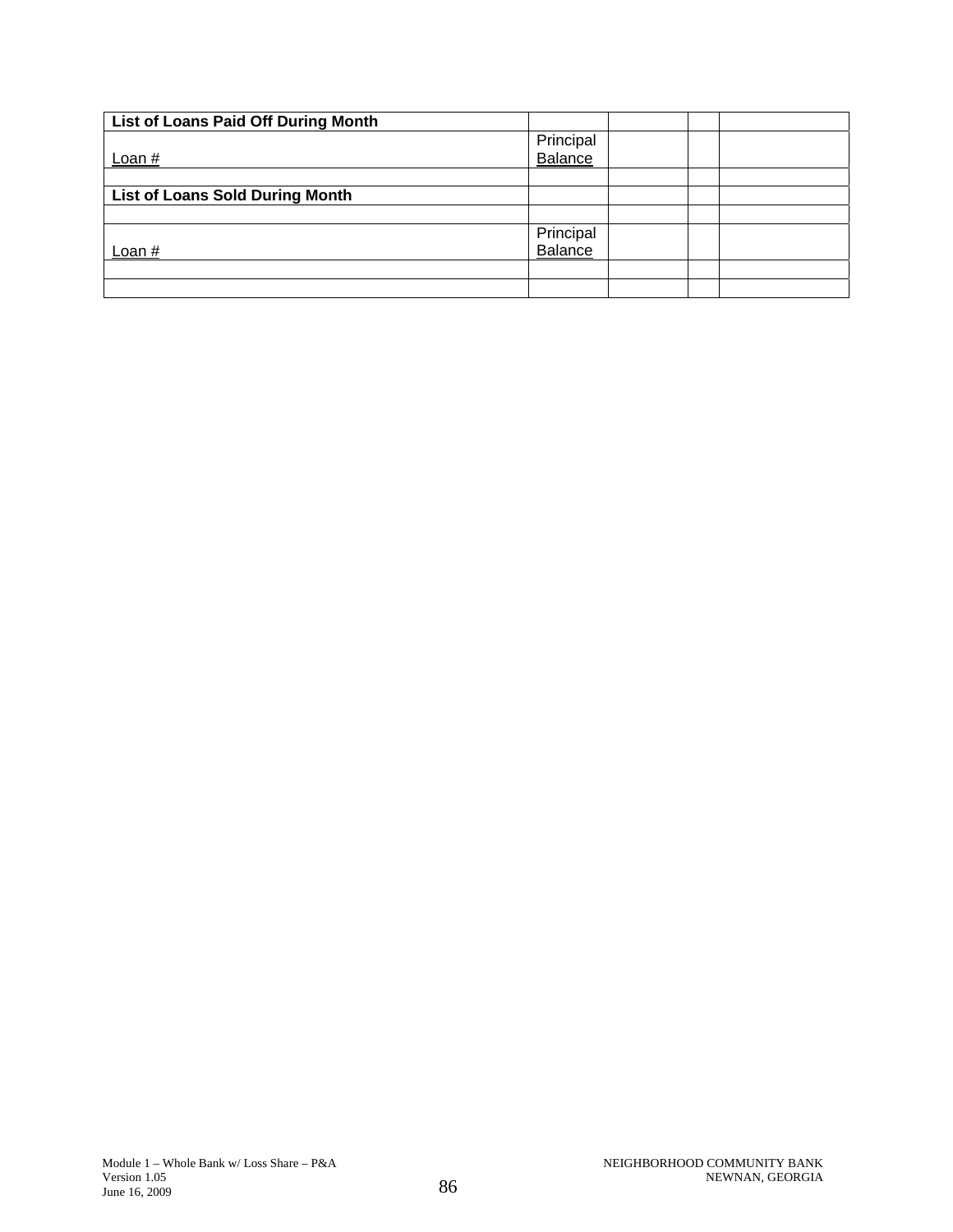| List of Loans Paid Off During Month    |                |  |  |
|----------------------------------------|----------------|--|--|
|                                        | Principal      |  |  |
| Loan $#$                               | Balance        |  |  |
|                                        |                |  |  |
| <b>List of Loans Sold During Month</b> |                |  |  |
|                                        |                |  |  |
|                                        | Principal      |  |  |
| Loan $#$                               | <b>Balance</b> |  |  |
|                                        |                |  |  |
|                                        |                |  |  |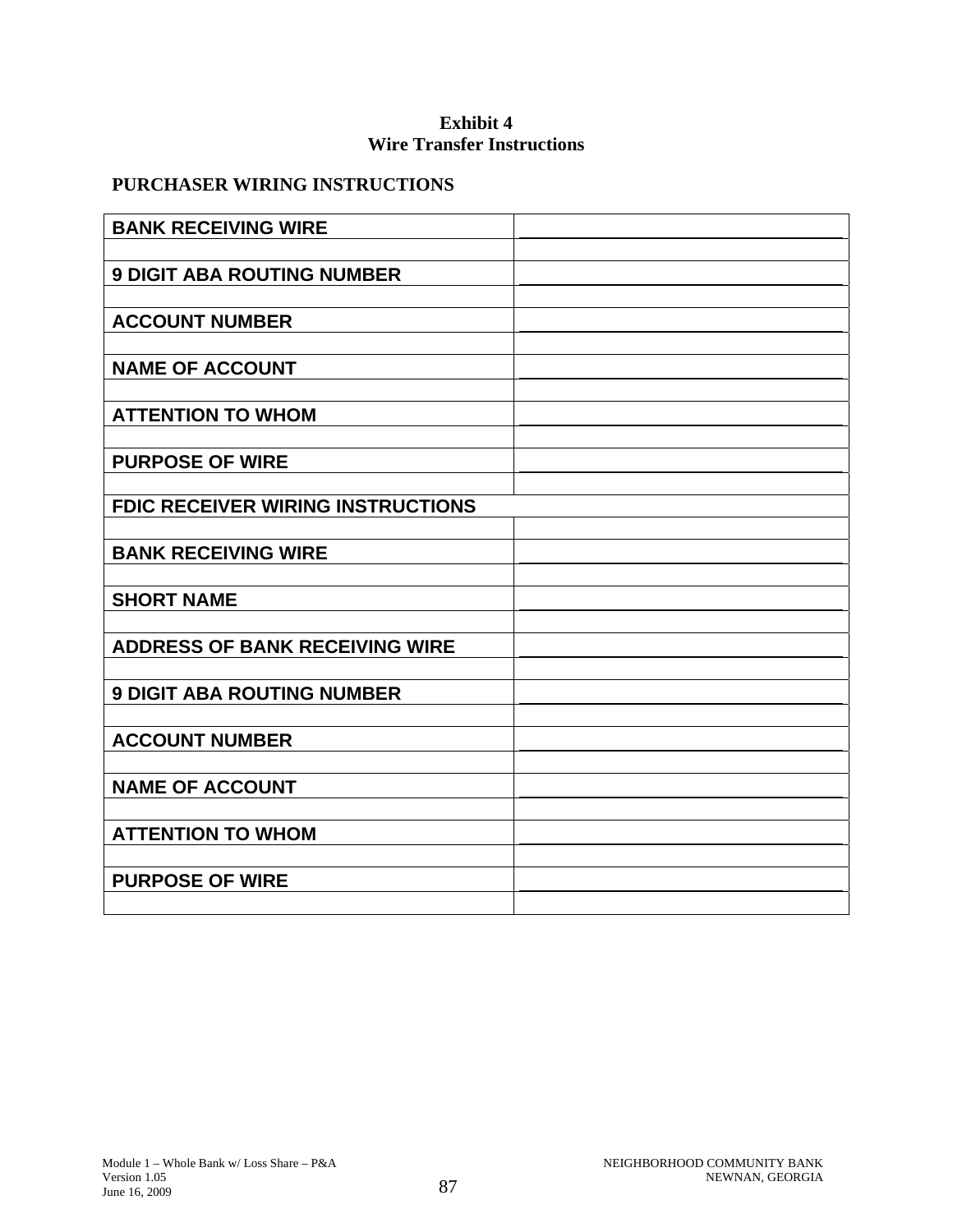### **Exhibit 4 Wire Transfer Instructions**

# **PURCHASER WIRING INSTRUCTIONS**

| <b>BANK RECEIVING WIRE</b>               |  |
|------------------------------------------|--|
|                                          |  |
| <b>9 DIGIT ABA ROUTING NUMBER</b>        |  |
|                                          |  |
| <b>ACCOUNT NUMBER</b>                    |  |
| <b>NAME OF ACCOUNT</b>                   |  |
|                                          |  |
| <b>ATTENTION TO WHOM</b>                 |  |
|                                          |  |
| <b>PURPOSE OF WIRE</b>                   |  |
|                                          |  |
| <b>FDIC RECEIVER WIRING INSTRUCTIONS</b> |  |
| <b>BANK RECEIVING WIRE</b>               |  |
|                                          |  |
| <b>SHORT NAME</b>                        |  |
|                                          |  |
| <b>ADDRESS OF BANK RECEIVING WIRE</b>    |  |
|                                          |  |
| <b>9 DIGIT ABA ROUTING NUMBER</b>        |  |
| <b>ACCOUNT NUMBER</b>                    |  |
|                                          |  |
| <b>NAME OF ACCOUNT</b>                   |  |
|                                          |  |
| <b>ATTENTION TO WHOM</b>                 |  |
|                                          |  |
| <b>PURPOSE OF WIRE</b>                   |  |
|                                          |  |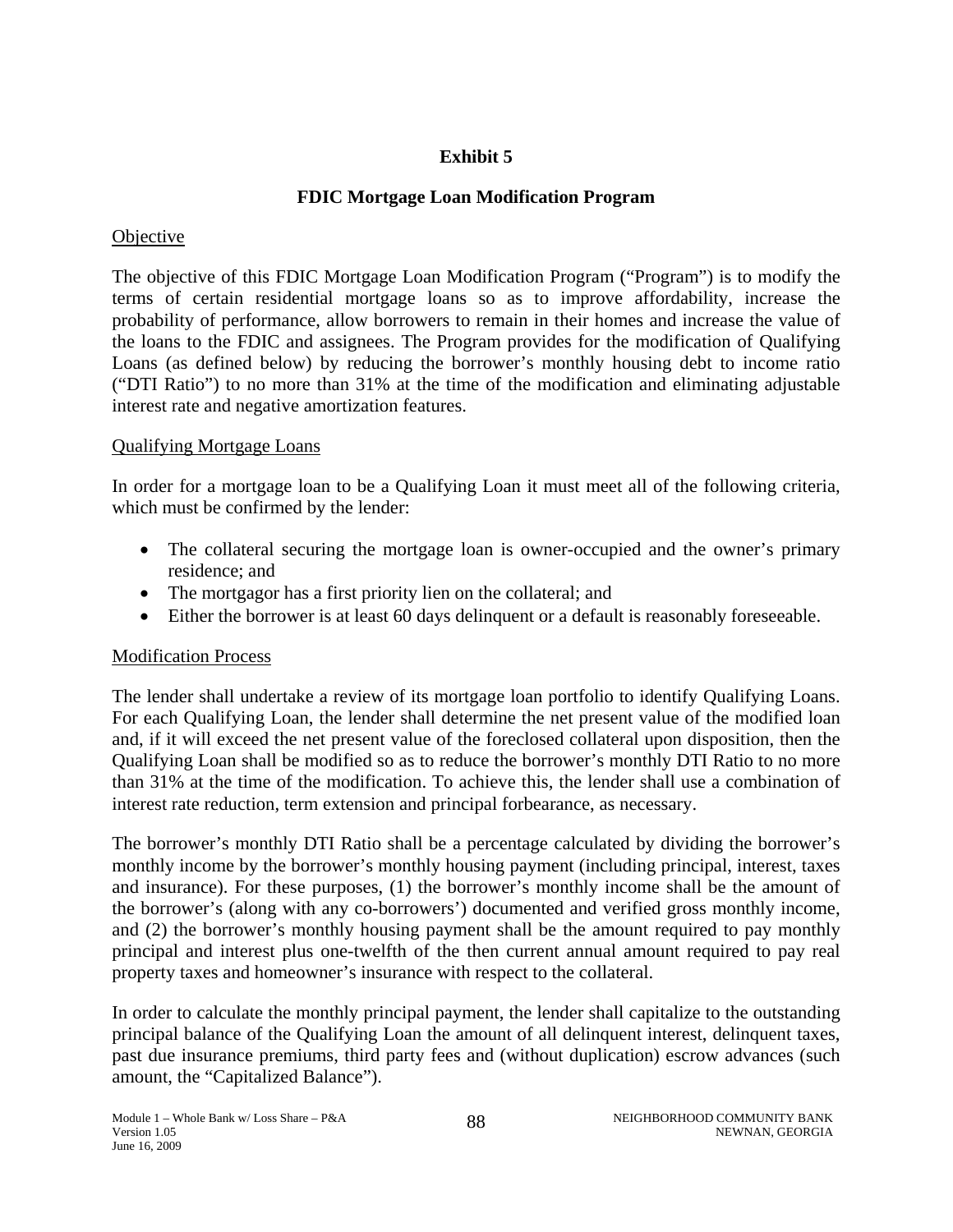# **Exhibit 5**

# **FDIC Mortgage Loan Modification Program**

# **Objective**

The objective of this FDIC Mortgage Loan Modification Program ("Program") is to modify the terms of certain residential mortgage loans so as to improve affordability, increase the probability of performance, allow borrowers to remain in their homes and increase the value of the loans to the FDIC and assignees. The Program provides for the modification of Qualifying Loans (as defined below) by reducing the borrower's monthly housing debt to income ratio ("DTI Ratio") to no more than 31% at the time of the modification and eliminating adjustable interest rate and negative amortization features.

# Qualifying Mortgage Loans

In order for a mortgage loan to be a Qualifying Loan it must meet all of the following criteria, which must be confirmed by the lender:

- The collateral securing the mortgage loan is owner-occupied and the owner's primary residence; and
- The mortgagor has a first priority lien on the collateral; and
- Either the borrower is at least 60 days delinquent or a default is reasonably foreseeable.

# Modification Process

The lender shall undertake a review of its mortgage loan portfolio to identify Qualifying Loans. For each Qualifying Loan, the lender shall determine the net present value of the modified loan and, if it will exceed the net present value of the foreclosed collateral upon disposition, then the Qualifying Loan shall be modified so as to reduce the borrower's monthly DTI Ratio to no more than 31% at the time of the modification. To achieve this, the lender shall use a combination of interest rate reduction, term extension and principal forbearance, as necessary.

The borrower's monthly DTI Ratio shall be a percentage calculated by dividing the borrower's monthly income by the borrower's monthly housing payment (including principal, interest, taxes and insurance). For these purposes, (1) the borrower's monthly income shall be the amount of the borrower's (along with any co-borrowers') documented and verified gross monthly income, and (2) the borrower's monthly housing payment shall be the amount required to pay monthly principal and interest plus one-twelfth of the then current annual amount required to pay real property taxes and homeowner's insurance with respect to the collateral.

In order to calculate the monthly principal payment, the lender shall capitalize to the outstanding principal balance of the Qualifying Loan the amount of all delinquent interest, delinquent taxes, past due insurance premiums, third party fees and (without duplication) escrow advances (such amount, the "Capitalized Balance").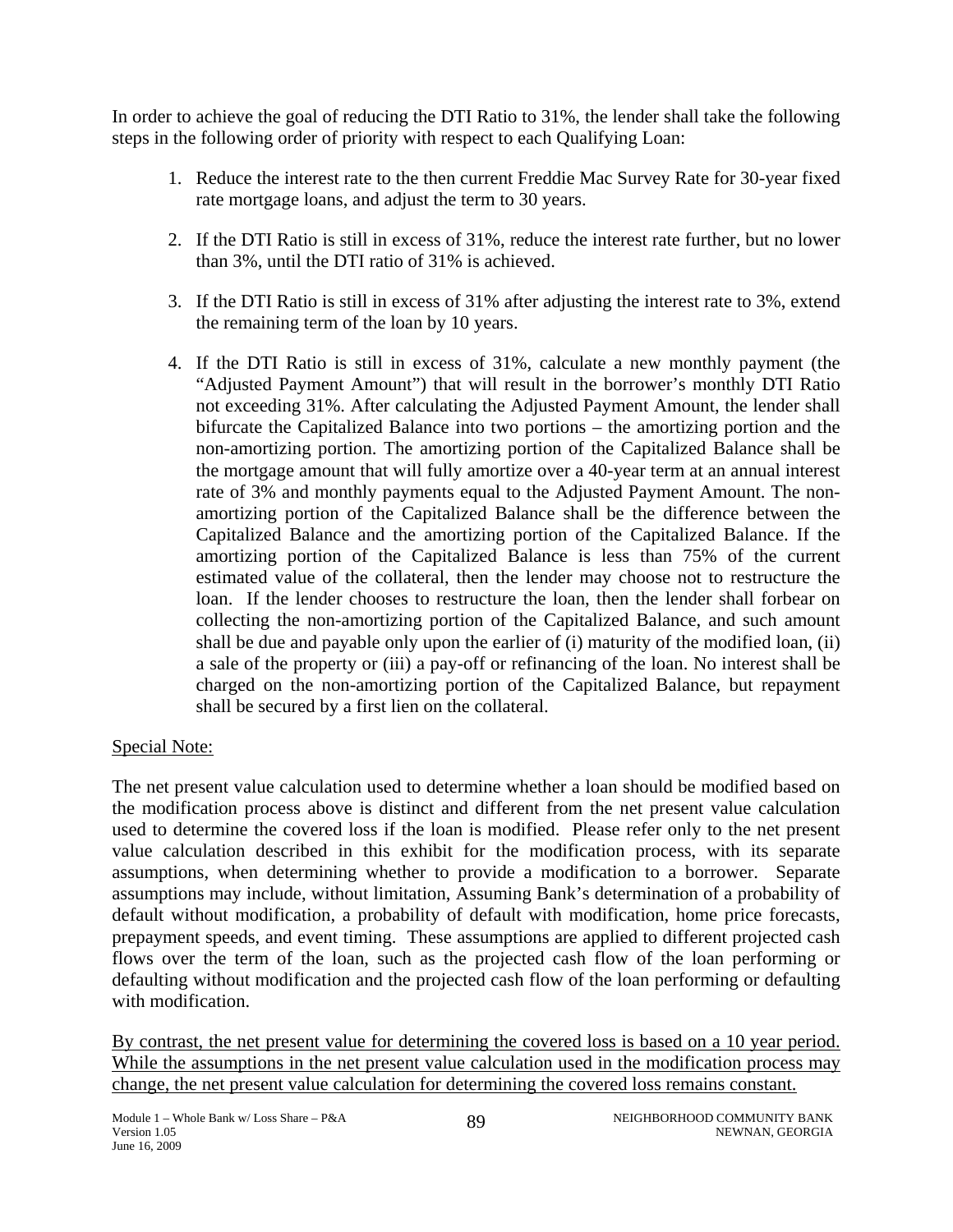In order to achieve the goal of reducing the DTI Ratio to 31%, the lender shall take the following steps in the following order of priority with respect to each Qualifying Loan:

- 1. Reduce the interest rate to the then current Freddie Mac Survey Rate for 30-year fixed rate mortgage loans, and adjust the term to 30 years.
- 2. If the DTI Ratio is still in excess of 31%, reduce the interest rate further, but no lower than 3%, until the DTI ratio of 31% is achieved.
- 3. If the DTI Ratio is still in excess of 31% after adjusting the interest rate to 3%, extend the remaining term of the loan by 10 years.
- 4. If the DTI Ratio is still in excess of 31%, calculate a new monthly payment (the "Adjusted Payment Amount") that will result in the borrower's monthly DTI Ratio not exceeding 31%. After calculating the Adjusted Payment Amount, the lender shall bifurcate the Capitalized Balance into two portions – the amortizing portion and the non-amortizing portion. The amortizing portion of the Capitalized Balance shall be the mortgage amount that will fully amortize over a 40-year term at an annual interest rate of 3% and monthly payments equal to the Adjusted Payment Amount. The nonamortizing portion of the Capitalized Balance shall be the difference between the Capitalized Balance and the amortizing portion of the Capitalized Balance. If the amortizing portion of the Capitalized Balance is less than 75% of the current estimated value of the collateral, then the lender may choose not to restructure the loan. If the lender chooses to restructure the loan, then the lender shall forbear on collecting the non-amortizing portion of the Capitalized Balance, and such amount shall be due and payable only upon the earlier of (i) maturity of the modified loan, (ii) a sale of the property or (iii) a pay-off or refinancing of the loan. No interest shall be charged on the non-amortizing portion of the Capitalized Balance, but repayment shall be secured by a first lien on the collateral.

### Special Note:

The net present value calculation used to determine whether a loan should be modified based on the modification process above is distinct and different from the net present value calculation used to determine the covered loss if the loan is modified. Please refer only to the net present value calculation described in this exhibit for the modification process, with its separate assumptions, when determining whether to provide a modification to a borrower. Separate assumptions may include, without limitation, Assuming Bank's determination of a probability of default without modification, a probability of default with modification, home price forecasts, prepayment speeds, and event timing. These assumptions are applied to different projected cash flows over the term of the loan, such as the projected cash flow of the loan performing or defaulting without modification and the projected cash flow of the loan performing or defaulting with modification.

change, the net present value calculation for determining the covered loss remains constant.<br>Module 1 – Whole Bank w/ Loss Share – P&A 89 NEIGHBORHOOD COMMUNITY BANK Version 1.05 By contrast, the net present value for determining the covered loss is based on a 10 year period. While the assumptions in the net present value calculation used in the modification process may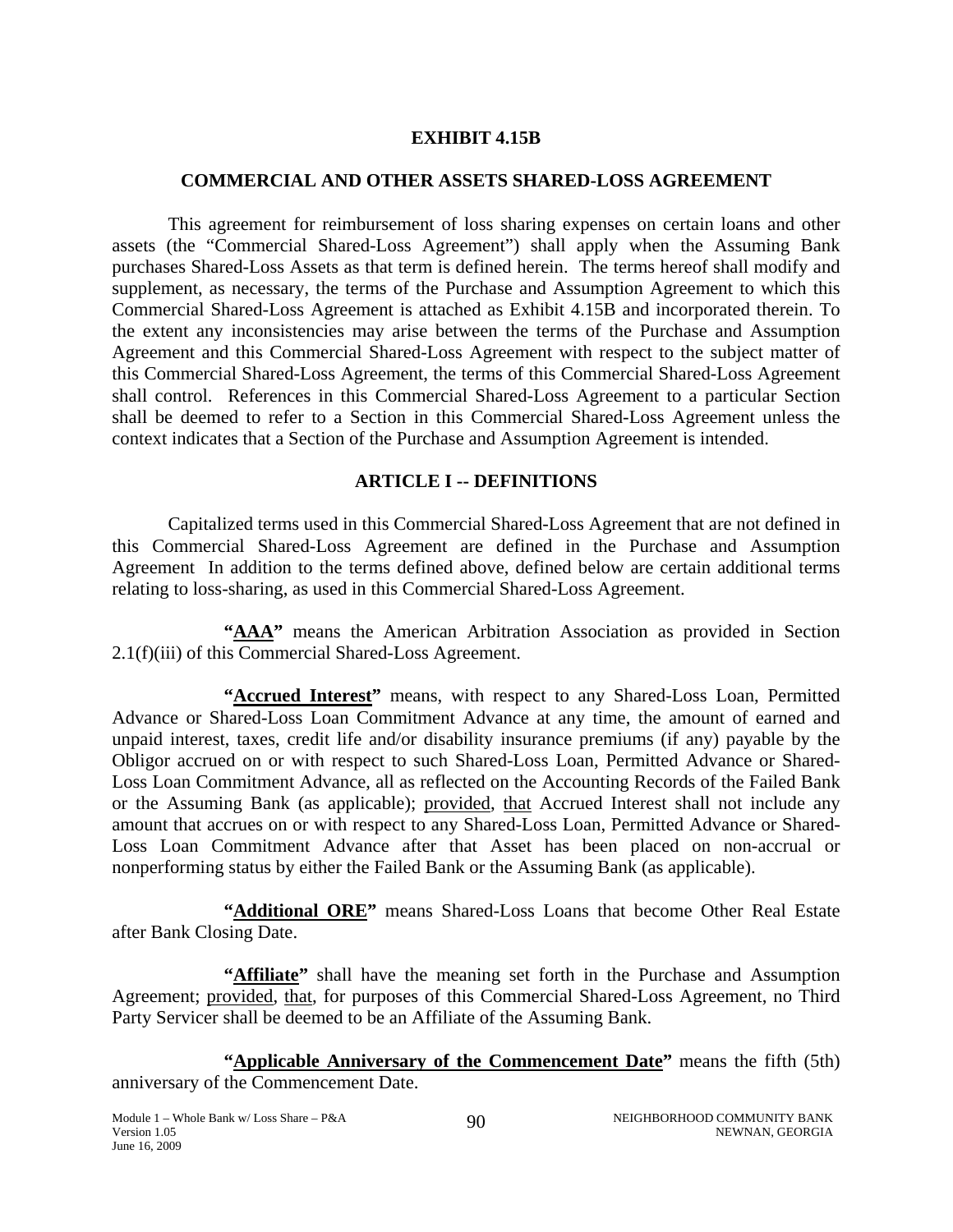#### **EXHIBIT 4.15B**

#### **COMMERCIAL AND OTHER ASSETS SHARED-LOSS AGREEMENT**

This agreement for reimbursement of loss sharing expenses on certain loans and other assets (the "Commercial Shared-Loss Agreement") shall apply when the Assuming Bank purchases Shared-Loss Assets as that term is defined herein. The terms hereof shall modify and supplement, as necessary, the terms of the Purchase and Assumption Agreement to which this Commercial Shared-Loss Agreement is attached as Exhibit 4.15B and incorporated therein. To the extent any inconsistencies may arise between the terms of the Purchase and Assumption Agreement and this Commercial Shared-Loss Agreement with respect to the subject matter of this Commercial Shared-Loss Agreement, the terms of this Commercial Shared-Loss Agreement shall control. References in this Commercial Shared-Loss Agreement to a particular Section shall be deemed to refer to a Section in this Commercial Shared-Loss Agreement unless the context indicates that a Section of the Purchase and Assumption Agreement is intended.

#### **ARTICLE I -- DEFINITIONS**

Capitalized terms used in this Commercial Shared-Loss Agreement that are not defined in this Commercial Shared-Loss Agreement are defined in the Purchase and Assumption Agreement In addition to the terms defined above, defined below are certain additional terms relating to loss-sharing, as used in this Commercial Shared-Loss Agreement.

"AAA" means the American Arbitration Association as provided in Section 2.1(f)(iii) of this Commercial Shared-Loss Agreement.

**"Accrued Interest"** means, with respect to any Shared-Loss Loan, Permitted Advance or Shared-Loss Loan Commitment Advance at any time, the amount of earned and unpaid interest, taxes, credit life and/or disability insurance premiums (if any) payable by the Obligor accrued on or with respect to such Shared-Loss Loan, Permitted Advance or Shared-Loss Loan Commitment Advance, all as reflected on the Accounting Records of the Failed Bank or the Assuming Bank (as applicable); provided, that Accrued Interest shall not include any amount that accrues on or with respect to any Shared-Loss Loan, Permitted Advance or Shared-Loss Loan Commitment Advance after that Asset has been placed on non-accrual or nonperforming status by either the Failed Bank or the Assuming Bank (as applicable).

"**Additional ORE**" means Shared-Loss Loans that become Other Real Estate after Bank Closing Date.

"**Affiliate**" shall have the meaning set forth in the Purchase and Assumption Agreement; provided, that, for purposes of this Commercial Shared-Loss Agreement, no Third Party Servicer shall be deemed to be an Affiliate of the Assuming Bank.

**Examplicable Anniversary of the Commencement Date**" means the fifth (5th) anniversary of the Commencement Date.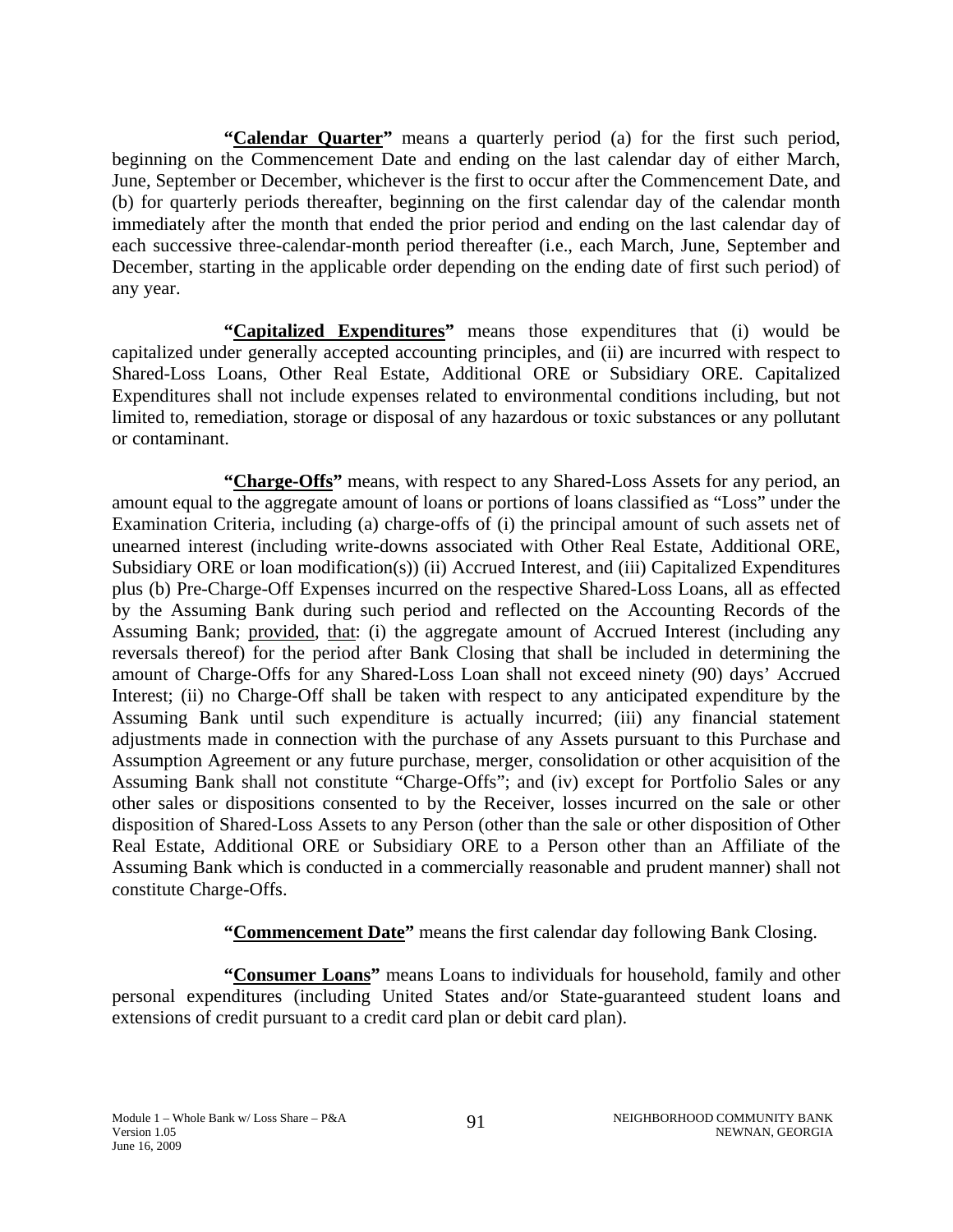"Calendar Quarter" means a quarterly period (a) for the first such period, beginning on the Commencement Date and ending on the last calendar day of either March, June, September or December, whichever is the first to occur after the Commencement Date, and (b) for quarterly periods thereafter, beginning on the first calendar day of the calendar month immediately after the month that ended the prior period and ending on the last calendar day of each successive three-calendar-month period thereafter (i.e., each March, June, September and December, starting in the applicable order depending on the ending date of first such period) of any year.

**"Capitalized Expenditures"** means those expenditures that (i) would be capitalized under generally accepted accounting principles, and (ii) are incurred with respect to Shared-Loss Loans, Other Real Estate, Additional ORE or Subsidiary ORE. Capitalized Expenditures shall not include expenses related to environmental conditions including, but not limited to, remediation, storage or disposal of any hazardous or toxic substances or any pollutant or contaminant.

**"Charge-Offs"** means, with respect to any Shared-Loss Assets for any period, an amount equal to the aggregate amount of loans or portions of loans classified as "Loss" under the Examination Criteria, including (a) charge-offs of (i) the principal amount of such assets net of unearned interest (including write-downs associated with Other Real Estate, Additional ORE, Subsidiary ORE or loan modification(s)) (ii) Accrued Interest, and (iii) Capitalized Expenditures plus (b) Pre-Charge-Off Expenses incurred on the respective Shared-Loss Loans, all as effected by the Assuming Bank during such period and reflected on the Accounting Records of the Assuming Bank; provided, that: (i) the aggregate amount of Accrued Interest (including any reversals thereof) for the period after Bank Closing that shall be included in determining the amount of Charge-Offs for any Shared-Loss Loan shall not exceed ninety (90) days' Accrued Interest; (ii) no Charge-Off shall be taken with respect to any anticipated expenditure by the Assuming Bank until such expenditure is actually incurred; (iii) any financial statement adjustments made in connection with the purchase of any Assets pursuant to this Purchase and Assumption Agreement or any future purchase, merger, consolidation or other acquisition of the Assuming Bank shall not constitute "Charge-Offs"; and (iv) except for Portfolio Sales or any other sales or dispositions consented to by the Receiver, losses incurred on the sale or other disposition of Shared-Loss Assets to any Person (other than the sale or other disposition of Other Real Estate, Additional ORE or Subsidiary ORE to a Person other than an Affiliate of the Assuming Bank which is conducted in a commercially reasonable and prudent manner) shall not constitute Charge-Offs.

**"Commencement Date"** means the first calendar day following Bank Closing.

**"Consumer Loans"** means Loans to individuals for household, family and other personal expenditures (including United States and/or State-guaranteed student loans and extensions of credit pursuant to a credit card plan or debit card plan).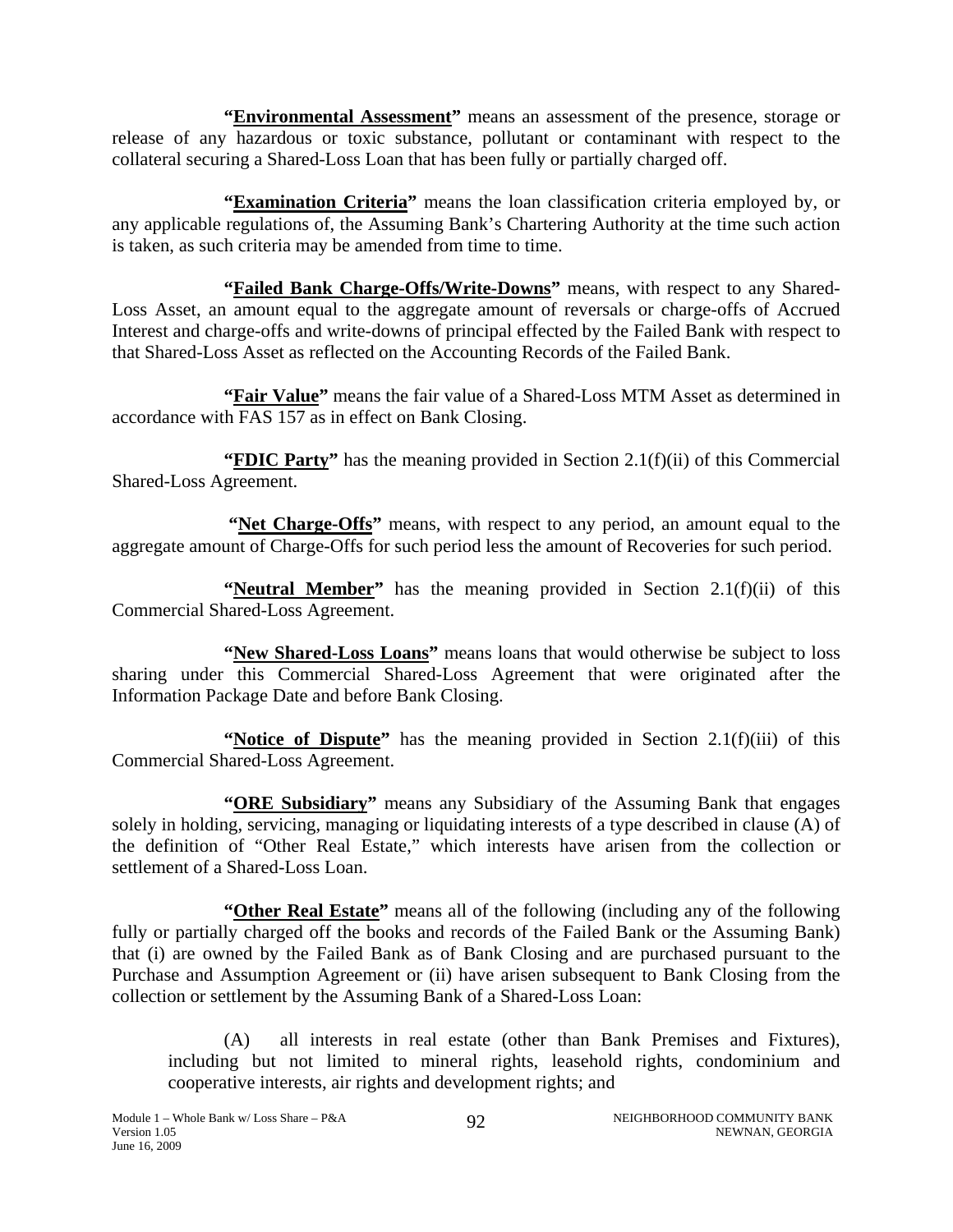"**Environmental Assessment**" means an assessment of the presence, storage or release of any hazardous or toxic substance, pollutant or contaminant with respect to the collateral securing a Shared-Loss Loan that has been fully or partially charged off.

**"Examination Criteria"** means the loan classification criteria employed by, or any applicable regulations of, the Assuming Bank's Chartering Authority at the time such action is taken, as such criteria may be amended from time to time.

**"Failed Bank Charge-Offs/Write-Downs"** means, with respect to any Shared-Loss Asset, an amount equal to the aggregate amount of reversals or charge-offs of Accrued Interest and charge-offs and write-downs of principal effected by the Failed Bank with respect to that Shared-Loss Asset as reflected on the Accounting Records of the Failed Bank.

**"Fair Value"** means the fair value of a Shared-Loss MTM Asset as determined in accordance with FAS 157 as in effect on Bank Closing.

**"FDIC Party"** has the meaning provided in Section 2.1(f)(ii) of this Commercial Shared-Loss Agreement.

**"Net Charge-Offs"** means, with respect to any period, an amount equal to the aggregate amount of Charge-Offs for such period less the amount of Recoveries for such period.

 Commercial Shared-Loss Agreement. **"Neutral Member"** has the meaning provided in Section 2.1(f)(ii) of this

**"New Shared-Loss Loans"** means loans that would otherwise be subject to loss sharing under this Commercial Shared-Loss Agreement that were originated after the Information Package Date and before Bank Closing.

"Notice of Dispute" has the meaning provided in Section 2.1(f)(iii) of this Commercial Shared-Loss Agreement.

**"ORE Subsidiary"** means any Subsidiary of the Assuming Bank that engages solely in holding, servicing, managing or liquidating interests of a type described in clause (A) of the definition of "Other Real Estate," which interests have arisen from the collection or settlement of a Shared-Loss Loan.

**"Other Real Estate"** means all of the following (including any of the following fully or partially charged off the books and records of the Failed Bank or the Assuming Bank) that (i) are owned by the Failed Bank as of Bank Closing and are purchased pursuant to the Purchase and Assumption Agreement or (ii) have arisen subsequent to Bank Closing from the collection or settlement by the Assuming Bank of a Shared-Loss Loan:

(A) all interests in real estate (other than Bank Premises and Fixtures), including but not limited to mineral rights, leasehold rights, condominium and cooperative interests, air rights and development rights; and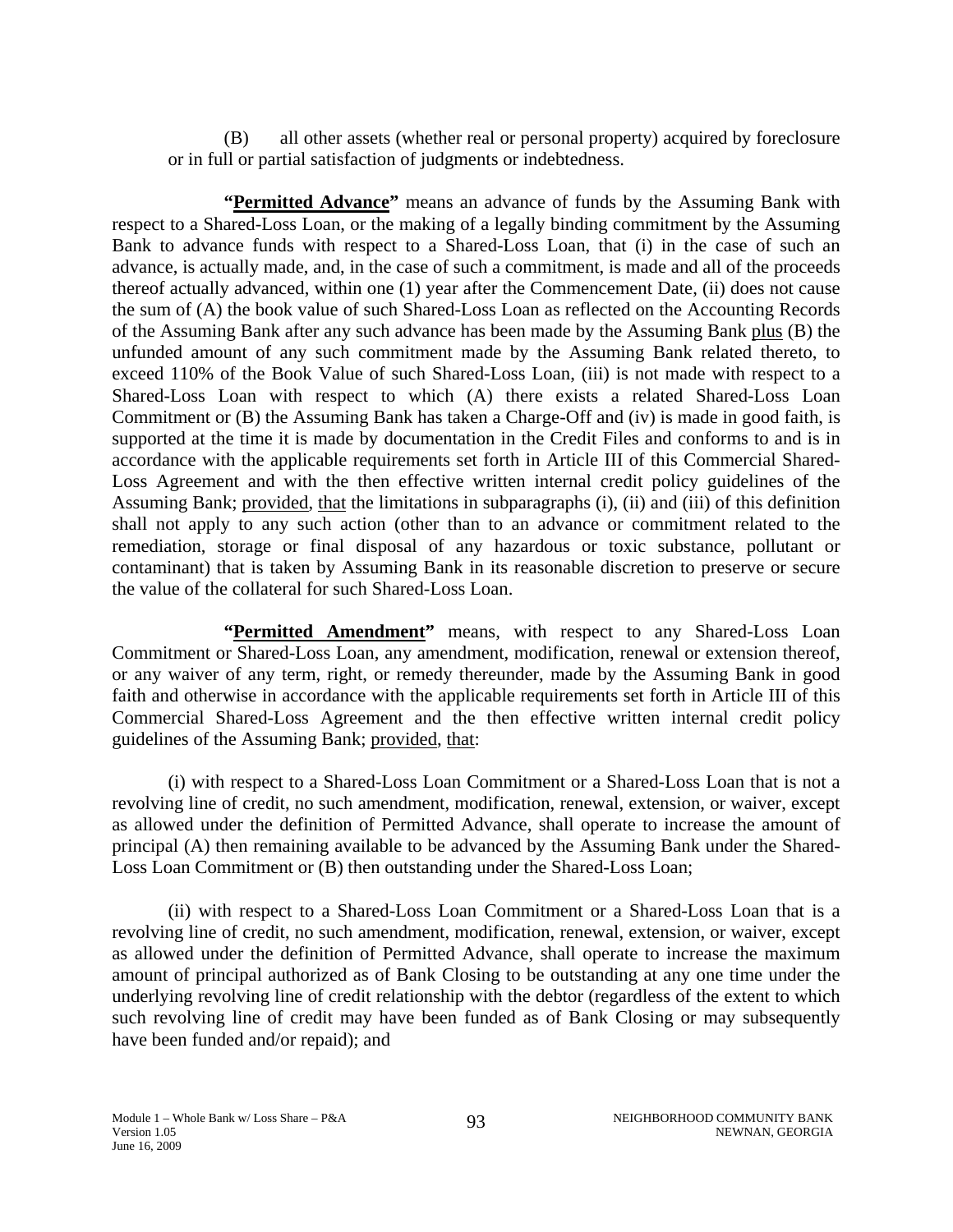(B) all other assets (whether real or personal property) acquired by foreclosure or in full or partial satisfaction of judgments or indebtedness.

**"Permitted Advance"** means an advance of funds by the Assuming Bank with respect to a Shared-Loss Loan, or the making of a legally binding commitment by the Assuming Bank to advance funds with respect to a Shared-Loss Loan, that (i) in the case of such an advance, is actually made, and, in the case of such a commitment, is made and all of the proceeds thereof actually advanced, within one (1) year after the Commencement Date, (ii) does not cause the sum of (A) the book value of such Shared-Loss Loan as reflected on the Accounting Records of the Assuming Bank after any such advance has been made by the Assuming Bank plus (B) the unfunded amount of any such commitment made by the Assuming Bank related thereto, to exceed 110% of the Book Value of such Shared-Loss Loan, (iii) is not made with respect to a Shared-Loss Loan with respect to which (A) there exists a related Shared-Loss Loan Commitment or (B) the Assuming Bank has taken a Charge-Off and (iv) is made in good faith, is supported at the time it is made by documentation in the Credit Files and conforms to and is in accordance with the applicable requirements set forth in Article III of this Commercial Shared-Loss Agreement and with the then effective written internal credit policy guidelines of the Assuming Bank; provided, that the limitations in subparagraphs (i), (ii) and (iii) of this definition shall not apply to any such action (other than to an advance or commitment related to the remediation, storage or final disposal of any hazardous or toxic substance, pollutant or contaminant) that is taken by Assuming Bank in its reasonable discretion to preserve or secure the value of the collateral for such Shared-Loss Loan.

"Permitted Amendment" means, with respect to any Shared-Loss Loan Commitment or Shared-Loss Loan, any amendment, modification, renewal or extension thereof, or any waiver of any term, right, or remedy thereunder, made by the Assuming Bank in good faith and otherwise in accordance with the applicable requirements set forth in Article III of this Commercial Shared-Loss Agreement and the then effective written internal credit policy guidelines of the Assuming Bank; provided, that:

(i) with respect to a Shared-Loss Loan Commitment or a Shared-Loss Loan that is not a revolving line of credit, no such amendment, modification, renewal, extension, or waiver, except as allowed under the definition of Permitted Advance, shall operate to increase the amount of principal (A) then remaining available to be advanced by the Assuming Bank under the Shared-Loss Loan Commitment or (B) then outstanding under the Shared-Loss Loan;

(ii) with respect to a Shared-Loss Loan Commitment or a Shared-Loss Loan that is a revolving line of credit, no such amendment, modification, renewal, extension, or waiver, except as allowed under the definition of Permitted Advance, shall operate to increase the maximum amount of principal authorized as of Bank Closing to be outstanding at any one time under the underlying revolving line of credit relationship with the debtor (regardless of the extent to which such revolving line of credit may have been funded as of Bank Closing or may subsequently have been funded and/or repaid); and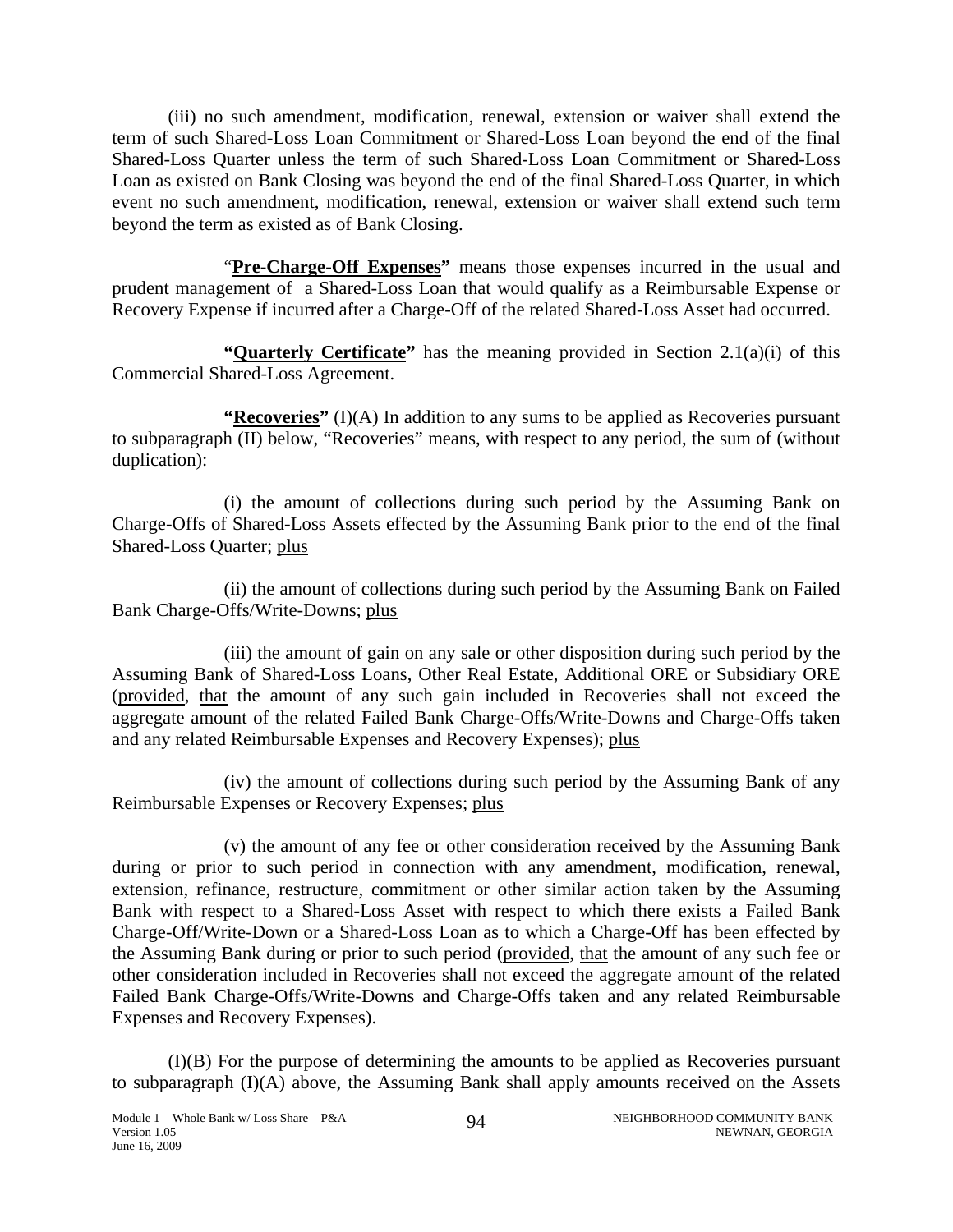(iii) no such amendment, modification, renewal, extension or waiver shall extend the term of such Shared-Loss Loan Commitment or Shared-Loss Loan beyond the end of the final Shared-Loss Quarter unless the term of such Shared-Loss Loan Commitment or Shared-Loss Loan as existed on Bank Closing was beyond the end of the final Shared-Loss Quarter, in which event no such amendment, modification, renewal, extension or waiver shall extend such term beyond the term as existed as of Bank Closing.

"**Pre-Charge-Off Expenses"** means those expenses incurred in the usual and prudent management of a Shared-Loss Loan that would qualify as a Reimbursable Expense or Recovery Expense if incurred after a Charge-Off of the related Shared-Loss Asset had occurred.

**"Quarterly Certificate"** has the meaning provided in Section 2.1(a)(i) of this Commercial Shared-Loss Agreement.

**"Recoveries"** (I)(A) In addition to any sums to be applied as Recoveries pursuant to subparagraph (II) below, "Recoveries" means, with respect to any period, the sum of (without duplication):

Shared-Loss Quarter; plus (i) the amount of collections during such period by the Assuming Bank on Charge-Offs of Shared-Loss Assets effected by the Assuming Bank prior to the end of the final

(ii) the amount of collections during such period by the Assuming Bank on Failed Bank Charge-Offs/Write-Downs; plus

(iii) the amount of gain on any sale or other disposition during such period by the Assuming Bank of Shared-Loss Loans, Other Real Estate, Additional ORE or Subsidiary ORE (provided, that the amount of any such gain included in Recoveries shall not exceed the aggregate amount of the related Failed Bank Charge-Offs/Write-Downs and Charge-Offs taken and any related Reimbursable Expenses and Recovery Expenses); plus

(iv) the amount of collections during such period by the Assuming Bank of any Reimbursable Expenses or Recovery Expenses; plus

(v) the amount of any fee or other consideration received by the Assuming Bank during or prior to such period in connection with any amendment, modification, renewal, extension, refinance, restructure, commitment or other similar action taken by the Assuming Bank with respect to a Shared-Loss Asset with respect to which there exists a Failed Bank Charge-Off/Write-Down or a Shared-Loss Loan as to which a Charge-Off has been effected by the Assuming Bank during or prior to such period (provided, that the amount of any such fee or other consideration included in Recoveries shall not exceed the aggregate amount of the related Failed Bank Charge-Offs/Write-Downs and Charge-Offs taken and any related Reimbursable Expenses and Recovery Expenses).

(I)(B) For the purpose of determining the amounts to be applied as Recoveries pursuant to subparagraph (I)(A) above, the Assuming Bank shall apply amounts received on the Assets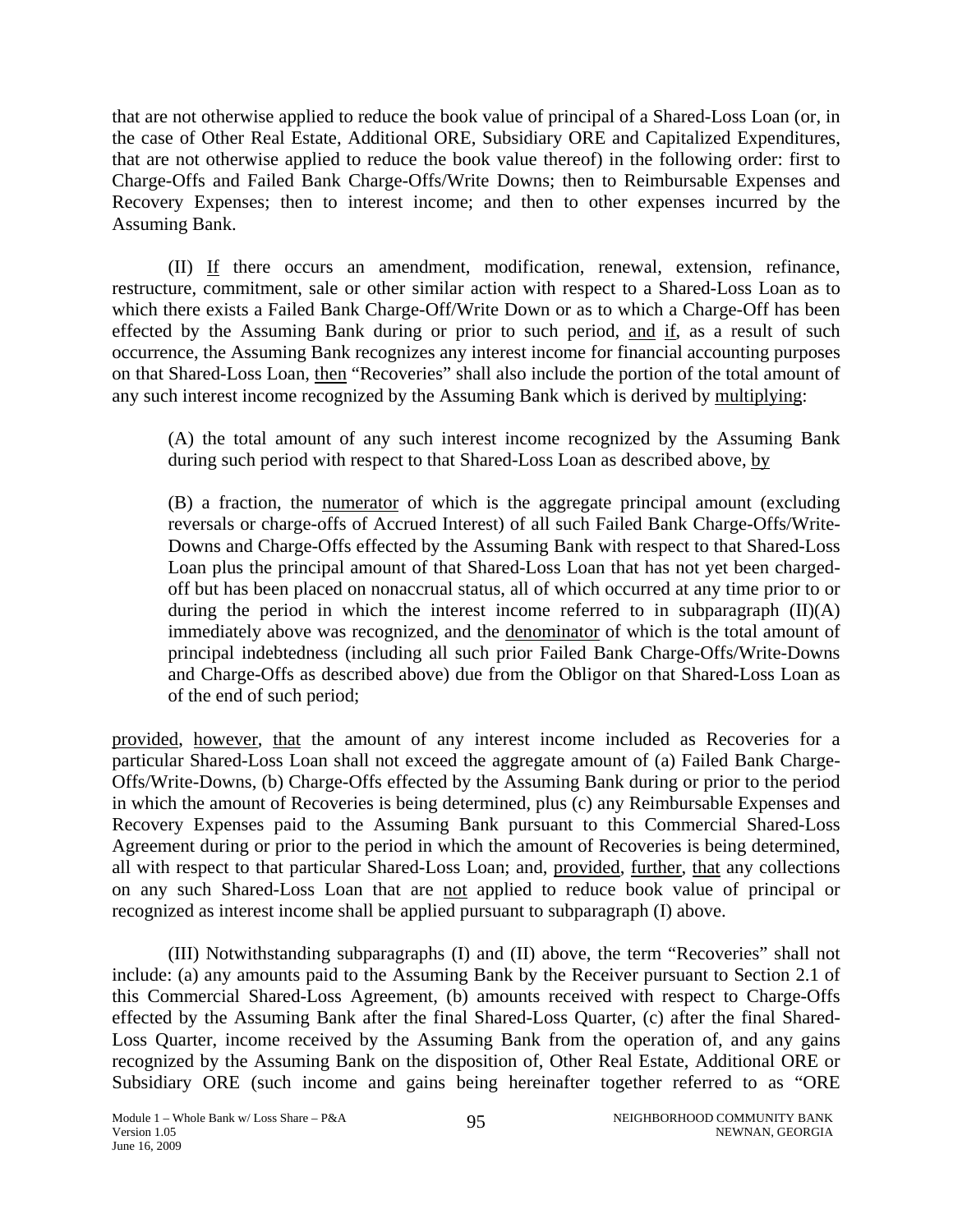that are not otherwise applied to reduce the book value of principal of a Shared-Loss Loan (or, in the case of Other Real Estate, Additional ORE, Subsidiary ORE and Capitalized Expenditures, that are not otherwise applied to reduce the book value thereof) in the following order: first to Charge-Offs and Failed Bank Charge-Offs/Write Downs; then to Reimbursable Expenses and Recovery Expenses; then to interest income; and then to other expenses incurred by the Assuming Bank.

(II) If there occurs an amendment, modification, renewal, extension, refinance, restructure, commitment, sale or other similar action with respect to a Shared-Loss Loan as to which there exists a Failed Bank Charge-Off/Write Down or as to which a Charge-Off has been effected by the Assuming Bank during or prior to such period, and if, as a result of such occurrence, the Assuming Bank recognizes any interest income for financial accounting purposes on that Shared-Loss Loan, then "Recoveries" shall also include the portion of the total amount of any such interest income recognized by the Assuming Bank which is derived by multiplying:

(A) the total amount of any such interest income recognized by the Assuming Bank during such period with respect to that Shared-Loss Loan as described above, by

(B) a fraction, the numerator of which is the aggregate principal amount (excluding reversals or charge-offs of Accrued Interest) of all such Failed Bank Charge-Offs/Write-Downs and Charge-Offs effected by the Assuming Bank with respect to that Shared-Loss Loan plus the principal amount of that Shared-Loss Loan that has not yet been chargedoff but has been placed on nonaccrual status, all of which occurred at any time prior to or during the period in which the interest income referred to in subparagraph  $(II)(A)$ immediately above was recognized, and the denominator of which is the total amount of principal indebtedness (including all such prior Failed Bank Charge-Offs/Write-Downs and Charge-Offs as described above) due from the Obligor on that Shared-Loss Loan as of the end of such period;

provided, however, that the amount of any interest income included as Recoveries for a particular Shared-Loss Loan shall not exceed the aggregate amount of (a) Failed Bank Charge-Offs/Write-Downs, (b) Charge-Offs effected by the Assuming Bank during or prior to the period in which the amount of Recoveries is being determined, plus (c) any Reimbursable Expenses and Recovery Expenses paid to the Assuming Bank pursuant to this Commercial Shared-Loss Agreement during or prior to the period in which the amount of Recoveries is being determined, all with respect to that particular Shared-Loss Loan; and, provided, further, that any collections on any such Shared-Loss Loan that are not applied to reduce book value of principal or recognized as interest income shall be applied pursuant to subparagraph (I) above.

(III) Notwithstanding subparagraphs (I) and (II) above, the term "Recoveries" shall not include: (a) any amounts paid to the Assuming Bank by the Receiver pursuant to Section 2.1 of this Commercial Shared-Loss Agreement, (b) amounts received with respect to Charge-Offs effected by the Assuming Bank after the final Shared-Loss Quarter, (c) after the final Shared-Loss Quarter, income received by the Assuming Bank from the operation of, and any gains recognized by the Assuming Bank on the disposition of, Other Real Estate, Additional ORE or Subsidiary ORE (such income and gains being hereinafter together referred to as "ORE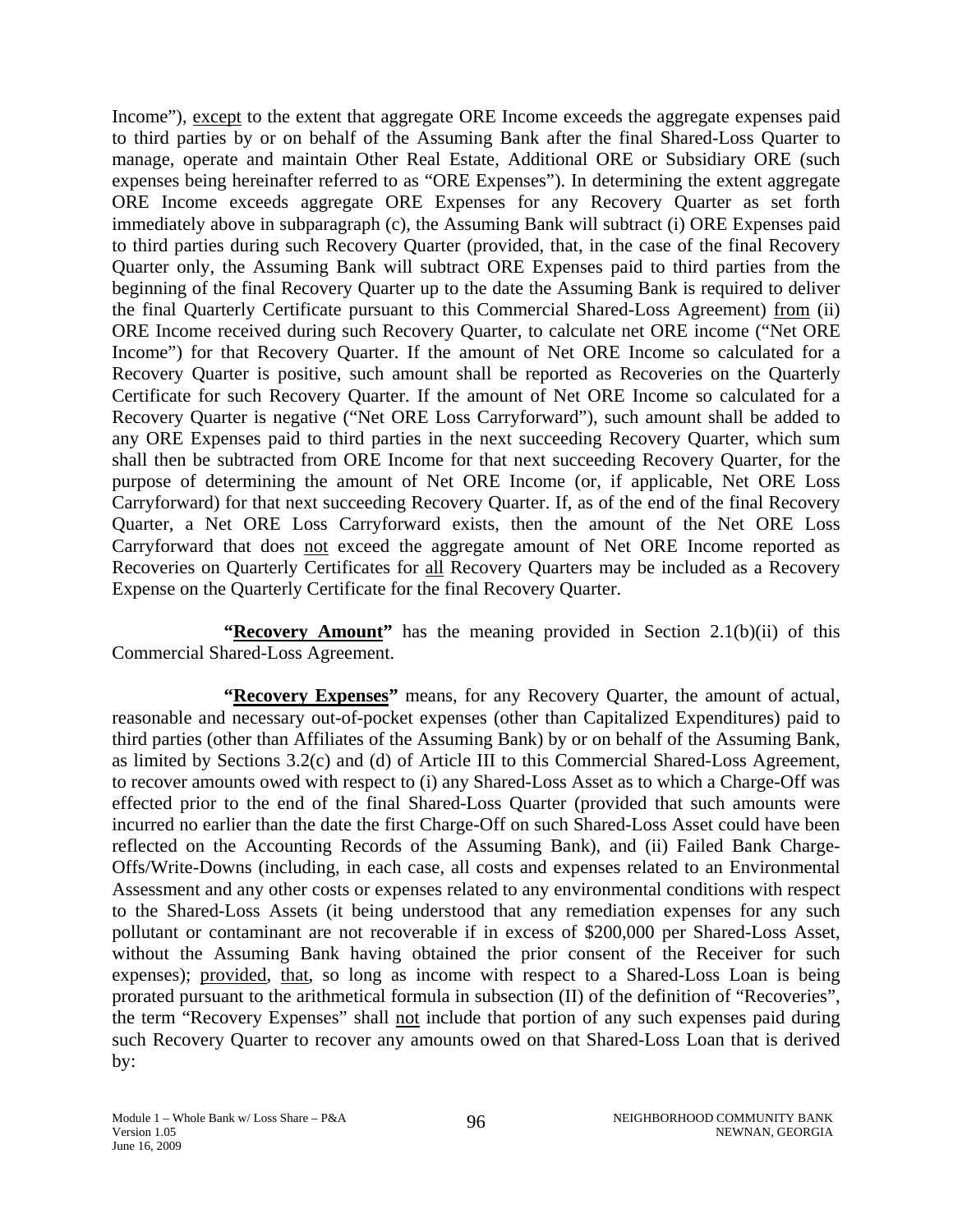Income"), except to the extent that aggregate ORE Income exceeds the aggregate expenses paid to third parties by or on behalf of the Assuming Bank after the final Shared-Loss Quarter to manage, operate and maintain Other Real Estate, Additional ORE or Subsidiary ORE (such expenses being hereinafter referred to as "ORE Expenses"). In determining the extent aggregate ORE Income exceeds aggregate ORE Expenses for any Recovery Quarter as set forth immediately above in subparagraph (c), the Assuming Bank will subtract (i) ORE Expenses paid to third parties during such Recovery Quarter (provided, that, in the case of the final Recovery Quarter only, the Assuming Bank will subtract ORE Expenses paid to third parties from the beginning of the final Recovery Quarter up to the date the Assuming Bank is required to deliver the final Quarterly Certificate pursuant to this Commercial Shared-Loss Agreement) from (ii) ORE Income received during such Recovery Quarter, to calculate net ORE income ("Net ORE Income") for that Recovery Quarter. If the amount of Net ORE Income so calculated for a Recovery Quarter is positive, such amount shall be reported as Recoveries on the Quarterly Certificate for such Recovery Quarter. If the amount of Net ORE Income so calculated for a Recovery Quarter is negative ("Net ORE Loss Carryforward"), such amount shall be added to any ORE Expenses paid to third parties in the next succeeding Recovery Quarter, which sum shall then be subtracted from ORE Income for that next succeeding Recovery Quarter, for the purpose of determining the amount of Net ORE Income (or, if applicable, Net ORE Loss Carryforward) for that next succeeding Recovery Quarter. If, as of the end of the final Recovery Quarter, a Net ORE Loss Carryforward exists, then the amount of the Net ORE Loss Carryforward that does not exceed the aggregate amount of Net ORE Income reported as Recoveries on Quarterly Certificates for all Recovery Quarters may be included as a Recovery Expense on the Quarterly Certificate for the final Recovery Quarter.

**"Recovery Amount"** has the meaning provided in Section 2.1(b)(ii) of this Commercial Shared-Loss Agreement.

**"Recovery Expenses"** means, for any Recovery Quarter, the amount of actual, reasonable and necessary out-of-pocket expenses (other than Capitalized Expenditures) paid to third parties (other than Affiliates of the Assuming Bank) by or on behalf of the Assuming Bank, as limited by Sections 3.2(c) and (d) of Article III to this Commercial Shared-Loss Agreement, to recover amounts owed with respect to (i) any Shared-Loss Asset as to which a Charge-Off was effected prior to the end of the final Shared-Loss Quarter (provided that such amounts were incurred no earlier than the date the first Charge-Off on such Shared-Loss Asset could have been reflected on the Accounting Records of the Assuming Bank), and (ii) Failed Bank Charge-Offs/Write-Downs (including, in each case, all costs and expenses related to an Environmental Assessment and any other costs or expenses related to any environmental conditions with respect to the Shared-Loss Assets (it being understood that any remediation expenses for any such pollutant or contaminant are not recoverable if in excess of \$200,000 per Shared-Loss Asset, without the Assuming Bank having obtained the prior consent of the Receiver for such expenses); provided, that, so long as income with respect to a Shared-Loss Loan is being prorated pursuant to the arithmetical formula in subsection (II) of the definition of "Recoveries", the term "Recovery Expenses" shall not include that portion of any such expenses paid during such Recovery Quarter to recover any amounts owed on that Shared-Loss Loan that is derived by: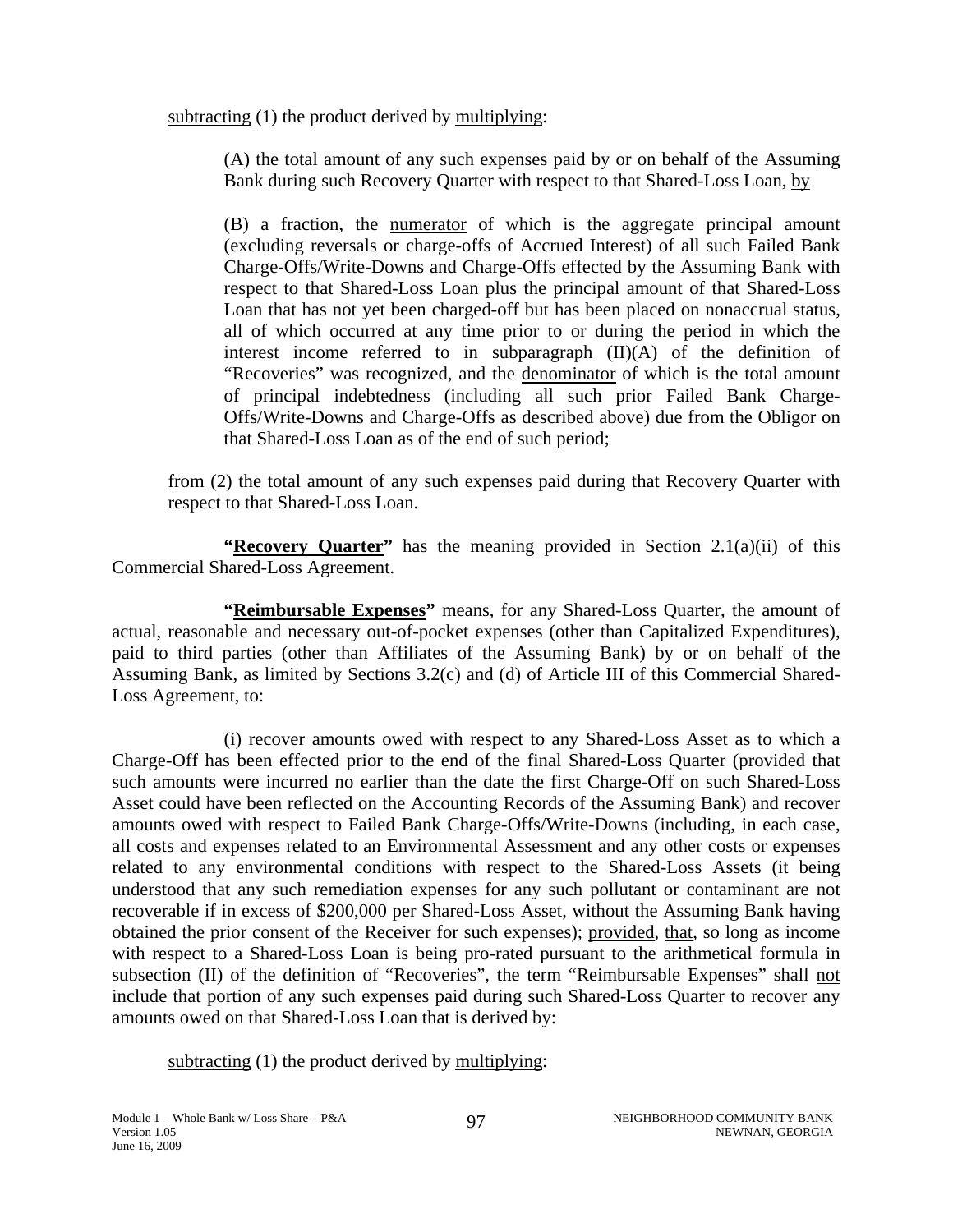subtracting (1) the product derived by multiplying:

(A) the total amount of any such expenses paid by or on behalf of the Assuming Bank during such Recovery Quarter with respect to that Shared-Loss Loan, by

(B) a fraction, the numerator of which is the aggregate principal amount (excluding reversals or charge-offs of Accrued Interest) of all such Failed Bank Charge-Offs/Write-Downs and Charge-Offs effected by the Assuming Bank with respect to that Shared-Loss Loan plus the principal amount of that Shared-Loss Loan that has not yet been charged-off but has been placed on nonaccrual status, all of which occurred at any time prior to or during the period in which the interest income referred to in subparagraph (II)(A) of the definition of "Recoveries" was recognized, and the denominator of which is the total amount of principal indebtedness (including all such prior Failed Bank Charge-Offs/Write-Downs and Charge-Offs as described above) due from the Obligor on that Shared-Loss Loan as of the end of such period;

from (2) the total amount of any such expenses paid during that Recovery Quarter with respect to that Shared-Loss Loan.

**"Recovery Quarter"** has the meaning provided in Section 2.1(a)(ii) of this Commercial Shared-Loss Agreement.

**"Reimbursable Expenses"** means, for any Shared-Loss Quarter, the amount of actual, reasonable and necessary out-of-pocket expenses (other than Capitalized Expenditures), paid to third parties (other than Affiliates of the Assuming Bank) by or on behalf of the Assuming Bank, as limited by Sections 3.2(c) and (d) of Article III of this Commercial Shared-Loss Agreement, to:

(i) recover amounts owed with respect to any Shared-Loss Asset as to which a Charge-Off has been effected prior to the end of the final Shared-Loss Quarter (provided that such amounts were incurred no earlier than the date the first Charge-Off on such Shared-Loss Asset could have been reflected on the Accounting Records of the Assuming Bank) and recover amounts owed with respect to Failed Bank Charge-Offs/Write-Downs (including, in each case, all costs and expenses related to an Environmental Assessment and any other costs or expenses related to any environmental conditions with respect to the Shared-Loss Assets (it being understood that any such remediation expenses for any such pollutant or contaminant are not recoverable if in excess of \$200,000 per Shared-Loss Asset, without the Assuming Bank having obtained the prior consent of the Receiver for such expenses); provided, that, so long as income with respect to a Shared-Loss Loan is being pro-rated pursuant to the arithmetical formula in subsection (II) of the definition of "Recoveries", the term "Reimbursable Expenses" shall not include that portion of any such expenses paid during such Shared-Loss Quarter to recover any amounts owed on that Shared-Loss Loan that is derived by:

subtracting (1) the product derived by multiplying: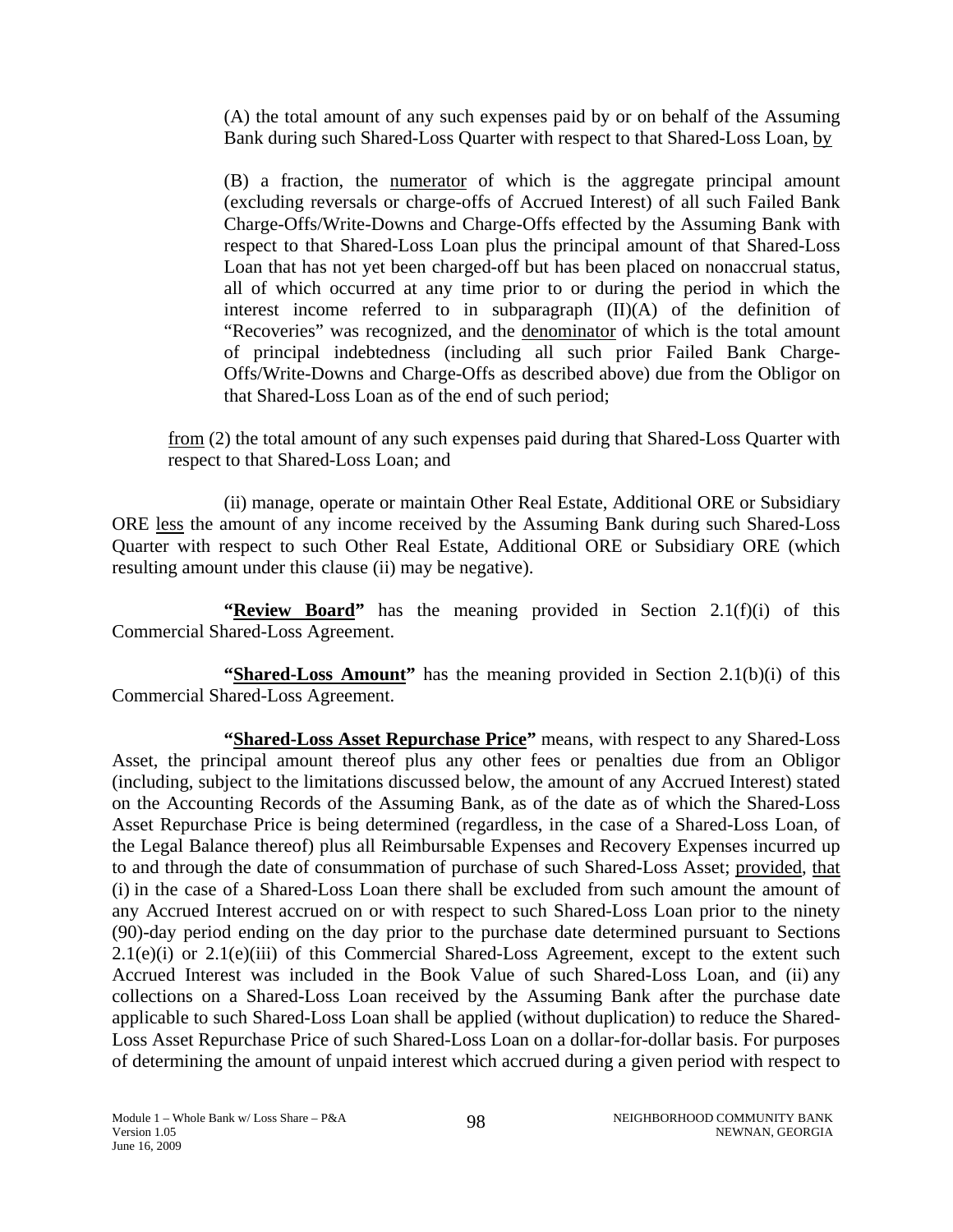(A) the total amount of any such expenses paid by or on behalf of the Assuming Bank during such Shared-Loss Quarter with respect to that Shared-Loss Loan, by

(B) a fraction, the numerator of which is the aggregate principal amount (excluding reversals or charge-offs of Accrued Interest) of all such Failed Bank Charge-Offs/Write-Downs and Charge-Offs effected by the Assuming Bank with respect to that Shared-Loss Loan plus the principal amount of that Shared-Loss Loan that has not yet been charged-off but has been placed on nonaccrual status, all of which occurred at any time prior to or during the period in which the interest income referred to in subparagraph (II)(A) of the definition of "Recoveries" was recognized, and the denominator of which is the total amount of principal indebtedness (including all such prior Failed Bank Charge-Offs/Write-Downs and Charge-Offs as described above) due from the Obligor on that Shared-Loss Loan as of the end of such period;

from (2) the total amount of any such expenses paid during that Shared-Loss Quarter with respect to that Shared-Loss Loan; and

(ii) manage, operate or maintain Other Real Estate, Additional ORE or Subsidiary ORE less the amount of any income received by the Assuming Bank during such Shared-Loss Quarter with respect to such Other Real Estate, Additional ORE or Subsidiary ORE (which resulting amount under this clause (ii) may be negative).

**"Review Board"** has the meaning provided in Section 2.1(f)(i) of this Commercial Shared-Loss Agreement.

**"Shared-Loss Amount"** has the meaning provided in Section 2.1(b)(i) of this Commercial Shared-Loss Agreement.

**"Shared-Loss Asset Repurchase Price"** means, with respect to any Shared-Loss Asset, the principal amount thereof plus any other fees or penalties due from an Obligor (including, subject to the limitations discussed below, the amount of any Accrued Interest) stated on the Accounting Records of the Assuming Bank, as of the date as of which the Shared-Loss Asset Repurchase Price is being determined (regardless, in the case of a Shared-Loss Loan, of the Legal Balance thereof) plus all Reimbursable Expenses and Recovery Expenses incurred up to and through the date of consummation of purchase of such Shared-Loss Asset; provided, that (i) in the case of a Shared-Loss Loan there shall be excluded from such amount the amount of any Accrued Interest accrued on or with respect to such Shared-Loss Loan prior to the ninety (90)-day period ending on the day prior to the purchase date determined pursuant to Sections  $2.1(e)(i)$  or  $2.1(e)(iii)$  of this Commercial Shared-Loss Agreement, except to the extent such Accrued Interest was included in the Book Value of such Shared-Loss Loan, and (ii) any collections on a Shared-Loss Loan received by the Assuming Bank after the purchase date applicable to such Shared-Loss Loan shall be applied (without duplication) to reduce the Shared-Loss Asset Repurchase Price of such Shared-Loss Loan on a dollar-for-dollar basis. For purposes of determining the amount of unpaid interest which accrued during a given period with respect to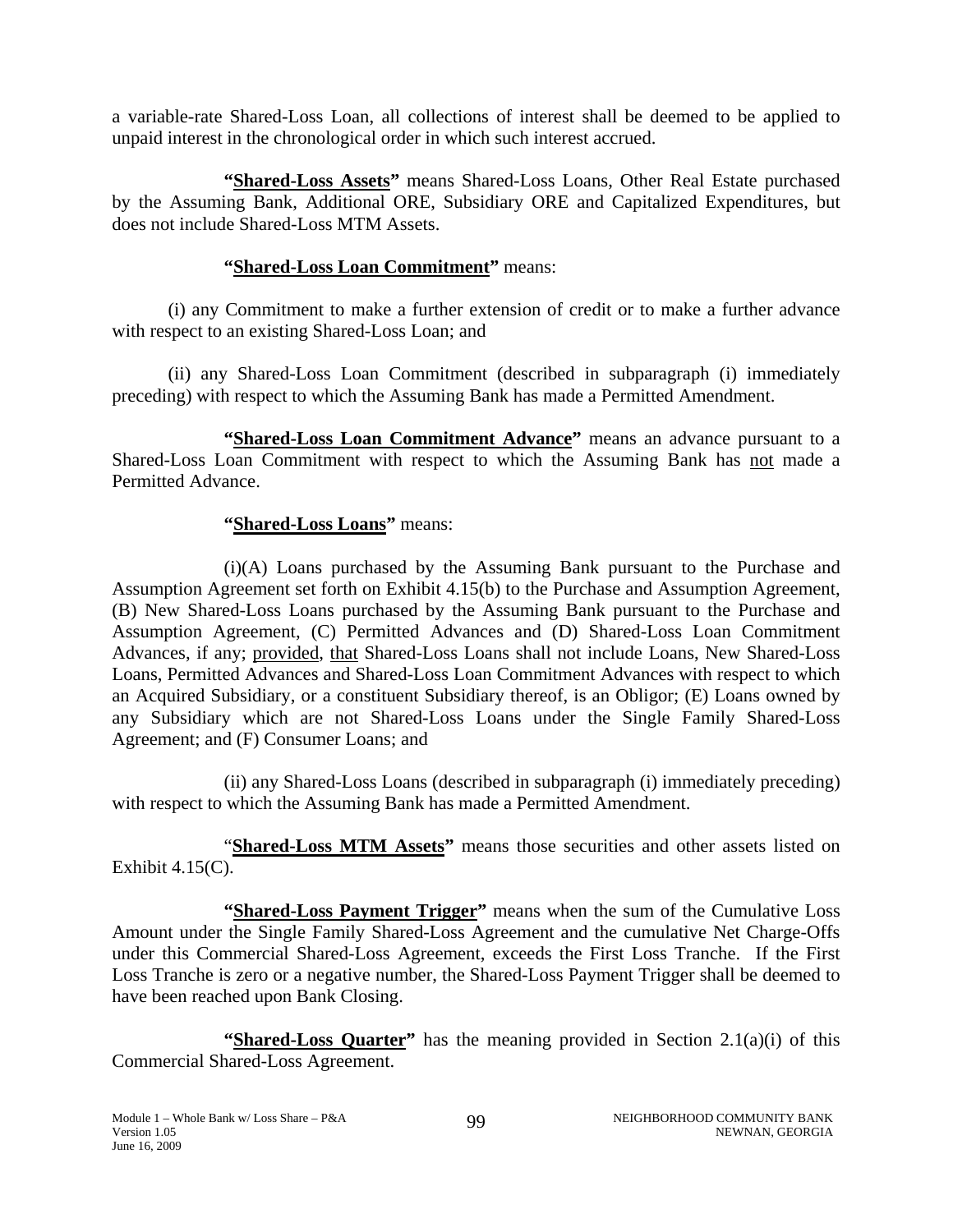a variable-rate Shared-Loss Loan, all collections of interest shall be deemed to be applied to unpaid interest in the chronological order in which such interest accrued.

**"Shared-Loss Assets"** means Shared-Loss Loans, Other Real Estate purchased by the Assuming Bank, Additional ORE, Subsidiary ORE and Capitalized Expenditures, but does not include Shared-Loss MTM Assets.

### **"Shared-Loss Loan Commitment"** means:

(i) any Commitment to make a further extension of credit or to make a further advance with respect to an existing Shared-Loss Loan; and

(ii) any Shared-Loss Loan Commitment (described in subparagraph (i) immediately preceding) with respect to which the Assuming Bank has made a Permitted Amendment.

**"Shared-Loss Loan Commitment Advance"** means an advance pursuant to a Shared-Loss Loan Commitment with respect to which the Assuming Bank has not made a Permitted Advance.

### **"Shared-Loss Loans"** means:

(i)(A) Loans purchased by the Assuming Bank pursuant to the Purchase and Assumption Agreement set forth on Exhibit 4.15(b) to the Purchase and Assumption Agreement, (B) New Shared-Loss Loans purchased by the Assuming Bank pursuant to the Purchase and Assumption Agreement, (C) Permitted Advances and (D) Shared-Loss Loan Commitment Advances, if any; provided, that Shared-Loss Loans shall not include Loans, New Shared-Loss Loans, Permitted Advances and Shared-Loss Loan Commitment Advances with respect to which an Acquired Subsidiary, or a constituent Subsidiary thereof, is an Obligor; (E) Loans owned by any Subsidiary which are not Shared-Loss Loans under the Single Family Shared-Loss Agreement; and (F) Consumer Loans; and

(ii) any Shared-Loss Loans (described in subparagraph (i) immediately preceding) with respect to which the Assuming Bank has made a Permitted Amendment.

"Shared-Loss MTM Assets" means those securities and other assets listed on Exhibit  $4.15(C)$ .

"Shared-Loss Payment Trigger" means when the sum of the Cumulative Loss Amount under the Single Family Shared-Loss Agreement and the cumulative Net Charge-Offs under this Commercial Shared-Loss Agreement, exceeds the First Loss Tranche. If the First Loss Tranche is zero or a negative number, the Shared-Loss Payment Trigger shall be deemed to have been reached upon Bank Closing.

**"Shared-Loss Quarter"** has the meaning provided in Section 2.1(a)(i) of this Commercial Shared-Loss Agreement.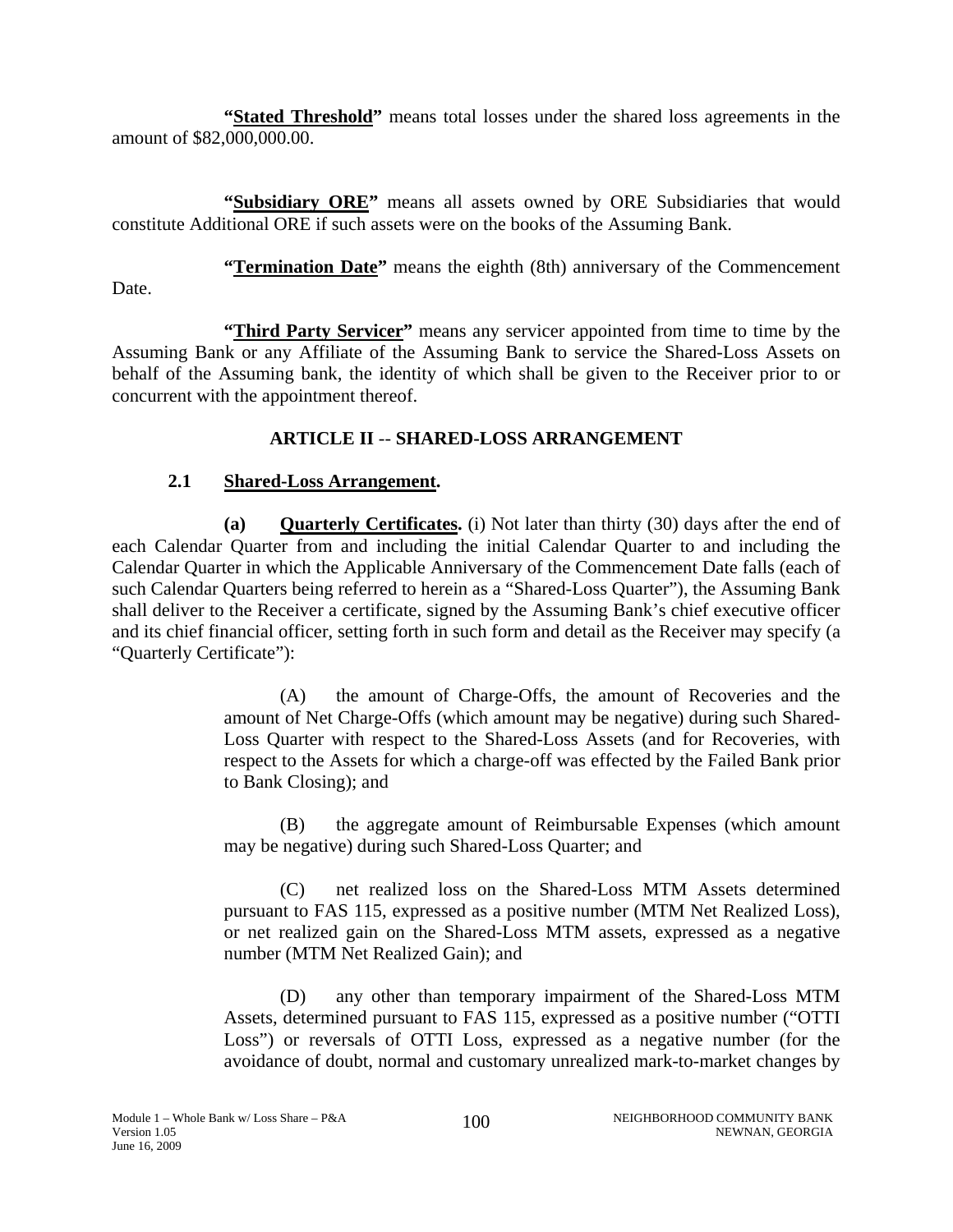**"Stated Threshold"** means total losses under the shared loss agreements in the amount of \$82,000,000.00.

"Subsidiary ORE" means all assets owned by ORE Subsidiaries that would constitute Additional ORE if such assets were on the books of the Assuming Bank.

**"Termination Date"** means the eighth (8th) anniversary of the Commencement

Date.

**"Third Party Servicer"** means any servicer appointed from time to time by the Assuming Bank or any Affiliate of the Assuming Bank to service the Shared-Loss Assets on behalf of the Assuming bank, the identity of which shall be given to the Receiver prior to or concurrent with the appointment thereof.

## **ARTICLE II** -- **SHARED-LOSS ARRANGEMENT**

## **2.1 Shared-Loss Arrangement.**

**(a) Quarterly Certificates.** (i) Not later than thirty (30) days after the end of each Calendar Quarter from and including the initial Calendar Quarter to and including the Calendar Quarter in which the Applicable Anniversary of the Commencement Date falls (each of such Calendar Quarters being referred to herein as a "Shared-Loss Quarter"), the Assuming Bank shall deliver to the Receiver a certificate, signed by the Assuming Bank's chief executive officer and its chief financial officer, setting forth in such form and detail as the Receiver may specify (a "Quarterly Certificate"):

> (A) the amount of Charge-Offs, the amount of Recoveries and the amount of Net Charge-Offs (which amount may be negative) during such Shared-Loss Quarter with respect to the Shared-Loss Assets (and for Recoveries, with respect to the Assets for which a charge-off was effected by the Failed Bank prior to Bank Closing); and

> (B) the aggregate amount of Reimbursable Expenses (which amount may be negative) during such Shared-Loss Quarter; and

> (C) net realized loss on the Shared-Loss MTM Assets determined pursuant to FAS 115, expressed as a positive number (MTM Net Realized Loss), or net realized gain on the Shared-Loss MTM assets, expressed as a negative number (MTM Net Realized Gain); and

> (D) any other than temporary impairment of the Shared-Loss MTM Assets, determined pursuant to FAS 115, expressed as a positive number ("OTTI Loss") or reversals of OTTI Loss, expressed as a negative number (for the avoidance of doubt, normal and customary unrealized mark-to-market changes by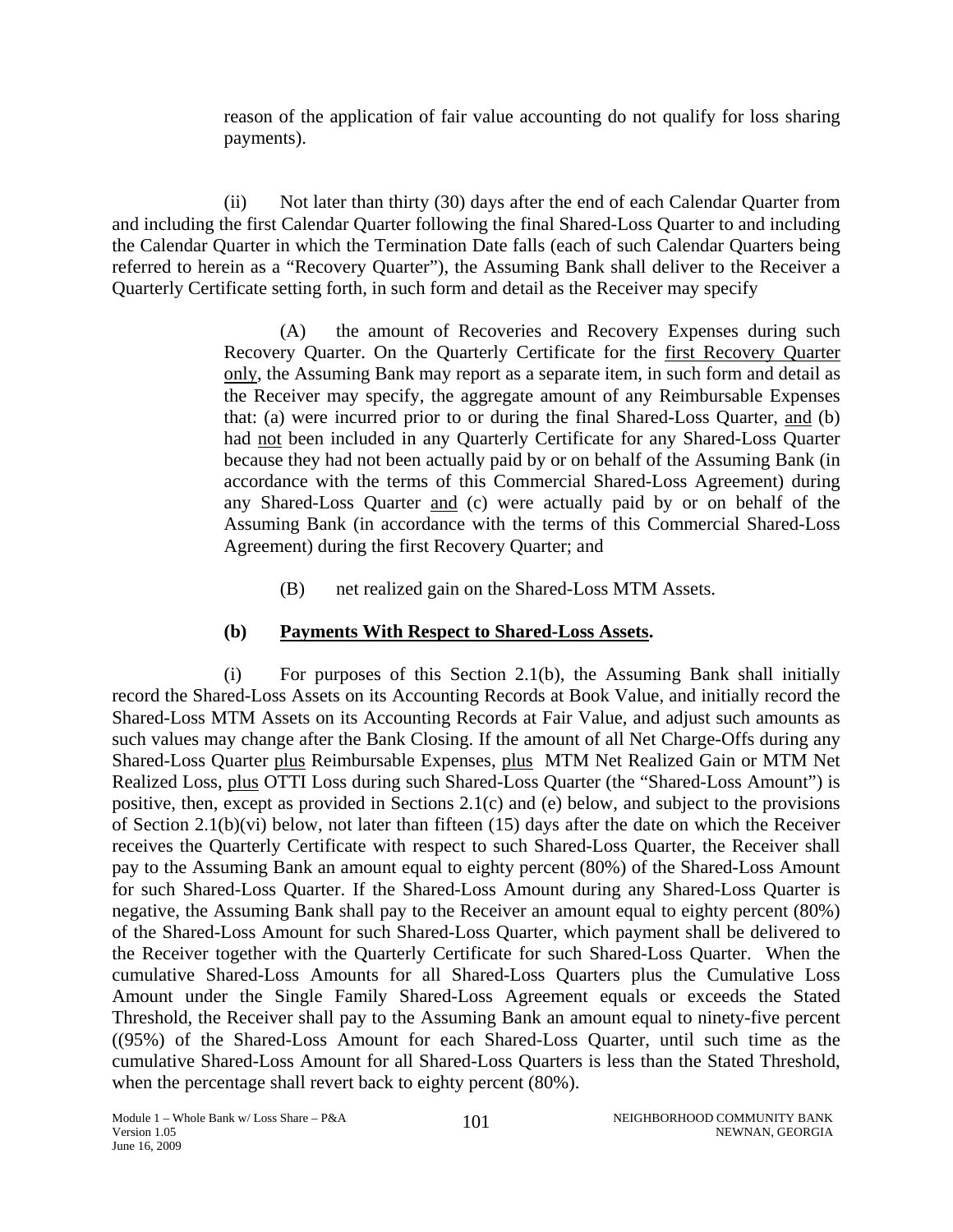reason of the application of fair value accounting do not qualify for loss sharing payments).

(ii) Not later than thirty (30) days after the end of each Calendar Quarter from and including the first Calendar Quarter following the final Shared-Loss Quarter to and including the Calendar Quarter in which the Termination Date falls (each of such Calendar Quarters being referred to herein as a "Recovery Quarter"), the Assuming Bank shall deliver to the Receiver a Quarterly Certificate setting forth, in such form and detail as the Receiver may specify

> (A) the amount of Recoveries and Recovery Expenses during such Recovery Quarter. On the Quarterly Certificate for the first Recovery Quarter only, the Assuming Bank may report as a separate item, in such form and detail as the Receiver may specify, the aggregate amount of any Reimbursable Expenses that: (a) were incurred prior to or during the final Shared-Loss Quarter, and (b) had not been included in any Quarterly Certificate for any Shared-Loss Quarter because they had not been actually paid by or on behalf of the Assuming Bank (in accordance with the terms of this Commercial Shared-Loss Agreement) during any Shared-Loss Quarter and (c) were actually paid by or on behalf of the Assuming Bank (in accordance with the terms of this Commercial Shared-Loss Agreement) during the first Recovery Quarter; and

(B) net realized gain on the Shared-Loss MTM Assets.

## **(b) Payments With Respect to Shared-Loss Assets.**

(i) For purposes of this Section 2.1(b), the Assuming Bank shall initially record the Shared-Loss Assets on its Accounting Records at Book Value, and initially record the Shared-Loss MTM Assets on its Accounting Records at Fair Value, and adjust such amounts as such values may change after the Bank Closing. If the amount of all Net Charge-Offs during any Shared-Loss Quarter plus Reimbursable Expenses, plus MTM Net Realized Gain or MTM Net Realized Loss, plus OTTI Loss during such Shared-Loss Quarter (the "Shared-Loss Amount") is positive, then, except as provided in Sections 2.1(c) and (e) below, and subject to the provisions of Section 2.1(b)(vi) below, not later than fifteen (15) days after the date on which the Receiver receives the Quarterly Certificate with respect to such Shared-Loss Quarter, the Receiver shall pay to the Assuming Bank an amount equal to eighty percent (80%) of the Shared-Loss Amount for such Shared-Loss Quarter. If the Shared-Loss Amount during any Shared-Loss Quarter is negative, the Assuming Bank shall pay to the Receiver an amount equal to eighty percent (80%) of the Shared-Loss Amount for such Shared-Loss Quarter, which payment shall be delivered to the Receiver together with the Quarterly Certificate for such Shared-Loss Quarter. When the cumulative Shared-Loss Amounts for all Shared-Loss Quarters plus the Cumulative Loss Amount under the Single Family Shared-Loss Agreement equals or exceeds the Stated Threshold, the Receiver shall pay to the Assuming Bank an amount equal to ninety-five percent ((95%) of the Shared-Loss Amount for each Shared-Loss Quarter, until such time as the cumulative Shared-Loss Amount for all Shared-Loss Quarters is less than the Stated Threshold, when the percentage shall revert back to eighty percent (80%).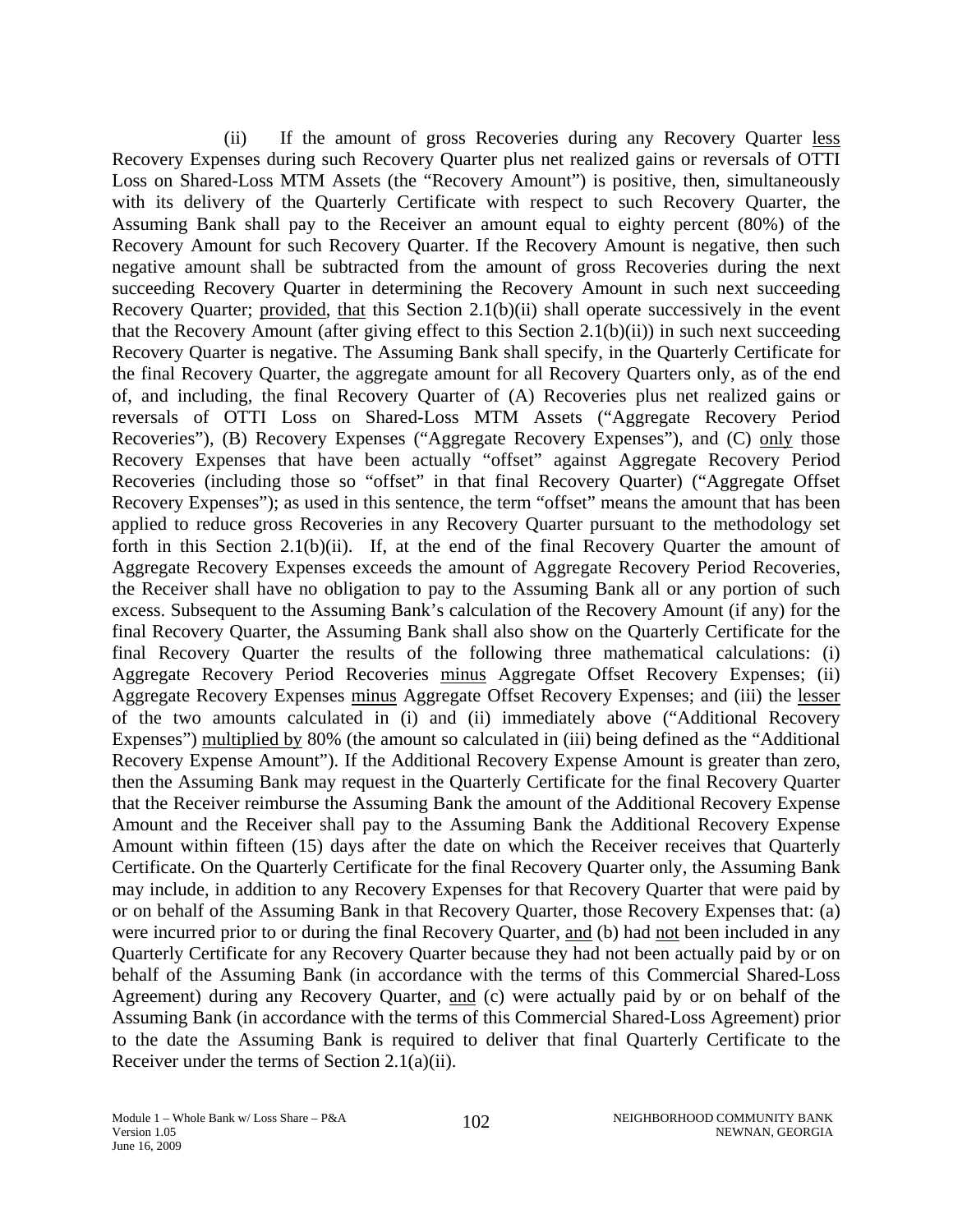(ii) If the amount of gross Recoveries during any Recovery Quarter less Recovery Expenses during such Recovery Quarter plus net realized gains or reversals of OTTI Loss on Shared-Loss MTM Assets (the "Recovery Amount") is positive, then, simultaneously with its delivery of the Quarterly Certificate with respect to such Recovery Quarter, the Assuming Bank shall pay to the Receiver an amount equal to eighty percent (80%) of the Recovery Amount for such Recovery Quarter. If the Recovery Amount is negative, then such negative amount shall be subtracted from the amount of gross Recoveries during the next succeeding Recovery Quarter in determining the Recovery Amount in such next succeeding Recovery Quarter; provided, that this Section 2.1(b)(ii) shall operate successively in the event that the Recovery Amount (after giving effect to this Section 2.1(b)(ii)) in such next succeeding Recovery Quarter is negative. The Assuming Bank shall specify, in the Quarterly Certificate for the final Recovery Quarter, the aggregate amount for all Recovery Quarters only, as of the end of, and including, the final Recovery Quarter of (A) Recoveries plus net realized gains or reversals of OTTI Loss on Shared-Loss MTM Assets ("Aggregate Recovery Period Recoveries"), (B) Recovery Expenses ("Aggregate Recovery Expenses"), and (C) only those Recovery Expenses that have been actually "offset" against Aggregate Recovery Period Recoveries (including those so "offset" in that final Recovery Quarter) ("Aggregate Offset Recovery Expenses"); as used in this sentence, the term "offset" means the amount that has been applied to reduce gross Recoveries in any Recovery Quarter pursuant to the methodology set forth in this Section 2.1(b)(ii). If, at the end of the final Recovery Quarter the amount of Aggregate Recovery Expenses exceeds the amount of Aggregate Recovery Period Recoveries, the Receiver shall have no obligation to pay to the Assuming Bank all or any portion of such excess. Subsequent to the Assuming Bank's calculation of the Recovery Amount (if any) for the final Recovery Quarter, the Assuming Bank shall also show on the Quarterly Certificate for the final Recovery Quarter the results of the following three mathematical calculations: (i) Aggregate Recovery Period Recoveries minus Aggregate Offset Recovery Expenses; (ii) Aggregate Recovery Expenses minus Aggregate Offset Recovery Expenses; and (iii) the lesser of the two amounts calculated in (i) and (ii) immediately above ("Additional Recovery Expenses") multiplied by 80% (the amount so calculated in (iii) being defined as the "Additional Recovery Expense Amount"). If the Additional Recovery Expense Amount is greater than zero, then the Assuming Bank may request in the Quarterly Certificate for the final Recovery Quarter that the Receiver reimburse the Assuming Bank the amount of the Additional Recovery Expense Amount and the Receiver shall pay to the Assuming Bank the Additional Recovery Expense Amount within fifteen (15) days after the date on which the Receiver receives that Quarterly Certificate. On the Quarterly Certificate for the final Recovery Quarter only, the Assuming Bank may include, in addition to any Recovery Expenses for that Recovery Quarter that were paid by or on behalf of the Assuming Bank in that Recovery Quarter, those Recovery Expenses that: (a) were incurred prior to or during the final Recovery Quarter, and (b) had not been included in any Quarterly Certificate for any Recovery Quarter because they had not been actually paid by or on behalf of the Assuming Bank (in accordance with the terms of this Commercial Shared-Loss Agreement) during any Recovery Quarter, and (c) were actually paid by or on behalf of the Assuming Bank (in accordance with the terms of this Commercial Shared-Loss Agreement) prior to the date the Assuming Bank is required to deliver that final Quarterly Certificate to the Receiver under the terms of Section 2.1(a)(ii).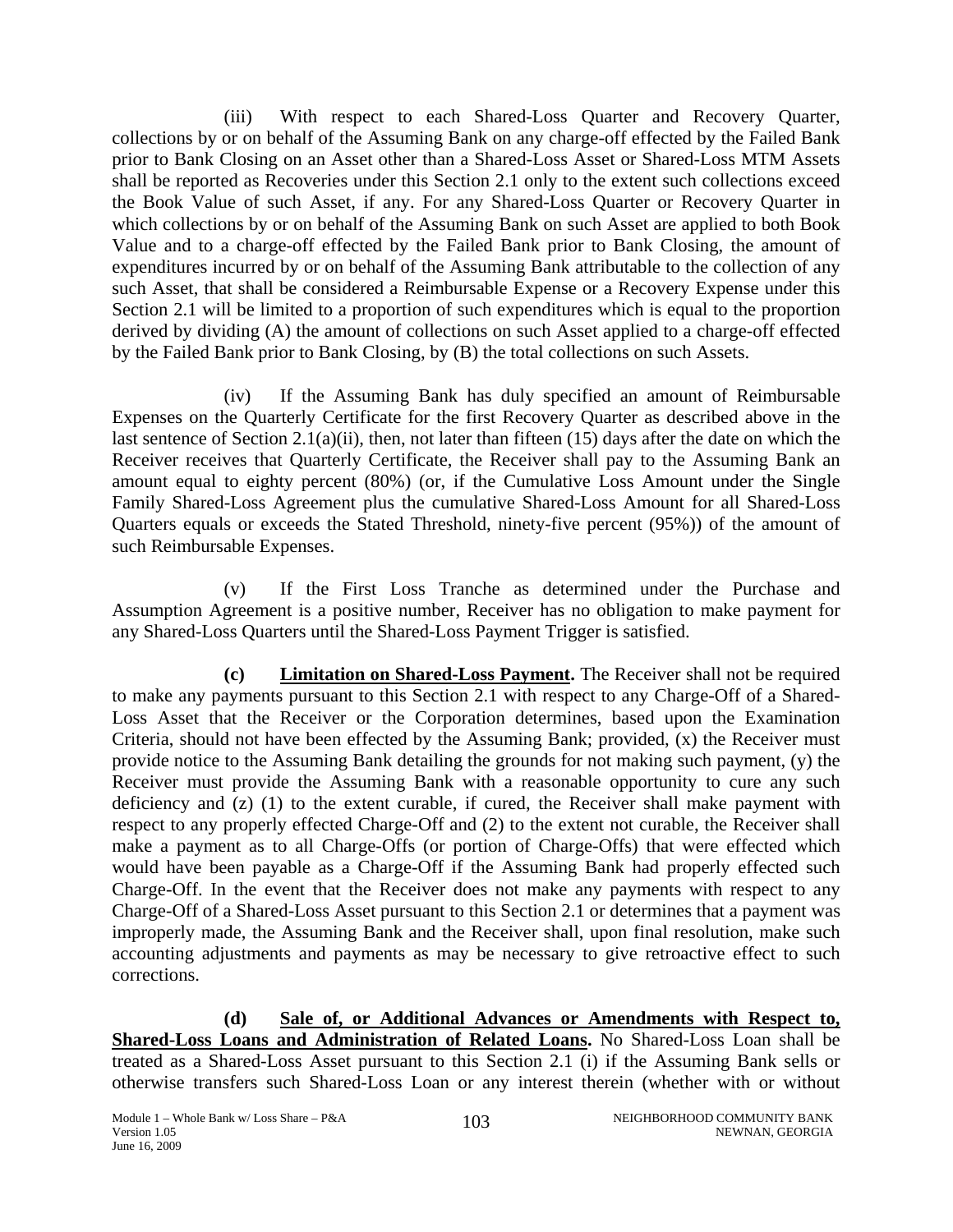(iii) With respect to each Shared-Loss Quarter and Recovery Quarter, collections by or on behalf of the Assuming Bank on any charge-off effected by the Failed Bank prior to Bank Closing on an Asset other than a Shared-Loss Asset or Shared-Loss MTM Assets shall be reported as Recoveries under this Section 2.1 only to the extent such collections exceed the Book Value of such Asset, if any. For any Shared-Loss Quarter or Recovery Quarter in which collections by or on behalf of the Assuming Bank on such Asset are applied to both Book Value and to a charge-off effected by the Failed Bank prior to Bank Closing, the amount of expenditures incurred by or on behalf of the Assuming Bank attributable to the collection of any such Asset, that shall be considered a Reimbursable Expense or a Recovery Expense under this Section 2.1 will be limited to a proportion of such expenditures which is equal to the proportion derived by dividing (A) the amount of collections on such Asset applied to a charge-off effected by the Failed Bank prior to Bank Closing, by (B) the total collections on such Assets.

(iv) If the Assuming Bank has duly specified an amount of Reimbursable Expenses on the Quarterly Certificate for the first Recovery Quarter as described above in the last sentence of Section 2.1(a)(ii), then, not later than fifteen (15) days after the date on which the Receiver receives that Quarterly Certificate, the Receiver shall pay to the Assuming Bank an amount equal to eighty percent (80%) (or, if the Cumulative Loss Amount under the Single Family Shared-Loss Agreement plus the cumulative Shared-Loss Amount for all Shared-Loss Quarters equals or exceeds the Stated Threshold, ninety-five percent (95%)) of the amount of such Reimbursable Expenses.

(v) If the First Loss Tranche as determined under the Purchase and Assumption Agreement is a positive number, Receiver has no obligation to make payment for any Shared-Loss Quarters until the Shared-Loss Payment Trigger is satisfied.

**(c) Limitation on Shared-Loss Payment.** The Receiver shall not be required to make any payments pursuant to this Section 2.1 with respect to any Charge-Off of a Shared-Loss Asset that the Receiver or the Corporation determines, based upon the Examination Criteria, should not have been effected by the Assuming Bank; provided, (x) the Receiver must provide notice to the Assuming Bank detailing the grounds for not making such payment, (y) the Receiver must provide the Assuming Bank with a reasonable opportunity to cure any such deficiency and (z) (1) to the extent curable, if cured, the Receiver shall make payment with respect to any properly effected Charge-Off and (2) to the extent not curable, the Receiver shall make a payment as to all Charge-Offs (or portion of Charge-Offs) that were effected which would have been payable as a Charge-Off if the Assuming Bank had properly effected such Charge-Off. In the event that the Receiver does not make any payments with respect to any Charge-Off of a Shared-Loss Asset pursuant to this Section 2.1 or determines that a payment was improperly made, the Assuming Bank and the Receiver shall, upon final resolution, make such accounting adjustments and payments as may be necessary to give retroactive effect to such corrections.

**(d) Sale of, or Additional Advances or Amendments with Respect to, Shared-Loss Loans and Administration of Related Loans.** No Shared-Loss Loan shall be treated as a Shared-Loss Asset pursuant to this Section 2.1 (i) if the Assuming Bank sells or otherwise transfers such Shared-Loss Loan or any interest therein (whether with or without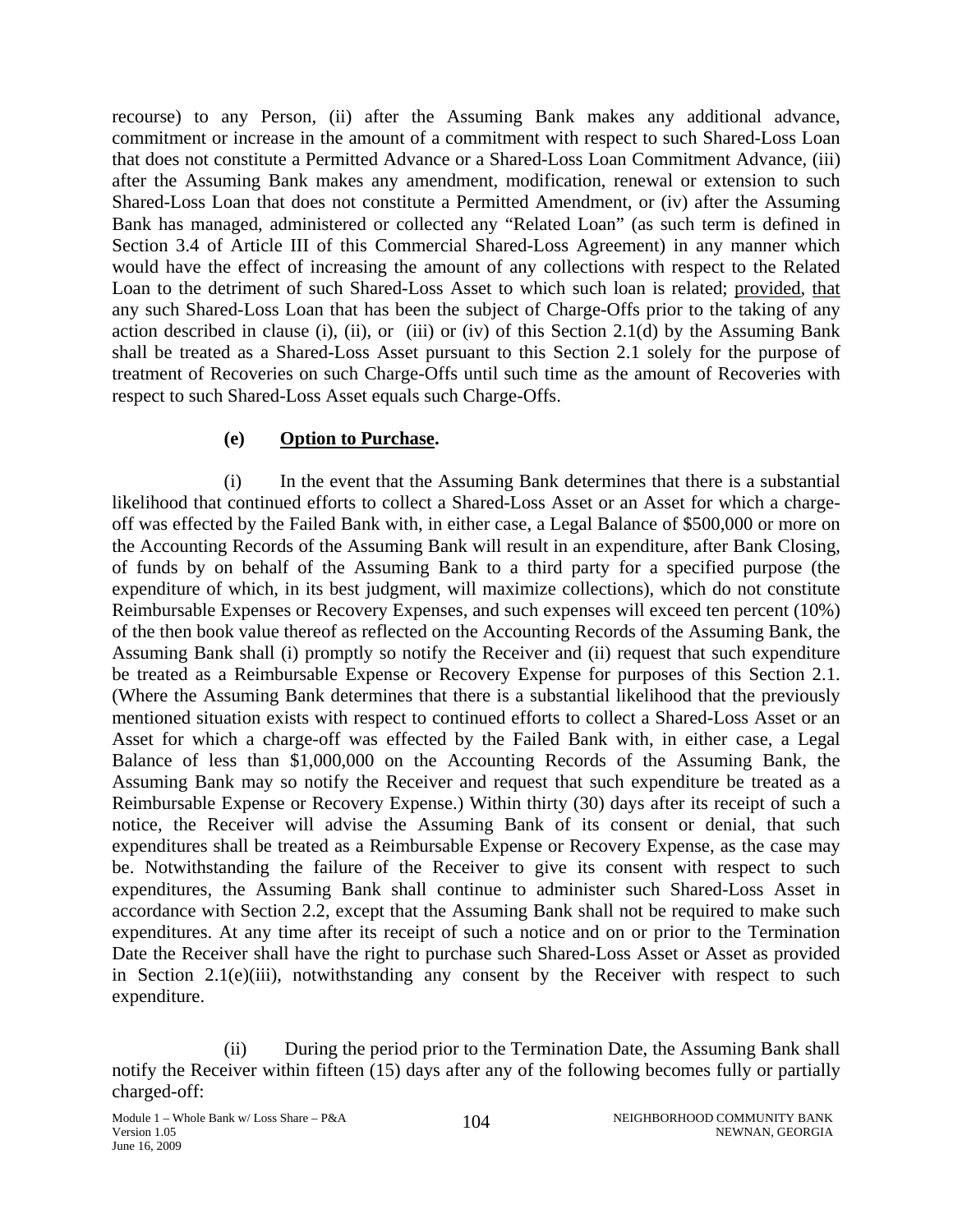Loan to the detriment of such Shared-Loss Asset to which such loan is related; provided, that recourse) to any Person, (ii) after the Assuming Bank makes any additional advance, commitment or increase in the amount of a commitment with respect to such Shared-Loss Loan that does not constitute a Permitted Advance or a Shared-Loss Loan Commitment Advance, (iii) after the Assuming Bank makes any amendment, modification, renewal or extension to such Shared-Loss Loan that does not constitute a Permitted Amendment, or (iv) after the Assuming Bank has managed, administered or collected any "Related Loan" (as such term is defined in Section 3.4 of Article III of this Commercial Shared-Loss Agreement) in any manner which would have the effect of increasing the amount of any collections with respect to the Related any such Shared-Loss Loan that has been the subject of Charge-Offs prior to the taking of any action described in clause (i), (ii), or (iii) or (iv) of this Section 2.1(d) by the Assuming Bank shall be treated as a Shared-Loss Asset pursuant to this Section 2.1 solely for the purpose of treatment of Recoveries on such Charge-Offs until such time as the amount of Recoveries with respect to such Shared-Loss Asset equals such Charge-Offs.

#### **(e) Option to Purchase.**

(i) In the event that the Assuming Bank determines that there is a substantial likelihood that continued efforts to collect a Shared-Loss Asset or an Asset for which a chargeoff was effected by the Failed Bank with, in either case, a Legal Balance of \$500,000 or more on the Accounting Records of the Assuming Bank will result in an expenditure, after Bank Closing, of funds by on behalf of the Assuming Bank to a third party for a specified purpose (the expenditure of which, in its best judgment, will maximize collections), which do not constitute Reimbursable Expenses or Recovery Expenses, and such expenses will exceed ten percent (10%) of the then book value thereof as reflected on the Accounting Records of the Assuming Bank, the Assuming Bank shall (i) promptly so notify the Receiver and (ii) request that such expenditure be treated as a Reimbursable Expense or Recovery Expense for purposes of this Section 2.1. (Where the Assuming Bank determines that there is a substantial likelihood that the previously mentioned situation exists with respect to continued efforts to collect a Shared-Loss Asset or an Asset for which a charge-off was effected by the Failed Bank with, in either case, a Legal Balance of less than \$1,000,000 on the Accounting Records of the Assuming Bank, the Assuming Bank may so notify the Receiver and request that such expenditure be treated as a Reimbursable Expense or Recovery Expense.) Within thirty (30) days after its receipt of such a notice, the Receiver will advise the Assuming Bank of its consent or denial, that such expenditures shall be treated as a Reimbursable Expense or Recovery Expense, as the case may be. Notwithstanding the failure of the Receiver to give its consent with respect to such expenditures, the Assuming Bank shall continue to administer such Shared-Loss Asset in accordance with Section 2.2, except that the Assuming Bank shall not be required to make such expenditures. At any time after its receipt of such a notice and on or prior to the Termination Date the Receiver shall have the right to purchase such Shared-Loss Asset or Asset as provided in Section 2.1(e)(iii), notwithstanding any consent by the Receiver with respect to such expenditure.

(ii) During the period prior to the Termination Date, the Assuming Bank shall notify the Receiver within fifteen (15) days after any of the following becomes fully or partially charged-off: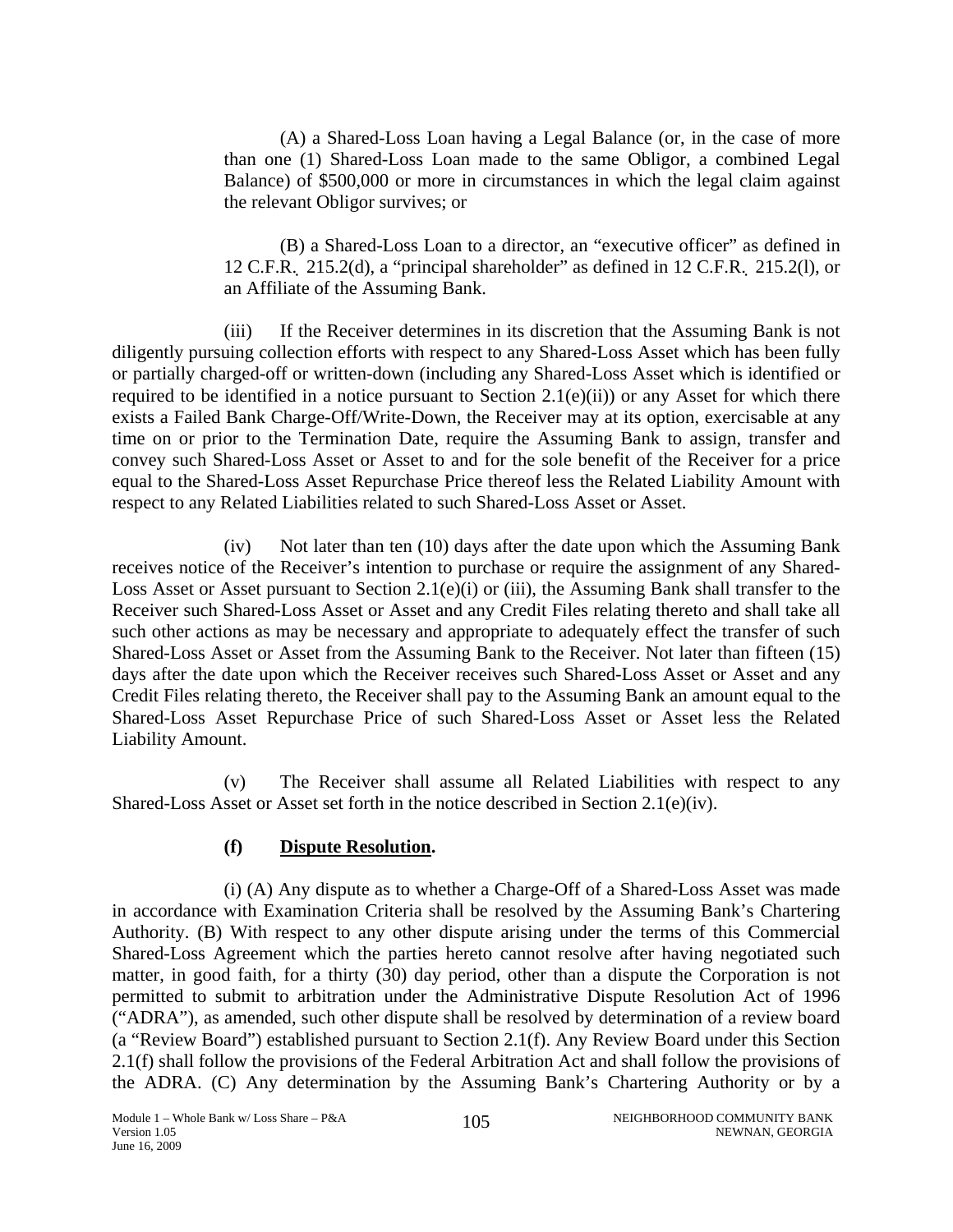(A) a Shared-Loss Loan having a Legal Balance (or, in the case of more than one (1) Shared-Loss Loan made to the same Obligor, a combined Legal Balance) of \$500,000 or more in circumstances in which the legal claim against the relevant Obligor survives; or

(B) a Shared-Loss Loan to a director, an "executive officer" as defined in 12 C.F.R. 215.2(d), a "principal shareholder" as defined in 12 C.F.R. 215.2(l), or an Affiliate of the Assuming Bank.

(iii) If the Receiver determines in its discretion that the Assuming Bank is not diligently pursuing collection efforts with respect to any Shared-Loss Asset which has been fully or partially charged-off or written-down (including any Shared-Loss Asset which is identified or required to be identified in a notice pursuant to Section  $2.1(e)(ii)$  or any Asset for which there exists a Failed Bank Charge-Off/Write-Down, the Receiver may at its option, exercisable at any time on or prior to the Termination Date, require the Assuming Bank to assign, transfer and convey such Shared-Loss Asset or Asset to and for the sole benefit of the Receiver for a price equal to the Shared-Loss Asset Repurchase Price thereof less the Related Liability Amount with respect to any Related Liabilities related to such Shared-Loss Asset or Asset.

(iv) Not later than ten (10) days after the date upon which the Assuming Bank receives notice of the Receiver's intention to purchase or require the assignment of any Shared-Loss Asset or Asset pursuant to Section 2.1(e)(i) or (iii), the Assuming Bank shall transfer to the Receiver such Shared-Loss Asset or Asset and any Credit Files relating thereto and shall take all such other actions as may be necessary and appropriate to adequately effect the transfer of such Shared-Loss Asset or Asset from the Assuming Bank to the Receiver. Not later than fifteen (15) days after the date upon which the Receiver receives such Shared-Loss Asset or Asset and any Credit Files relating thereto, the Receiver shall pay to the Assuming Bank an amount equal to the Shared-Loss Asset Repurchase Price of such Shared-Loss Asset or Asset less the Related Liability Amount.

(v) The Receiver shall assume all Related Liabilities with respect to any Shared-Loss Asset or Asset set forth in the notice described in Section 2.1(e)(iv).

#### **(f) Dispute Resolution.**

(i) (A) Any dispute as to whether a Charge-Off of a Shared-Loss Asset was made in accordance with Examination Criteria shall be resolved by the Assuming Bank's Chartering Authority. (B) With respect to any other dispute arising under the terms of this Commercial Shared-Loss Agreement which the parties hereto cannot resolve after having negotiated such matter, in good faith, for a thirty (30) day period, other than a dispute the Corporation is not permitted to submit to arbitration under the Administrative Dispute Resolution Act of 1996 ("ADRA"), as amended, such other dispute shall be resolved by determination of a review board (a "Review Board") established pursuant to Section 2.1(f). Any Review Board under this Section 2.1(f) shall follow the provisions of the Federal Arbitration Act and shall follow the provisions of the ADRA. (C) Any determination by the Assuming Bank's Chartering Authority or by a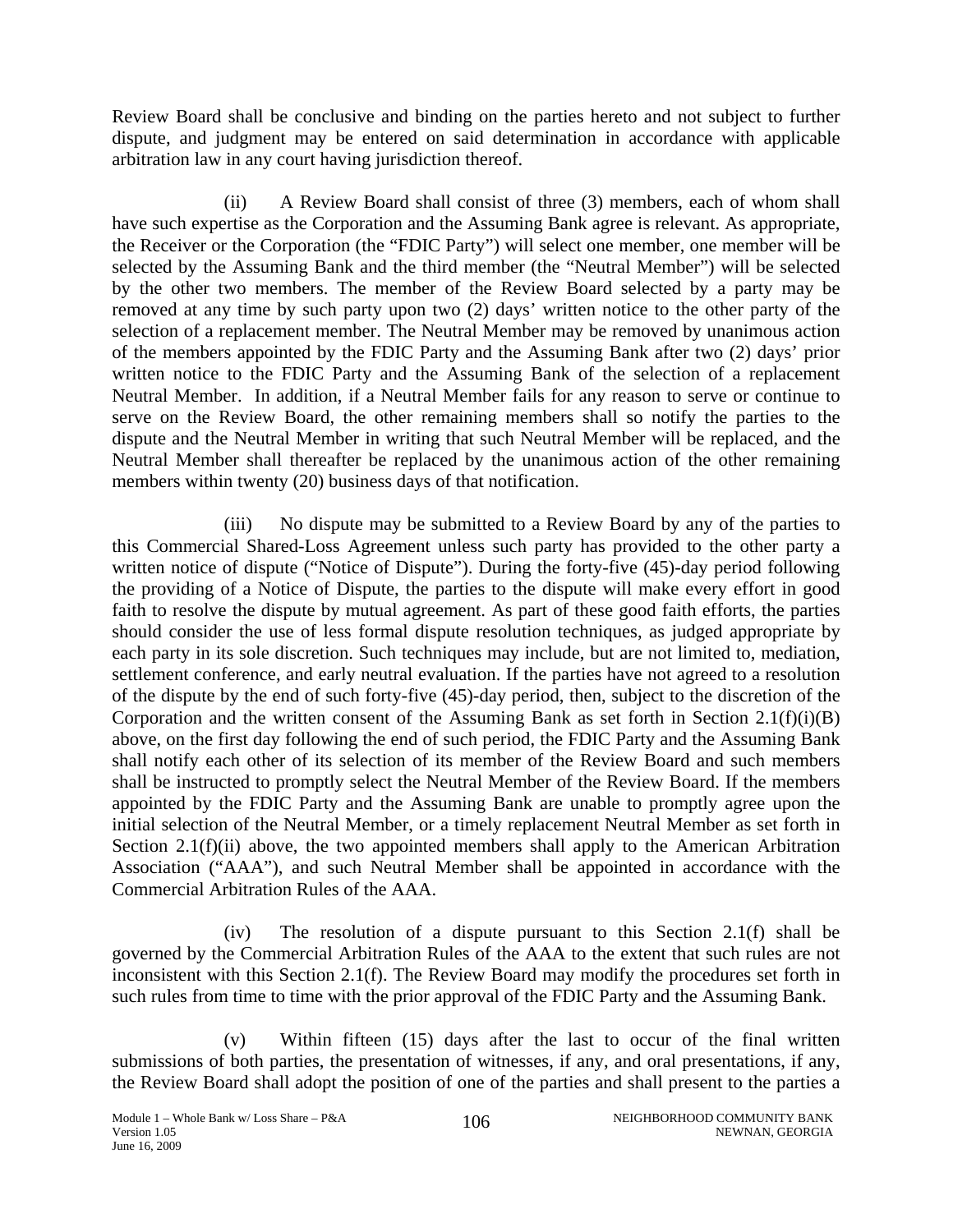Review Board shall be conclusive and binding on the parties hereto and not subject to further dispute, and judgment may be entered on said determination in accordance with applicable arbitration law in any court having jurisdiction thereof.

(ii) A Review Board shall consist of three (3) members, each of whom shall have such expertise as the Corporation and the Assuming Bank agree is relevant. As appropriate, the Receiver or the Corporation (the "FDIC Party") will select one member, one member will be selected by the Assuming Bank and the third member (the "Neutral Member") will be selected by the other two members. The member of the Review Board selected by a party may be removed at any time by such party upon two (2) days' written notice to the other party of the selection of a replacement member. The Neutral Member may be removed by unanimous action of the members appointed by the FDIC Party and the Assuming Bank after two (2) days' prior written notice to the FDIC Party and the Assuming Bank of the selection of a replacement Neutral Member. In addition, if a Neutral Member fails for any reason to serve or continue to serve on the Review Board, the other remaining members shall so notify the parties to the dispute and the Neutral Member in writing that such Neutral Member will be replaced, and the Neutral Member shall thereafter be replaced by the unanimous action of the other remaining members within twenty (20) business days of that notification.

(iii) No dispute may be submitted to a Review Board by any of the parties to this Commercial Shared-Loss Agreement unless such party has provided to the other party a written notice of dispute ("Notice of Dispute"). During the forty-five (45)-day period following the providing of a Notice of Dispute, the parties to the dispute will make every effort in good faith to resolve the dispute by mutual agreement. As part of these good faith efforts, the parties should consider the use of less formal dispute resolution techniques, as judged appropriate by each party in its sole discretion. Such techniques may include, but are not limited to, mediation, settlement conference, and early neutral evaluation. If the parties have not agreed to a resolution of the dispute by the end of such forty-five (45)-day period, then, subject to the discretion of the Corporation and the written consent of the Assuming Bank as set forth in Section  $2.1(f)(i)(B)$ above, on the first day following the end of such period, the FDIC Party and the Assuming Bank shall notify each other of its selection of its member of the Review Board and such members shall be instructed to promptly select the Neutral Member of the Review Board. If the members appointed by the FDIC Party and the Assuming Bank are unable to promptly agree upon the initial selection of the Neutral Member, or a timely replacement Neutral Member as set forth in Section 2.1(f)(ii) above, the two appointed members shall apply to the American Arbitration Association ("AAA"), and such Neutral Member shall be appointed in accordance with the Commercial Arbitration Rules of the AAA.

(iv) The resolution of a dispute pursuant to this Section 2.1(f) shall be governed by the Commercial Arbitration Rules of the AAA to the extent that such rules are not inconsistent with this Section 2.1(f). The Review Board may modify the procedures set forth in such rules from time to time with the prior approval of the FDIC Party and the Assuming Bank.

(v) Within fifteen (15) days after the last to occur of the final written submissions of both parties, the presentation of witnesses, if any, and oral presentations, if any, the Review Board shall adopt the position of one of the parties and shall present to the parties a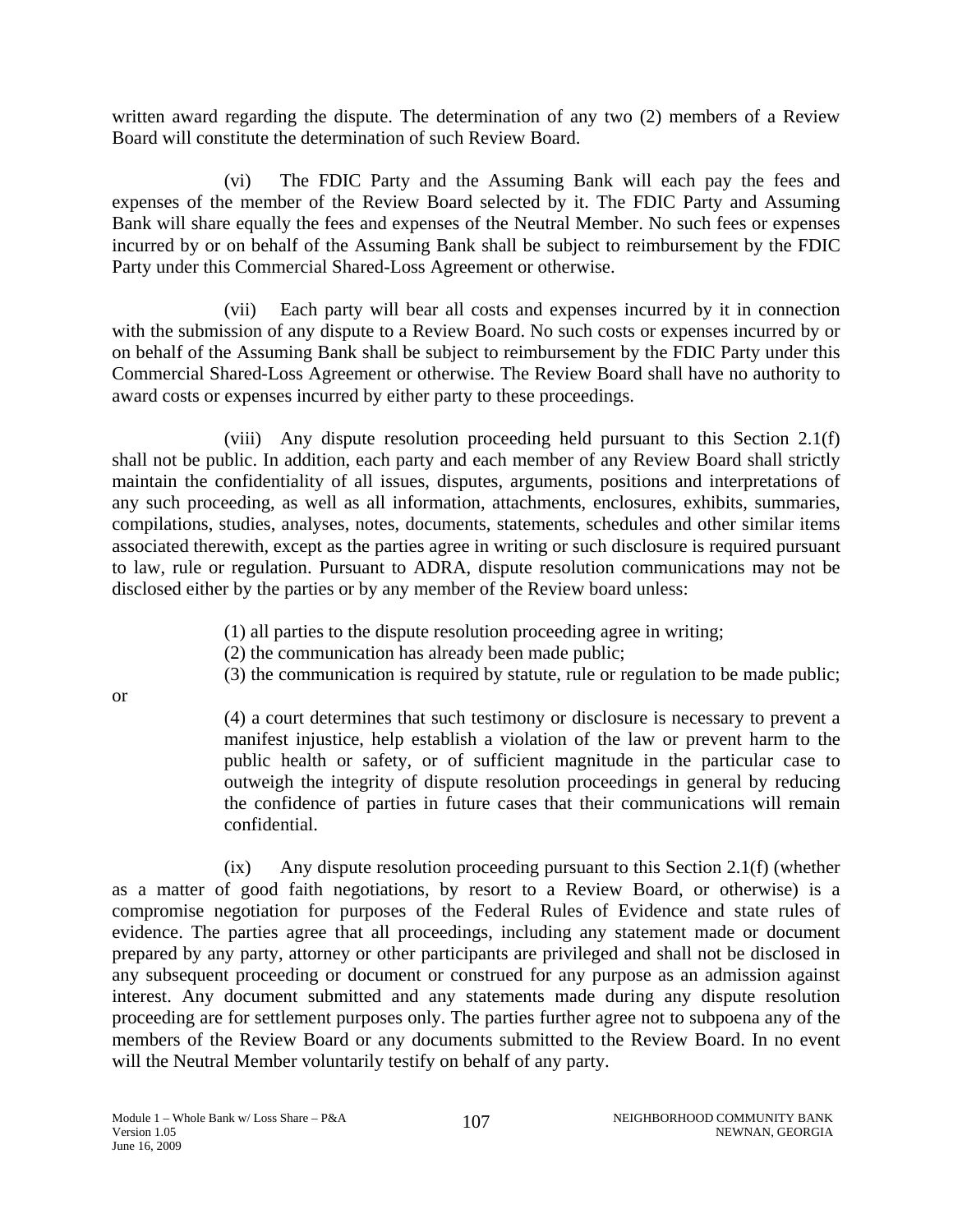written award regarding the dispute. The determination of any two (2) members of a Review Board will constitute the determination of such Review Board.

(vi) The FDIC Party and the Assuming Bank will each pay the fees and expenses of the member of the Review Board selected by it. The FDIC Party and Assuming Bank will share equally the fees and expenses of the Neutral Member. No such fees or expenses incurred by or on behalf of the Assuming Bank shall be subject to reimbursement by the FDIC Party under this Commercial Shared-Loss Agreement or otherwise.

(vii) Each party will bear all costs and expenses incurred by it in connection with the submission of any dispute to a Review Board. No such costs or expenses incurred by or on behalf of the Assuming Bank shall be subject to reimbursement by the FDIC Party under this Commercial Shared-Loss Agreement or otherwise. The Review Board shall have no authority to award costs or expenses incurred by either party to these proceedings.

(viii) Any dispute resolution proceeding held pursuant to this Section 2.1(f) shall not be public. In addition, each party and each member of any Review Board shall strictly maintain the confidentiality of all issues, disputes, arguments, positions and interpretations of any such proceeding, as well as all information, attachments, enclosures, exhibits, summaries, compilations, studies, analyses, notes, documents, statements, schedules and other similar items associated therewith, except as the parties agree in writing or such disclosure is required pursuant to law, rule or regulation. Pursuant to ADRA, dispute resolution communications may not be disclosed either by the parties or by any member of the Review board unless:

- (1) all parties to the dispute resolution proceeding agree in writing;
- (2) the communication has already been made public;
- (3) the communication is required by statute, rule or regulation to be made public;

or

(4) a court determines that such testimony or disclosure is necessary to prevent a manifest injustice, help establish a violation of the law or prevent harm to the public health or safety, or of sufficient magnitude in the particular case to outweigh the integrity of dispute resolution proceedings in general by reducing the confidence of parties in future cases that their communications will remain confidential.

(ix) Any dispute resolution proceeding pursuant to this Section 2.1(f) (whether as a matter of good faith negotiations, by resort to a Review Board, or otherwise) is a compromise negotiation for purposes of the Federal Rules of Evidence and state rules of evidence. The parties agree that all proceedings, including any statement made or document prepared by any party, attorney or other participants are privileged and shall not be disclosed in any subsequent proceeding or document or construed for any purpose as an admission against interest. Any document submitted and any statements made during any dispute resolution proceeding are for settlement purposes only. The parties further agree not to subpoena any of the members of the Review Board or any documents submitted to the Review Board. In no event will the Neutral Member voluntarily testify on behalf of any party.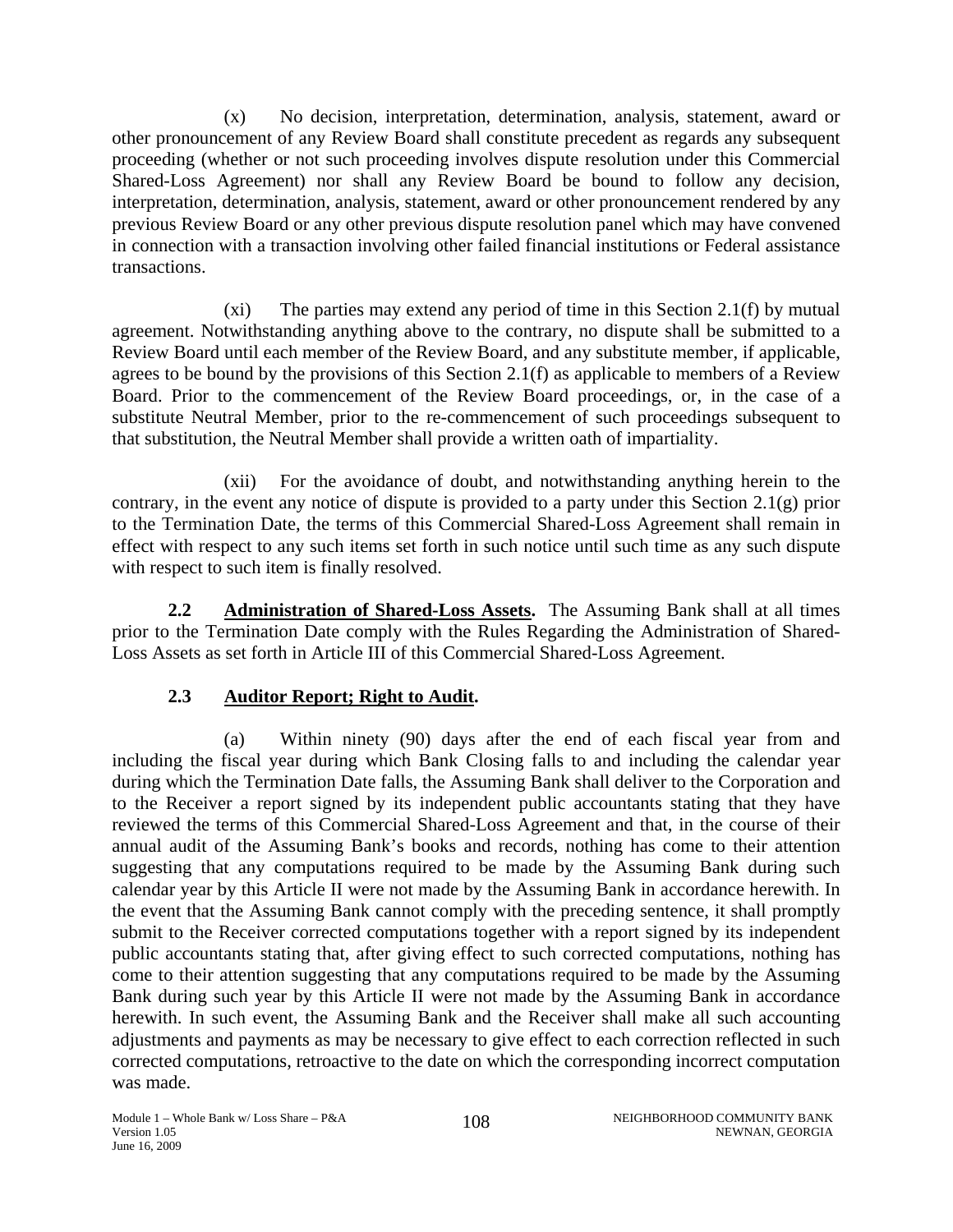(x) No decision, interpretation, determination, analysis, statement, award or other pronouncement of any Review Board shall constitute precedent as regards any subsequent proceeding (whether or not such proceeding involves dispute resolution under this Commercial Shared-Loss Agreement) nor shall any Review Board be bound to follow any decision, interpretation, determination, analysis, statement, award or other pronouncement rendered by any previous Review Board or any other previous dispute resolution panel which may have convened in connection with a transaction involving other failed financial institutions or Federal assistance transactions.

(xi) The parties may extend any period of time in this Section 2.1(f) by mutual agreement. Notwithstanding anything above to the contrary, no dispute shall be submitted to a Review Board until each member of the Review Board, and any substitute member, if applicable, agrees to be bound by the provisions of this Section 2.1(f) as applicable to members of a Review Board. Prior to the commencement of the Review Board proceedings, or, in the case of a substitute Neutral Member, prior to the re-commencement of such proceedings subsequent to that substitution, the Neutral Member shall provide a written oath of impartiality.

(xii) For the avoidance of doubt, and notwithstanding anything herein to the contrary, in the event any notice of dispute is provided to a party under this Section 2.1(g) prior to the Termination Date, the terms of this Commercial Shared-Loss Agreement shall remain in effect with respect to any such items set forth in such notice until such time as any such dispute with respect to such item is finally resolved.

**2.2 Administration of Shared-Loss Assets.** The Assuming Bank shall at all times prior to the Termination Date comply with the Rules Regarding the Administration of Shared-Loss Assets as set forth in Article III of this Commercial Shared-Loss Agreement.

### **2.3 Auditor Report; Right to Audit.**

(a) Within ninety (90) days after the end of each fiscal year from and including the fiscal year during which Bank Closing falls to and including the calendar year during which the Termination Date falls, the Assuming Bank shall deliver to the Corporation and to the Receiver a report signed by its independent public accountants stating that they have reviewed the terms of this Commercial Shared-Loss Agreement and that, in the course of their annual audit of the Assuming Bank's books and records, nothing has come to their attention suggesting that any computations required to be made by the Assuming Bank during such calendar year by this Article II were not made by the Assuming Bank in accordance herewith. In the event that the Assuming Bank cannot comply with the preceding sentence, it shall promptly submit to the Receiver corrected computations together with a report signed by its independent public accountants stating that, after giving effect to such corrected computations, nothing has come to their attention suggesting that any computations required to be made by the Assuming Bank during such year by this Article II were not made by the Assuming Bank in accordance herewith. In such event, the Assuming Bank and the Receiver shall make all such accounting adjustments and payments as may be necessary to give effect to each correction reflected in such corrected computations, retroactive to the date on which the corresponding incorrect computation was made.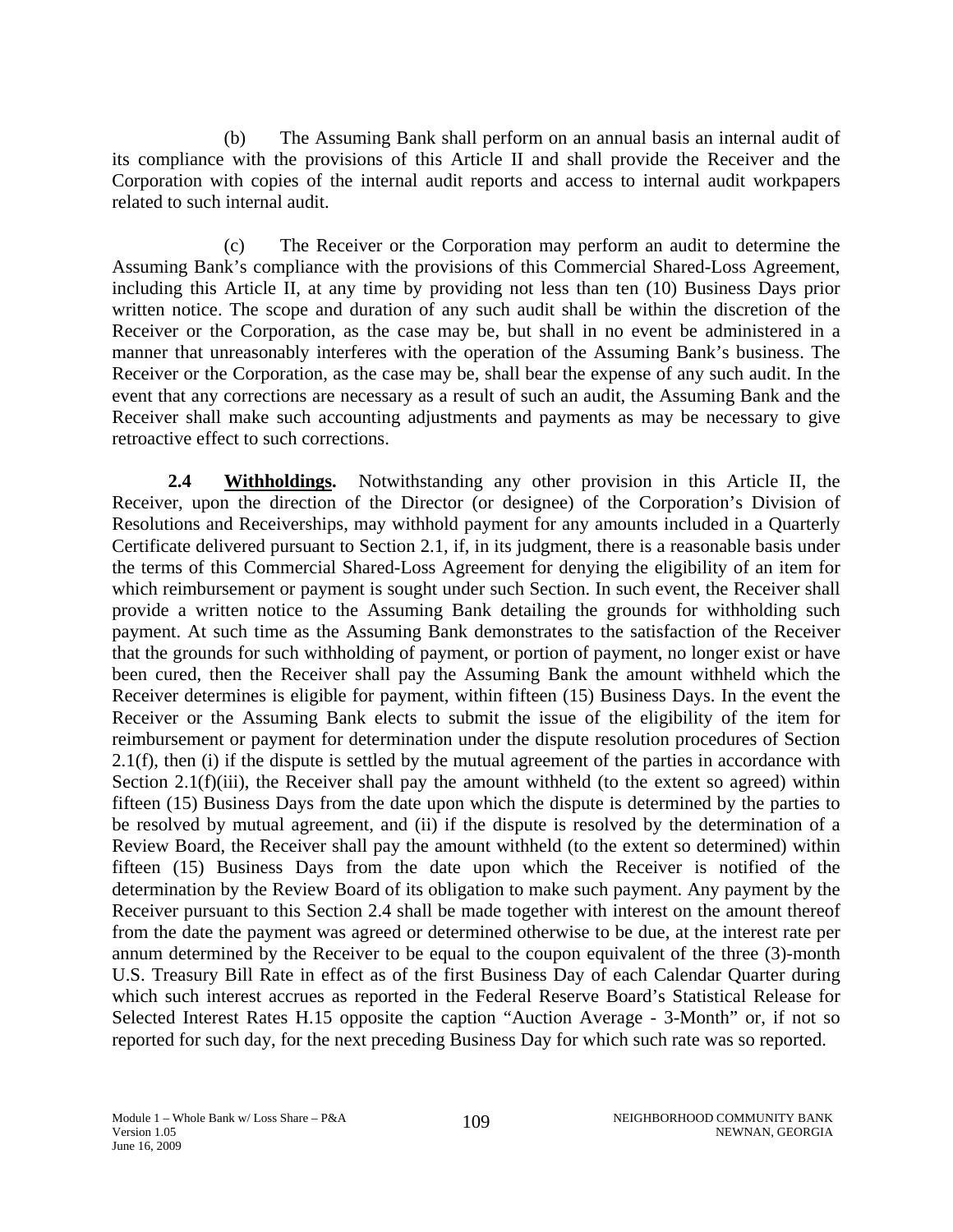(b) The Assuming Bank shall perform on an annual basis an internal audit of its compliance with the provisions of this Article II and shall provide the Receiver and the Corporation with copies of the internal audit reports and access to internal audit workpapers related to such internal audit.

(c) The Receiver or the Corporation may perform an audit to determine the Assuming Bank's compliance with the provisions of this Commercial Shared-Loss Agreement, including this Article II, at any time by providing not less than ten (10) Business Days prior written notice. The scope and duration of any such audit shall be within the discretion of the Receiver or the Corporation, as the case may be, but shall in no event be administered in a manner that unreasonably interferes with the operation of the Assuming Bank's business. The Receiver or the Corporation, as the case may be, shall bear the expense of any such audit. In the event that any corrections are necessary as a result of such an audit, the Assuming Bank and the Receiver shall make such accounting adjustments and payments as may be necessary to give retroactive effect to such corrections.

**2.4 Withholdings.** Notwithstanding any other provision in this Article II, the Receiver, upon the direction of the Director (or designee) of the Corporation's Division of Resolutions and Receiverships, may withhold payment for any amounts included in a Quarterly Certificate delivered pursuant to Section 2.1, if, in its judgment, there is a reasonable basis under the terms of this Commercial Shared-Loss Agreement for denying the eligibility of an item for which reimbursement or payment is sought under such Section. In such event, the Receiver shall provide a written notice to the Assuming Bank detailing the grounds for withholding such payment. At such time as the Assuming Bank demonstrates to the satisfaction of the Receiver that the grounds for such withholding of payment, or portion of payment, no longer exist or have been cured, then the Receiver shall pay the Assuming Bank the amount withheld which the Receiver determines is eligible for payment, within fifteen (15) Business Days. In the event the Receiver or the Assuming Bank elects to submit the issue of the eligibility of the item for reimbursement or payment for determination under the dispute resolution procedures of Section 2.1(f), then (i) if the dispute is settled by the mutual agreement of the parties in accordance with Section 2.1(f)(iii), the Receiver shall pay the amount withheld (to the extent so agreed) within fifteen (15) Business Days from the date upon which the dispute is determined by the parties to be resolved by mutual agreement, and (ii) if the dispute is resolved by the determination of a Review Board, the Receiver shall pay the amount withheld (to the extent so determined) within fifteen (15) Business Days from the date upon which the Receiver is notified of the determination by the Review Board of its obligation to make such payment. Any payment by the Receiver pursuant to this Section 2.4 shall be made together with interest on the amount thereof from the date the payment was agreed or determined otherwise to be due, at the interest rate per annum determined by the Receiver to be equal to the coupon equivalent of the three (3)-month U.S. Treasury Bill Rate in effect as of the first Business Day of each Calendar Quarter during which such interest accrues as reported in the Federal Reserve Board's Statistical Release for Selected Interest Rates H.15 opposite the caption "Auction Average - 3-Month" or, if not so reported for such day, for the next preceding Business Day for which such rate was so reported.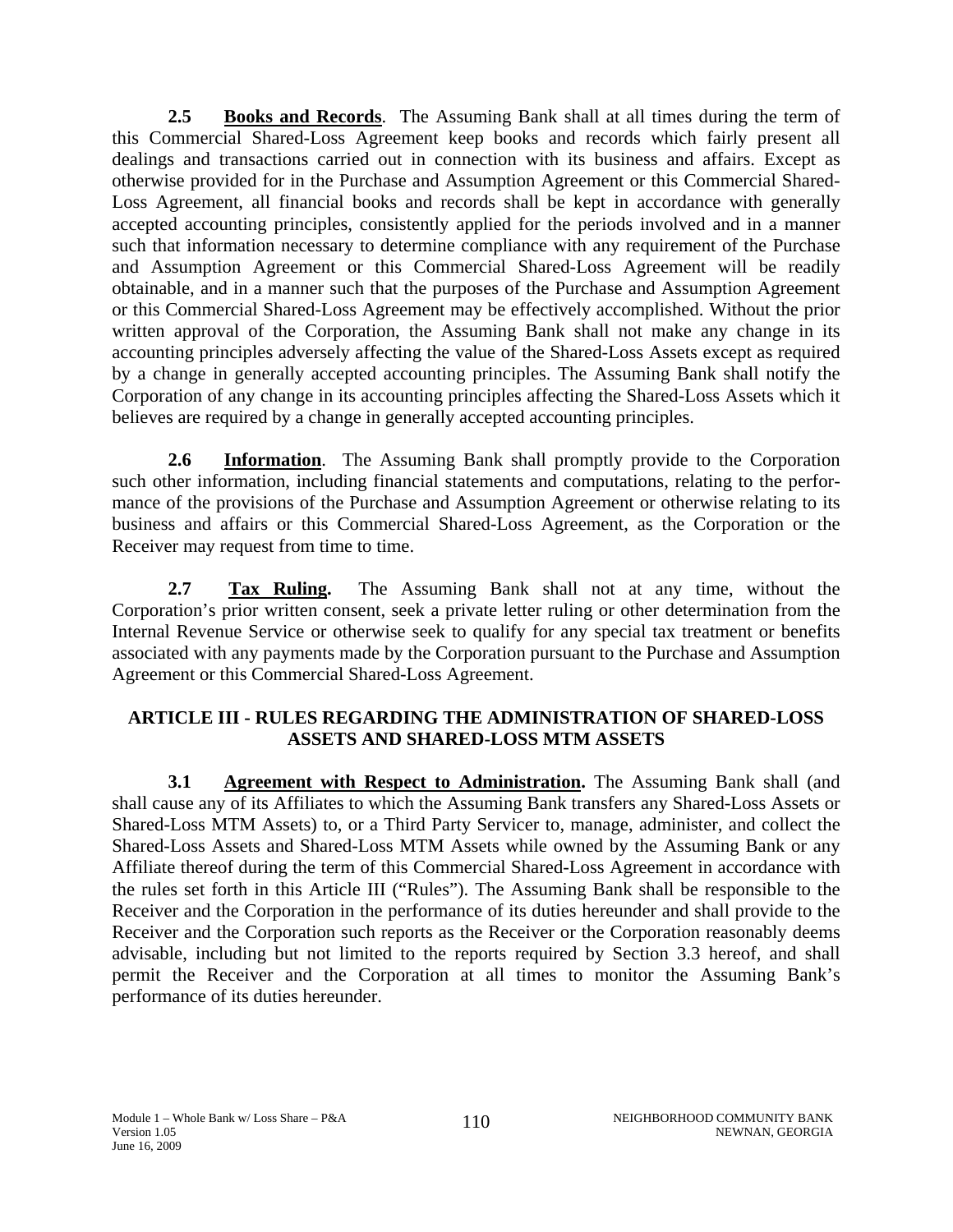**2.5 Books and Records**. The Assuming Bank shall at all times during the term of this Commercial Shared-Loss Agreement keep books and records which fairly present all dealings and transactions carried out in connection with its business and affairs. Except as otherwise provided for in the Purchase and Assumption Agreement or this Commercial Shared-Loss Agreement, all financial books and records shall be kept in accordance with generally accepted accounting principles, consistently applied for the periods involved and in a manner such that information necessary to determine compliance with any requirement of the Purchase and Assumption Agreement or this Commercial Shared-Loss Agreement will be readily obtainable, and in a manner such that the purposes of the Purchase and Assumption Agreement or this Commercial Shared-Loss Agreement may be effectively accomplished. Without the prior written approval of the Corporation, the Assuming Bank shall not make any change in its accounting principles adversely affecting the value of the Shared-Loss Assets except as required by a change in generally accepted accounting principles. The Assuming Bank shall notify the Corporation of any change in its accounting principles affecting the Shared-Loss Assets which it believes are required by a change in generally accepted accounting principles.

**2.6 Information.** The Assuming Bank shall promptly provide to the Corporation such other information, including financial statements and computations, relating to the performance of the provisions of the Purchase and Assumption Agreement or otherwise relating to its business and affairs or this Commercial Shared-Loss Agreement, as the Corporation or the Receiver may request from time to time.

**2.7 Tax Ruling.** The Assuming Bank shall not at any time, without the Corporation's prior written consent, seek a private letter ruling or other determination from the Internal Revenue Service or otherwise seek to qualify for any special tax treatment or benefits associated with any payments made by the Corporation pursuant to the Purchase and Assumption Agreement or this Commercial Shared-Loss Agreement.

### **ARTICLE III - RULES REGARDING THE ADMINISTRATION OF SHARED-LOSS ASSETS AND SHARED-LOSS MTM ASSETS**

**3.1 Agreement with Respect to Administration.** The Assuming Bank shall (and shall cause any of its Affiliates to which the Assuming Bank transfers any Shared-Loss Assets or Shared-Loss MTM Assets) to, or a Third Party Servicer to, manage, administer, and collect the Shared-Loss Assets and Shared-Loss MTM Assets while owned by the Assuming Bank or any Affiliate thereof during the term of this Commercial Shared-Loss Agreement in accordance with the rules set forth in this Article III ("Rules"). The Assuming Bank shall be responsible to the Receiver and the Corporation in the performance of its duties hereunder and shall provide to the Receiver and the Corporation such reports as the Receiver or the Corporation reasonably deems advisable, including but not limited to the reports required by Section 3.3 hereof, and shall permit the Receiver and the Corporation at all times to monitor the Assuming Bank's performance of its duties hereunder.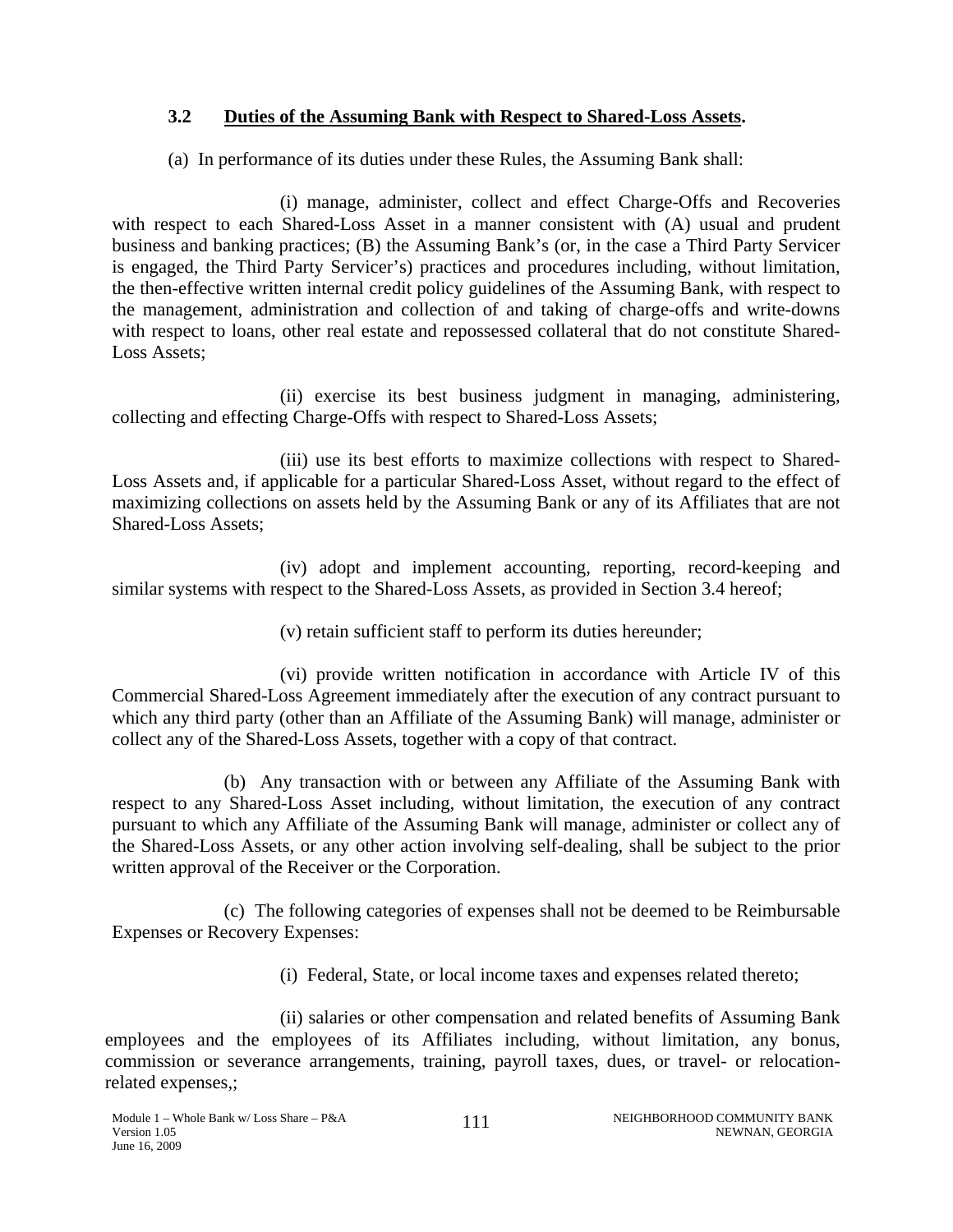#### **3.2 Duties of the Assuming Bank with Respect to Shared-Loss Assets.**

(a) In performance of its duties under these Rules, the Assuming Bank shall:

(i) manage, administer, collect and effect Charge-Offs and Recoveries with respect to each Shared-Loss Asset in a manner consistent with (A) usual and prudent business and banking practices; (B) the Assuming Bank's (or, in the case a Third Party Servicer is engaged, the Third Party Servicer's) practices and procedures including, without limitation, the then-effective written internal credit policy guidelines of the Assuming Bank, with respect to the management, administration and collection of and taking of charge-offs and write-downs with respect to loans, other real estate and repossessed collateral that do not constitute Shared-Loss Assets;

(ii) exercise its best business judgment in managing, administering, collecting and effecting Charge-Offs with respect to Shared-Loss Assets;

(iii) use its best efforts to maximize collections with respect to Shared-Loss Assets and, if applicable for a particular Shared-Loss Asset, without regard to the effect of maximizing collections on assets held by the Assuming Bank or any of its Affiliates that are not Shared-Loss Assets;

(iv) adopt and implement accounting, reporting, record-keeping and similar systems with respect to the Shared-Loss Assets, as provided in Section 3.4 hereof;

(v) retain sufficient staff to perform its duties hereunder;

(vi) provide written notification in accordance with Article IV of this Commercial Shared-Loss Agreement immediately after the execution of any contract pursuant to which any third party (other than an Affiliate of the Assuming Bank) will manage, administer or collect any of the Shared-Loss Assets, together with a copy of that contract.

(b) Any transaction with or between any Affiliate of the Assuming Bank with respect to any Shared-Loss Asset including, without limitation, the execution of any contract pursuant to which any Affiliate of the Assuming Bank will manage, administer or collect any of the Shared-Loss Assets, or any other action involving self-dealing, shall be subject to the prior written approval of the Receiver or the Corporation.

(c) The following categories of expenses shall not be deemed to be Reimbursable Expenses or Recovery Expenses:

(i) Federal, State, or local income taxes and expenses related thereto;

(ii) salaries or other compensation and related benefits of Assuming Bank employees and the employees of its Affiliates including, without limitation, any bonus, commission or severance arrangements, training, payroll taxes, dues, or travel- or relocationrelated expenses,;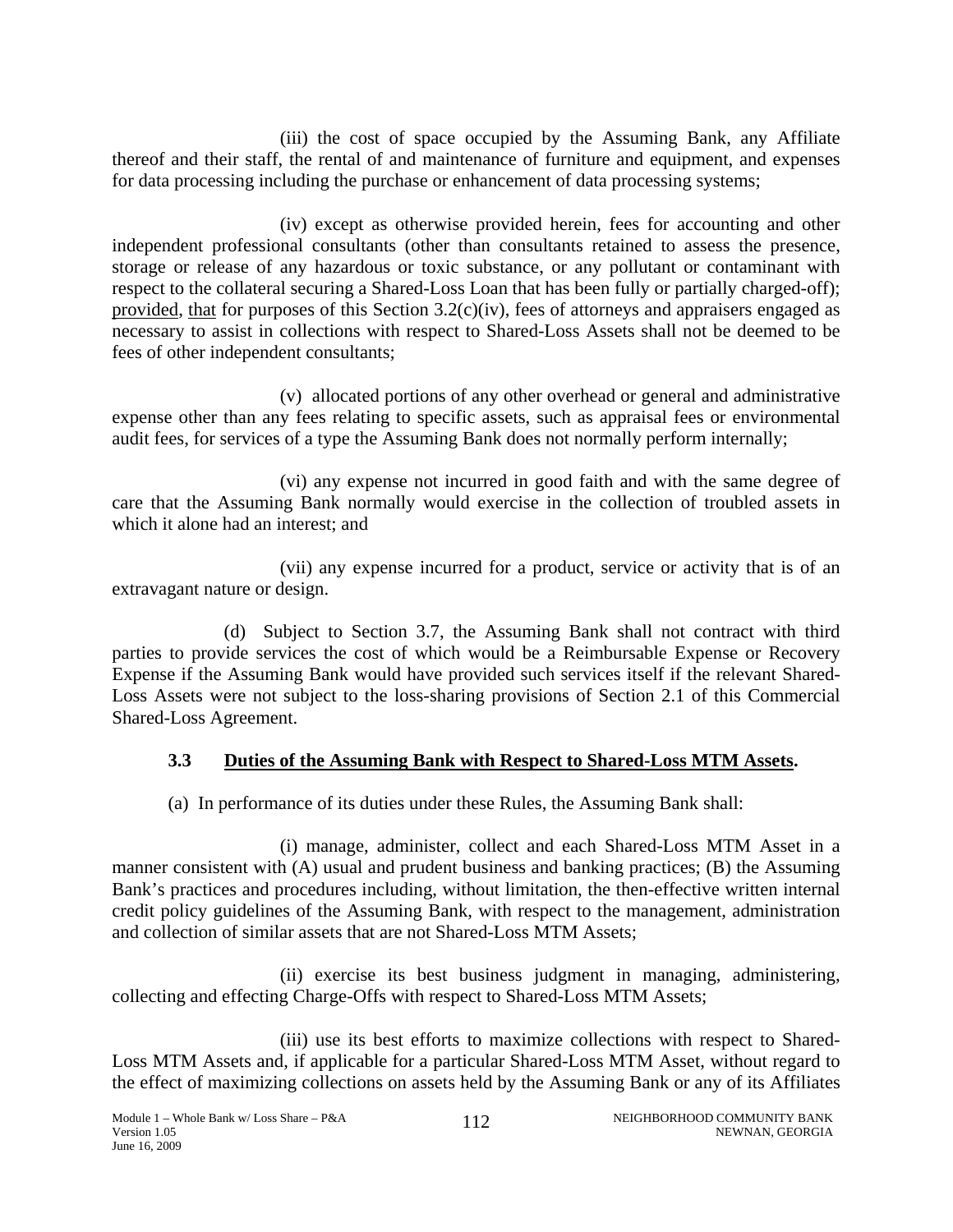(iii) the cost of space occupied by the Assuming Bank, any Affiliate thereof and their staff, the rental of and maintenance of furniture and equipment, and expenses for data processing including the purchase or enhancement of data processing systems;

(iv) except as otherwise provided herein, fees for accounting and other independent professional consultants (other than consultants retained to assess the presence, storage or release of any hazardous or toxic substance, or any pollutant or contaminant with respect to the collateral securing a Shared-Loss Loan that has been fully or partially charged-off); provided, that for purposes of this Section 3.2(c)(iv), fees of attorneys and appraisers engaged as necessary to assist in collections with respect to Shared-Loss Assets shall not be deemed to be fees of other independent consultants;

(v) allocated portions of any other overhead or general and administrative expense other than any fees relating to specific assets, such as appraisal fees or environmental audit fees, for services of a type the Assuming Bank does not normally perform internally;

(vi) any expense not incurred in good faith and with the same degree of care that the Assuming Bank normally would exercise in the collection of troubled assets in which it alone had an interest; and

(vii) any expense incurred for a product, service or activity that is of an extravagant nature or design.

(d) Subject to Section 3.7, the Assuming Bank shall not contract with third parties to provide services the cost of which would be a Reimbursable Expense or Recovery Expense if the Assuming Bank would have provided such services itself if the relevant Shared-Loss Assets were not subject to the loss-sharing provisions of Section 2.1 of this Commercial Shared-Loss Agreement.

### **3.3 Duties of the Assuming Bank with Respect to Shared-Loss MTM Assets.**

(a) In performance of its duties under these Rules, the Assuming Bank shall:

(i) manage, administer, collect and each Shared-Loss MTM Asset in a manner consistent with  $(A)$  usual and prudent business and banking practices;  $(B)$  the Assuming Bank's practices and procedures including, without limitation, the then-effective written internal credit policy guidelines of the Assuming Bank, with respect to the management, administration and collection of similar assets that are not Shared-Loss MTM Assets;

(ii) exercise its best business judgment in managing, administering, collecting and effecting Charge-Offs with respect to Shared-Loss MTM Assets;

(iii) use its best efforts to maximize collections with respect to Shared-Loss MTM Assets and, if applicable for a particular Shared-Loss MTM Asset, without regard to the effect of maximizing collections on assets held by the Assuming Bank or any of its Affiliates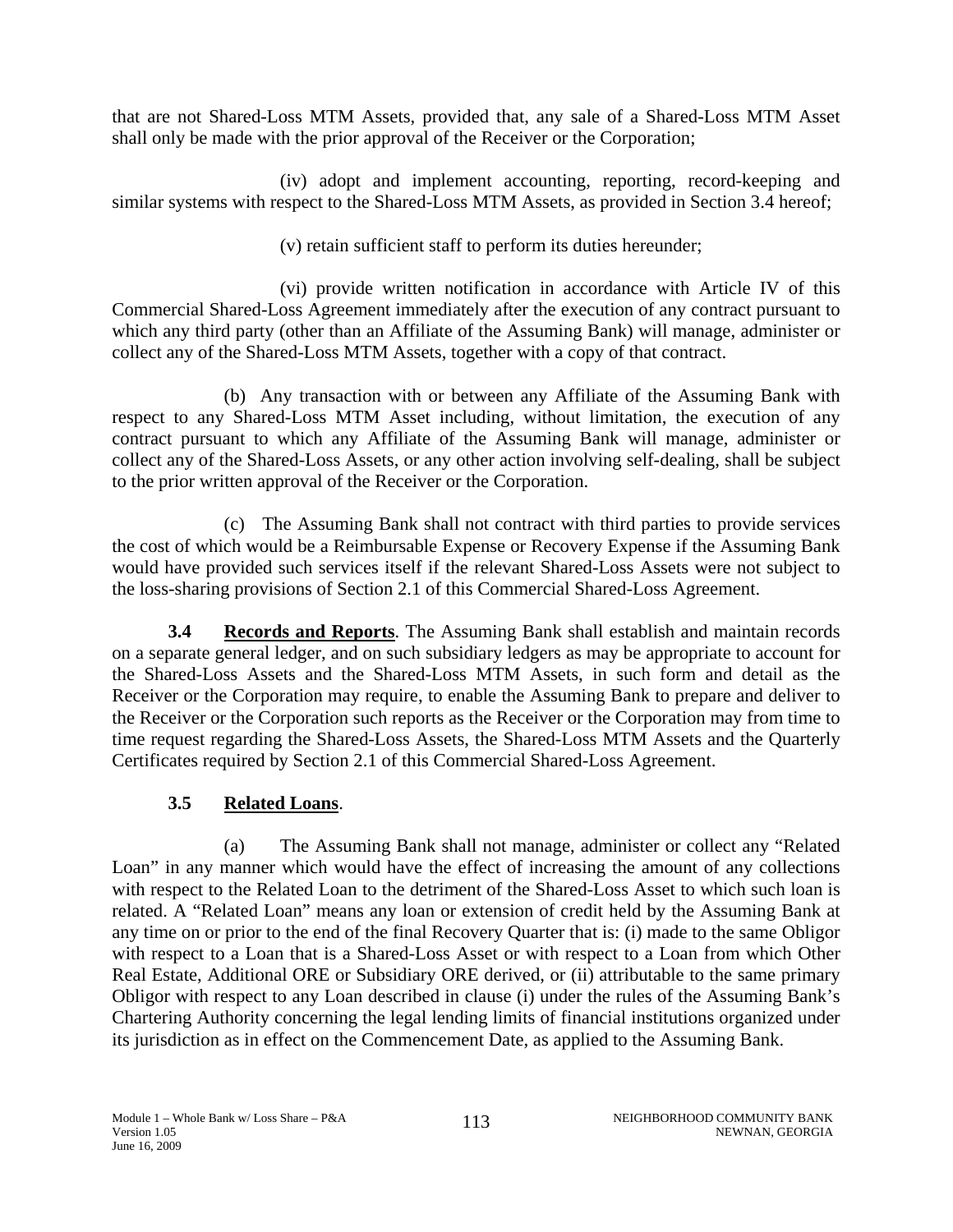that are not Shared-Loss MTM Assets, provided that, any sale of a Shared-Loss MTM Asset shall only be made with the prior approval of the Receiver or the Corporation;

(iv) adopt and implement accounting, reporting, record-keeping and similar systems with respect to the Shared-Loss MTM Assets, as provided in Section 3.4 hereof;

(v) retain sufficient staff to perform its duties hereunder;

(vi) provide written notification in accordance with Article IV of this Commercial Shared-Loss Agreement immediately after the execution of any contract pursuant to which any third party (other than an Affiliate of the Assuming Bank) will manage, administer or collect any of the Shared-Loss MTM Assets, together with a copy of that contract.

(b) Any transaction with or between any Affiliate of the Assuming Bank with respect to any Shared-Loss MTM Asset including, without limitation, the execution of any contract pursuant to which any Affiliate of the Assuming Bank will manage, administer or collect any of the Shared-Loss Assets, or any other action involving self-dealing, shall be subject to the prior written approval of the Receiver or the Corporation.

(c) The Assuming Bank shall not contract with third parties to provide services the cost of which would be a Reimbursable Expense or Recovery Expense if the Assuming Bank would have provided such services itself if the relevant Shared-Loss Assets were not subject to the loss-sharing provisions of Section 2.1 of this Commercial Shared-Loss Agreement.

**3.4 Records and Reports**. The Assuming Bank shall establish and maintain records on a separate general ledger, and on such subsidiary ledgers as may be appropriate to account for the Shared-Loss Assets and the Shared-Loss MTM Assets, in such form and detail as the Receiver or the Corporation may require, to enable the Assuming Bank to prepare and deliver to the Receiver or the Corporation such reports as the Receiver or the Corporation may from time to time request regarding the Shared-Loss Assets, the Shared-Loss MTM Assets and the Quarterly Certificates required by Section 2.1 of this Commercial Shared-Loss Agreement.

# **3.5 Related Loans**.

(a) The Assuming Bank shall not manage, administer or collect any "Related Loan" in any manner which would have the effect of increasing the amount of any collections with respect to the Related Loan to the detriment of the Shared-Loss Asset to which such loan is related. A "Related Loan" means any loan or extension of credit held by the Assuming Bank at any time on or prior to the end of the final Recovery Quarter that is: (i) made to the same Obligor with respect to a Loan that is a Shared-Loss Asset or with respect to a Loan from which Other Real Estate, Additional ORE or Subsidiary ORE derived, or (ii) attributable to the same primary Obligor with respect to any Loan described in clause (i) under the rules of the Assuming Bank's Chartering Authority concerning the legal lending limits of financial institutions organized under its jurisdiction as in effect on the Commencement Date, as applied to the Assuming Bank.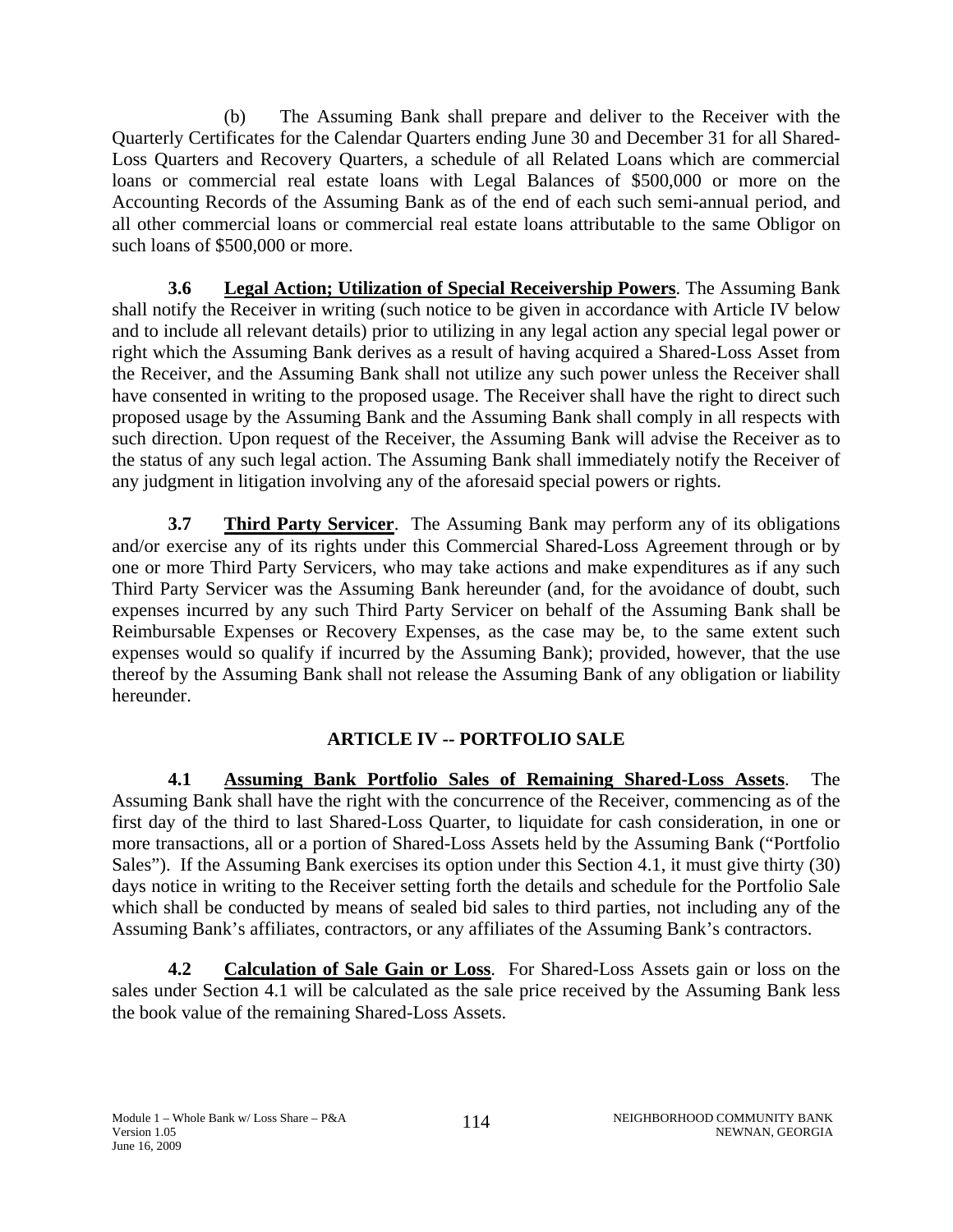(b) The Assuming Bank shall prepare and deliver to the Receiver with the Quarterly Certificates for the Calendar Quarters ending June 30 and December 31 for all Shared-Loss Quarters and Recovery Quarters, a schedule of all Related Loans which are commercial loans or commercial real estate loans with Legal Balances of \$500,000 or more on the Accounting Records of the Assuming Bank as of the end of each such semi-annual period, and all other commercial loans or commercial real estate loans attributable to the same Obligor on such loans of \$500,000 or more.

**3.6 Legal Action; Utilization of Special Receivership Powers**. The Assuming Bank shall notify the Receiver in writing (such notice to be given in accordance with Article IV below and to include all relevant details) prior to utilizing in any legal action any special legal power or right which the Assuming Bank derives as a result of having acquired a Shared-Loss Asset from the Receiver, and the Assuming Bank shall not utilize any such power unless the Receiver shall have consented in writing to the proposed usage. The Receiver shall have the right to direct such proposed usage by the Assuming Bank and the Assuming Bank shall comply in all respects with such direction. Upon request of the Receiver, the Assuming Bank will advise the Receiver as to the status of any such legal action. The Assuming Bank shall immediately notify the Receiver of any judgment in litigation involving any of the aforesaid special powers or rights.

**3.7 Third Party Servicer**. The Assuming Bank may perform any of its obligations and/or exercise any of its rights under this Commercial Shared-Loss Agreement through or by one or more Third Party Servicers, who may take actions and make expenditures as if any such Third Party Servicer was the Assuming Bank hereunder (and, for the avoidance of doubt, such expenses incurred by any such Third Party Servicer on behalf of the Assuming Bank shall be Reimbursable Expenses or Recovery Expenses, as the case may be, to the same extent such expenses would so qualify if incurred by the Assuming Bank); provided, however, that the use thereof by the Assuming Bank shall not release the Assuming Bank of any obligation or liability hereunder.

# **ARTICLE IV -- PORTFOLIO SALE**

**4.1 Assuming Bank Portfolio Sales of Remaining Shared-Loss Assets**. The Assuming Bank shall have the right with the concurrence of the Receiver, commencing as of the first day of the third to last Shared-Loss Quarter, to liquidate for cash consideration, in one or more transactions, all or a portion of Shared-Loss Assets held by the Assuming Bank ("Portfolio Sales"). If the Assuming Bank exercises its option under this Section 4.1, it must give thirty (30) days notice in writing to the Receiver setting forth the details and schedule for the Portfolio Sale which shall be conducted by means of sealed bid sales to third parties, not including any of the Assuming Bank's affiliates, contractors, or any affiliates of the Assuming Bank's contractors.

**4.2 Calculation of Sale Gain or Loss**. For Shared-Loss Assets gain or loss on the sales under Section 4.1 will be calculated as the sale price received by the Assuming Bank less the book value of the remaining Shared-Loss Assets.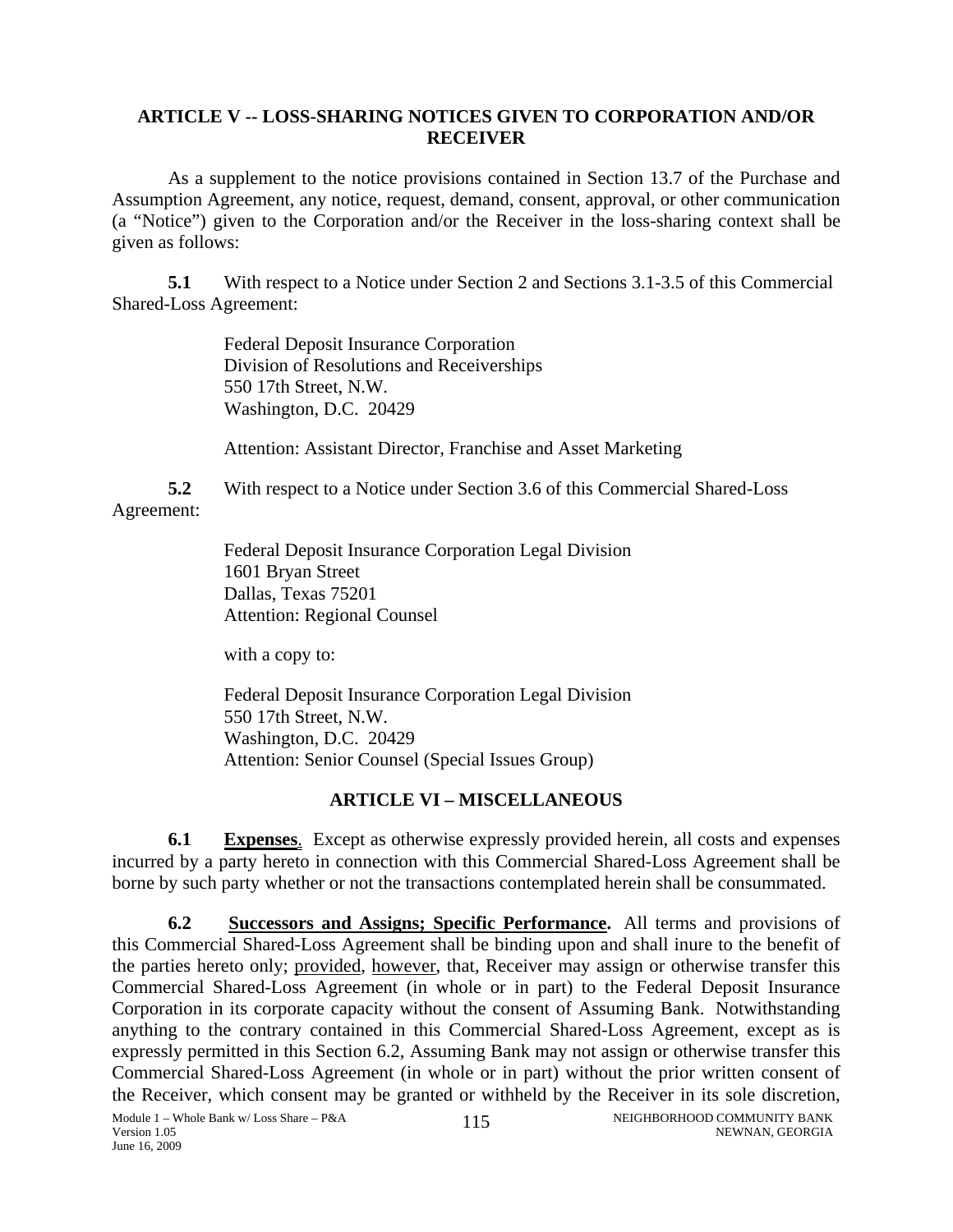#### **ARTICLE V -- LOSS-SHARING NOTICES GIVEN TO CORPORATION AND/OR RECEIVER**

As a supplement to the notice provisions contained in Section 13.7 of the Purchase and Assumption Agreement, any notice, request, demand, consent, approval, or other communication (a "Notice") given to the Corporation and/or the Receiver in the loss-sharing context shall be given as follows:

**5.1** With respect to a Notice under Section 2 and Sections 3.1-3.5 of this Commercial Shared-Loss Agreement:

> Federal Deposit Insurance Corporation Division of Resolutions and Receiverships 550 17th Street, N.W. Washington, D.C. 20429

Attention: Assistant Director, Franchise and Asset Marketing

**5.2** With respect to a Notice under Section 3.6 of this Commercial Shared-Loss Agreement:

> Federal Deposit Insurance Corporation Legal Division 1601 Bryan Street Dallas, Texas 75201 Attention: Regional Counsel

with a copy to:

Federal Deposit Insurance Corporation Legal Division 550 17th Street, N.W. Washington, D.C. 20429 Attention: Senior Counsel (Special Issues Group)

# **ARTICLE VI – MISCELLANEOUS**

 **6.1 Expenses**. Except as otherwise expressly provided herein, all costs and expenses incurred by a party hereto in connection with this Commercial Shared-Loss Agreement shall be borne by such party whether or not the transactions contemplated herein shall be consummated.

**6.2 Successors and Assigns; Specific Performance.** All terms and provisions of this Commercial Shared-Loss Agreement shall be binding upon and shall inure to the benefit of the parties hereto only; provided, however, that, Receiver may assign or otherwise transfer this Commercial Shared-Loss Agreement (in whole or in part) to the Federal Deposit Insurance Corporation in its corporate capacity without the consent of Assuming Bank. Notwithstanding anything to the contrary contained in this Commercial Shared-Loss Agreement, except as is expressly permitted in this Section 6.2, Assuming Bank may not assign or otherwise transfer this Commercial Shared-Loss Agreement (in whole or in part) without the prior written consent of the Receiver, which consent may be granted or withheld by the Receiver in its sole discretion,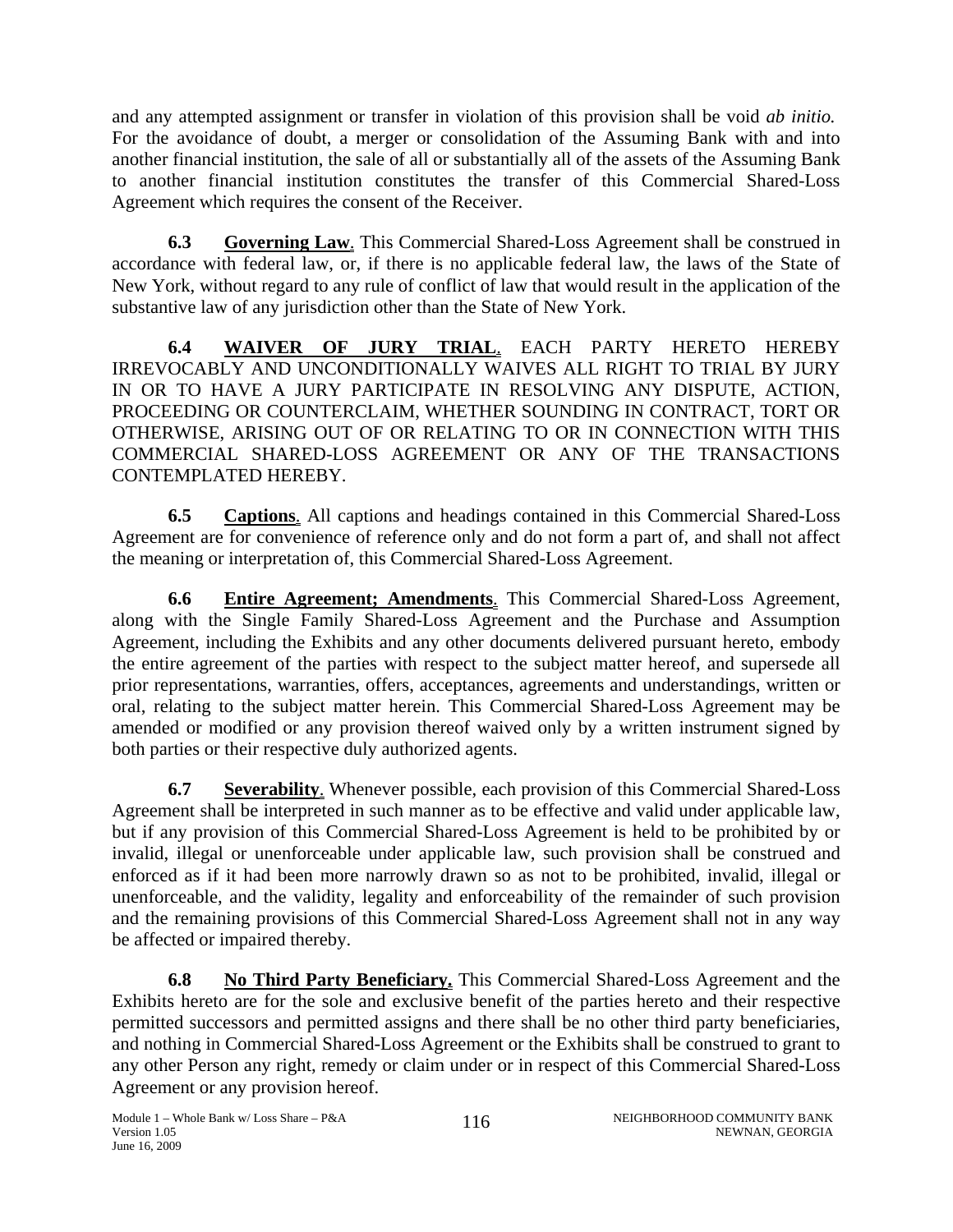and any attempted assignment or transfer in violation of this provision shall be void *ab initio.*  For the avoidance of doubt, a merger or consolidation of the Assuming Bank with and into another financial institution, the sale of all or substantially all of the assets of the Assuming Bank to another financial institution constitutes the transfer of this Commercial Shared-Loss Agreement which requires the consent of the Receiver.

**6.3** Governing Law. This Commercial Shared-Loss Agreement shall be construed in accordance with federal law, or, if there is no applicable federal law, the laws of the State of New York, without regard to any rule of conflict of law that would result in the application of the substantive law of any jurisdiction other than the State of New York.

**6.4 WAIVER OF JURY TRIAL**. EACH PARTY HERETO HEREBY IRREVOCABLY AND UNCONDITIONALLY WAIVES ALL RIGHT TO TRIAL BY JURY IN OR TO HAVE A JURY PARTICIPATE IN RESOLVING ANY DISPUTE, ACTION, PROCEEDING OR COUNTERCLAIM, WHETHER SOUNDING IN CONTRACT, TORT OR OTHERWISE, ARISING OUT OF OR RELATING TO OR IN CONNECTION WITH THIS COMMERCIAL SHARED-LOSS AGREEMENT OR ANY OF THE TRANSACTIONS CONTEMPLATED HEREBY.

**6.5 Captions**. All captions and headings contained in this Commercial Shared-Loss Agreement are for convenience of reference only and do not form a part of, and shall not affect the meaning or interpretation of, this Commercial Shared-Loss Agreement.

**6.6 Entire Agreement; Amendments**. This Commercial Shared-Loss Agreement, along with the Single Family Shared-Loss Agreement and the Purchase and Assumption Agreement, including the Exhibits and any other documents delivered pursuant hereto, embody the entire agreement of the parties with respect to the subject matter hereof, and supersede all prior representations, warranties, offers, acceptances, agreements and understandings, written or oral, relating to the subject matter herein. This Commercial Shared-Loss Agreement may be amended or modified or any provision thereof waived only by a written instrument signed by both parties or their respective duly authorized agents.

**6.7 Severability**. Whenever possible, each provision of this Commercial Shared-Loss Agreement shall be interpreted in such manner as to be effective and valid under applicable law, but if any provision of this Commercial Shared-Loss Agreement is held to be prohibited by or invalid, illegal or unenforceable under applicable law, such provision shall be construed and enforced as if it had been more narrowly drawn so as not to be prohibited, invalid, illegal or unenforceable, and the validity, legality and enforceability of the remainder of such provision and the remaining provisions of this Commercial Shared-Loss Agreement shall not in any way be affected or impaired thereby.

**6.8 No Third Party Beneficiary.** This Commercial Shared-Loss Agreement and the Exhibits hereto are for the sole and exclusive benefit of the parties hereto and their respective permitted successors and permitted assigns and there shall be no other third party beneficiaries, and nothing in Commercial Shared-Loss Agreement or the Exhibits shall be construed to grant to any other Person any right, remedy or claim under or in respect of this Commercial Shared-Loss Agreement or any provision hereof.